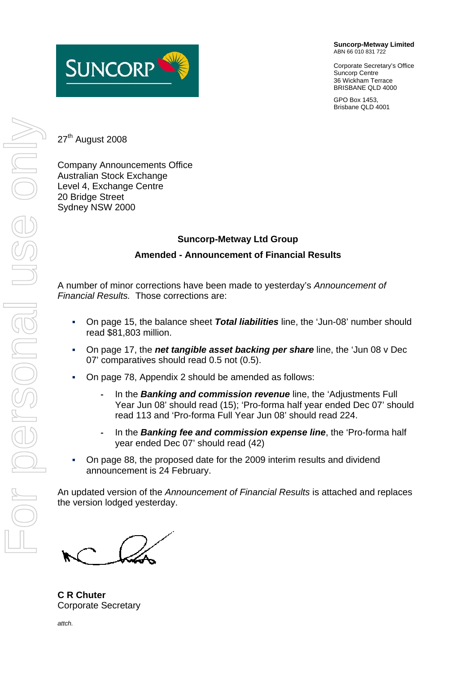

**Suncorp-Metway Limited** ABN 66 010 831 722

Corporate Secretary's Office Suncorp Centre 36 Wickham Terrace BRISBANE QLD 4000

GPO Box 1453, Brisbane QLD 4001

27<sup>th</sup> August 2008

Company Announcements Office Australian Stock Exchange Level 4, Exchange Centre 20 Bridge Street Sydney NSW 2000

# **Suncorp-Metway Ltd Group**

# **Amended - Announcement of Financial Results**

A number of minor corrections have been made to yesterday's *Announcement of Financial Results.* Those corrections are:

- On page 15, the balance sheet *Total liabilities* line, the 'Jun-08' number should read \$81,803 million.
- On page 17, the *net tangible asset backing per share* line, the 'Jun 08 v Dec 07' comparatives should read 0.5 not (0.5).
- On page 78, Appendix 2 should be amended as follows:
	- **‐** In the *Banking and commission revenue* line, the 'Adjustments Full Year Jun 08' should read (15); 'Pro-forma half year ended Dec 07' should read 113 and 'Pro-forma Full Year Jun 08' should read 224.
	- **‐** In the *Banking fee and commission expense line*, the 'Pro-forma half year ended Dec 07' should read (42)
- On page 88, the proposed date for the 2009 interim results and dividend announcement is 24 February.

An updated version of the *Announcement of Financial Results* is attached and replaces the version lodged yesterday.

**C R Chuter**  Corporate Secretary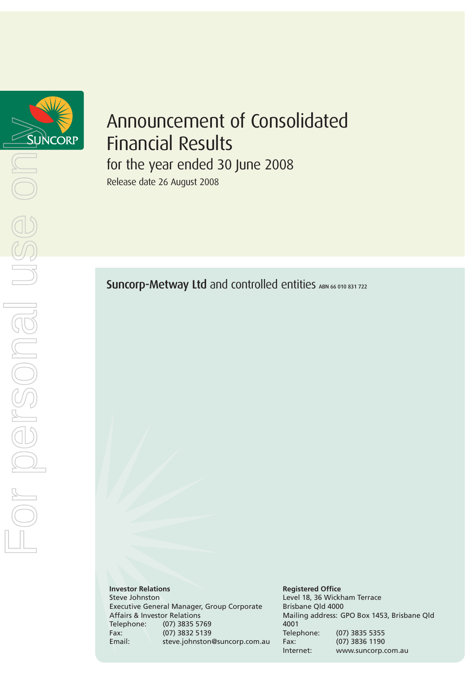

# Announcement of Consolidated Financial Results

for the year ended 30 June 2008

Release date 26 August 2008

Suncorp-Metway Ltd and controlled entities ABN 66 010 831 722

**Investor Relations**

Steve Johnston Executive General Manager, Group Corporate Affairs & Investor Relations Telephone: (07) 3835 5769 Fax: (07) 3832 5139 Email: steve.johnston@suncorp.com.au **Registered Office** Level 18, 36 Wickham Terrace Brisbane Qld 4000 Mailing address: GPO Box 1453, Brisbane Qld 4001 Telephone: (07) 3835 5355 Fax: (07) 3836 1190 Internet: www.suncorp.com.au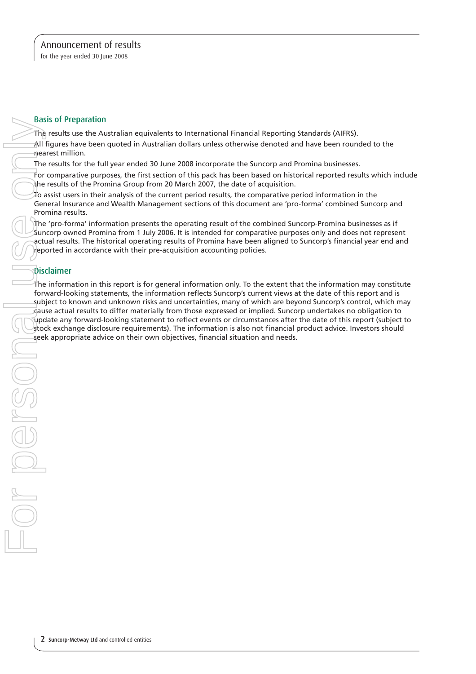#### Basis of Preparation

The results use the Australian equivalents to International Financial Reporting Standards (AIFRS).

All figures have been quoted in Australian dollars unless otherwise denoted and have been rounded to the nearest million.

The results for the full year ended 30 June 2008 incorporate the Suncorp and Promina businesses.

For comparative purposes, the first section of this pack has been based on historical reported results which include the results of the Promina Group from 20 March 2007, the date of acquisition.

 $7$ o assist users in their analysis of the current period results, the comparative period information in the General Insurance and Wealth Management sections of this document are 'pro-forma' combined Suncorp and Promina results.

The 'pro-forma' information presents the operating result of the combined Suncorp-Promina businesses as if Suncorp owned Promina from 1 July 2006. It is intended for comparative purposes only and does not represent actual results. The historical operating results of Promina have been aligned to Suncorp's financial year end and reported in accordance with their pre-acquisition accounting policies.

## Disclaimer

The information in this report is for general information only. To the extent that the information may constitute forward-looking statements, the information reflects Suncorp's current views at the date of this report and is subject to known and unknown risks and uncertainties, many of which are beyond Suncorp's control, which may cause actual results to differ materially from those expressed or implied. Suncorp undertakes no obligation to update any forward-looking statement to reflect events or circumstances after the date of this report (subject to stock exchange disclosure requirements). The information is also not fi nancial product advice. Investors should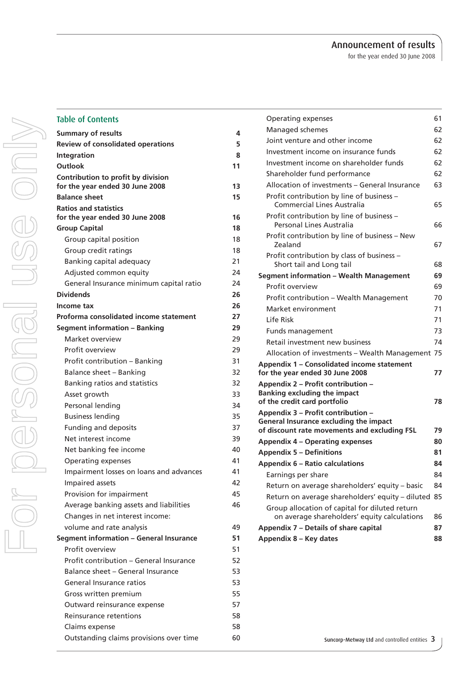For personal use only Forersonal use only

| <b>Table of Contents</b>                                        |    |
|-----------------------------------------------------------------|----|
| <b>Summary of results</b>                                       | 4  |
| <b>Review of consolidated operations</b>                        | 5  |
| Integration                                                     | 8  |
| Outlook                                                         | 11 |
| Contribution to profit by division                              |    |
| for the year ended 30 June 2008                                 | 13 |
| <b>Balance sheet</b>                                            | 15 |
| <b>Ratios and statistics</b><br>for the year ended 30 June 2008 | 16 |
| <b>Group Capital</b>                                            | 18 |
| Group capital position                                          | 18 |
| Group credit ratings                                            | 18 |
| Banking capital adequacy                                        | 21 |
| Adjusted common equity                                          | 24 |
| General Insurance minimum capital ratio                         | 24 |
| <b>Dividends</b>                                                | 26 |
| Income tax                                                      | 26 |
| Proforma consolidated income statement                          | 27 |
| <b>Segment information - Banking</b>                            | 29 |
| Market overview                                                 | 29 |
| Profit overview                                                 | 29 |
| Profit contribution – Banking                                   | 31 |
| Balance sheet - Banking                                         | 32 |
| Banking ratios and statistics                                   | 32 |
| Asset growth                                                    | 33 |
| Personal lending                                                | 34 |
| <b>Business lending</b>                                         | 35 |
| <b>Funding and deposits</b>                                     | 37 |
| Net interest income                                             | 39 |
| Net banking fee income                                          | 40 |
| Operating expenses                                              | 41 |
| Impairment losses on loans and advances                         | 41 |
| Impaired assets                                                 | 42 |
| Provision for impairment                                        | 45 |
| Average banking assets and liabilities                          | 46 |
| Changes in net interest income:                                 |    |
| volume and rate analysis                                        | 49 |
| Segment information - General Insurance                         | 51 |
| Profit overview                                                 | 51 |
| Profit contribution – General Insurance                         | 52 |
| Balance sheet - General Insurance                               | 53 |
| General Insurance ratios                                        | 53 |
| Gross written premium                                           | 55 |
| Outward reinsurance expense                                     | 57 |
| Reinsurance retentions                                          | 58 |
| Claims expense                                                  | 58 |
| Outstanding claims provisions over time                         | 60 |

| Operating expenses                                                                                                                                     | 61 |
|--------------------------------------------------------------------------------------------------------------------------------------------------------|----|
| Managed schemes                                                                                                                                        | 62 |
| Joint venture and other income                                                                                                                         | 62 |
| Investment income on insurance funds                                                                                                                   | 62 |
| Investment income on shareholder funds                                                                                                                 | 62 |
| Shareholder fund performance                                                                                                                           | 62 |
| Allocation of investments - General Insurance                                                                                                          | 63 |
| Profit contribution by line of business -<br><b>Commercial Lines Australia</b>                                                                         | 65 |
| Profit contribution by line of business -<br>Personal Lines Australia                                                                                  | 66 |
| Profit contribution by line of business - New<br>Zealand                                                                                               | 67 |
| Profit contribution by class of business -                                                                                                             |    |
| Short tail and Long tail                                                                                                                               | 68 |
| Segment information - Wealth Management                                                                                                                | 69 |
| Profit overview                                                                                                                                        | 69 |
| Profit contribution - Wealth Management                                                                                                                | 70 |
| Market environment                                                                                                                                     | 71 |
| Life Risk                                                                                                                                              | 71 |
| <b>Funds management</b>                                                                                                                                | 73 |
| Retail investment new business                                                                                                                         | 74 |
| Allocation of investments - Wealth Management 75                                                                                                       |    |
| Appendix 1 - Consolidated income statement<br>for the year ended 30 June 2008                                                                          | 77 |
| <b>Appendix 2 – Profit contribution –</b><br><b>Banking excluding the impact</b><br>of the credit card portfolio<br>Appendix 3 - Profit contribution - | 78 |
| <b>General Insurance excluding the impact</b>                                                                                                          |    |
| of discount rate movements and excluding FSL                                                                                                           | 79 |
| <b>Appendix 4 - Operating expenses</b>                                                                                                                 | 80 |
| <b>Appendix 5 - Definitions</b>                                                                                                                        | 81 |
| <b>Appendix 6 - Ratio calculations</b>                                                                                                                 | 84 |
| Earnings per share                                                                                                                                     | 84 |
| Return on average shareholders' equity - basic                                                                                                         | 84 |
| Return on average shareholders' equity - diluted                                                                                                       | 85 |
| Group allocation of capital for diluted return<br>on average shareholders' equity calculations                                                         | 86 |
| Appendix 7 - Details of share capital                                                                                                                  | 87 |
| Appendix 8 - Key dates                                                                                                                                 | 88 |
|                                                                                                                                                        |    |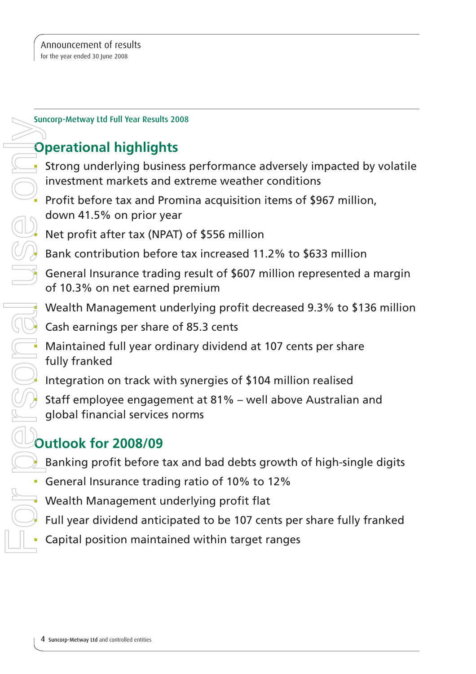Suncorp-Metway Ltd Full Year Results 2008

# **Operational highlights**

 Strong underlying business performance adversely impacted by volatile investment markets and extreme weather conditions

Profit before tax and Promina acquisition items of \$967 million, down 41.5% on prior year

Net profit after tax (NPAT) of \$556 million

Bank contribution before tax increased 11.2% to \$633 million

 General Insurance trading result of \$607 million represented a margin of 10.3% on net earned premium

Wealth Management underlying profit decreased 9.3% to \$136 million

Cash earnings per share of 85.3 cents

 Maintained full year ordinary dividend at 107 cents per share fully franked

Integration on track with synergies of \$104 million realised

 Staff employee engagement at 81% – well above Australian and global financial services norms

# **Outlook for 2008/09**

Banking profit before tax and bad debts growth of high-single digits

General Insurance trading ratio of 10% to 12%

Wealth Management underlying profit flat

Full year dividend anticipated to be 107 cents per share fully franked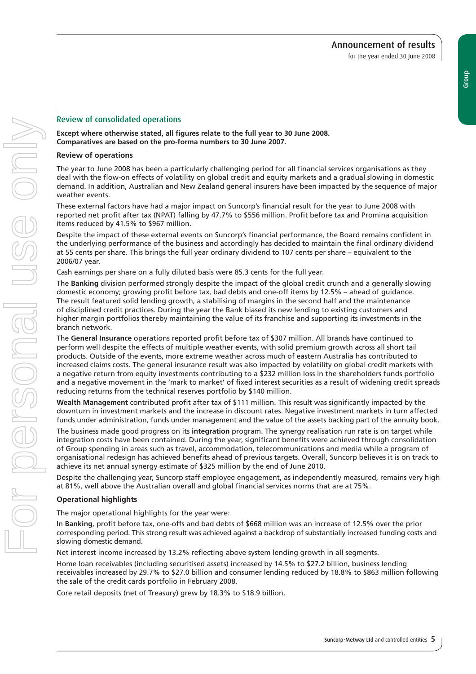## Review of consolidated operations

Except where otherwise stated, all figures relate to the full year to 30 June 2008. **Comparatives are based on the pro-forma numbers to 30 June 2007.**

#### **Review of operations**

The year to June 2008 has been a particularly challenging period for all financial services organisations as they deal with the flow-on effects of volatility on global credit and equity markets and a gradual slowing in domestic demand. In addition, Australian and New Zealand general insurers have been impacted by the sequence of major weather events.

These external factors have had a major impact on Suncorp's financial result for the year to June 2008 with reported net profit after tax (NPAT) falling by 47.7% to \$556 million. Profit before tax and Promina acquisition items reduced by 41.5% to \$967 million.

Despite the impact of these external events on Suncorp's financial performance, the Board remains confident in the underlying performance of the business and accordingly has decided to maintain the final ordinary dividend at 55 cents per share. This brings the full year ordinary dividend to 107 cents per share – equivalent to the 2006/07 year.

Cash earnings per share on a fully diluted basis were 85.3 cents for the full year.

The **Banking** division performed strongly despite the impact of the global credit crunch and a generally slowing domestic economy; growing profit before tax, bad debts and one-off items by 12.5% – ahead of guidance. The result featured solid lending growth, a stabilising of margins in the second half and the maintenance of disciplined credit practices. During the year the Bank biased its new lending to existing customers and higher margin portfolios thereby maintaining the value of its franchise and supporting its investments in the branch network.

The General Insurance operations reported profit before tax of \$307 million. All brands have continued to perform well despite the effects of multiple weather events, with solid premium growth across all short tail products. Outside of the events, more extreme weather across much of eastern Australia has contributed to increased claims costs. The general insurance result was also impacted by volatility on global credit markets with a negative return from equity investments contributing to a \$232 million loss in the shareholders funds portfolio and a negative movement in the 'mark to market' of fixed interest securities as a result of widening credit spreads reducing returns from the technical reserves portfolio by \$140 million.

**Wealth Management** contributed profit after tax of \$111 million. This result was significantly impacted by the downturn in investment markets and the increase in discount rates. Negative investment markets in turn affected funds under administration, funds under management and the value of the assets backing part of the annuity book.

The business made good progress on its **integration** program. The synergy realisation run rate is on target while integration costs have been contained. During the year, significant benefits were achieved through consolidation of Group spending in areas such as travel, accommodation, telecommunications and media while a program of organisational redesign has achieved benefits ahead of previous targets. Overall, Suncorp believes it is on track to achieve its net annual synergy estimate of \$325 million by the end of June 2010.

Despite the challenging year, Suncorp staff employee engagement, as independently measured, remains very high at 81%, well above the Australian overall and global financial services norms that are at 75%.

#### **Operational highlights**

The major operational highlights for the year were:

In **Banking**, profit before tax, one-offs and bad debts of \$668 million was an increase of 12.5% over the prior corresponding period. This strong result was achieved against a backdrop of substantially increased funding costs and slowing domestic demand.

Net interest income increased by 13.2% reflecting above system lending growth in all segments.

Home loan receivables (including securitised assets) increased by 14.5% to \$27.2 billion, business lending receivables increased by 29.7% to \$27.0 billion and consumer lending reduced by 18.8% to \$863 million following the sale of the credit cards portfolio in February 2008.

Core retail deposits (net of Treasury) grew by 18.3% to \$18.9 billion.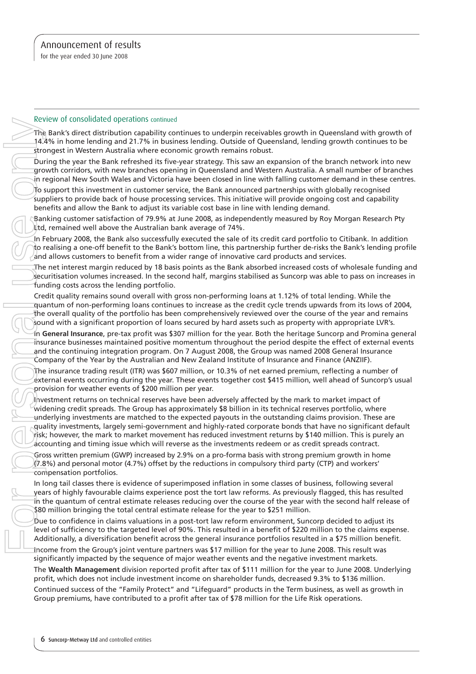#### Review of consolidated operations continued

The Bank's direct distribution capability continues to underpin receivables growth in Queensland with growth of 14.4% in home lending and 21.7% in business lending. Outside of Queensland, lending growth continues to be strongest in Western Australia where economic growth remains robust.

During the year the Bank refreshed its five-year strategy. This saw an expansion of the branch network into new growth corridors, with new branches opening in Queensland and Western Australia. A small number of branches in regional New South Wales and Victoria have been closed in line with falling customer demand in these centres.

To support this investment in customer service, the Bank announced partnerships with globally recognised suppliers to provide back of house processing services. This initiative will provide ongoing cost and capability benefits and allow the Bank to adjust its variable cost base in line with lending demand.

Banking customer satisfaction of 79.9% at June 2008, as independently measured by Roy Morgan Research Pty  $\mu$ td, remained well above the Australian bank average of 74%.

In February 2008, the Bank also successfully executed the sale of its credit card portfolio to Citibank. In addition to realising a one-off benefit to the Bank's bottom line, this partnership further de-risks the Bank's lending profile and allows customers to benefit from a wider range of innovative card products and services.

The net interest margin reduced by 18 basis points as the Bank absorbed increased costs of wholesale funding and securitisation volumes increased. In the second half, margins stabilised as Suncorp was able to pass on increases in funding costs across the lending portfolio.

Credit quality remains sound overall with gross non-performing loans at 1.12% of total lending. While the quantum of non-performing loans continues to increase as the credit cycle trends upwards from its lows of 2004, the overall quality of the portfolio has been comprehensively reviewed over the course of the year and remains sound with a significant proportion of loans secured by hard assets such as property with appropriate LVR's.

In General Insurance, pre-tax profit was \$307 million for the year. Both the heritage Suncorp and Promina general insurance businesses maintained positive momentum throughout the period despite the effect of external events and the continuing integration program. On 7 August 2008, the Group was named 2008 General Insurance Company of the Year by the Australian and New Zealand Institute of Insurance and Finance (ANZIIF).

The insurance trading result (ITR) was \$607 million, or 10.3% of net earned premium, reflecting a number of external events occurring during the year. These events together cost \$415 million, well ahead of Suncorp's usual provision for weather events of \$200 million per year.

Investment returns on technical reserves have been adversely affected by the mark to market impact of widening credit spreads. The Group has approximately \$8 billion in its technical reserves portfolio, where underlying investments are matched to the expected payouts in the outstanding claims provision. These are quality investments, largely semi-government and highly-rated corporate bonds that have no significant default risk; however, the mark to market movement has reduced investment returns by \$140 million. This is purely an accounting and timing issue which will reverse as the investments redeem or as credit spreads contract. From the control of the statistics of the matter of the statistics of the statistics of the statistics of the matter of the statistics of the control of the matter of the control of the control of the matter of the control

Gross written premium (GWP) increased by 2.9% on a pro-forma basis with strong premium growth in home  $(7.8%)$  and personal motor (4.7%) offset by the reductions in compulsory third party (CTP) and workers' compensation portfolios.

In long tail classes there is evidence of superimposed inflation in some classes of business, following several years of highly favourable claims experience post the tort law reforms. As previously flagged, this has resulted in the quantum of central estimate releases reducing over the course of the year with the second half release of \$80 million bringing the total central estimate release for the year to \$251 million.

 $\phi$ ue to confidence in claims valuations in a post-tort law reform environment, Suncorp decided to adjust its level of sufficiency to the targeted level of 90%. This resulted in a benefit of \$220 million to the claims expense. Additionally, a diversification benefit across the general insurance portfolios resulted in a \$75 million benefit. Income from the Group's joint venture partners was \$17 million for the year to June 2008. This result was

significantly impacted by the sequence of major weather events and the negative investment markets.

The Wealth Management division reported profit after tax of \$111 million for the year to June 2008. Underlying profit, which does not include investment income on shareholder funds, decreased 9.3% to \$136 million. Continued success of the "Family Protect" and "Lifeguard" products in the Term business, as well as growth in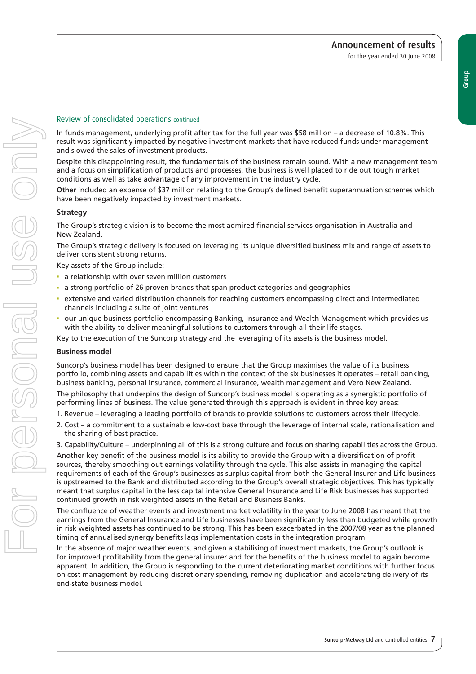In funds management, underlying profit after tax for the full year was \$58 million – a decrease of 10.8%. This result was significantly impacted by negative investment markets that have reduced funds under management and slowed the sales of investment products.

Despite this disappointing result, the fundamentals of the business remain sound. With a new management team and a focus on simplification of products and processes, the business is well placed to ride out tough market conditions as well as take advantage of any improvement in the industry cycle.

**Other** included an expense of \$37 million relating to the Group's defined benefit superannuation schemes which have been negatively impacted by investment markets.

#### **Strategy**

The Group's strategic vision is to become the most admired financial services organisation in Australia and New Zealand.

The Group's strategic delivery is focused on leveraging its unique diversified business mix and range of assets to deliver consistent strong returns.

Key assets of the Group include:

- a relationship with over seven million customers
- a strong portfolio of 26 proven brands that span product categories and geographies
- extensive and varied distribution channels for reaching customers encompassing direct and intermediated channels including a suite of joint ventures
- our unique business portfolio encompassing Banking, Insurance and Wealth Management which provides us with the ability to deliver meaningful solutions to customers through all their life stages.

Key to the execution of the Suncorp strategy and the leveraging of its assets is the business model.

#### **Business model**

Suncorp's business model has been designed to ensure that the Group maximises the value of its business portfolio, combining assets and capabilities within the context of the six businesses it operates – retail banking, business banking, personal insurance, commercial insurance, wealth management and Vero New Zealand. The philosophy that underpins the design of Suncorp's business model is operating as a synergistic portfolio of performing lines of business. The value generated through this approach is evident in three key areas:

- 1. Revenue leveraging a leading portfolio of brands to provide solutions to customers across their lifecycle.
- 2. Cost a commitment to a sustainable low-cost base through the leverage of internal scale, rationalisation and the sharing of best practice.
- 3. Capability/Culture underpinning all of this is a strong culture and focus on sharing capabilities across the Group.

Another key benefit of the business model is its ability to provide the Group with a diversification of profit sources, thereby smoothing out earnings volatility through the cycle. This also assists in managing the capital requirements of each of the Group's businesses as surplus capital from both the General Insurer and Life business is upstreamed to the Bank and distributed according to the Group's overall strategic objectives. This has typically meant that surplus capital in the less capital intensive General Insurance and Life Risk businesses has supported continued growth in risk weighted assets in the Retail and Business Banks.

The confluence of weather events and investment market volatility in the year to June 2008 has meant that the earnings from the General Insurance and Life businesses have been significantly less than budgeted while growth in risk weighted assets has continued to be strong. This has been exacerbated in the 2007/08 year as the planned timing of annualised synergy benefits lags implementation costs in the integration program.

In the absence of major weather events, and given a stabilising of investment markets, the Group's outlook is for improved profitability from the general insurer and for the benefits of the business model to again become apparent. In addition, the Group is responding to the current deteriorating market conditions with further focus on cost management by reducing discretionary spending, removing duplication and accelerating delivery of its end-state business model.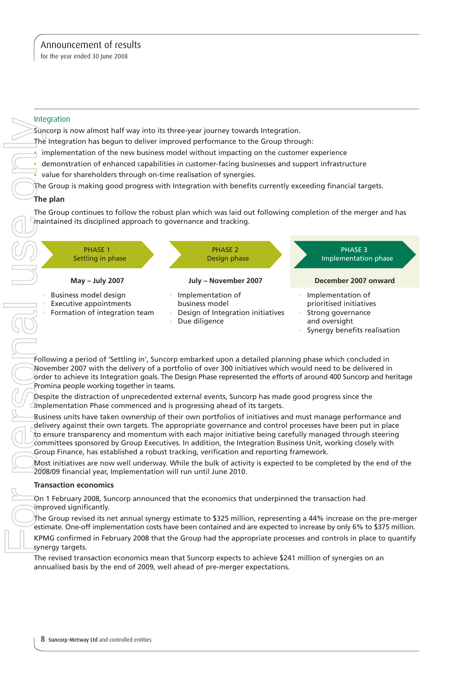#### Integration

Suncorp is now almost half way into its three-year journey towards Integration.

The Integration has begun to deliver improved performance to the Group through:

- $\frac{1}{2}$  implementation of the new business model without impacting on the customer experience
- demonstration of enhanced capabilities in customer-facing businesses and support infrastructure
- value for shareholders through on-time realisation of synergies.
- The Group is making good progress with Integration with benefits currently exceeding financial targets.

#### **The plan**

The Group continues to follow the robust plan which was laid out following completion of the merger and has maintained its disciplined approach to governance and tracking.



Following a period of 'Settling in', Suncorp embarked upon a detailed planning phase which concluded in November 2007 with the delivery of a portfolio of over 300 initiatives which would need to be delivered in  $\phi$ rder to achieve its Integration goals. The Design Phase represented the efforts of around 400 Suncorp and heritage Promina people working together in teams.

Despite the distraction of unprecedented external events, Suncorp has made good progress since the **Implementation Phase commenced and is progressing ahead of its targets.** 

Business units have taken ownership of their own portfolios of initiatives and must manage performance and delivery against their own targets. The appropriate governance and control processes have been put in place to ensure transparency and momentum with each major initiative being carefully managed through steering committees sponsored by Group Executives. In addition, the Integration Business Unit, working closely with Group Finance, has established a robust tracking, verification and reporting framework.

Most initiatives are now well underway. While the bulk of activity is expected to be completed by the end of the 2008/09 financial year, Implementation will run until June 2010.

#### **Transaction economics**

On 1 February 2008, Suncorp announced that the economics that underpinned the transaction had improved significantly.

The Group revised its net annual synergy estimate to \$325 million, representing a 44% increase on the pre-merger estimate. One-off implementation costs have been contained and are expected to increase by only 6% to \$375 million. KPMG confirmed in February 2008 that the Group had the appropriate processes and controls in place to quantify synergy targets.

The revised transaction economics mean that Suncorp expects to achieve \$241 million of synergies on an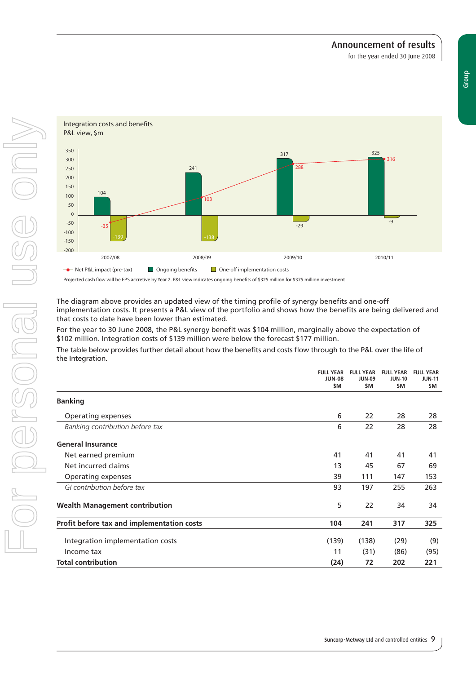



*Projected cash flow will be EPS accretive by Year 2. P&L view indicates ongoing benefits of \$325 million for \$375 million investment*

The diagram above provides an updated view of the timing profile of synergy benefits and one-off implementation costs. It presents a P&L view of the portfolio and shows how the benefits are being delivered and that costs to date have been lower than estimated.

For the year to 30 June 2008, the P&L synergy benefit was \$104 million, marginally above the expectation of \$102 million. Integration costs of \$139 million were below the forecast \$177 million.

The table below provides further detail about how the benefits and costs flow through to the P&L over the life of the Integration.

|                                            | <b>FULL YEAR</b><br><b>JUN-08</b><br>\$M | <b>FULL YEAR</b><br><b>JUN-09</b><br>\$M | <b>FULL YEAR</b><br><b>JUN-10</b><br>\$M | <b>FULL YEAR</b><br><b>JUN-11</b><br>\$M |
|--------------------------------------------|------------------------------------------|------------------------------------------|------------------------------------------|------------------------------------------|
| <b>Banking</b>                             |                                          |                                          |                                          |                                          |
| Operating expenses                         | 6                                        | 22                                       | 28                                       | 28                                       |
| Banking contribution before tax            | 6                                        | 22                                       | 28                                       | 28                                       |
| <b>General Insurance</b>                   |                                          |                                          |                                          |                                          |
| Net earned premium                         | 41                                       | 41                                       | 41                                       | 41                                       |
| Net incurred claims                        | 13                                       | 45                                       | 67                                       | 69                                       |
| Operating expenses                         | 39                                       | 111                                      | 147                                      | 153                                      |
| GI contribution before tax                 | 93                                       | 197                                      | 255                                      | 263                                      |
| <b>Wealth Management contribution</b>      | 5                                        | 22                                       | 34                                       | 34                                       |
| Profit before tax and implementation costs | 104                                      | 241                                      | 317                                      | 325                                      |
| Integration implementation costs           | (139)                                    | (138)                                    | (29)                                     | (9)                                      |
| Income tax                                 | 11                                       | (31)                                     | (86)                                     | (95)                                     |
| <b>Total contribution</b>                  | (24)                                     | 72                                       | 202                                      | 221                                      |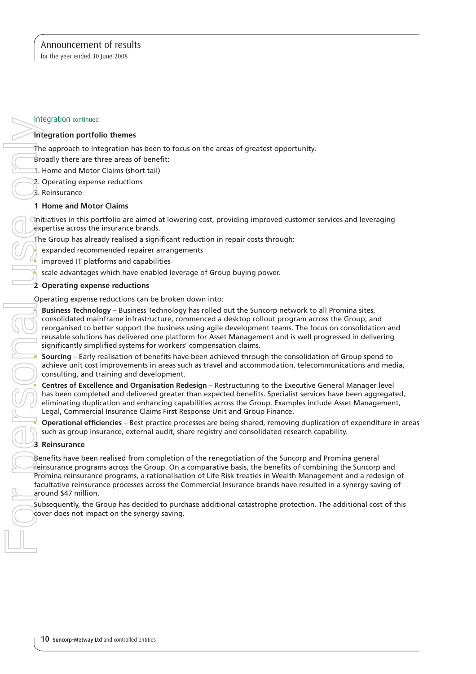#### Integration continued

#### **Integration portfolio themes**

The approach to Integration has been to focus on the areas of greatest opportunity.

- Broadly there are three areas of benefit:
- 1. Home and Motor Claims (short tail)
- 2. Operating expense reductions
- 3. Reinsurance

#### **1 Home and Motor Claims**

Initiatives in this portfolio are aimed at lowering cost, providing improved customer services and leveraging expertise across the insurance brands.

The Group has already realised a significant reduction in repair costs through:

- expanded recommended repairer arrangements
- improved IT platforms and capabilities
- scale advantages which have enabled leverage of Group buying power.

#### **2 Operating expense reductions**

Operating expense reductions can be broken down into:

 **Business Technology** – Business Technology has rolled out the Suncorp network to all Promina sites, consolidated mainframe infrastructure, commenced a desktop rollout program across the Group, and reorganised to better support the business using agile development teams. The focus on consolidation and reusable solutions has delivered one platform for Asset Management and is well progressed in delivering significantly simplified systems for workers' compensation claims.

**Sourcing** – Early realisation of benefits have been achieved through the consolidation of Group spend to achieve unit cost improvements in areas such as travel and accommodation, telecommunications and media, consulting, and training and development.

 **Centres of Excellence and Organisation Redesign** – Restructuring to the Executive General Manager level has been completed and delivered greater than expected benefits. Specialist services have been aggregated, eliminating duplication and enhancing capabilities across the Group. Examples include Asset Management, Legal, Commercial Insurance Claims First Response Unit and Group Finance.

**Operational efficiencies** – Best practice processes are being shared, removing duplication of expenditure in areas such as group insurance, external audit, share registry and consolidated research capability.

#### **3 Reinsurance**

Benefits have been realised from completion of the renegotiation of the Suncorp and Promina general  $t$ einsurance programs across the Group. On a comparative basis, the benefits of combining the Suncorp and Promina reinsurance programs, a rationalisation of Life Risk treaties in Wealth Management and a redesign of facultative reinsurance processes across the Commercial Insurance brands have resulted in a synergy saving of around \$47 million.

Subsequently, the Group has decided to purchase additional catastrophe protection. The additional cost of this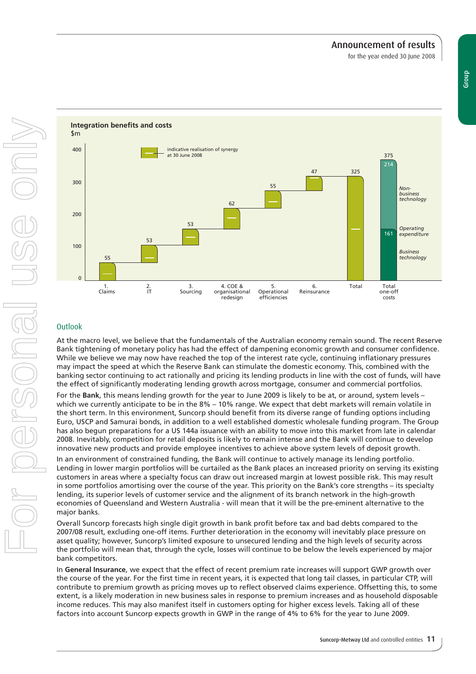for the year ended 30 June 2008



# **Outlook**

At the macro level, we believe that the fundamentals of the Australian economy remain sound. The recent Reserve Bank tightening of monetary policy has had the effect of dampening economic growth and consumer confidence. While we believe we may now have reached the top of the interest rate cycle, continuing inflationary pressures may impact the speed at which the Reserve Bank can stimulate the domestic economy. This, combined with the banking sector continuing to act rationally and pricing its lending products in line with the cost of funds, will have the effect of significantly moderating lending growth across mortgage, consumer and commercial portfolios.

For the **Bank**, this means lending growth for the year to June 2009 is likely to be at, or around, system levels – which we currently anticipate to be in the 8% – 10% range. We expect that debt markets will remain volatile in the short term. In this environment, Suncorp should benefit from its diverse range of funding options including Euro, USCP and Samurai bonds, in addition to a well established domestic wholesale funding program. The Group has also begun preparations for a US 144a issuance with an ability to move into this market from late in calendar 2008. Inevitably, competition for retail deposits is likely to remain intense and the Bank will continue to develop innovative new products and provide employee incentives to achieve above system levels of deposit growth.

In an environment of constrained funding, the Bank will continue to actively manage its lending portfolio. Lending in lower margin portfolios will be curtailed as the Bank places an increased priority on serving its existing customers in areas where a specialty focus can draw out increased margin at lowest possible risk. This may result in some portfolios amortising over the course of the year. This priority on the Bank's core strengths – its specialty lending, its superior levels of customer service and the alignment of its branch network in the high-growth economies of Queensland and Western Australia - will mean that it will be the pre-eminent alternative to the major banks.

Overall Suncorp forecasts high single digit growth in bank profit before tax and bad debts compared to the 2007/08 result, excluding one-off items. Further deterioration in the economy will inevitably place pressure on asset quality; however, Suncorp's limited exposure to unsecured lending and the high levels of security across the portfolio will mean that, through the cycle, losses will continue to be below the levels experienced by major bank competitors.

In **General Insurance**, we expect that the effect of recent premium rate increases will support GWP growth over the course of the year. For the first time in recent years, it is expected that long tail classes, in particular CTP, will contribute to premium growth as pricing moves up to reflect observed claims experience. Offsetting this, to some extent, is a likely moderation in new business sales in response to premium increases and as household disposable income reduces. This may also manifest itself in customers opting for higher excess levels. Taking all of these factors into account Suncorp expects growth in GWP in the range of 4% to 6% for the year to June 2009.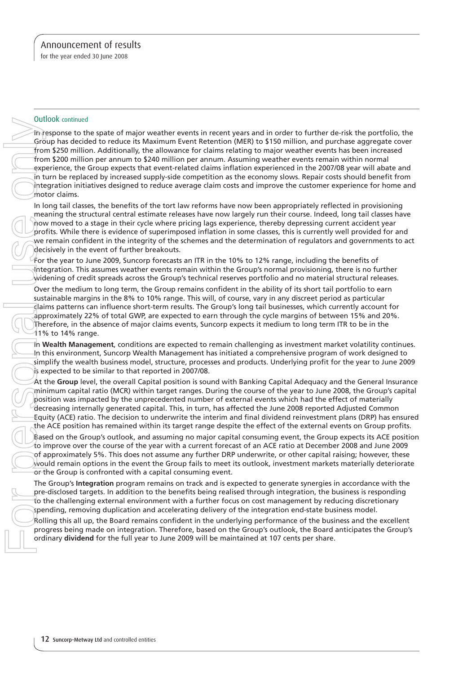#### Outlook continued

In response to the spate of major weather events in recent years and in order to further de-risk the portfolio, the Group has decided to reduce its Maximum Event Retention (MER) to \$150 million, and purchase aggregate cover from \$250 million. Additionally, the allowance for claims relating to major weather events has been increased from \$200 million per annum to \$240 million per annum. Assuming weather events remain within normal experience, the Group expects that event-related claims inflation experienced in the 2007/08 year will abate and in turn be replaced by increased supply-side competition as the economy slows. Repair costs should benefit from integration initiatives designed to reduce average claim costs and improve the customer experience for home and motor claims. Union this paties of major wealthe events in recent years and in order to further Group has decided to reduce it Maximum Event Recenturing to major weather events from \$200 million. Addribonally, the allowance for claims r

In long tail classes, the benefits of the tort law reforms have now been appropriately reflected in provisioning meaning the structural central estimate releases have now largely run their course. Indeed, long tail classes have now moved to a stage in their cycle where pricing lags experience, thereby depressing current accident year profits. While there is evidence of superimposed inflation in some classes, this is currently well provided for and we remain confident in the integrity of the schemes and the determination of regulators and governments to act decisively in the event of further breakouts.

For the year to June 2009, Suncorp forecasts an ITR in the 10% to 12% range, including the benefits of Integration. This assumes weather events remain within the Group's normal provisioning, there is no further widening of credit spreads across the Group's technical reserves portfolio and no material structural releases.

Over the medium to long term, the Group remains confident in the ability of its short tail portfolio to earn sustainable margins in the 8% to 10% range. This will, of course, vary in any discreet period as particular claims patterns can influence short-term results. The Group's long tail businesses, which currently account for approximately 22% of total GWP, are expected to earn through the cycle margins of between 15% and 20%. Therefore, in the absence of major claims events, Suncorp expects it medium to long term ITR to be in the 11% to 14% range.

In **Wealth Management**, conditions are expected to remain challenging as investment market volatility continues. In this environment, Suncorp Wealth Management has initiated a comprehensive program of work designed to simplify the wealth business model, structure, processes and products. Underlying profit for the year to June 2009 is expected to be similar to that reported in 2007/08.

At the **Group** level, the overall Capital position is sound with Banking Capital Adequacy and the General Insurance minimum capital ratio (MCR) within target ranges. During the course of the year to June 2008, the Group's capital position was impacted by the unprecedented number of external events which had the effect of materially decreasing internally generated capital. This, in turn, has affected the June 2008 reported Adjusted Common Equity (ACE) ratio. The decision to underwrite the interim and final dividend reinvestment plans (DRP) has ensured the ACE position has remained within its target range despite the effect of the external events on Group profits.

Based on the Group's outlook, and assuming no major capital consuming event, the Group expects its ACE position to improve over the course of the year with a current forecast of an ACE ratio at December 2008 and June 2009 of approximately 5%. This does not assume any further DRP underwrite, or other capital raising; however, these would remain options in the event the Group fails to meet its outlook, investment markets materially deteriorate or the Group is confronted with a capital consuming event.

The Group's **Integration** program remains on track and is expected to generate synergies in accordance with the pre-disclosed targets. In addition to the benefits being realised through integration, the business is responding to the challenging external environment with a further focus on cost management by reducing discretionary spending, removing duplication and accelerating delivery of the integration end-state business model.

Rolling this all up, the Board remains confident in the underlying performance of the business and the excellent progress being made on integration. Therefore, based on the Group's outlook, the Board anticipates the Group's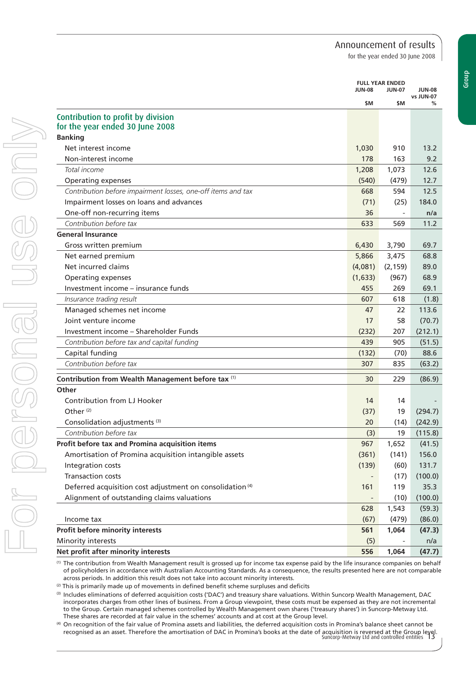for the year ended 30 June 2008

|                                                                      |         | <b>FULL YEAR ENDED</b><br><b>JUN-08</b><br><b>JUN-07</b> |                                 |  |
|----------------------------------------------------------------------|---------|----------------------------------------------------------|---------------------------------|--|
|                                                                      | \$M     | \$M                                                      | <b>JUN-08</b><br>vs JUN-07<br>℅ |  |
| Contribution to profit by division                                   |         |                                                          |                                 |  |
| for the year ended 30 June 2008                                      |         |                                                          |                                 |  |
| <b>Banking</b>                                                       |         |                                                          |                                 |  |
| Net interest income                                                  | 1,030   | 910                                                      | 13.2                            |  |
| Non-interest income                                                  | 178     | 163                                                      | 9.2                             |  |
| Total income                                                         | 1,208   | 1,073                                                    | 12.6                            |  |
| <b>Operating expenses</b>                                            | (540)   | (479)                                                    | 12.7                            |  |
| Contribution before impairment losses, one-off items and tax         | 668     | 594                                                      | 12.5                            |  |
| Impairment losses on loans and advances                              | (71)    | (25)                                                     | 184.0                           |  |
| One-off non-recurring items                                          | 36      | $\overline{\phantom{a}}$                                 | n/a                             |  |
| Contribution before tax                                              | 633     | 569                                                      | 11.2                            |  |
| <b>General Insurance</b>                                             |         |                                                          |                                 |  |
| Gross written premium                                                | 6,430   | 3,790                                                    | 69.7                            |  |
| Net earned premium                                                   | 5,866   | 3,475                                                    | 68.8                            |  |
| Net incurred claims                                                  | (4,081) | (2, 159)                                                 | 89.0                            |  |
| Operating expenses                                                   | (1,633) | (967)                                                    | 68.9                            |  |
| Investment income - insurance funds                                  | 455     | 269                                                      | 69.1                            |  |
| Insurance trading result                                             | 607     | 618                                                      | (1.8)                           |  |
| Managed schemes net income                                           | 47      | 22                                                       | 113.6                           |  |
| Joint venture income                                                 | 17      | 58                                                       | (70.7)                          |  |
| Investment income - Shareholder Funds                                | (232)   | 207                                                      | (212.1)                         |  |
| Contribution before tax and capital funding                          | 439     | 905                                                      | (51.5)                          |  |
| Capital funding                                                      | (132)   | (70)                                                     | 88.6                            |  |
| Contribution before tax                                              | 307     | 835                                                      | (63.2)                          |  |
| Contribution from Wealth Management before tax (1)                   | 30      | 229                                                      | (86.9)                          |  |
| Other                                                                |         |                                                          |                                 |  |
| Contribution from LJ Hooker                                          | 14      | 14                                                       |                                 |  |
| Other <sup>(2)</sup>                                                 | (37)    | 19                                                       | (294.7)                         |  |
| Consolidation adjustments <sup>(3)</sup>                             | 20      | (14)                                                     | (242.9)                         |  |
| Contribution before tax                                              | (3)     | 19                                                       | (115.8)                         |  |
| Profit before tax and Promina acquisition items                      | 967     | 1,652                                                    | (41.5)                          |  |
| Amortisation of Promina acquisition intangible assets                | (361)   | (141)                                                    | 156.0                           |  |
| Integration costs                                                    | (139)   | (60)                                                     | 131.7                           |  |
| <b>Transaction costs</b>                                             |         | (17)                                                     | (100.0)                         |  |
| Deferred acquisition cost adjustment on consolidation <sup>(4)</sup> | 161     | 119                                                      | 35.3                            |  |
| Alignment of outstanding claims valuations                           |         | (10)                                                     | (100.0)                         |  |
|                                                                      | 628     | 1,543                                                    | (59.3)                          |  |
| Income tax                                                           | (67)    | (479)                                                    | (86.0)                          |  |
| Profit before minority interests                                     | 561     | 1,064                                                    | (47.3)                          |  |
| Minority interests                                                   | (5)     |                                                          | n/a                             |  |
| Net profit after minority interests                                  | 556     | 1,064                                                    | (47.7)                          |  |

(1) The contribution from Wealth Management result is grossed up for income tax expense paid by the life insurance companies on behalf of policyholders in accordance with Australian Accounting Standards. As a consequence, the results presented here are not comparable across periods. In addition this result does not take into account minority interests.

 $(2)$  This is primarily made up of movements in defined benefit scheme surpluses and deficits

(3) Includes eliminations of deferred acquisition costs ('DAC') and treasury share valuations. Within Suncorp Wealth Management, DAC incorporates charges from other lines of business. From a Group viewpoint, these costs must be expensed as they are not incremental to the Group. Certain managed schemes controlled by Wealth Management own shares ('treasury shares') in Suncorp-Metway Ltd. These shares are recorded at fair value in the schemes' accounts and at cost at the Group level.

recognised as an asset. Therefore the amortisation of DAC in Promina's books at the date of acquisition is reversed at the Group leyel.<br>Suncorp-Metway Ltd and controlled entities 13 (4) On recognition of the fair value of Promina assets and liabilities, the deferred acquisition costs in Promina's balance sheet cannot be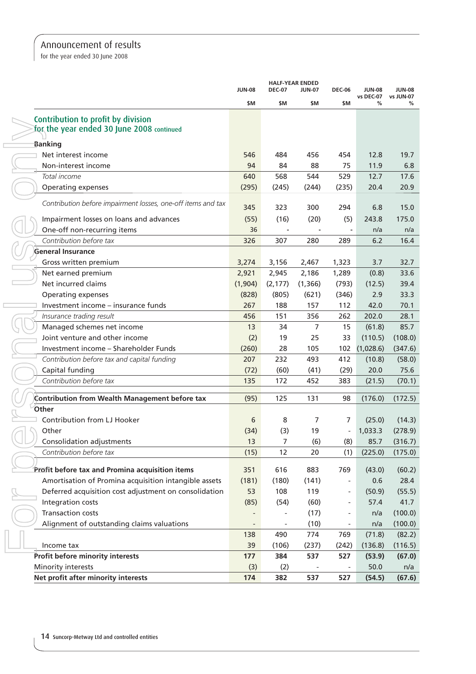for the year ended 30 June 2008

|       |                                                                                 | <b>JUN-08</b> | <b>DEC-07</b> | <b>HALF-YEAR ENDED</b><br><b>JUN-07</b> | <b>DEC-06</b>            | <b>JUN-08</b>  | <b>JUN-08</b>  |
|-------|---------------------------------------------------------------------------------|---------------|---------------|-----------------------------------------|--------------------------|----------------|----------------|
|       |                                                                                 | \$M           | \$M           | \$M                                     | \$M                      | vs DEC-07<br>% | vs JUN-07<br>% |
|       |                                                                                 |               |               |                                         |                          |                |                |
|       | Contribution to profit by division<br>for the year ended 30 June 2008 continued |               |               |                                         |                          |                |                |
|       | <b>Banking</b>                                                                  |               |               |                                         |                          |                |                |
|       | Net interest income                                                             | 546           | 484           | 456                                     | 454                      | 12.8           | 19.7           |
|       | Non-interest income                                                             | 94            | 84            | 88                                      | 75                       | 11.9           | 6.8            |
|       | Total income                                                                    | 640           | 568           | 544                                     | 529                      | 12.7           | 17.6           |
|       | <b>Operating expenses</b>                                                       | (295)         | (245)         | (244)                                   | (235)                    | 20.4           | 20.9           |
|       | Contribution before impairment losses, one-off items and tax                    | 345           | 323           | 300                                     | 294                      | 6.8            | 15.0           |
|       | Impairment losses on loans and advances                                         | (55)          | (16)          | (20)                                    | (5)                      | 243.8          | 175.0          |
|       | One-off non-recurring items                                                     | 36            |               |                                         | $\overline{\phantom{a}}$ | n/a            | n/a            |
|       | Contribution before tax                                                         | 326           | 307           | 280                                     | 289                      | 6.2            | 16.4           |
|       | <b>General Insurance</b>                                                        |               |               |                                         |                          |                |                |
|       | Gross written premium                                                           | 3,274         | 3,156         | 2,467                                   | 1,323                    | 3.7            | 32.7           |
|       | Net earned premium                                                              | 2,921         | 2,945         | 2,186                                   | 1,289                    | (0.8)          | 33.6           |
|       | Net incurred claims                                                             | (1, 904)      | (2, 177)      | (1, 366)                                | (793)                    | (12.5)         | 39.4           |
|       | <b>Operating expenses</b>                                                       | (828)         | (805)         | (621)                                   | (346)                    | 2.9            | 33.3           |
|       | Investment income - insurance funds                                             | 267           | 188           | 157                                     | 112                      | 42.0           | 70.1           |
|       | Insurance trading result                                                        | 456           | 151           | 356                                     | 262                      | 202.0          | 28.1           |
|       | Managed schemes net income                                                      | 13            | 34            | $\overline{7}$                          | 15                       | (61.8)         | 85.7           |
|       | Joint venture and other income                                                  | (2)           | 19            | 25                                      | 33                       | (110.5)        | (108.0)        |
|       | Investment income - Shareholder Funds                                           | (260)         | 28            | 105                                     | 102                      | (1,028.6)      | (347.6)        |
|       | Contribution before tax and capital funding                                     | 207           | 232           | 493                                     | 412                      | (10.8)         | (58.0)         |
|       | Capital funding                                                                 | (72)          | (60)          | (41)                                    | (29)                     | 20.0           | 75.6           |
|       | Contribution before tax                                                         | 135           | 172           | 452                                     | 383                      | (21.5)         | (70.1)         |
|       | Contribution from Wealth Management before tax                                  | (95)          | 125           | 131                                     | 98                       | (176.0)        | (172.5)        |
| Other |                                                                                 |               |               |                                         |                          |                |                |
|       | Contribution from LJ Hooker                                                     | 6             | 8             | $\overline{7}$                          | 7                        | (25.0)         | (14.3)         |
|       | Other                                                                           | (34)          | (3)           | 19                                      |                          | 1,033.3        | (278.9)        |
|       | Consolidation adjustments                                                       | 13            | 7             | (6)                                     | (8)                      | 85.7           | (316.7)        |
|       | Contribution before tax                                                         | (15)          | 12            | 20                                      | (1)                      | (225.0)        | (175.0)        |
|       | Profit before tax and Promina acquisition items                                 | 351           | 616           | 883                                     | 769                      | (43.0)         | (60.2)         |
|       | Amortisation of Promina acquisition intangible assets                           | (181)         | (180)         | (141)                                   | $\overline{\phantom{a}}$ | 0.6            | 28.4           |
|       | Deferred acquisition cost adjustment on consolidation                           | 53            | 108           | 119                                     | $\overline{\phantom{a}}$ | (50.9)         | (55.5)         |
|       | Integration costs                                                               | (85)          | (54)          | (60)                                    | $\overline{\phantom{a}}$ | 57.4           | 41.7           |
|       | <b>Transaction costs</b>                                                        |               |               | (17)                                    |                          | n/a            | (100.0)        |
|       | Alignment of outstanding claims valuations                                      |               |               | (10)                                    | $\overline{\phantom{a}}$ | n/a            | (100.0)        |
|       |                                                                                 | 138           | 490           | 774                                     | 769                      | (71.8)         | (82.2)         |
|       | Income tax                                                                      | 39            | (106)         | (237)                                   | (242)                    | (136.8)        | (116.5)        |
|       | Profit before minority interests                                                | 177           | 384           | 537                                     | 527                      | (53.9)         | (67.0)         |
|       | Minority interests                                                              | (3)           | (2)           |                                         | $\overline{\phantom{a}}$ | 50.0           | n/a            |
|       | Net profit after minority interests                                             | 174           | 382           | 537                                     | 527                      | (54.5)         | (67.6)         |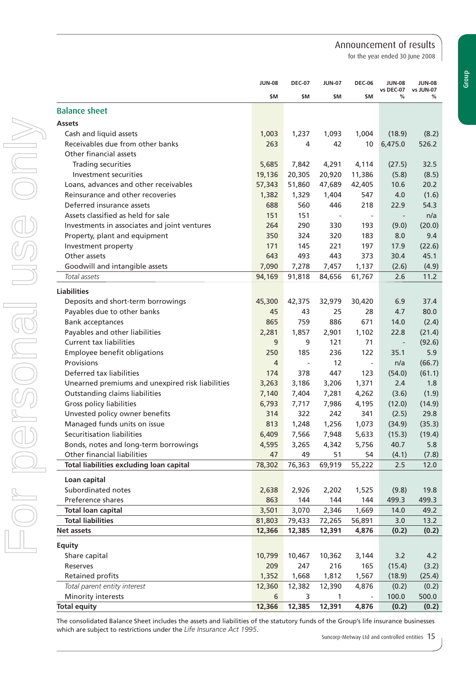for the year ended 30 June 2008

Group

|                                                  | <b>JUN-08</b> | <b>DEC-07</b>            | <b>JUN-07</b>            | <b>DEC-06</b>            | <b>JUN-08</b>  | <b>JUN-08</b>  |
|--------------------------------------------------|---------------|--------------------------|--------------------------|--------------------------|----------------|----------------|
|                                                  | \$M           | \$M                      | \$M                      | \$M                      | vs DEC-07<br>% | vs JUN-07<br>% |
| <b>Balance sheet</b>                             |               |                          |                          |                          |                |                |
| <b>Assets</b>                                    |               |                          |                          |                          |                |                |
| Cash and liquid assets                           | 1,003         | 1,237                    | 1,093                    | 1,004                    | (18.9)         | (8.2)          |
| Receivables due from other banks                 | 263           | 4                        | 42                       | 10                       | 6,475.0        | 526.2          |
| Other financial assets                           |               |                          |                          |                          |                |                |
| Trading securities                               | 5,685         | 7,842                    | 4,291                    | 4,114                    | (27.5)         | 32.5           |
| Investment securities                            | 19,136        | 20,305                   | 20,920                   | 11,386                   | (5.8)          | (8.5)          |
| Loans, advances and other receivables            | 57,343        | 51,860                   | 47,689                   | 42,405                   | 10.6           | 20.2           |
| Reinsurance and other recoveries                 | 1,382         | 1,329                    | 1,404                    | 547                      | 4.0            | (1.6)          |
| Deferred insurance assets                        | 688           | 560                      | 446                      | 218                      | 22.9           | 54.3           |
| Assets classified as held for sale               | 151           | 151                      | $\overline{\phantom{a}}$ | $\overline{\phantom{a}}$ |                | n/a            |
| Investments in associates and joint ventures     | 264           | 290                      | 330                      | 193                      | (9.0)          | (20.0)         |
| Property, plant and equipment                    | 350           | 324                      | 320                      | 183                      | 8.0            | 9.4            |
| Investment property                              | 171           | 145                      | 221                      | 197                      | 17.9           | (22.6)         |
| Other assets                                     | 643           | 493                      | 443                      | 373                      | 30.4           | 45.1           |
| Goodwill and intangible assets                   | 7,090         | 7,278                    | 7,457                    | 1,137                    | (2.6)          | (4.9)          |
| Total assets                                     | 94,169        | 91,818                   | 84,656                   | 61,767                   | 2.6            | 11.2           |
|                                                  |               |                          |                          |                          |                |                |
| <b>Liabilities</b>                               |               |                          |                          |                          |                |                |
| Deposits and short-term borrowings               | 45,300        | 42,375                   | 32,979                   | 30,420                   | 6.9            | 37.4           |
| Payables due to other banks                      | 45            | 43                       | 25                       | 28                       | 4.7            | 80.0           |
| <b>Bank acceptances</b>                          | 865           | 759                      | 886                      | 671                      | 14.0           | (2.4)          |
| Payables and other liabilities                   | 2,281         | 1,857                    | 2,901                    | 1,102                    | 22.8           | (21.4)         |
| <b>Current tax liabilities</b>                   | 9             | 9                        | 121                      | 71                       |                | (92.6)         |
| Employee benefit obligations                     | 250           | 185                      | 236                      | 122                      | 35.1           | 5.9            |
| Provisions                                       | 4             | $\overline{\phantom{a}}$ | 12                       | $\overline{\phantom{a}}$ | n/a            | (66.7)         |
| Deferred tax liabilities                         | 174           | 378                      | 447                      | 123                      | (54.0)         | (61.1)         |
| Unearned premiums and unexpired risk liabilities | 3,263         | 3,186                    | 3,206                    | 1,371                    | 2.4            | 1.8            |
| <b>Outstanding claims liabilities</b>            | 7,140         | 7,404                    | 7,281                    | 4,262                    | (3.6)          | (1.9)          |
| Gross policy liabilities                         | 6,793         | 7,717                    | 7,986                    | 4,195                    | (12.0)         | (14.9)         |
| Unvested policy owner benefits                   | 314           | 322                      | 242                      | 341                      | (2.5)          | 29.8           |
| Managed funds units on issue                     | 813           | 1,248                    | 1,256                    | 1,073                    | (34.9)         | (35.3)         |
| Securitisation liabilities                       | 6,409         | 7,566                    | 7,948                    | 5,633                    | (15.3)         | (19.4)         |
| Bonds, notes and long-term borrowings            | 4,595         | 3,265                    | 4,342                    | 5,756                    | 40.7           | 5.8            |
| Other financial liabilities                      | 47            | 49                       | 51                       | 54                       | (4.1)          | (7.8)          |
| Total liabilities excluding loan capital         | 78,302        | 76,363                   | 69,919                   | 55,222                   | 2.5            | 12.0           |
| Loan capital                                     |               |                          |                          |                          |                |                |
| Subordinated notes                               | 2,638         | 2,926                    | 2,202                    | 1,525                    | (9.8)          | 19.8           |
| Preference shares                                | 863           | 144                      | 144                      | 144                      | 499.3          | 499.3          |
| <b>Total loan capital</b>                        | 3,501         | 3,070                    | 2,346                    | 1,669                    | 14.0           | 49.2           |
| <b>Total liabilities</b>                         | 81,803        | 79,433                   | 72,265                   | 56,891                   | 3.0            | 13.2           |
| <b>Net assets</b>                                | 12,366        | 12,385                   | 12,391                   | 4,876                    | (0.2)          | (0.2)          |
| <b>Equity</b>                                    |               |                          |                          |                          |                |                |
| Share capital                                    | 10,799        | 10,467                   | 10,362                   | 3,144                    | 3.2            | 4.2            |
| Reserves                                         | 209           | 247                      | 216                      | 165                      | (15.4)         | (3.2)          |
| Retained profits                                 | 1,352         | 1,668                    | 1,812                    | 1,567                    | (18.9)         | (25.4)         |
| Total parent entity interest                     | 12,360        | 12,382                   | 12,390                   | 4,876                    | (0.2)          | (0.2)          |
| Minority interests                               | 6             | 3                        | 1                        |                          | 100.0          | 500.0          |
| <b>Total equity</b>                              | 12,366        | 12,385                   | 12,391                   | 4,876                    | (0.2)          | (0.2)          |

The consolidated Balance Sheet includes the assets and liabilities of the statutory funds of the Group's life insurance businesses which are subject to restrictions under the *Life Insurance Act 1995*.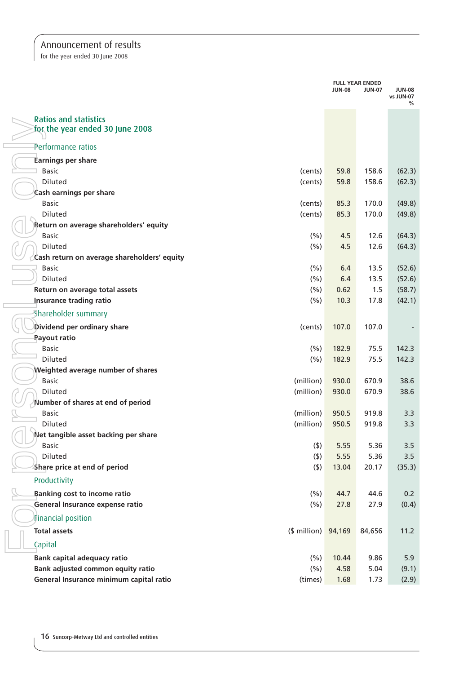for the year ended 30 June 2008

|                                                      |                     | <b>JUN-08</b> | <b>FULL YEAR ENDED</b><br><b>JUN-07</b> | <b>JUN-08</b><br>vs JUN-07<br>% |
|------------------------------------------------------|---------------------|---------------|-----------------------------------------|---------------------------------|
| <b>Ratios and statistics</b>                         |                     |               |                                         |                                 |
| for the year ended 30 June 2008                      |                     |               |                                         |                                 |
| Performance ratios                                   |                     |               |                                         |                                 |
| <b>Earnings per share</b>                            |                     |               |                                         |                                 |
| <b>Basic</b>                                         | (cents)             | 59.8          | 158.6                                   | (62.3)                          |
| <b>Diluted</b>                                       | (cents)             | 59.8          | 158.6                                   | (62.3)                          |
| <b>Cash earnings per share</b>                       |                     |               |                                         |                                 |
| <b>Basic</b>                                         | (cents)             | 85.3          | 170.0                                   | (49.8)                          |
| <b>Diluted</b>                                       | (cents)             | 85.3          | 170.0                                   | (49.8)                          |
| Return on average shareholders' equity               |                     |               |                                         |                                 |
| <b>Basic</b>                                         | (% )                | 4.5           | 12.6                                    | (64.3)                          |
| <b>Diluted</b>                                       | (%)                 | 4.5           | 12.6                                    | (64.3)                          |
| Cash return on average shareholders' equity          |                     |               |                                         |                                 |
| <b>Basic</b>                                         | (%)                 | 6.4           | 13.5                                    | (52.6)                          |
| <b>Diluted</b>                                       | (%)                 | 6.4           | 13.5                                    | (52.6)                          |
| Return on average total assets                       | (%)                 | 0.62          | 1.5                                     | (58.7)                          |
| <b>Insurance trading ratio</b>                       | $(\% )$             | 10.3          | 17.8                                    | (42.1)                          |
| Shareholder summary                                  |                     |               |                                         |                                 |
| Dividend per ordinary share                          | (cents)             | 107.0         | 107.0                                   |                                 |
| Payout ratio                                         |                     |               |                                         |                                 |
| <b>Basic</b>                                         | (% )                | 182.9         | 75.5                                    | 142.3                           |
| <b>Diluted</b>                                       | (% )                | 182.9         | 75.5                                    | 142.3                           |
| Weighted average number of shares                    |                     |               |                                         |                                 |
| <b>Basic</b>                                         | (million)           | 930.0         | 670.9                                   | 38.6                            |
| Diluted                                              | (million)           | 930.0         | 670.9                                   | 38.6                            |
| Number of shares at end of period                    |                     |               |                                         |                                 |
| <b>Basic</b>                                         | (million)           | 950.5         | 919.8                                   | 3.3                             |
| <b>Diluted</b>                                       | (million)           | 950.5         | 919.8                                   | 3.3                             |
| Net tangible asset backing per share<br><b>Basic</b> | $($ \$)             | 5.55          | 5.36                                    | 3.5                             |
| Diluted                                              | $($ \$)             | 5.55          | 5.36                                    | 3.5                             |
| Share price at end of period                         | $($ \$)             | 13.04         | 20.17                                   | (35.3)                          |
| Productivity                                         |                     |               |                                         |                                 |
| <b>Banking cost to income ratio</b>                  | (%)                 | 44.7          | 44.6                                    | 0.2                             |
| General Insurance expense ratio                      | (%)                 | 27.8          | 27.9                                    | (0.4)                           |
| Financial position                                   |                     |               |                                         |                                 |
| <b>Total assets</b>                                  | (\$ million) 94,169 |               | 84,656                                  | 11.2                            |
| Capital                                              |                     |               |                                         |                                 |
| <b>Bank capital adequacy ratio</b>                   | (%)                 | 10.44         | 9.86                                    | 5.9                             |
| Bank adjusted common equity ratio                    | (%)                 | 4.58          | 5.04                                    | (9.1)                           |
| General Insurance minimum capital ratio              | (times)             | 1.68          | 1.73                                    | (2.9)                           |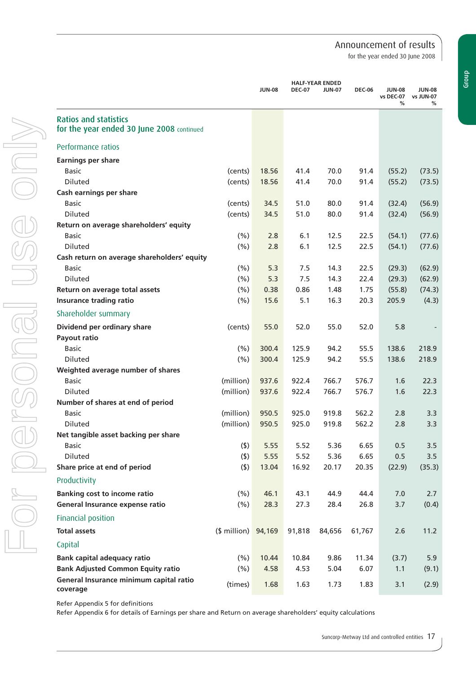for the year ended 30 June 2008

|                                                     |                     | <b>HALF-YEAR ENDED</b> |               |               |               |                                 |                                 |
|-----------------------------------------------------|---------------------|------------------------|---------------|---------------|---------------|---------------------------------|---------------------------------|
|                                                     |                     | <b>JUN-08</b>          | <b>DEC-07</b> | <b>JUN-07</b> | <b>DEC-06</b> | <b>JUN-08</b><br>vs DEC-07<br>% | <b>JUN-08</b><br>vs JUN-07<br>℅ |
| <b>Ratios and statistics</b>                        |                     |                        |               |               |               |                                 |                                 |
| for the year ended 30 June 2008 continued           |                     |                        |               |               |               |                                 |                                 |
| Performance ratios                                  |                     |                        |               |               |               |                                 |                                 |
| <b>Earnings per share</b>                           |                     |                        |               |               |               |                                 |                                 |
| <b>Basic</b>                                        | (cents)             | 18.56                  | 41.4          | 70.0          | 91.4          | (55.2)                          | (73.5)                          |
| <b>Diluted</b>                                      | (cents)             | 18.56                  | 41.4          | 70.0          | 91.4          | (55.2)                          | (73.5)                          |
| Cash earnings per share                             |                     |                        |               |               |               |                                 |                                 |
| <b>Basic</b>                                        | (cents)             | 34.5                   | 51.0          | 80.0          | 91.4          | (32.4)                          | (56.9)                          |
| <b>Diluted</b>                                      | (cents)             | 34.5                   | 51.0          | 80.0          | 91.4          | (32.4)                          | (56.9)                          |
| Return on average shareholders' equity              |                     |                        |               |               |               |                                 |                                 |
| <b>Basic</b>                                        | (%)                 | 2.8                    | 6.1           | 12.5          | 22.5          | (54.1)                          | (77.6)                          |
| <b>Diluted</b>                                      | $(\% )$             | 2.8                    | 6.1           | 12.5          | 22.5          | (54.1)                          | (77.6)                          |
| Cash return on average shareholders' equity         |                     |                        |               |               |               |                                 |                                 |
| <b>Basic</b>                                        | (% )                | 5.3                    | 7.5           | 14.3          | 22.5          | (29.3)                          | (62.9)                          |
| <b>Diluted</b>                                      | $(\% )$             | 5.3                    | 7.5           | 14.3          | 22.4          | (29.3)                          | (62.9)                          |
| Return on average total assets                      | $(\% )$             | 0.38                   | 0.86          | 1.48          | 1.75          | (55.8)                          | (74.3)                          |
| <b>Insurance trading ratio</b>                      | (% )                | 15.6                   | 5.1           | 16.3          | 20.3          | 205.9                           | (4.3)                           |
| Shareholder summary                                 |                     |                        |               |               |               |                                 |                                 |
| Dividend per ordinary share                         | (cents)             | 55.0                   | 52.0          | 55.0          | 52.0          | 5.8                             |                                 |
| Payout ratio                                        |                     |                        |               |               |               |                                 |                                 |
| <b>Basic</b>                                        | (%)                 | 300.4                  | 125.9         | 94.2          | 55.5          | 138.6                           | 218.9                           |
| <b>Diluted</b>                                      | (% )                | 300.4                  | 125.9         | 94.2          | 55.5          | 138.6                           | 218.9                           |
| Weighted average number of shares                   |                     |                        |               |               |               |                                 |                                 |
| <b>Basic</b>                                        | (million)           | 937.6                  | 922.4         | 766.7         | 576.7         | 1.6                             | 22.3                            |
| <b>Diluted</b>                                      | (million)           | 937.6                  | 922.4         | 766.7         | 576.7         | 1.6                             | 22.3                            |
| Number of shares at end of period                   |                     |                        |               |               |               |                                 |                                 |
| <b>Basic</b>                                        | (million)           | 950.5                  | 925.0         | 919.8         | 562.2         | 2.8                             | 3.3 <sub>1</sub>                |
| Diluted                                             | (million)           | 950.5                  | 925.0         | 919.8         | 562.2         | 2.8                             | 3.3                             |
| Net tangible asset backing per share                |                     |                        |               |               |               |                                 |                                 |
| <b>Basic</b>                                        | (5)                 | 5.55                   | 5.52          | 5.36          | 6.65          | 0.5                             | 3.5                             |
| <b>Diluted</b>                                      | $($ \$)             | 5.55                   | 5.52          | 5.36          | 6.65          | 0.5                             | 3.5                             |
| Share price at end of period                        | (5)                 | 13.04                  | 16.92         | 20.17         | 20.35         | (22.9)                          | (35.3)                          |
| Productivity                                        |                     |                        |               |               |               |                                 |                                 |
| <b>Banking cost to income ratio</b>                 | (%)                 | 46.1                   | 43.1          | 44.9          | 44.4          | 7.0                             | 2.7                             |
| General Insurance expense ratio                     | $(\% )$             | 28.3                   | 27.3          | 28.4          | 26.8          | 3.7                             | (0.4)                           |
| Financial position                                  |                     |                        |               |               |               |                                 |                                 |
| <b>Total assets</b>                                 | (\$ million) 94,169 |                        | 91,818        | 84,656        | 61,767        | 2.6                             | 11.2                            |
| Capital                                             |                     |                        |               |               |               |                                 |                                 |
| <b>Bank capital adequacy ratio</b>                  | $(\% )$             | 10.44                  | 10.84         | 9.86          | 11.34         | (3.7)                           | 5.9                             |
| <b>Bank Adjusted Common Equity ratio</b>            | $(\% )$             | 4.58                   | 4.53          | 5.04          | 6.07          | 1.1                             | (9.1)                           |
| General Insurance minimum capital ratio<br>coverage | (times)             | 1.68                   | 1.63          | 1.73          | 1.83          | 3.1                             | (2.9)                           |

Refer Appendix 5 for definitions

Refer Appendix 6 for details of Earnings per share and Return on average shareholders' equity calculations

Group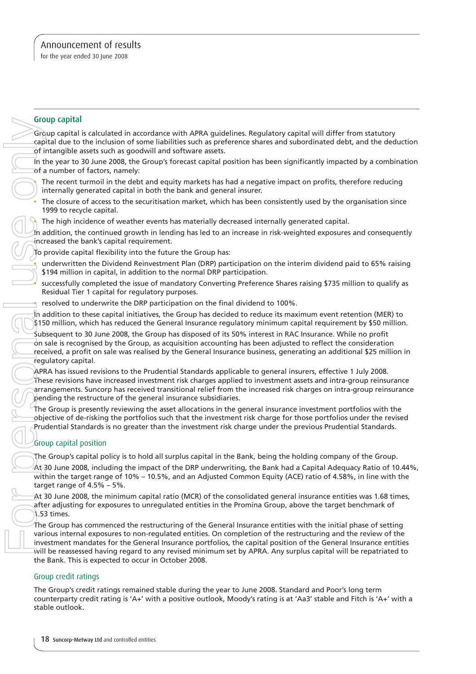# Group capital

Group capital is calculated in accordance with APRA guidelines. Regulatory capital will differ from statutory capital due to the inclusion of some liabilities such as preference shares and subordinated debt, and the deduction of intangible assets such as goodwill and software assets.

In the year to 30 June 2008, the Group's forecast capital position has been significantly impacted by a combination of a number of factors, namely:

The recent turmoil in the debt and equity markets has had a negative impact on profits, therefore reducing internally generated capital in both the bank and general insurer.

- The closure of access to the securitisation market, which has been consistently used by the organisation since 1999 to recycle capital.
- The high incidence of weather events has materially decreased internally generated capital.

In addition, the continued growth in lending has led to an increase in risk-weighted exposures and consequently increased the bank's capital requirement.

- $\mathbb T$ o provide capital flexibility into the future the Group has:
	- underwritten the Dividend Reinvestment Plan (DRP) participation on the interim dividend paid to 65% raising \$194 million in capital, in addition to the normal DRP participation.
- successfully completed the issue of mandatory Converting Preference Shares raising \$735 million to qualify as Residual Tier 1 capital for regulatory purposes.
- resolved to underwrite the DRP participation on the final dividend to 100%.

In addition to these capital initiatives, the Group has decided to reduce its maximum event retention (MER) to \$150 million, which has reduced the General Insurance regulatory minimum capital requirement by \$50 million. Subsequent to 30 June 2008, the Group has disposed of its 50% interest in RAC Insurance. While no profi t

on sale is recognised by the Group, as acquisition accounting has been adjusted to reflect the consideration received, a profit on sale was realised by the General Insurance business, generating an additional \$25 million in regulatory capital.

APRA has issued revisions to the Prudential Standards applicable to general insurers, effective 1 July 2008.  $\mathcal{\vec{A}}$ hese revisions have increased investment risk charges applied to investment assets and intra-group reinsurance arrangements. Suncorp has received transitional relief from the increased risk charges on intra-group reinsurance pending the restructure of the general insurance subsidiaries.

The Group is presently reviewing the asset allocations in the general insurance investment portfolios with the objective of de-risking the portfolios such that the investment risk charge for those portfolios under the revised Prudential Standards is no greater than the investment risk charge under the previous Prudential Standards.

# Group capital position

The Group's capital policy is to hold all surplus capital in the Bank, being the holding company of the Group.  $\overline{A}$ t 30 June 2008, including the impact of the DRP underwriting, the Bank had a Capital Adequacy Ratio of 10.44%, within the target range of 10% – 10.5%, and an Adjusted Common Equity (ACE) ratio of 4.58%, in line with the target range of 4.5% – 5%.

At 30 June 2008, the minimum capital ratio (MCR) of the consolidated general insurance entities was 1.68 times, after adjusting for exposures to unregulated entities in the Promina Group, above the target benchmark of 1.53 times.

The Group has commenced the restructuring of the General Insurance entities with the initial phase of setting various internal exposures to non-regulated entities. On completion of the restructuring and the review of the investment mandates for the General Insurance portfolios, the capital position of the General Insurance entities will be reassessed having regard to any revised minimum set by APRA. Any surplus capital will be repatriated to the Bank. This is expected to occur in October 2008.

## Group credit ratings

The Group's credit ratings remained stable during the year to June 2008. Standard and Poor's long term counterparty credit rating is 'A+' with a positive outlook, Moody's rating is at 'Aa3' stable and Fitch is 'A+' with a stable outlook.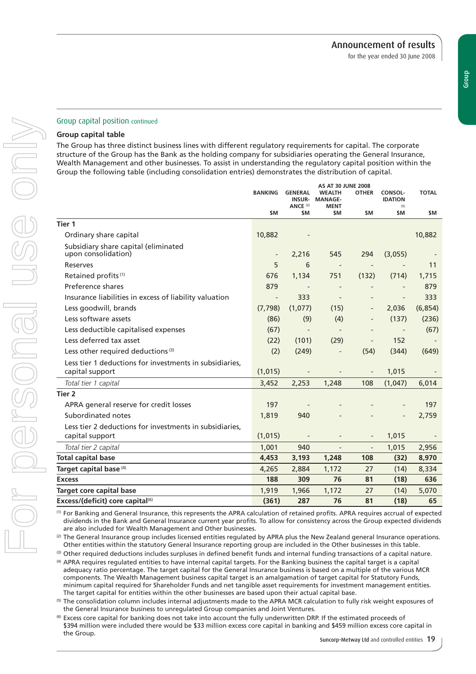## Group capital position continued

### **Group capital table**

The Group has three distinct business lines with different regulatory requirements for capital. The corporate structure of the Group has the Bank as the holding company for subsidiaries operating the General Insurance, Wealth Management and other businesses. To assist in understanding the regulatory capital position within the Group the following table (including consolidation entries) demonstrates the distribution of capital.

|                                                                            |                              |                                                        | <b>AS AT 30 JUNE 2008</b>                      |                          |                                         |              |
|----------------------------------------------------------------------------|------------------------------|--------------------------------------------------------|------------------------------------------------|--------------------------|-----------------------------------------|--------------|
|                                                                            | <b>BANKING</b>               | <b>GENERAL</b><br><b>INSUR-</b><br>ANCE <sup>(2)</sup> | <b>WEALTH</b><br><b>MANAGE-</b><br><b>MENT</b> | <b>OTHER</b>             | <b>CONSOL-</b><br><b>IDATION</b><br>(5) | <b>TOTAL</b> |
|                                                                            | \$M                          | \$M                                                    | \$M                                            | \$M                      | \$M                                     | \$M          |
| Tier 1                                                                     |                              |                                                        |                                                |                          |                                         |              |
| Ordinary share capital                                                     | 10,882                       |                                                        |                                                |                          |                                         | 10,882       |
| Subsidiary share capital (eliminated<br>upon consolidation)                | $\qquad \qquad \blacksquare$ | 2,216                                                  | 545                                            | 294                      | (3,055)                                 |              |
| <b>Reserves</b>                                                            | 5                            | 6                                                      |                                                |                          |                                         | 11           |
| Retained profits <sup>(1)</sup>                                            | 676                          | 1,134                                                  | 751                                            | (132)                    | (714)                                   | 1,715        |
| Preference shares                                                          | 879                          |                                                        |                                                |                          |                                         | 879          |
| Insurance liabilities in excess of liability valuation                     |                              | 333                                                    | $\overline{\phantom{m}}$                       |                          | $\overline{\phantom{m}}$                | 333          |
| Less goodwill, brands                                                      | (7, 798)                     | (1,077)                                                | (15)                                           | $\overline{a}$           | 2,036                                   | (6, 854)     |
| Less software assets                                                       | (86)                         | (9)                                                    | (4)                                            |                          | (137)                                   | (236)        |
| Less deductible capitalised expenses                                       | (67)                         | $\overline{\phantom{a}}$                               | $\overline{\phantom{m}}$                       |                          |                                         | (67)         |
| Less deferred tax asset                                                    | (22)                         | (101)                                                  | (29)                                           | $\overline{\phantom{a}}$ | 152                                     |              |
| Less other required deductions <sup>(3)</sup>                              | (2)                          | (249)                                                  |                                                | (54)                     | (344)                                   | (649)        |
| Less tier 1 deductions for investments in subsidiaries,<br>capital support | (1,015)                      |                                                        |                                                |                          | 1,015                                   |              |
| Total tier 1 capital                                                       | 3,452                        | 2,253                                                  | 1,248                                          | 108                      | (1,047)                                 | 6,014        |
| Tier <sub>2</sub>                                                          |                              |                                                        |                                                |                          |                                         |              |
| APRA general reserve for credit losses                                     | 197                          |                                                        |                                                |                          |                                         | 197          |
| Subordinated notes                                                         | 1,819                        | 940                                                    |                                                |                          |                                         | 2,759        |
| Less tier 2 deductions for investments in subsidiaries,<br>capital support | (1,015)                      |                                                        |                                                | $\overline{\phantom{a}}$ | 1,015                                   |              |
| Total tier 2 capital                                                       | 1,001                        | 940                                                    |                                                |                          | 1,015                                   | 2,956        |
| <b>Total capital base</b>                                                  | 4,453                        | 3,193                                                  | 1,248                                          | 108                      | (32)                                    | 8,970        |
| Target capital base <sup>(4)</sup>                                         | 4,265                        | 2,884                                                  | 1,172                                          | 27                       | (14)                                    | 8,334        |
| <b>Excess</b>                                                              | 188                          | 309                                                    | 76                                             | 81                       | (18)                                    | 636          |
| Target core capital base                                                   | 1,919                        | 1,966                                                  | 1,172                                          | 27                       | (14)                                    | 5,070        |
| Excess/(deficit) core capital <sup>(6)</sup>                               | (361)                        | 287                                                    | 76                                             | 81                       | (18)                                    | 65           |
|                                                                            |                              |                                                        |                                                |                          |                                         |              |

<sup>(1)</sup> For Banking and General Insurance, this represents the APRA calculation of retained profits. APRA requires accrual of expected dividends in the Bank and General Insurance current year profits. To allow for consistency across the Group expected dividends are also included for Wealth Management and Other businesses.

(2) The General Insurance group includes licensed entities regulated by APRA plus the New Zealand general Insurance operations. Other entities within the statutory General Insurance reporting group are included in the Other businesses in this table.

 $<sup>(3)</sup>$  Other required deductions includes surpluses in defined benefit funds and internal funding transactions of a capital nature.</sup> (4) APRA requires regulated entities to have internal capital targets. For the Banking business the capital target is a capital

adequacy ratio percentage. The target capital for the General Insurance business is based on a multiple of the various MCR components. The Wealth Management business capital target is an amalgamation of target capital for Statutory Funds, minimum capital required for Shareholder Funds and net tangible asset requirements for investment management entities. The target capital for entities within the other businesses are based upon their actual capital base.

<sup>(5)</sup> The consolidation column includes internal adjustments made to the APRA MCR calculation to fully risk weight exposures of the General Insurance business to unregulated Group companies and Joint Ventures.

<sup>(6)</sup> Excess core capital for banking does not take into account the fully underwritten DRP. If the estimated proceeds of \$394 million were included there would be \$33 million excess core capital in banking and \$459 million excess core capital in the Group.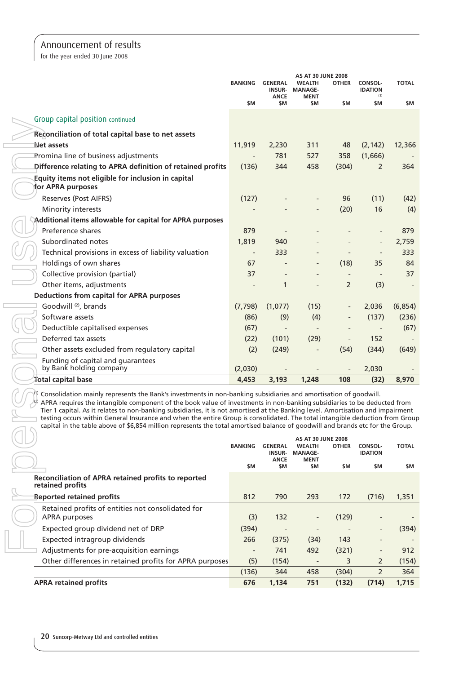for the year ended 30 June 2008

|                                                                                                                                                                                                                                                                                                                                                                                                                                                                                                                                                                                                                                                   | <b>BANKING</b>           | <b>GENERAL</b><br><b>INSUR-</b><br><b>ANCE</b> | <b>AS AT 30 JUNE 2008</b><br><b>WEALTH</b><br><b>MANAGE-</b><br><b>MENT</b> | <b>OTHER</b>   | <b>CONSOL-</b><br><b>IDATION</b><br>(1) | <b>TOTAL</b> |
|---------------------------------------------------------------------------------------------------------------------------------------------------------------------------------------------------------------------------------------------------------------------------------------------------------------------------------------------------------------------------------------------------------------------------------------------------------------------------------------------------------------------------------------------------------------------------------------------------------------------------------------------------|--------------------------|------------------------------------------------|-----------------------------------------------------------------------------|----------------|-----------------------------------------|--------------|
|                                                                                                                                                                                                                                                                                                                                                                                                                                                                                                                                                                                                                                                   | \$M                      | \$M                                            | \$M                                                                         | \$M            | \$M                                     | \$M          |
| Group capital position continued                                                                                                                                                                                                                                                                                                                                                                                                                                                                                                                                                                                                                  |                          |                                                |                                                                             |                |                                         |              |
| Reconciliation of total capital base to net assets                                                                                                                                                                                                                                                                                                                                                                                                                                                                                                                                                                                                |                          |                                                |                                                                             |                |                                         |              |
| Net assets                                                                                                                                                                                                                                                                                                                                                                                                                                                                                                                                                                                                                                        | 11,919                   | 2,230                                          | 311                                                                         | 48             | (2, 142)                                | 12,366       |
| Promina line of business adjustments                                                                                                                                                                                                                                                                                                                                                                                                                                                                                                                                                                                                              |                          | 781                                            | 527                                                                         | 358            | (1,666)                                 |              |
| Difference relating to APRA definition of retained profits                                                                                                                                                                                                                                                                                                                                                                                                                                                                                                                                                                                        | (136)                    | 344                                            | 458                                                                         | (304)          | 2                                       | 364          |
| Equity items not eligible for inclusion in capital<br>for APRA purposes                                                                                                                                                                                                                                                                                                                                                                                                                                                                                                                                                                           |                          |                                                |                                                                             |                |                                         |              |
| Reserves (Post AIFRS)                                                                                                                                                                                                                                                                                                                                                                                                                                                                                                                                                                                                                             | (127)                    |                                                |                                                                             | 96             | (11)                                    | (42)         |
| Minority interests                                                                                                                                                                                                                                                                                                                                                                                                                                                                                                                                                                                                                                |                          |                                                |                                                                             | (20)           | 16                                      | (4)          |
| Additional items allowable for capital for APRA purposes                                                                                                                                                                                                                                                                                                                                                                                                                                                                                                                                                                                          |                          |                                                |                                                                             |                |                                         |              |
| Preference shares                                                                                                                                                                                                                                                                                                                                                                                                                                                                                                                                                                                                                                 | 879                      |                                                |                                                                             |                |                                         | 879          |
| Subordinated notes                                                                                                                                                                                                                                                                                                                                                                                                                                                                                                                                                                                                                                | 1,819                    | 940                                            |                                                                             |                |                                         | 2,759        |
| Technical provisions in excess of liability valuation                                                                                                                                                                                                                                                                                                                                                                                                                                                                                                                                                                                             |                          | 333                                            |                                                                             |                |                                         | 333          |
| Holdings of own shares                                                                                                                                                                                                                                                                                                                                                                                                                                                                                                                                                                                                                            | 67                       |                                                |                                                                             | (18)           | 35                                      | 84           |
| Collective provision (partial)                                                                                                                                                                                                                                                                                                                                                                                                                                                                                                                                                                                                                    | 37                       |                                                |                                                                             |                |                                         | 37           |
| Other items, adjustments                                                                                                                                                                                                                                                                                                                                                                                                                                                                                                                                                                                                                          |                          | $\mathbf{1}$                                   |                                                                             | $\overline{2}$ | (3)                                     |              |
| <b>Deductions from capital for APRA purposes</b>                                                                                                                                                                                                                                                                                                                                                                                                                                                                                                                                                                                                  |                          |                                                |                                                                             |                |                                         |              |
| Goodwill <sup>(2)</sup> , brands                                                                                                                                                                                                                                                                                                                                                                                                                                                                                                                                                                                                                  | (7, 798)                 | (1,077)                                        | (15)                                                                        |                | 2,036                                   | (6, 854)     |
| Software assets                                                                                                                                                                                                                                                                                                                                                                                                                                                                                                                                                                                                                                   | (86)                     | (9)                                            | (4)                                                                         |                | (137)                                   | (236)        |
| Deductible capitalised expenses                                                                                                                                                                                                                                                                                                                                                                                                                                                                                                                                                                                                                   | (67)                     |                                                |                                                                             |                |                                         | (67)         |
| Deferred tax assets                                                                                                                                                                                                                                                                                                                                                                                                                                                                                                                                                                                                                               | (22)                     | (101)                                          | (29)                                                                        |                | 152                                     |              |
| Other assets excluded from regulatory capital                                                                                                                                                                                                                                                                                                                                                                                                                                                                                                                                                                                                     | (2)                      | (249)                                          |                                                                             | (54)           | (344)                                   | (649)        |
| Funding of capital and guarantees<br>by Bank holding company                                                                                                                                                                                                                                                                                                                                                                                                                                                                                                                                                                                      | (2,030)                  |                                                |                                                                             |                | 2,030                                   |              |
| lotal capital base                                                                                                                                                                                                                                                                                                                                                                                                                                                                                                                                                                                                                                | 4,453                    | 3,193                                          | 1,248                                                                       | 108            | (32)                                    | 8,970        |
| Consolidation mainly represents the Bank's investments in non-banking subsidiaries and amortisation of goodwill.<br>APRA requires the intangible component of the book value of investments in non-banking subsidiaries to be deducted from<br>Tier 1 capital. As it relates to non-banking subsidiaries, it is not amortised at the Banking level. Amortisation and impairment<br>testing occurs within General Insurance and when the entire Group is consolidated. The total intangible deduction from Group<br>capital in the table above of \$6,854 million represents the total amortised balance of goodwill and brands etc for the Group. |                          |                                                |                                                                             |                |                                         |              |
|                                                                                                                                                                                                                                                                                                                                                                                                                                                                                                                                                                                                                                                   | <b>BANKING</b>           | <b>GENERAL</b><br><b>INSUR-</b><br><b>ANCE</b> | <b>AS AT 30 JUNE 2008</b><br><b>WEALTH</b><br><b>MANAGE-</b><br>MENT        | <b>OTHER</b>   | <b>CONSOL-</b><br><b>IDATION</b>        | <b>TOTAL</b> |
|                                                                                                                                                                                                                                                                                                                                                                                                                                                                                                                                                                                                                                                   | \$M                      | \$M                                            | \$M                                                                         | \$M            | \$M                                     | \$M          |
| Reconciliation of APRA retained profits to reported<br>retained profits                                                                                                                                                                                                                                                                                                                                                                                                                                                                                                                                                                           |                          |                                                |                                                                             |                |                                         |              |
| <b>Reported retained profits</b>                                                                                                                                                                                                                                                                                                                                                                                                                                                                                                                                                                                                                  | 812                      | 790                                            | 293                                                                         | 172            | (716)                                   | 1,351        |
| Retained profits of entities not consolidated for<br>APRA purposes                                                                                                                                                                                                                                                                                                                                                                                                                                                                                                                                                                                | (3)                      | 132                                            |                                                                             | (129)          |                                         |              |
| Expected group dividend net of DRP                                                                                                                                                                                                                                                                                                                                                                                                                                                                                                                                                                                                                | (394)                    |                                                |                                                                             |                |                                         | (394)        |
| Expected intragroup dividends                                                                                                                                                                                                                                                                                                                                                                                                                                                                                                                                                                                                                     | 266                      | (375)                                          | (34)                                                                        | 143            |                                         |              |
| Adjustments for pre-acquisition earnings                                                                                                                                                                                                                                                                                                                                                                                                                                                                                                                                                                                                          | $\overline{\phantom{a}}$ | 741                                            | 492                                                                         | (321)          |                                         | 912          |
| Other differences in retained profits for APRA purposes                                                                                                                                                                                                                                                                                                                                                                                                                                                                                                                                                                                           | (5)                      | (154)                                          |                                                                             | 3              | 2                                       | (154)        |
|                                                                                                                                                                                                                                                                                                                                                                                                                                                                                                                                                                                                                                                   | (136)                    | 344                                            | 458                                                                         | (304)          | $\overline{2}$                          | 364          |
| <b>APRA retained profits</b>                                                                                                                                                                                                                                                                                                                                                                                                                                                                                                                                                                                                                      | 676                      | 1,134                                          | 751                                                                         | (132)          | (714)                                   | 1,715        |

|                                                                         | <b>BANKING</b>           | <b>GENERAL</b><br><b>INSUR-</b><br><b>ANCE</b> | <b>AS AT 30 JUNE 2008</b><br><b>WEALTH</b><br><b>MANAGE-</b><br><b>MENT</b> | <b>OTHER</b> | CONSOL-<br><b>IDATION</b> | <b>TOTAL</b> |
|-------------------------------------------------------------------------|--------------------------|------------------------------------------------|-----------------------------------------------------------------------------|--------------|---------------------------|--------------|
|                                                                         | \$M                      | \$M                                            | \$M                                                                         | \$M          | \$M                       | \$M          |
| Reconciliation of APRA retained profits to reported<br>retained profits |                          |                                                |                                                                             |              |                           |              |
| Reported retained profits                                               | 812                      | 790                                            | 293                                                                         | 172          | (716)                     | 1,351        |
| Retained profits of entities not consolidated for<br>APRA purposes      | (3)                      | 132                                            |                                                                             | (129)        | $\overline{\phantom{0}}$  |              |
| Expected group dividend net of DRP                                      | (394)                    |                                                |                                                                             |              | $\overline{\phantom{a}}$  | (394)        |
| Expected intragroup dividends                                           | 266                      | (375)                                          | (34)                                                                        | 143          | $\qquad \qquad$           |              |
| Adjustments for pre-acquisition earnings                                | $\overline{\phantom{a}}$ | 741                                            | 492                                                                         | (321)        | $\overline{\phantom{a}}$  | 912          |
| Other differences in retained profits for APRA purposes                 | (5)                      | (154)                                          |                                                                             | 3            | 2                         | (154)        |
|                                                                         | (136)                    | 344                                            | 458                                                                         | (304)        | 2                         | 364          |
| <b>APRA retained profits</b>                                            | 676                      | 1,134                                          | 751                                                                         | (132)        | (714)                     | 1,715        |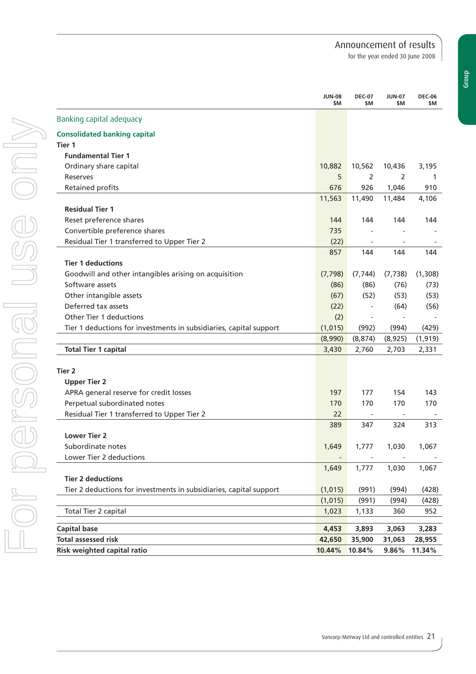for the year ended 30 June 2008

|                                                                    | <b>JUN-08</b><br>\$M | <b>DEC-07</b><br>\$M     | <b>JUN-07</b><br>\$M     | <b>DEC-06</b><br>\$M |
|--------------------------------------------------------------------|----------------------|--------------------------|--------------------------|----------------------|
| Banking capital adequacy                                           |                      |                          |                          |                      |
| <b>Consolidated banking capital</b>                                |                      |                          |                          |                      |
| Tier 1                                                             |                      |                          |                          |                      |
| <b>Fundamental Tier 1</b>                                          |                      |                          |                          |                      |
| Ordinary share capital                                             | 10,882               | 10,562                   | 10,436                   | 3,195                |
| <b>Reserves</b>                                                    | 5                    | 2                        | 2                        | 1                    |
| Retained profits                                                   | 676                  | 926                      | 1,046                    | 910                  |
|                                                                    | 11,563               | 11,490                   | 11,484                   | 4,106                |
| <b>Residual Tier 1</b>                                             |                      |                          |                          |                      |
| Reset preference shares                                            | 144                  | 144                      | 144                      | 144                  |
| Convertible preference shares                                      | 735                  |                          |                          |                      |
| Residual Tier 1 transferred to Upper Tier 2                        | (22)                 |                          |                          |                      |
|                                                                    | 857                  | 144                      | 144                      | 144                  |
| <b>Tier 1 deductions</b>                                           |                      |                          |                          |                      |
| Goodwill and other intangibles arising on acquisition              | (7, 798)             | (7, 744)                 | (7, 738)                 | (1,308)              |
| Software assets                                                    | (86)                 | (86)                     | (76)                     | (73)                 |
| Other intangible assets                                            | (67)                 | (52)                     | (53)                     | (53)                 |
| Deferred tax assets                                                | (22)                 |                          | (64)                     | (56)                 |
| Other Tier 1 deductions                                            | (2)                  | $\qquad \qquad -$        |                          |                      |
| Tier 1 deductions for investments in subsidiaries, capital support | (1,015)              | (992)                    | (994)                    | (429)                |
|                                                                    | (8,990)              | (8, 874)                 | (8,925)                  | (1, 919)             |
| <b>Total Tier 1 capital</b>                                        | 3,430                | 2,760                    | 2,703                    | 2,331                |
| Tier 2                                                             |                      |                          |                          |                      |
| <b>Upper Tier 2</b>                                                |                      |                          |                          |                      |
| APRA general reserve for credit losses                             | 197                  | 177                      | 154                      | 143                  |
| Perpetual subordinated notes                                       | 170                  | 170                      | 170                      | 170                  |
| Residual Tier 1 transferred to Upper Tier 2                        | 22                   | $\overline{\phantom{a}}$ | $\overline{\phantom{a}}$ |                      |
|                                                                    | 389                  | 347                      | 324                      | 313                  |
| <b>Lower Tier 2</b>                                                |                      |                          |                          |                      |
| Subordinate notes                                                  | 1,649                | 1,777                    | 1,030                    | 1,067                |
| Lower Tier 2 deductions                                            |                      | $\overline{\phantom{a}}$ | $\overline{\phantom{a}}$ |                      |
|                                                                    | 1,649                | 1,777                    | 1,030                    | 1,067                |
| <b>Tier 2 deductions</b>                                           |                      |                          |                          |                      |
| Tier 2 deductions for investments in subsidiaries, capital support | (1, 015)             | (991)                    | (994)                    | (428)                |
|                                                                    | (1, 015)             | (991)                    | (994)                    | (428)                |
| Total Tier 2 capital                                               | 1,023                | 1,133                    | 360                      | 952                  |
| <b>Capital base</b>                                                | 4,453                | 3,893                    | 3,063                    | 3,283                |
| <b>Total assessed risk</b>                                         | 42,650               | 35,900                   | 31,063                   | 28,955               |
| Risk weighted capital ratio                                        | 10.44%               | 10.84%                   | 9.86%                    | 11.34%               |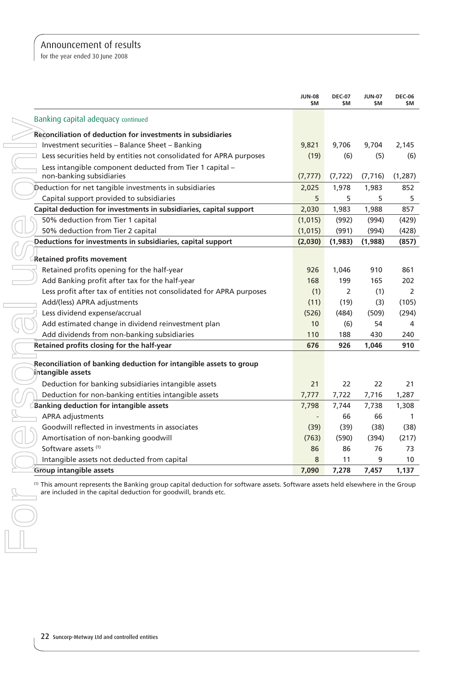for the year ended 30 June 2008

|                                                                                                                                                                                                      | <b>JUN-08</b><br>\$M | <b>DEC-07</b><br>\$M | <b>JUN-07</b><br>\$M | <b>DEC-06</b><br>SΜ |
|------------------------------------------------------------------------------------------------------------------------------------------------------------------------------------------------------|----------------------|----------------------|----------------------|---------------------|
| Banking capital adequacy continued                                                                                                                                                                   |                      |                      |                      |                     |
| <b>Reconciliation of deduction for investments in subsidiaries</b>                                                                                                                                   |                      |                      |                      |                     |
| Investment securities - Balance Sheet - Banking                                                                                                                                                      | 9,821                | 9,706                | 9,704                | 2,145               |
| Less securities held by entities not consolidated for APRA purposes                                                                                                                                  | (19)                 | (6)                  | (5)                  | (6)                 |
| Less intangible component deducted from Tier 1 capital -                                                                                                                                             |                      |                      |                      |                     |
| non-banking subsidiaries                                                                                                                                                                             | (7, 777)             | (7, 722)             | (7, 716)             | (1, 287)            |
| Deduction for net tangible investments in subsidiaries                                                                                                                                               | 2,025                | 1,978                | 1,983                | 852                 |
| Capital support provided to subsidiaries                                                                                                                                                             | 5                    | 5                    | 5                    | 5                   |
| Capital deduction for investments in subsidiaries, capital support                                                                                                                                   | 2,030                | 1,983                | 1,988                | 857                 |
| 50% deduction from Tier 1 capital                                                                                                                                                                    | (1,015)              | (992)                | (994)                | (429)               |
| 50% deduction from Tier 2 capital                                                                                                                                                                    | (1, 015)             | (991)                | (994)                | (428)               |
| Deductions for investments in subsidiaries, capital support                                                                                                                                          | (2,030)              | (1,983)              | (1,988)              | (857)               |
| <b>Retained profits movement</b>                                                                                                                                                                     |                      |                      |                      |                     |
| Retained profits opening for the half-year                                                                                                                                                           | 926                  | 1,046                | 910                  | 861                 |
| Add Banking profit after tax for the half-year                                                                                                                                                       | 168                  | 199                  | 165                  | 202                 |
| Less profit after tax of entities not consolidated for APRA purposes                                                                                                                                 | (1)                  | 2                    | (1)                  | 2                   |
| Add/(less) APRA adjustments                                                                                                                                                                          | (11)                 | (19)                 | (3)                  | (105)               |
| Less dividend expense/accrual                                                                                                                                                                        | (526)                | (484)                | (509)                | (294)               |
| Add estimated change in dividend reinvestment plan                                                                                                                                                   | 10                   | (6)                  | 54                   | 4                   |
| Add dividends from non-banking subsidiaries                                                                                                                                                          | 110                  | 188                  | 430                  | 240                 |
| Retained profits closing for the half-year                                                                                                                                                           | 676                  | 926                  | 1,046                | 910                 |
| Reconciliation of banking deduction for intangible assets to group<br>intangible assets                                                                                                              |                      |                      |                      |                     |
| Deduction for banking subsidiaries intangible assets                                                                                                                                                 | 21                   | 22                   | 22                   | 21                  |
| Deduction for non-banking entities intangible assets                                                                                                                                                 | 7,777                | 7,722                | 7,716                | 1,287               |
| <b>Banking deduction for intangible assets</b>                                                                                                                                                       | 7,798                | 7,744                | 7,738                | 1,308               |
| APRA adjustments                                                                                                                                                                                     |                      | 66                   | 66                   | 1                   |
| Goodwill reflected in investments in associates                                                                                                                                                      | (39)                 | (39)                 | (38)                 | (38)                |
| Amortisation of non-banking goodwill                                                                                                                                                                 | (763)                | (590)                | (394)                | (217)               |
| Software assets <sup>(1)</sup>                                                                                                                                                                       | 86                   | 86                   | 76                   | 73                  |
| Intangible assets not deducted from capital                                                                                                                                                          | 8                    | 11                   | 9                    | 10                  |
| <b>Group intangible assets</b>                                                                                                                                                                       | 7,090                | 7,278                | 7,457                | 1,137               |
| $(1)$ This amount represents the Banking group capital deduction for software assets. Software assets held elsewhere in the Group<br>are included in the capital deduction for goodwill, brands etc. |                      |                      |                      |                     |
|                                                                                                                                                                                                      |                      |                      |                      |                     |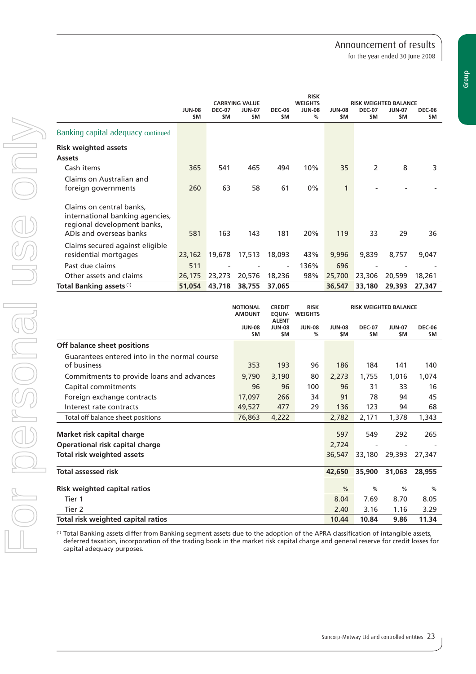|                                                                                                                       |                      | <b>CARRYING VALUE</b> |                      | <b>WEIGHTS</b>           |                    | <b>RISK WEIGHTED BALANCE</b> |                      |                      |                      |
|-----------------------------------------------------------------------------------------------------------------------|----------------------|-----------------------|----------------------|--------------------------|--------------------|------------------------------|----------------------|----------------------|----------------------|
|                                                                                                                       | <b>JUN-08</b><br>\$M | <b>DEC-07</b><br>\$M  | <b>JUN-07</b><br>\$M | <b>DEC-06</b><br>\$M     | <b>JUN-08</b><br>% | <b>JUN-08</b><br>\$M         | <b>DEC-07</b><br>\$M | <b>JUN-07</b><br>\$M | <b>DEC-06</b><br>\$M |
| Banking capital adequacy continued                                                                                    |                      |                       |                      |                          |                    |                              |                      |                      |                      |
| <b>Risk weighted assets</b>                                                                                           |                      |                       |                      |                          |                    |                              |                      |                      |                      |
| <b>Assets</b>                                                                                                         |                      |                       |                      |                          |                    |                              |                      |                      |                      |
| Cash items                                                                                                            | 365                  | 541                   | 465                  | 494                      | 10%                | 35                           | 2                    | 8                    | 3                    |
| Claims on Australian and<br>foreign governments                                                                       | 260                  | 63                    | 58                   | 61                       | 0%                 | 1                            |                      |                      |                      |
| Claims on central banks,<br>international banking agencies,<br>regional development banks,<br>ADIs and overseas banks | 581                  | 163                   | 143                  | 181                      | 20%                | 119                          | 33                   | 29                   | 36                   |
| Claims secured against eligible<br>residential mortgages                                                              | 23,162               | 19,678                | 17,513               | 18,093                   | 43%                | 9,996                        | 9,839                | 8,757                | 9,047                |
| Past due claims                                                                                                       | 511                  |                       |                      | $\overline{\phantom{a}}$ | 136%               | 696                          |                      |                      |                      |
| Other assets and claims                                                                                               | 26,175               | 23,273                | 20,576               | 18,236                   | 98%                | 25,700                       | 23,306               | 20,599               | 18,261               |
| Total Banking assets (1)                                                                                              | 51,054               | 43,718                | 38,755               | 37,065                   |                    | 36,547                       | 33,180               | 29,393               | 27,347               |

**RISK**

|                                                             | <b>NOTIONAL</b><br><b>CREDIT</b><br><b>RISK</b><br><b>EQUIV-</b><br><b>AMOUNT</b><br><b>WEIGHTS</b><br><b>ALENT</b> |                            | <b>RISK WEIGHTED BALANCE</b> |                      |                            |                       |                      |
|-------------------------------------------------------------|---------------------------------------------------------------------------------------------------------------------|----------------------------|------------------------------|----------------------|----------------------------|-----------------------|----------------------|
|                                                             | <b>JUN-08</b><br>\$M                                                                                                | <b>JUN-08</b><br><b>SM</b> | <b>JUN-08</b><br>%           | <b>JUN-08</b><br>\$M | <b>DEC-07</b><br><b>SM</b> | <b>JUN-07</b><br>\$M. | <b>DEC-06</b><br>\$M |
| Off balance sheet positions                                 |                                                                                                                     |                            |                              |                      |                            |                       |                      |
| Guarantees entered into in the normal course<br>of business | 353                                                                                                                 | 193                        | 96                           | 186                  | 184                        | 141                   | 140                  |
| Commitments to provide loans and advances                   | 9,790                                                                                                               | 3,190                      | 80                           | 2,273                | 1,755                      | 1,016                 | 1,074                |
| Capital commitments                                         | 96                                                                                                                  | 96                         | 100                          | 96                   | 31                         | 33                    | 16                   |
| Foreign exchange contracts                                  | 17,097                                                                                                              | 266                        | 34                           | 91                   | 78                         | 94                    | 45                   |
| Interest rate contracts                                     | 49,527                                                                                                              | 477                        | 29                           | 136                  | 123                        | 94                    | 68                   |
| Total off balance sheet positions                           | 76,863                                                                                                              | 4,222                      |                              | 2,782                | 2,171                      | 1,378                 | 1,343                |
| Market risk capital charge                                  |                                                                                                                     |                            |                              | 597                  | 549                        | 292                   | 265                  |
| Operational risk capital charge                             |                                                                                                                     |                            |                              | 2,724                |                            |                       |                      |
| Total risk weighted assets                                  |                                                                                                                     |                            |                              | 36,547               | 33,180                     | 29,393                | 27,347               |
| Total assessed risk                                         |                                                                                                                     |                            |                              | 42,650               | 35,900                     | 31,063                | 28,955               |
| <b>Risk weighted capital ratios</b>                         |                                                                                                                     |                            |                              |                      | %                          | %                     | %                    |
| Tier 1                                                      |                                                                                                                     |                            |                              | 8.04                 | 7.69                       | 8.70                  | 8.05                 |
| Tier 2                                                      |                                                                                                                     |                            |                              | 2.40                 | 3.16                       | 1.16                  | 3.29                 |
| Total risk weighted capital ratios                          |                                                                                                                     |                            |                              | 10.44                | 10.84                      | 9.86                  | 11.34                |

 $(1)$  Total Banking assets differ from Banking segment assets due to the adoption of the APRA classification of intangible assets, deferred taxation, incorporation of the trading book in the market risk capital charge and general reserve for credit losses for capital adequacy purposes.

Group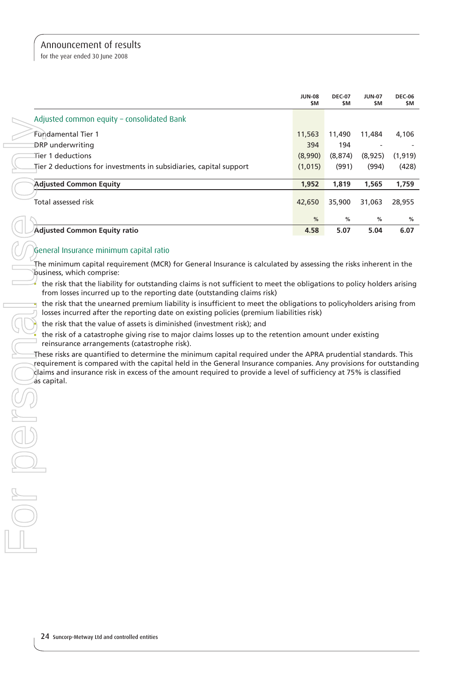for the year ended 30 June 2008

|                                                                    | <b>JUN-08</b><br>\$M | <b>DEC-07</b><br>\$M | <b>JUN-07</b><br>\$M. | <b>DEC-06</b><br>SΜ |
|--------------------------------------------------------------------|----------------------|----------------------|-----------------------|---------------------|
| Adjusted common equity - consolidated Bank                         |                      |                      |                       |                     |
| <b>Fundamental Tier 1</b>                                          | 11,563               | 11,490               | 11,484                | 4,106               |
| DRP underwriting                                                   | 394                  | 194                  |                       |                     |
| Tier 1 deductions                                                  | (8,990)              | (8, 874)             | (8,925)               | (1, 919)            |
| Tier 2 deductions for investments in subsidiaries, capital support | (1,015)              | (991)                | (994)                 | (428)               |
| <b>Adjusted Common Equity</b>                                      | 1,952                | 1,819                | 1,565                 | 1,759               |
| Total assessed risk                                                | 42,650               | 35,900               | 31,063                | 28,955              |
|                                                                    | $\%$                 | $\%$                 | %                     | %                   |
| Adjusted Common Equity ratio                                       | 4.58                 | 5.07                 | 5.04                  | 6.07                |

## General Insurance minimum capital ratio

The minimum capital requirement (MCR) for General Insurance is calculated by assessing the risks inherent in the business, which comprise:

the risk that the liability for outstanding claims is not sufficient to meet the obligations to policy holders arising from losses incurred up to the reporting date (outstanding claims risk)

the risk that the unearned premium liability is insufficient to meet the obligations to policyholders arising from losses incurred after the reporting date on existing policies (premium liabilities risk)

the risk that the value of assets is diminished (investment risk); and

 the risk of a catastrophe giving rise to major claims losses up to the retention amount under existing reinsurance arrangements (catastrophe risk).

These risks are quantified to determine the minimum capital required under the APRA prudential standards. This requirement is compared with the capital held in the General Insurance companies. Any provisions for outstanding  $\alpha$  diaims and insurance risk in excess of the amount required to provide a level of sufficiency at 75% is classified as capital.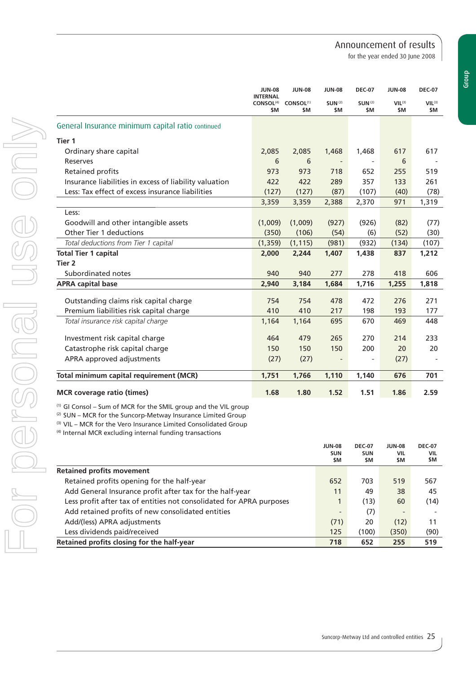for the year ended 30 June 2008

|                                                                                                                                            | <b>JUN-08</b>                                   | <b>JUN-08</b>                | <b>JUN-08</b>        | <b>DEC-07</b>         | <b>JUN-08</b>             | <b>DEC-07</b>             |
|--------------------------------------------------------------------------------------------------------------------------------------------|-------------------------------------------------|------------------------------|----------------------|-----------------------|---------------------------|---------------------------|
|                                                                                                                                            | <b>INTERNAL</b><br>CONSOL <sup>(4)</sup><br>\$M | CONSOL <sup>(1)</sup><br>\$M | <b>SUN(2)</b><br>\$M | <b>SUN (2)</b><br>\$M | VIL <sup>(3)</sup><br>\$M | VIL <sup>(3)</sup><br>\$M |
| General Insurance minimum capital ratio continued                                                                                          |                                                 |                              |                      |                       |                           |                           |
| Tier 1                                                                                                                                     |                                                 |                              |                      |                       |                           |                           |
| Ordinary share capital                                                                                                                     | 2,085                                           | 2,085                        | 1,468                | 1,468                 | 617                       | 617                       |
| <b>Reserves</b>                                                                                                                            | 6                                               | 6                            |                      |                       | 6                         |                           |
| Retained profits                                                                                                                           | 973                                             | 973                          | 718                  | 652                   | 255                       | 519                       |
| Insurance liabilities in excess of liability valuation                                                                                     | 422                                             | 422                          | 289                  | 357                   | 133                       | 261                       |
| Less: Tax effect of excess insurance liabilities                                                                                           | (127)                                           | (127)                        | (87)                 | (107)                 | (40)                      | (78)                      |
|                                                                                                                                            | 3,359                                           | 3,359                        | 2,388                | 2,370                 | 971                       | 1,319                     |
| Less:                                                                                                                                      |                                                 |                              |                      |                       |                           |                           |
| Goodwill and other intangible assets                                                                                                       | (1,009)                                         | (1,009)                      | (927)                | (926)                 | (82)                      | (77)                      |
| Other Tier 1 deductions                                                                                                                    | (350)                                           | (106)                        | (54)                 | (6)                   | (52)                      | (30)                      |
| Total deductions from Tier 1 capital                                                                                                       | (1, 359)                                        | (1, 115)                     | (981)                | (932)                 | (134)                     | (107)                     |
| <b>Total Tier 1 capital</b>                                                                                                                | 2,000                                           | 2,244                        | 1,407                | 1,438                 | 837                       | 1,212                     |
| Tier <sub>2</sub>                                                                                                                          |                                                 |                              |                      |                       |                           |                           |
| Subordinated notes                                                                                                                         | 940                                             | 940                          | 277                  | 278                   | 418                       | 606                       |
| <b>APRA capital base</b>                                                                                                                   | 2,940                                           | 3,184                        | 1,684                | 1,716                 | 1,255                     | 1,818                     |
|                                                                                                                                            | 754                                             | 754                          | 478                  | 472                   | 276                       | 271                       |
| Outstanding claims risk capital charge<br>Premium liabilities risk capital charge                                                          | 410                                             | 410                          | 217                  | 198                   | 193                       | 177                       |
|                                                                                                                                            |                                                 |                              | 695                  | 670                   | 469                       | 448                       |
| Total insurance risk capital charge                                                                                                        | 1,164                                           | 1,164                        |                      |                       |                           |                           |
| Investment risk capital charge                                                                                                             | 464                                             | 479                          | 265                  | 270                   | 214                       | 233                       |
| Catastrophe risk capital charge                                                                                                            | 150                                             | 150                          | 150                  | 200                   | 20                        | 20                        |
| APRA approved adjustments                                                                                                                  | (27)                                            | (27)                         |                      |                       | (27)                      |                           |
| Total minimum capital requirement (MCR)                                                                                                    | 1,751                                           | 1,766                        | 1,110                | 1,140                 | 676                       | 701                       |
| <b>MCR</b> coverage ratio (times)                                                                                                          | 1.68                                            | 1.80                         | 1.52                 | 1.51                  | 1.86                      | 2.59                      |
| <sup>(1)</sup> GI Consol - Sum of MCR for the SMIL group and the VIL group<br>(2) SUN - MCR for the Suncorp-Metway Insurance Limited Group |                                                 |                              |                      |                       |                           |                           |

(3) VIL – MCR for the Vero Insurance Limited Consolidated Group

(4) Internal MCR excluding internal funding transactions

|                                                                      | <b>JUN-08</b><br><b>SUN</b><br>\$M | <b>DEC-07</b><br><b>SUN</b><br>\$M | <b>JUN-08</b><br><b>VIL</b><br>\$M | <b>DEC-07</b><br>VIL<br>\$M |
|----------------------------------------------------------------------|------------------------------------|------------------------------------|------------------------------------|-----------------------------|
| <b>Retained profits movement</b>                                     |                                    |                                    |                                    |                             |
| Retained profits opening for the half-year                           | 652                                | 703                                | 519                                | 567                         |
| Add General Insurance profit after tax for the half-year             | 11                                 | 49                                 | 38                                 | 45                          |
| Less profit after tax of entities not consolidated for APRA purposes |                                    | (13)                               | 60                                 | (14)                        |
| Add retained profits of new consolidated entities                    | $\overline{\phantom{0}}$           | (7)                                |                                    |                             |
| Add/(less) APRA adjustments                                          | (71)                               | 20                                 | (12)                               | 11                          |
| Less dividends paid/received                                         | 125                                | (100)                              | (350)                              | (90)                        |
| Retained profits closing for the half-year                           | 718                                | 652                                | 255                                | 519                         |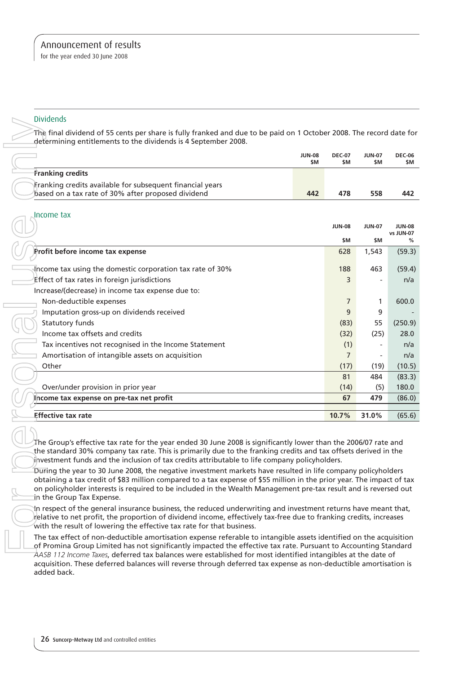#### Dividends

The final dividend of 55 cents per share is fully franked and due to be paid on 1 October 2008. The record date for determining entitlements to the dividends is 4 September 2008.

|                                                                                                                   | <b>JUN-08</b><br>\$M | <b>DEC-07</b><br><b>SM</b> | <b>JUN-07</b><br><b>SM</b> | DEC-06<br><b>SM</b> |
|-------------------------------------------------------------------------------------------------------------------|----------------------|----------------------------|----------------------------|---------------------|
| <b>franking credits</b>                                                                                           |                      |                            |                            |                     |
| Franking credits available for subsequent financial years\}<br>based on a tax rate of 30% after proposed dividend | 442                  | 478                        | 558                        | 442                 |

#### Income tax

|                                                           | <b>JUN-08</b>  | <b>JUN-07</b> | <b>JUN-08</b><br>vs JUN-07 |
|-----------------------------------------------------------|----------------|---------------|----------------------------|
|                                                           | \$M            | <b>SM</b>     | %                          |
| Profit before income tax expense                          | 628            | 1,543         | (59.3)                     |
| Income tax using the domestic corporation tax rate of 30% | 188            | 463           | (59.4)                     |
| Effect of tax rates in foreign jurisdictions              | 3              |               | n/a                        |
| Increase/(decrease) in income tax expense due to:         |                |               |                            |
| Non-deductible expenses                                   | $\overline{7}$ |               | 600.0                      |
| Imputation gross-up on dividends received                 | 9              | 9             |                            |
| Statutory funds                                           | (83)           | 55            | (250.9)                    |
| Income tax offsets and credits                            | (32)           | (25)          | 28.0                       |
| Tax incentives not recognised in the Income Statement     | (1)            |               | n/a                        |
| Amortisation of intangible assets on acquisition          |                |               | n/a                        |
| Other                                                     | (17)           | (19)          | (10.5)                     |
|                                                           | 81             | 484           | (83.3)                     |
| Over/under provision in prior year                        | (14)           | (5)           | 180.0                      |
| lhcome tax expense on pre-tax net profit                  | 67             | 479           | (86.0)                     |
|                                                           |                |               |                            |
| Effective tax rate                                        | 10.7%          | 31.0%         | (65.6)                     |

The Group's effective tax rate for the year ended 30 June 2008 is significantly lower than the 2006/07 rate and the standard 30% company tax rate. This is primarily due to the franking credits and tax offsets derived in the investment funds and the inclusion of tax credits attributable to life company policyholders.

During the year to 30 June 2008, the negative investment markets have resulted in life company policyholders obtaining a tax credit of \$83 million compared to a tax expense of \$55 million in the prior year. The impact of tax on policyholder interests is required to be included in the Wealth Management pre-tax result and is reversed out in the Group Tax Expense.

In respect of the general insurance business, the reduced underwriting and investment returns have meant that,  $r$ elative to net profit, the proportion of dividend income, effectively tax-free due to franking credits, increases with the result of lowering the effective tax rate for that business.

The tax effect of non-deductible amortisation expense referable to intangible assets identified on the acquisition of Promina Group Limited has not significantly impacted the effective tax rate. Pursuant to Accounting Standard AASB 112 Income Taxes, deferred tax balances were established for most identified intangibles at the date of acquisition. These deferred balances will reverse through deferred tax expense as non-deductible amortisation is added back.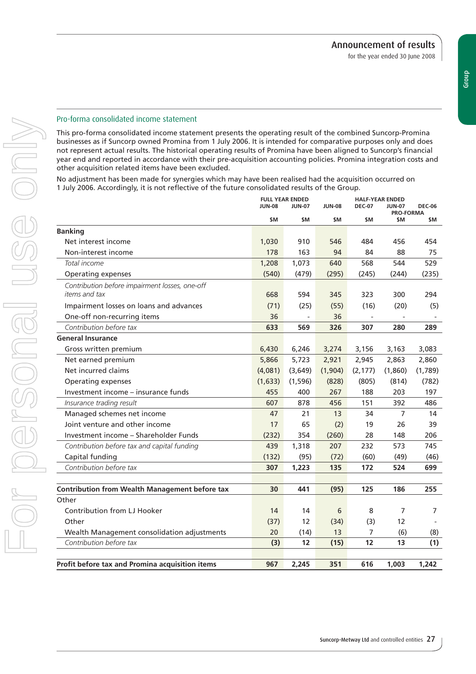# Pro-forma consolidated income statement

This pro-forma consolidated income statement presents the operating result of the combined Suncorp-Promina businesses as if Suncorp owned Promina from 1 July 2006. It is intended for comparative purposes only and does not represent actual results. The historical operating results of Promina have been aligned to Suncorp's financial year end and reported in accordance with their pre-acquisition accounting policies. Promina integration costs and other acquisition related items have been excluded.

No adjustment has been made for synergies which may have been realised had the acquisition occurred on 1 July 2006. Accordingly, it is not reflective of the future consolidated results of the Group.

|                                                       | <b>JUN-08</b> | <b>FULL YEAR ENDED</b><br><b>JUN-07</b> | <b>JUN-08</b><br><b>DEC-07</b> |                          | <b>HALF-YEAR ENDED</b><br><b>JUN-07</b><br><b>PRO-FORMA</b> | <b>DEC-06</b> |
|-------------------------------------------------------|---------------|-----------------------------------------|--------------------------------|--------------------------|-------------------------------------------------------------|---------------|
|                                                       | \$M           | \$M                                     | \$M                            | \$M                      | \$M                                                         | \$M.          |
| <b>Banking</b>                                        |               |                                         |                                |                          |                                                             |               |
| Net interest income                                   | 1.030         | 910                                     | 546                            | 484                      | 456                                                         | 454           |
| Non-interest income                                   | 178           | 163                                     | 94                             | 84                       | 88                                                          | 75            |
| Total income                                          | 1,208         | 1,073                                   | 640                            | 568                      | 544                                                         | 529           |
| <b>Operating expenses</b>                             | (540)         | (479)                                   | (295)                          | (245)                    | (244)                                                       | (235)         |
| Contribution before impairment losses, one-off        |               |                                         |                                |                          |                                                             |               |
| <i>items and tax</i>                                  | 668           | 594                                     | 345                            | 323                      | 300                                                         | 294           |
| Impairment losses on loans and advances               | (71)          | (25)                                    | (55)                           | (16)                     | (20)                                                        | (5)           |
| One-off non-recurring items                           | 36            |                                         | 36                             | $\overline{\phantom{a}}$ | $\frac{1}{2}$                                               |               |
| Contribution before tax                               | 633           | 569                                     | 326                            | 307                      | 280                                                         | 289           |
| <b>General Insurance</b>                              |               |                                         |                                |                          |                                                             |               |
| Gross written premium                                 | 6,430         | 6,246                                   | 3,274                          | 3,156                    | 3,163                                                       | 3,083         |
| Net earned premium                                    | 5,866         | 5,723                                   | 2,921                          | 2,945                    | 2,863                                                       | 2,860         |
| Net incurred claims                                   | (4,081)       | (3,649)                                 | (1, 904)                       | (2, 177)                 | (1,860)                                                     | (1,789)       |
| <b>Operating expenses</b>                             | (1,633)       | (1, 596)                                | (828)                          | (805)                    | (814)                                                       | (782)         |
| Investment income - insurance funds                   | 455           | 400                                     | 267                            | 188                      | 203                                                         | 197           |
| Insurance trading result                              | 607           | 878                                     | 456                            | 151                      | 392                                                         | 486           |
| Managed schemes net income                            | 47            | 21                                      | 13                             | 34                       | $\overline{7}$                                              | 14            |
| Joint venture and other income                        | 17            | 65                                      | (2)                            | 19                       | 26                                                          | 39            |
| Investment income - Shareholder Funds                 | (232)         | 354                                     | (260)                          | 28                       | 148                                                         | 206           |
| Contribution before tax and capital funding           | 439           | 1,318                                   | 207                            | 232                      | 573                                                         | 745           |
| Capital funding                                       | (132)         | (95)                                    | (72)                           | (60)                     | (49)                                                        | (46)          |
| Contribution before tax                               | 307           | 1,223                                   | 135                            | 172                      | 524                                                         | 699           |
|                                                       |               |                                         |                                |                          |                                                             |               |
| <b>Contribution from Wealth Management before tax</b> | 30            | 441                                     | (95)                           | 125                      | 186                                                         | 255           |
| Other                                                 |               |                                         |                                |                          |                                                             |               |
| Contribution from LJ Hooker                           | 14            | 14                                      | 6                              | 8                        | 7                                                           | 7             |
| Other                                                 | (37)          | 12                                      | (34)                           | (3)                      | 12                                                          |               |
| Wealth Management consolidation adjustments           | 20            | (14)                                    | 13                             | $\overline{7}$           | (6)                                                         | (8)           |
| Contribution before tax                               | (3)           | 12                                      | (15)                           | 12                       | 13                                                          | (1)           |
|                                                       |               |                                         |                                |                          |                                                             |               |
| Profit before tax and Promina acquisition items       | 967           | 2.245                                   | 351                            | 616                      | 1,003                                                       | 1,242         |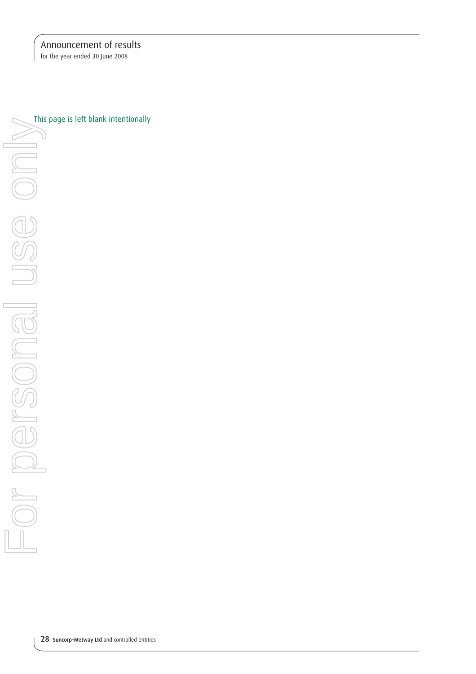for the year ended 30 June 2008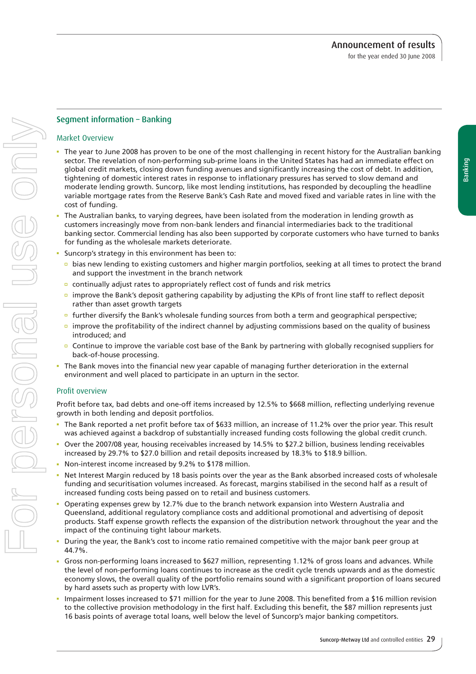### Segment information – Banking

#### Market Overview

- The year to June 2008 has proven to be one of the most challenging in recent history for the Australian banking sector. The revelation of non-performing sub-prime loans in the United States has had an immediate effect on global credit markets, closing down funding avenues and significantly increasing the cost of debt. In addition, tightening of domestic interest rates in response to inflationary pressures has served to slow demand and moderate lending growth. Suncorp, like most lending institutions, has responded by decoupling the headline variable mortgage rates from the Reserve Bank's Cash Rate and moved fixed and variable rates in line with the cost of funding.
- The Australian banks, to varying degrees, have been isolated from the moderation in lending growth as customers increasingly move from non-bank lenders and financial intermediaries back to the traditional banking sector. Commercial lending has also been supported by corporate customers who have turned to banks for funding as the wholesale markets deteriorate.
- Suncorp's strategy in this environment has been to:
	- bias new lending to existing customers and higher margin portfolios, seeking at all times to protect the brand and support the investment in the branch network
	- $\Box$  continually adjust rates to appropriately reflect cost of funds and risk metrics
	- improve the Bank's deposit gathering capability by adjusting the KPIs of front line staff to reflect deposit rather than asset growth targets
	- $\overline{p}$  further diversify the Bank's wholesale funding sources from both a term and geographical perspective;
	- $\overline{p}$  improve the profitability of the indirect channel by adjusting commissions based on the quality of business introduced; and
	- Continue to improve the variable cost base of the Bank by partnering with globally recognised suppliers for back-of-house processing.
- The Bank moves into the financial new year capable of managing further deterioration in the external environment and well placed to participate in an upturn in the sector.

#### Profit overview

For personal use only

IBALSONAL

**AIRIO** 

Profit before tax, bad debts and one-off items increased by 12.5% to \$668 million, reflecting underlying revenue growth in both lending and deposit portfolios.

- The Bank reported a net profit before tax of \$633 million, an increase of 11.2% over the prior year. This result was achieved against a backdrop of substantially increased funding costs following the global credit crunch.
- Over the 2007/08 year, housing receivables increased by 14.5% to \$27.2 billion, business lending receivables increased by 29.7% to \$27.0 billion and retail deposits increased by 18.3% to \$18.9 billion.
- Non-interest income increased by 9.2% to \$178 million.
- Net Interest Margin reduced by 18 basis points over the year as the Bank absorbed increased costs of wholesale funding and securitisation volumes increased. As forecast, margins stabilised in the second half as a result of increased funding costs being passed on to retail and business customers.
- Operating expenses grew by 12.7% due to the branch network expansion into Western Australia and Queensland, additional regulatory compliance costs and additional promotional and advertising of deposit products. Staff expense growth reflects the expansion of the distribution network throughout the year and the impact of the continuing tight labour markets.
- During the year, the Bank's cost to income ratio remained competitive with the major bank peer group at 44.7%.
- Gross non-performing loans increased to \$627 million, representing 1.12% of gross loans and advances. While the level of non-performing loans continues to increase as the credit cycle trends upwards and as the domestic economy slows, the overall quality of the portfolio remains sound with a significant proportion of loans secured by hard assets such as property with low LVR's.
- Impairment losses increased to \$71 million for the year to June 2008. This benefited from a \$16 million revision to the collective provision methodology in the first half. Excluding this benefit, the \$87 million represents just 16 basis points of average total loans, well below the level of Suncorp's major banking competitors.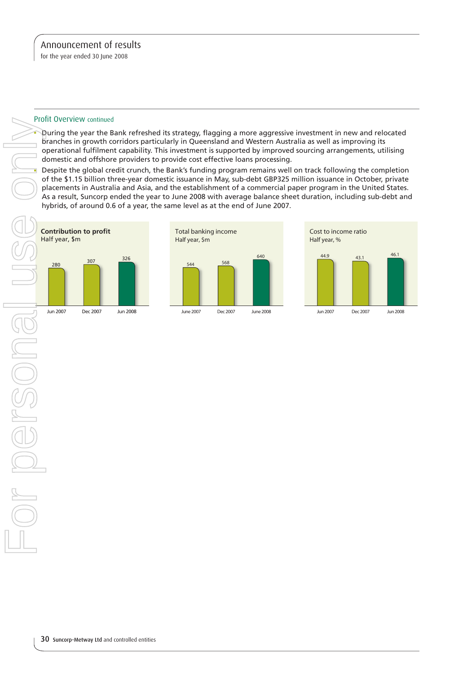#### Profit Overview continued

During the year the Bank refreshed its strategy, flagging a more aggressive investment in new and relocated branches in growth corridors particularly in Queensland and Western Australia as well as improving its operational fulfilment capability. This investment is supported by improved sourcing arrangements, utilising domestic and offshore providers to provide cost effective loans processing.

 Despite the global credit crunch, the Bank's funding program remains well on track following the completion of the \$1.15 billion three-year domestic issuance in May, sub-debt GBP325 million issuance in October, private placements in Australia and Asia, and the establishment of a commercial paper program in the United States. As a result, Suncorp ended the year to June 2008 with average balance sheet duration, including sub-debt and hybrids, of around 0.6 of a year, the same level as at the end of June 2007.

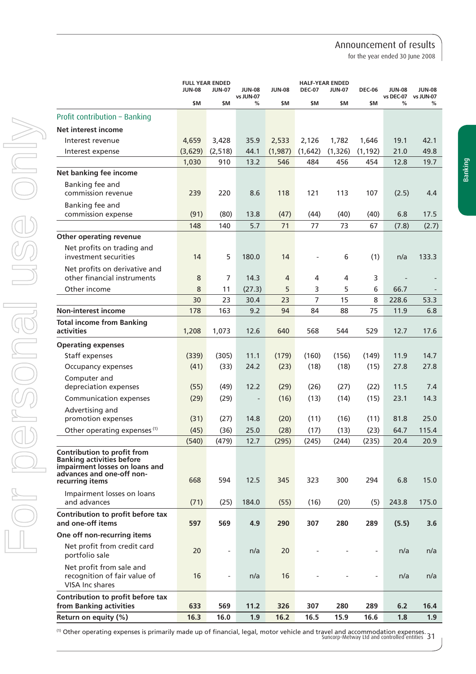for the year ended 30 June 2008

Banking

|                                                                             |               | <b>FULL YEAR ENDED</b>   |                            |                |               | <b>HALF-YEAR ENDED</b> |                          |                            |                            |
|-----------------------------------------------------------------------------|---------------|--------------------------|----------------------------|----------------|---------------|------------------------|--------------------------|----------------------------|----------------------------|
|                                                                             | <b>JUN-08</b> | <b>JUN-07</b>            | <b>JUN-08</b><br>vs JUN-07 | <b>JUN-08</b>  | <b>DEC-07</b> | <b>JUN-07</b>          | <b>DEC-06</b>            | <b>JUN-08</b><br>vs DEC-07 | <b>JUN-08</b><br>vs JUN-07 |
|                                                                             | \$M           | \$M                      | %                          | \$M            | \$M           | \$M                    | \$M                      | %                          | %                          |
| Profit contribution - Banking                                               |               |                          |                            |                |               |                        |                          |                            |                            |
| <b>Net interest income</b>                                                  |               |                          |                            |                |               |                        |                          |                            |                            |
| Interest revenue                                                            | 4,659         | 3,428                    | 35.9                       | 2,533          | 2,126         | 1,782                  | 1,646                    | 19.1                       | 42.1                       |
| Interest expense                                                            | (3,629)       | (2, 518)                 | 44.1                       | (1,987)        | (1,642)       | (1, 326)               | (1, 192)                 | 21.0                       | 49.8                       |
|                                                                             | 1,030         | 910                      | 13.2                       | 546            | 484           | 456                    | 454                      | 12.8                       | 19.7                       |
| Net banking fee income                                                      |               |                          |                            |                |               |                        |                          |                            |                            |
| Banking fee and                                                             |               |                          |                            |                |               |                        |                          |                            |                            |
| commission revenue                                                          | 239           | 220                      | 8.6                        | 118            | 121           | 113                    | 107                      | (2.5)                      | 4.4                        |
| Banking fee and                                                             |               |                          |                            |                |               |                        |                          |                            |                            |
| commission expense                                                          | (91)          | (80)                     | 13.8                       | (47)           | (44)          | (40)                   | (40)                     | 6.8                        | 17.5                       |
|                                                                             | 148           | 140                      | 5.7                        | 71             | 77            | 73                     | 67                       | (7.8)                      | (2.7)                      |
| <b>Other operating revenue</b>                                              |               |                          |                            |                |               |                        |                          |                            |                            |
| Net profits on trading and<br>investment securities                         | 14            | 5                        | 180.0                      | 14             |               | 6                      | (1)                      | n/a                        | 133.3                      |
|                                                                             |               |                          |                            |                |               |                        |                          |                            |                            |
| Net profits on derivative and<br>other financial instruments                | 8             | 7                        | 14.3                       | $\overline{4}$ | 4             | 4                      | 3                        |                            |                            |
| Other income                                                                | 8             | 11                       | (27.3)                     | 5              | 3             | 5                      | 6                        | 66.7                       |                            |
|                                                                             | 30            | 23                       | 30.4                       | 23             | 7             | 15                     | 8                        | 228.6                      | 53.3                       |
| <b>Non-interest income</b>                                                  | 178           | 163                      | 9.2                        | 94             | 84            | 88                     | 75                       | 11.9                       | 6.8                        |
| <b>Total income from Banking</b>                                            |               |                          |                            |                |               |                        |                          |                            |                            |
| activities                                                                  | 1,208         | 1,073                    | 12.6                       | 640            | 568           | 544                    | 529                      | 12.7                       | 17.6                       |
| <b>Operating expenses</b>                                                   |               |                          |                            |                |               |                        |                          |                            |                            |
| Staff expenses                                                              | (339)         | (305)                    | 11.1                       | (179)          | (160)         | (156)                  | (149)                    | 11.9                       | 14.7                       |
| Occupancy expenses                                                          | (41)          | (33)                     | 24.2                       | (23)           | (18)          | (18)                   | (15)                     | 27.8                       | 27.8                       |
| Computer and                                                                |               |                          |                            |                |               |                        |                          |                            |                            |
| depreciation expenses                                                       | (55)          | (49)                     | 12.2                       | (29)           | (26)          | (27)                   | (22)                     | 11.5                       | 7.4                        |
| Communication expenses                                                      | (29)          | (29)                     | $\overline{a}$             | (16)           | (13)          | (14)                   | (15)                     | 23.1                       | 14.3                       |
| Advertising and                                                             |               |                          |                            |                |               |                        |                          |                            |                            |
| promotion expenses                                                          | (31)          | (27)                     | 14.8                       | (20)           | (11)          | (16)                   | (11)                     | 81.8                       | 25.0                       |
| Other operating expenses <sup>(1)</sup>                                     | (45)          | (36)                     | 25.0                       | (28)           | (17)          | (13)                   | (23)                     | 64.7                       | 115.4                      |
|                                                                             | (540)         | (479)                    | 12.7                       | (295)          | (245)         | (244)                  | (235)                    | 20.4                       | 20.9                       |
| Contribution to profit from<br><b>Banking activities before</b>             |               |                          |                            |                |               |                        |                          |                            |                            |
| impairment losses on loans and                                              |               |                          |                            |                |               |                        |                          |                            |                            |
| advances and one-off non-<br>recurring items                                | 668           | 594                      | 12.5                       | 345            | 323           | 300                    | 294                      | 6.8                        | 15.0                       |
| Impairment losses on loans                                                  |               |                          |                            |                |               |                        |                          |                            |                            |
| and advances                                                                | (71)          | (25)                     | 184.0                      | (55)           | (16)          | (20)                   | (5)                      | 243.8                      | 175.0                      |
| Contribution to profit before tax                                           |               |                          |                            |                |               |                        |                          |                            |                            |
| and one-off items                                                           | 597           | 569                      | 4.9                        | 290            | 307           | 280                    | 289                      | (5.5)                      | 3.6                        |
| One off non-recurring items                                                 |               |                          |                            |                |               |                        |                          |                            |                            |
| Net profit from credit card<br>portfolio sale                               | 20            | $\overline{\phantom{0}}$ | n/a                        | 20             |               |                        |                          | n/a                        | n/a                        |
| Net profit from sale and<br>recognition of fair value of<br>VISA Inc shares | 16            | $\overline{\phantom{0}}$ | n/a                        | 16             |               |                        | $\overline{\phantom{a}}$ | n/a                        | n/a                        |
| Contribution to profit before tax                                           |               |                          |                            |                |               |                        |                          |                            |                            |
| from Banking activities                                                     | 633           | 569                      | 11.2                       | 326            | 307           | 280                    | 289                      | 6.2                        | 16.4                       |
| Return on equity (%)                                                        | 16.3          | 16.0                     | 1.9                        | 16.2           | 16.5          | 15.9                   | 16.6                     | 1.8                        | 1.9                        |

(1) Other operating expenses is primarily made up of financial, legal, motor vehicle and travel and accommodation expenses.<br>Suncorp-Metway Ltd and controlled entities 31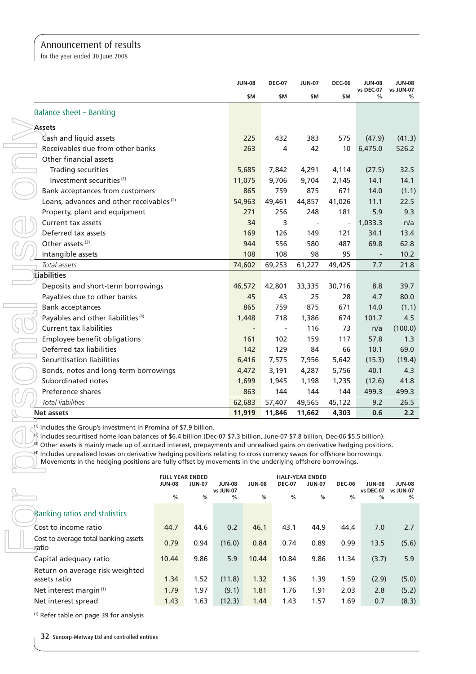for the year ended 30 June 2008

|                                                                                                                                                                                                                                                                                                                                                                                                                                                                                                                                                                                               |                       |                        |                            | <b>JUN-08</b>      | <b>DEC-07</b>         | <b>JUN-07</b>              | <b>DEC-06</b>         | <b>JUN-08</b>      | <b>JUN-08</b>                             |
|-----------------------------------------------------------------------------------------------------------------------------------------------------------------------------------------------------------------------------------------------------------------------------------------------------------------------------------------------------------------------------------------------------------------------------------------------------------------------------------------------------------------------------------------------------------------------------------------------|-----------------------|------------------------|----------------------------|--------------------|-----------------------|----------------------------|-----------------------|--------------------|-------------------------------------------|
|                                                                                                                                                                                                                                                                                                                                                                                                                                                                                                                                                                                               |                       |                        |                            | \$M                | \$M                   | \$M                        | \$M                   | vs DEC-07<br>%     | vs JUN-07<br>%                            |
| Balance sheet - Banking                                                                                                                                                                                                                                                                                                                                                                                                                                                                                                                                                                       |                       |                        |                            |                    |                       |                            |                       |                    |                                           |
| <b>Assets</b>                                                                                                                                                                                                                                                                                                                                                                                                                                                                                                                                                                                 |                       |                        |                            |                    |                       |                            |                       |                    |                                           |
| Cash and liquid assets                                                                                                                                                                                                                                                                                                                                                                                                                                                                                                                                                                        |                       |                        |                            | 225                | 432                   | 383                        | 575                   | (47.9)             | (41.3)                                    |
| Receivables due from other banks                                                                                                                                                                                                                                                                                                                                                                                                                                                                                                                                                              |                       |                        |                            | 263                | 4                     | 42                         | 10                    | 6,475.0            | 526.2                                     |
| Other financial assets                                                                                                                                                                                                                                                                                                                                                                                                                                                                                                                                                                        |                       |                        |                            |                    |                       |                            |                       |                    |                                           |
| <b>Trading securities</b>                                                                                                                                                                                                                                                                                                                                                                                                                                                                                                                                                                     |                       |                        |                            | 5,685              | 7,842                 | 4,291                      | 4,114                 | (27.5)             | 32.5                                      |
| Investment securities <sup>(1)</sup>                                                                                                                                                                                                                                                                                                                                                                                                                                                                                                                                                          |                       |                        |                            | 11,075             | 9,706                 | 9,704                      | 2,145                 | 14.1               | 14.1                                      |
| Bank acceptances from customers                                                                                                                                                                                                                                                                                                                                                                                                                                                                                                                                                               |                       |                        |                            | 865                | 759                   | 875                        | 671                   | 14.0               | (1.1)                                     |
| Loans, advances and other receivables <sup>(2)</sup>                                                                                                                                                                                                                                                                                                                                                                                                                                                                                                                                          |                       |                        |                            | 54,963             | 49,461                | 44,857                     | 41,026                | 11.1               | 22.5                                      |
| Property, plant and equipment                                                                                                                                                                                                                                                                                                                                                                                                                                                                                                                                                                 |                       |                        |                            | 271                | 256                   | 248                        | 181                   | 5.9                | 9.3                                       |
| Current tax assets                                                                                                                                                                                                                                                                                                                                                                                                                                                                                                                                                                            |                       |                        |                            | 34                 | 3                     |                            |                       | 1,033.3            | n/a                                       |
| Deferred tax assets                                                                                                                                                                                                                                                                                                                                                                                                                                                                                                                                                                           |                       |                        |                            | 169                | 126                   | 149                        | 121                   | 34.1               | 13.4                                      |
| Other assets <sup>(3)</sup>                                                                                                                                                                                                                                                                                                                                                                                                                                                                                                                                                                   |                       |                        |                            | 944                | 556                   | 580                        | 487                   | 69.8               | 62.8                                      |
| Intangible assets                                                                                                                                                                                                                                                                                                                                                                                                                                                                                                                                                                             |                       |                        |                            | 108                | 108                   | 98                         | 95                    |                    | 10.2                                      |
| Total assets                                                                                                                                                                                                                                                                                                                                                                                                                                                                                                                                                                                  |                       |                        |                            | 74,602             | 69,253                | 61,227                     | 49,425                | 7.7                | 21.8                                      |
| Liabilities                                                                                                                                                                                                                                                                                                                                                                                                                                                                                                                                                                                   |                       |                        |                            |                    |                       |                            |                       |                    |                                           |
| Deposits and short-term borrowings                                                                                                                                                                                                                                                                                                                                                                                                                                                                                                                                                            |                       |                        |                            | 46,572             | 42,801                | 33,335                     | 30,716                | 8.8                | 39.7                                      |
| Payables due to other banks                                                                                                                                                                                                                                                                                                                                                                                                                                                                                                                                                                   |                       | 45                     | 43                         | 25                 | 28                    | 4.7                        | 80.0                  |                    |                                           |
| <b>Bank acceptances</b>                                                                                                                                                                                                                                                                                                                                                                                                                                                                                                                                                                       |                       |                        |                            | 865                | 759                   | 875                        | 671                   | 14.0               | (1.1)                                     |
| Payables and other liabilities <sup>(4)</sup>                                                                                                                                                                                                                                                                                                                                                                                                                                                                                                                                                 |                       |                        |                            | 1,448              | 718                   | 1,386                      | 674                   | 101.7              | 4.5                                       |
| <b>Current tax liabilities</b>                                                                                                                                                                                                                                                                                                                                                                                                                                                                                                                                                                |                       |                        | $\overline{\phantom{m}}$   | 116                | 73                    | n/a                        | (100.0)               |                    |                                           |
| Employee benefit obligations                                                                                                                                                                                                                                                                                                                                                                                                                                                                                                                                                                  |                       |                        |                            | 161                | 102                   | 159                        | 117                   | 57.8               | 1.3                                       |
| Deferred tax liabilities                                                                                                                                                                                                                                                                                                                                                                                                                                                                                                                                                                      |                       |                        |                            | 142                | 129                   | 84                         | 66                    | 10.1               | 69.0                                      |
| Securitisation liabilities                                                                                                                                                                                                                                                                                                                                                                                                                                                                                                                                                                    |                       |                        |                            | 6,416              | 7,575                 | 7,956                      | 5,642                 | (15.3)             | (19.4)                                    |
| Bonds, notes and long-term borrowings                                                                                                                                                                                                                                                                                                                                                                                                                                                                                                                                                         |                       |                        |                            | 4,472              | 3,191                 | 4,287                      | 5,756                 | 40.1               | 4.3                                       |
| Subordinated notes                                                                                                                                                                                                                                                                                                                                                                                                                                                                                                                                                                            |                       |                        |                            | 1,699              | 1,945                 | 1,198                      | 1,235                 | (12.6)             | 41.8                                      |
| Preference shares                                                                                                                                                                                                                                                                                                                                                                                                                                                                                                                                                                             |                       |                        |                            | 863                | 144                   | 144                        | 144                   | 499.3              | 499.3                                     |
| Total liabilities                                                                                                                                                                                                                                                                                                                                                                                                                                                                                                                                                                             |                       |                        |                            | 62,683             | 57,407                | 49,565                     | 45,122                | 9.2                | 26.5                                      |
| <b>Net assets</b>                                                                                                                                                                                                                                                                                                                                                                                                                                                                                                                                                                             |                       |                        |                            | 11,919             | 11,846                | 11,662                     | 4,303                 | 0.6                | 2.2                                       |
| <sup>(1)</sup> Includes the Group's investment in Promina of \$7.9 billion.<br>P Includes securitised home loan balances of \$6.4 billion (Dec-07 \$7.3 billion, June-07 \$7.8 billion, Dec-06 \$5.5 billion).<br>(5) Other assets is mainly made up of accrued interest, prepayments and unrealised gains on derivative hedging positions.<br><sup>(4)</sup> Includes unrealised losses on derivative hedging positions relating to cross currency swaps for offshore borrowings.<br>Movements in the hedging positions are fully offset by movements in the underlying offshore borrowings. |                       | <b>FULL YEAR ENDED</b> |                            |                    |                       | <b>HALF-YEAR ENDED</b>     |                       |                    |                                           |
|                                                                                                                                                                                                                                                                                                                                                                                                                                                                                                                                                                                               | <b>JUN-08</b><br>$\%$ | <b>JUN-07</b><br>$\%$  | <b>JUN-08</b><br>vs JUN-07 | <b>JUN-08</b><br>% | <b>DEC-07</b><br>$\%$ | <b>JUN-07</b><br>$\%$<br>% | <b>DEC-06</b><br>$\%$ | <b>JUN-08</b><br>% | <b>JUN-08</b><br>vs DEC-07 vs JUN-07<br>% |
| Banking ratios and statistics                                                                                                                                                                                                                                                                                                                                                                                                                                                                                                                                                                 |                       |                        |                            |                    |                       |                            |                       |                    |                                           |
| Cost to income ratio                                                                                                                                                                                                                                                                                                                                                                                                                                                                                                                                                                          | 44.7                  | 44.6                   | 0.2                        | 46.1               | 43.1                  | 44.9                       | 44.4                  | 7.0                | 2.7                                       |
| Cost to average total banking assets<br>ratio                                                                                                                                                                                                                                                                                                                                                                                                                                                                                                                                                 | 0.79                  | 0.94                   | (16.0)                     | 0.84               | 0.74                  | 0.89                       | 0.99                  | 13.5               | (5.6)                                     |
| Capital adequacy ratio                                                                                                                                                                                                                                                                                                                                                                                                                                                                                                                                                                        | 10.44                 | 9.86                   | 5.9                        | 10.44              | 10.84                 | 9.86                       | 11.34                 | (3.7)              | 5.9                                       |
| Return on average risk weighted                                                                                                                                                                                                                                                                                                                                                                                                                                                                                                                                                               |                       |                        |                            |                    |                       |                            |                       |                    |                                           |
| assets ratio                                                                                                                                                                                                                                                                                                                                                                                                                                                                                                                                                                                  | 1.34                  | 1.52                   | (11.8)                     | 1.32               | 1.36                  | 1.39                       | 1.59                  | (2.9)              | (5.0)                                     |
| Net interest margin <sup>(1)</sup>                                                                                                                                                                                                                                                                                                                                                                                                                                                                                                                                                            | 1.79                  | 1.97                   | (9.1)                      | 1.81               | 1.76                  | 1.91                       | 2.03                  | 2.8                | (5.2)                                     |
| Net interest spread                                                                                                                                                                                                                                                                                                                                                                                                                                                                                                                                                                           | 1.43                  | 1.63                   | (12.3)                     | 1.44               | 1.43                  | 1.57                       | 1.69                  | 0.7                | (8.3)                                     |
| <sup>(1)</sup> Refer table on page 39 for analysis                                                                                                                                                                                                                                                                                                                                                                                                                                                                                                                                            |                       |                        |                            |                    |                       |                            |                       |                    |                                           |

|                                                 |               | <b>FULL YEAR ENDED</b><br><b>HALF-YEAR ENDED</b> |                            |               |               |               |               |                            |                            |
|-------------------------------------------------|---------------|--------------------------------------------------|----------------------------|---------------|---------------|---------------|---------------|----------------------------|----------------------------|
|                                                 | <b>JUN-08</b> | <b>JUN-07</b>                                    | <b>JUN-08</b><br>vs JUN-07 | <b>JUN-08</b> | <b>DEC-07</b> | <b>JUN-07</b> | <b>DEC-06</b> | <b>JUN-08</b><br>vs DEC-07 | <b>JUN-08</b><br>vs JUN-07 |
|                                                 | %             | %                                                | %                          | %             | %             | %             | %             | %                          | %                          |
| Banking ratios and statistics                   |               |                                                  |                            |               |               |               |               |                            |                            |
| Cost to income ratio                            | 44.7          | 44.6                                             | 0.2                        | 46.1          | 43.1          | 44.9          | 44.4          | 7.0                        | 2.7                        |
| Cost to average total banking assets<br>ratio   | 0.79          | 0.94                                             | (16.0)                     | 0.84          | 0.74          | 0.89          | 0.99          | 13.5                       | (5.6)                      |
| Capital adequacy ratio                          | 10.44         | 9.86                                             | 5.9                        | 10.44         | 10.84         | 9.86          | 11.34         | (3.7)                      | 5.9                        |
| Return on average risk weighted<br>assets ratio | 1.34          | 1.52                                             | (11.8)                     | 1.32          | 1.36          | 1.39          | 1.59          | (2.9)                      | (5.0)                      |
| Net interest margin <sup>(1)</sup>              | 1.79          | 1.97                                             | (9.1)                      | 1.81          | 1.76          | 1.91          | 2.03          | 2.8                        | (5.2)                      |
| Net interest spread                             | 1.43          | 1.63                                             | (12.3)                     | 1.44          | 1.43          | 1.57          | 1.69          | 0.7                        | (8.3)                      |

32 Suncorp-Metway Ltd and controlled entities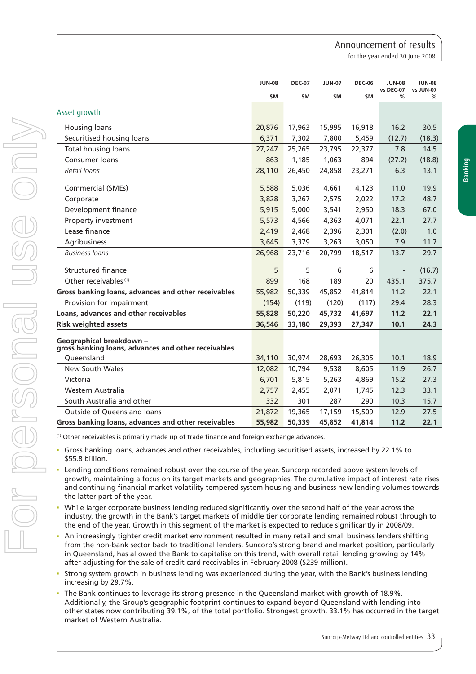for the year ended 30 June 2008

Banking

|                                                                                 | <b>JUN-08</b> | <b>DEC-07</b> | <b>JUN-07</b> | <b>DEC-06</b> | <b>JUN-08</b>  | <b>JUN-08</b><br>vs JUN-07 |
|---------------------------------------------------------------------------------|---------------|---------------|---------------|---------------|----------------|----------------------------|
|                                                                                 | \$M           | \$M           | \$M           | \$M           | vs DEC-07<br>% | %                          |
| Asset growth                                                                    |               |               |               |               |                |                            |
| <b>Housing loans</b>                                                            | 20,876        | 17,963        | 15,995        | 16,918        | 16.2           | 30.5                       |
| Securitised housing loans                                                       | 6,371         | 7,302         | 7,800         | 5,459         | (12.7)         | (18.3)                     |
| <b>Total housing loans</b>                                                      | 27,247        | 25,265        | 23,795        | 22,377        | 7.8            | 14.5                       |
| Consumer loans                                                                  | 863           | 1,185         | 1,063         | 894           | (27.2)         | (18.8)                     |
| Retail loans                                                                    | 28,110        | 26,450        | 24,858        | 23,271        | 6.3            | 13.1                       |
| Commercial (SMEs)                                                               | 5,588         | 5,036         | 4,661         | 4,123         | 11.0           | 19.9                       |
| Corporate                                                                       | 3,828         | 3,267         | 2,575         | 2,022         | 17.2           | 48.7                       |
| Development finance                                                             | 5,915         | 5,000         | 3,541         | 2,950         | 18.3           | 67.0                       |
| Property investment                                                             | 5,573         | 4,566         | 4,363         | 4,071         | 22.1           | 27.7                       |
| Lease finance                                                                   | 2,419         | 2,468         | 2,396         | 2,301         | (2.0)          | 1.0                        |
| Agribusiness                                                                    | 3,645         | 3,379         | 3,263         | 3,050         | 7.9            | 11.7                       |
| <b>Business loans</b>                                                           | 26,968        | 23,716        | 20,799        | 18,517        | 13.7           | 29.7                       |
| <b>Structured finance</b>                                                       | 5             | 5             | 6             | 6             |                | (16.7)                     |
| Other receivables <sup>(1)</sup>                                                | 899           | 168           | 189           | 20            | 435.1          | 375.7                      |
| Gross banking loans, advances and other receivables                             | 55,982        | 50,339        | 45,852        | 41,814        | 11.2           | 22.1                       |
| Provision for impairment                                                        | (154)         | (119)         | (120)         | (117)         | 29.4           | 28.3                       |
| Loans, advances and other receivables                                           | 55,828        | 50,220        | 45,732        | 41,697        | 11.2           | 22.1                       |
| <b>Risk weighted assets</b>                                                     | 36,546        | 33,180        | 29,393        | 27,347        | 10.1           | 24.3                       |
| Geographical breakdown -<br>gross banking loans, advances and other receivables |               |               |               |               |                |                            |
| Queensland                                                                      | 34,110        | 30,974        | 28,693        | 26,305        | 10.1           | 18.9                       |
| New South Wales                                                                 | 12,082        | 10,794        | 9,538         | 8,605         | 11.9           | 26.7                       |
| Victoria                                                                        | 6,701         | 5,815         | 5,263         | 4,869         | 15.2           | 27.3                       |
| Western Australia                                                               | 2,757         | 2,455         | 2,071         | 1,745         | 12.3           | 33.1                       |
| South Australia and other                                                       | 332           | 301           | 287           | 290           | 10.3           | 15.7                       |
| Outside of Queensland loans                                                     | 21,872        | 19,365        | 17,159        | 15,509        | 12.9           | 27.5                       |
| Gross banking loans, advances and other receivables                             | 55,982        | 50,339        | 45,852        | 41,814        | 11.2           | 22.1                       |

 $<sup>(1)</sup>$  Other receivables is primarily made up of trade finance and foreign exchange advances.</sup>

- Gross banking loans, advances and other receivables, including securitised assets, increased by 22.1% to \$55.8 billion.
- Lending conditions remained robust over the course of the year. Suncorp recorded above system levels of growth, maintaining a focus on its target markets and geographies. The cumulative impact of interest rate rises and continuing financial market volatility tempered system housing and business new lending volumes towards the latter part of the year.
- While larger corporate business lending reduced significantly over the second half of the year across the industry, the growth in the Bank's target markets of middle tier corporate lending remained robust through to the end of the year. Growth in this segment of the market is expected to reduce significantly in 2008/09.
- An increasingly tighter credit market environment resulted in many retail and small business lenders shifting from the non-bank sector back to traditional lenders. Suncorp's strong brand and market position, particularly in Queensland, has allowed the Bank to capitalise on this trend, with overall retail lending growing by 14% after adjusting for the sale of credit card receivables in February 2008 (\$239 million).
- Strong system growth in business lending was experienced during the year, with the Bank's business lending increasing by 29.7%.
- The Bank continues to leverage its strong presence in the Queensland market with growth of 18.9%. Additionally, the Group's geographic footprint continues to expand beyond Queensland with lending into other states now contributing 39.1%, of the total portfolio. Strongest growth, 33.1% has occurred in the target market of Western Australia.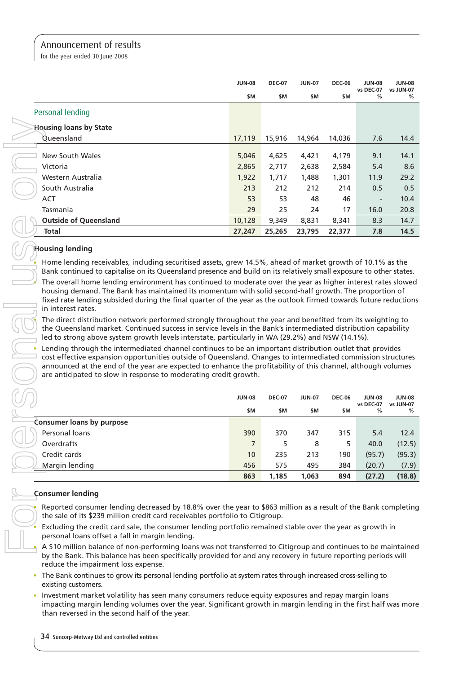for the year ended 30 June 2008

|                               | <b>JUN-08</b> | <b>DEC-07</b> | <b>JUN-07</b> | <b>DEC-06</b> | <b>JUN-08</b><br>vs DEC-07 | <b>JUN-08</b><br>vs JUN-07 |
|-------------------------------|---------------|---------------|---------------|---------------|----------------------------|----------------------------|
|                               | \$M           | \$M           | \$M           | \$M           | %                          | %                          |
| Personal lending              |               |               |               |               |                            |                            |
| <b>Housing loans by State</b> |               |               |               |               |                            |                            |
| Queensland                    | 17,119        | 15,916        | 14,964        | 14,036        | 7.6                        | 14.4                       |
|                               |               |               |               |               |                            |                            |
| New South Wales               | 5,046         | 4,625         | 4,421         | 4,179         | 9.1                        | 14.1                       |
| Victoria                      | 2,865         | 2,717         | 2,638         | 2,584         | 5.4                        | 8.6                        |
| Western Australia             | 1,922         | 1,717         | 1,488         | 1,301         | 11.9                       | 29.2                       |
| South Australia               | 213           | 212           | 212           | 214           | 0.5                        | 0.5                        |
| <b>ACT</b>                    | 53            | 53            | 48            | 46            | $\overline{\phantom{a}}$   | 10.4                       |
| Tasmania                      | 29            | 25            | 24            | 17            | 16.0                       | 20.8                       |
| <b>Outside of Queensland</b>  | 10,128        | 9,349         | 8,831         | 8,341         | 8.3                        | 14.7                       |
| <b>Total</b>                  | 27,247        | 25,265        | 23,795        | 22,377        | 7.8                        | 14.5                       |

# **Housing lending**

 Home lending receivables, including securitised assets, grew 14.5%, ahead of market growth of 10.1% as the Bank continued to capitalise on its Queensland presence and build on its relatively small exposure to other states.

 The overall home lending environment has continued to moderate over the year as higher interest rates slowed housing demand. The Bank has maintained its momentum with solid second-half growth. The proportion of fixed rate lending subsided during the final quarter of the year as the outlook firmed towards future reductions in interest rates.

The direct distribution network performed strongly throughout the year and benefited from its weighting to the Queensland market. Continued success in service levels in the Bank's intermediated distribution capability led to strong above system growth levels interstate, particularly in WA (29.2%) and NSW (14.1%).

 Lending through the intermediated channel continues to be an important distribution outlet that provides cost effective expansion opportunities outside of Queensland. Changes to intermediated commission structures announced at the end of the year are expected to enhance the profi tability of this channel, although volumes are anticipated to slow in response to moderating credit growth.

|                           | <b>JUN-08</b> | <b>DEC-07</b> | <b>JUN-07</b> | <b>DEC-06</b> | <b>JUN-08</b><br>vs DEC-07 | <b>JUN-08</b><br>vs JUN-07 |
|---------------------------|---------------|---------------|---------------|---------------|----------------------------|----------------------------|
|                           | \$M           | \$M           | \$M           | \$M           | %                          | %                          |
| Consumer loans by purpose |               |               |               |               |                            |                            |
| Personal loans            | 390           | 370           | 347           | 315           | 5.4                        | 12.4                       |
| Overdrafts                | 7             | 5             | 8             | 5.            | 40.0                       | (12.5)                     |
| Credit cards              | 10            | 235           | 213           | 190           | (95.7)                     | (95.3)                     |
| Margin lending            | 456           | 575           | 495           | 384           | (20.7)                     | (7.9)                      |
|                           | 863           | 1,185         | 1,063         | 894           | (27.2)                     | (18.8)                     |

## **Consumer lending**

- Reported consumer lending decreased by 18.8% over the year to \$863 million as a result of the Bank completing the sale of its \$239 million credit card receivables portfolio to Citigroup.
- Excluding the credit card sale, the consumer lending portfolio remained stable over the year as growth in personal loans offset a fall in margin lending.
- A \$10 million balance of non-performing loans was not transferred to Citigroup and continues to be maintained by the Bank. This balance has been specifically provided for and any recovery in future reporting periods will reduce the impairment loss expense.
- The Bank continues to grow its personal lending portfolio at system rates through increased cross-selling to existing customers.
- Investment market volatility has seen many consumers reduce equity exposures and repay margin loans impacting margin lending volumes over the year. Significant growth in margin lending in the first half was more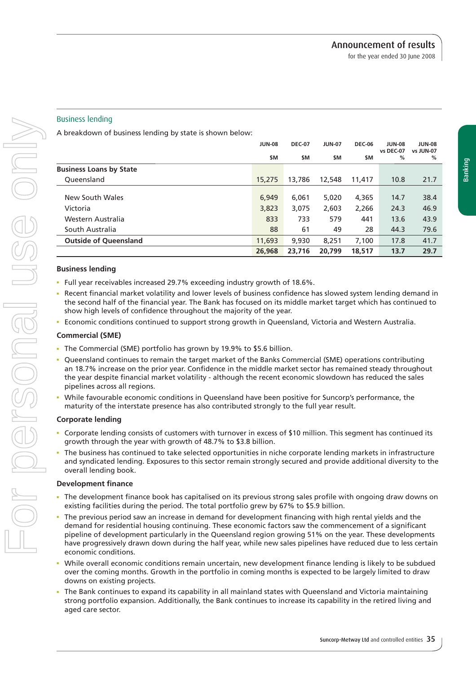Banking

#### Business lending

A breakdown of business lending by state is shown below:

|                                | <b>JUN-08</b> | <b>DEC-07</b> | <b>JUN-07</b> | <b>DEC-06</b> | <b>JUN-08</b><br><b>vs DEC-07</b> | <b>JUN-08</b><br>vs JUN-07 |
|--------------------------------|---------------|---------------|---------------|---------------|-----------------------------------|----------------------------|
|                                | \$M           | \$M           | \$M           | \$M           | %                                 | %                          |
| <b>Business Loans by State</b> |               |               |               |               |                                   |                            |
| Queensland                     | 15,275        | 13,786        | 12,548        | 11,417        | 10.8                              | 21.7                       |
|                                |               |               |               |               |                                   |                            |
| New South Wales                | 6,949         | 6,061         | 5,020         | 4,365         | 14.7                              | 38.4                       |
| Victoria                       | 3,823         | 3,075         | 2,603         | 2,266         | 24.3                              | 46.9                       |
| Western Australia              | 833           | 733           | 579           | 441           | 13.6                              | 43.9                       |
| South Australia                | 88            | 61            | 49            | 28            | 44.3                              | 79.6                       |
| <b>Outside of Queensland</b>   | 11,693        | 9,930         | 8,251         | 7,100         | 17.8                              | 41.7                       |
|                                | 26,968        | 23,716        | 20,799        | 18,517        | 13.7                              | 29.7                       |

#### **Business lending**

- Full year receivables increased 29.7% exceeding industry growth of 18.6%.
- Recent financial market volatility and lower levels of business confidence has slowed system lending demand in the second half of the financial year. The Bank has focused on its middle market target which has continued to show high levels of confidence throughout the majority of the year.
- Economic conditions continued to support strong growth in Queensland, Victoria and Western Australia.

#### **Commercial (SME)**

- The Commercial (SME) portfolio has grown by 19.9% to \$5.6 billion.
- Queensland continues to remain the target market of the Banks Commercial (SME) operations contributing an 18.7% increase on the prior year. Confidence in the middle market sector has remained steady throughout the year despite financial market volatility - although the recent economic slowdown has reduced the sales pipelines across all regions.
- While favourable economic conditions in Queensland have been positive for Suncorp's performance, the maturity of the interstate presence has also contributed strongly to the full year result.

#### **Corporate lending**

- Corporate lending consists of customers with turnover in excess of \$10 million. This segment has continued its growth through the year with growth of 48.7% to \$3.8 billion.
- The business has continued to take selected opportunities in niche corporate lending markets in infrastructure and syndicated lending. Exposures to this sector remain strongly secured and provide additional diversity to the overall lending book.

#### **Development finance**

- The development finance book has capitalised on its previous strong sales profile with ongoing draw downs on existing facilities during the period. The total portfolio grew by 67% to \$5.9 billion.
- The previous period saw an increase in demand for development financing with high rental yields and the demand for residential housing continuing. These economic factors saw the commencement of a significant pipeline of development particularly in the Queensland region growing 51% on the year. These developments have progressively drawn down during the half year, while new sales pipelines have reduced due to less certain economic conditions.
- While overall economic conditions remain uncertain, new development finance lending is likely to be subdued over the coming months. Growth in the portfolio in coming months is expected to be largely limited to draw downs on existing projects.
- The Bank continues to expand its capability in all mainland states with Queensland and Victoria maintaining strong portfolio expansion. Additionally, the Bank continues to increase its capability in the retired living and aged care sector.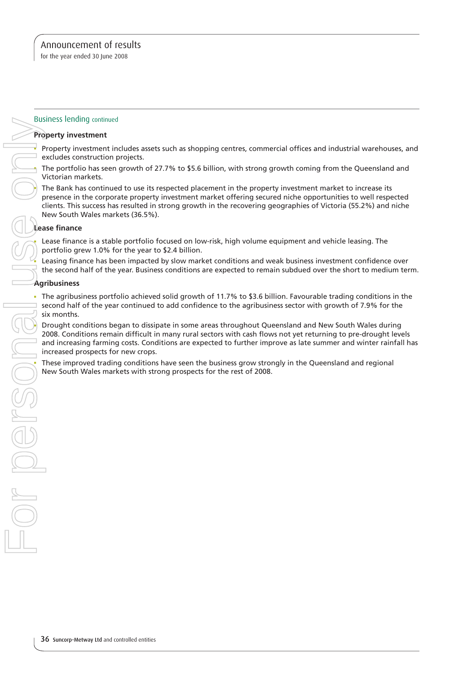for the year ended 30 June 2008

## Business lending continued

#### **Property investment**

Property investment includes assets such as shopping centres, commercial offices and industrial warehouses, and excludes construction projects.

 The portfolio has seen growth of 27.7% to \$5.6 billion, with strong growth coming from the Queensland and Victorian markets.

 The Bank has continued to use its respected placement in the property investment market to increase its presence in the corporate property investment market offering secured niche opportunities to well respected clients. This success has resulted in strong growth in the recovering geographies of Victoria (55.2%) and niche New South Wales markets (36.5%).

#### **Lease fi nance**

Lease finance is a stable portfolio focused on low-risk, high volume equipment and vehicle leasing. The portfolio grew 1.0% for the year to \$2.4 billion.

Leasing finance has been impacted by slow market conditions and weak business investment confidence over the second half of the year. Business conditions are expected to remain subdued over the short to medium term.

#### **Agribusiness**

 The agribusiness portfolio achieved solid growth of 11.7% to \$3.6 billion. Favourable trading conditions in the second half of the year continued to add confidence to the agribusiness sector with growth of 7.9% for the six months.

 Drought conditions began to dissipate in some areas throughout Queensland and New South Wales during 2008. Conditions remain difficult in many rural sectors with cash flows not yet returning to pre-drought levels and increasing farming costs. Conditions are expected to further improve as late summer and winter rainfall has increased prospects for new crops.

These improved trading conditions have seen the business grow strongly in the Queensland and regional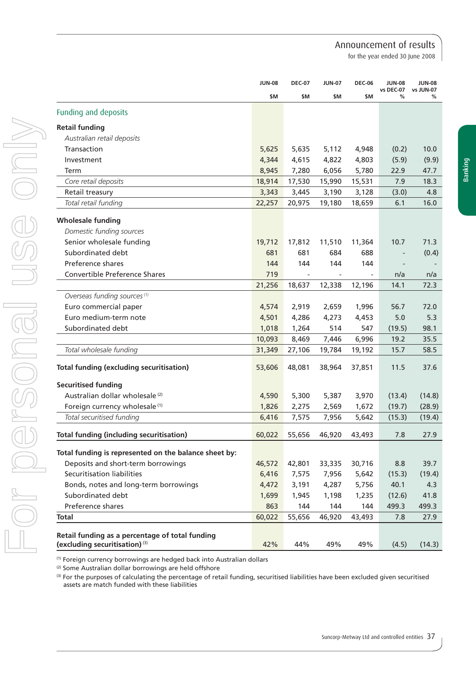for the year ended 30 June 2008

|                                                       | <b>JUN-08</b> | <b>DEC-07</b> | <b>JUN-07</b> | <b>DEC-06</b> | <b>JUN-08</b>  | <b>JUN-08</b>  |
|-------------------------------------------------------|---------------|---------------|---------------|---------------|----------------|----------------|
|                                                       | \$M           | \$M           | \$M           | \$M           | vs DEC-07<br>% | vs JUN-07<br>℅ |
| Funding and deposits                                  |               |               |               |               |                |                |
| <b>Retail funding</b>                                 |               |               |               |               |                |                |
| Australian retail deposits                            |               |               |               |               |                |                |
| Transaction                                           | 5,625         | 5,635         | 5,112         | 4,948         | (0.2)          | 10.0           |
| Investment                                            | 4,344         | 4,615         | 4,822         | 4,803         | (5.9)          | (9.9)          |
| Term                                                  | 8,945         | 7,280         | 6,056         | 5,780         | 22.9           | 47.7           |
| Core retail deposits                                  | 18,914        | 17,530        | 15,990        | 15,531        | 7.9            | 18.3           |
| Retail treasury                                       | 3,343         | 3,445         | 3,190         | 3,128         | (3.0)          | 4.8            |
| Total retail funding                                  | 22,257        | 20,975        | 19,180        | 18,659        | 6.1            | 16.0           |
| <b>Wholesale funding</b>                              |               |               |               |               |                |                |
| Domestic funding sources                              |               |               |               |               |                |                |
| Senior wholesale funding                              | 19,712        | 17,812        | 11,510        | 11,364        | 10.7           | 71.3           |
| Subordinated debt                                     | 681           | 681           | 684           | 688           |                | (0.4)          |
| Preference shares                                     | 144           | 144           | 144           | 144           |                |                |
| <b>Convertible Preference Shares</b>                  | 719           |               |               |               | n/a            | n/a            |
|                                                       | 21,256        | 18,637        | 12,338        | 12,196        | 14.1           | 72.3           |
| Overseas funding sources <sup>(1)</sup>               |               |               |               |               |                |                |
| Euro commercial paper                                 | 4,574         | 2,919         | 2,659         | 1,996         | 56.7           | 72.0           |
| Euro medium-term note                                 | 4,501         | 4,286         | 4,273         | 4,453         | 5.0            | 5.3            |
| Subordinated debt                                     | 1,018         | 1,264         | 514           | 547           | (19.5)         | 98.1           |
|                                                       | 10,093        | 8,469         | 7,446         | 6,996         | 19.2           | 35.5           |
| Total wholesale funding                               | 31,349        | 27,106        | 19,784        | 19,192        | 15.7           | 58.5           |
|                                                       |               |               |               |               |                |                |
| <b>Total funding (excluding securitisation)</b>       | 53,606        | 48,081        | 38,964        | 37,851        | 11.5           | 37.6           |
| <b>Securitised funding</b>                            |               |               |               |               |                |                |
| Australian dollar wholesale <sup>(2)</sup>            | 4,590         | 5,300         | 5,387         | 3,970         | (13.4)         | (14.8)         |
| Foreign currency wholesale (1)                        | 1,826         | 2,275         | 2,569         | 1,672         | (19.7)         | (28.9)         |
| Total securitised funding                             | 6,416         | 7,575         | 7,956         | 5,642         | (15.3)         | (19.4)         |
| <b>Total funding (including securitisation)</b>       | 60,022        | 55,656        |               | 46,920 43,493 | 7.8            | 27.9           |
| Total funding is represented on the balance sheet by: |               |               |               |               |                |                |
| Deposits and short-term borrowings                    | 46,572        | 42,801        | 33,335        | 30,716        | 8.8            | 39.7           |
| Securitisation liabilities                            | 6,416         | 7,575         | 7,956         | 5,642         | (15.3)         | (19.4)         |
| Bonds, notes and long-term borrowings                 | 4,472         | 3,191         | 4,287         | 5,756         | 40.1           | 4.3            |
| Subordinated debt                                     | 1,699         | 1,945         | 1,198         | 1,235         | (12.6)         | 41.8           |
| Preference shares                                     | 863           | 144           | 144           | 144           | 499.3          | 499.3          |
| <b>Total</b>                                          | 60,022        | 55,656        | 46,920        | 43,493        | 7.8            | 27.9           |
|                                                       |               |               |               |               |                |                |
| Retail funding as a percentage of total funding       |               |               |               |               |                |                |
| (excluding securitisation) <sup>(3)</sup>             | 42%           | 44%           | 49%           | 49%           | (4.5)          | (14.3)         |

(3) For the purposes of calculating the percentage of retail funding, securitised liabilities have been excluded given securitised

For personal use only

FOR POFSONGI

USE ONIX

(1) Foreign currency borrowings are hedged back into Australian dollars

(2) Some Australian dollar borrowings are held offshore

assets are match funded with these liabilities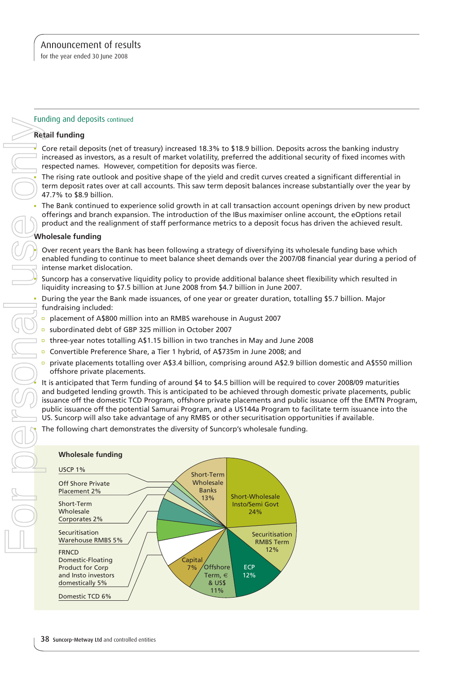#### Funding and deposits continued

## **Retail funding**

 Core retail deposits (net of treasury) increased 18.3% to \$18.9 billion. Deposits across the banking industry increased as investors, as a result of market volatility, preferred the additional security of fixed incomes with respected names. However, competition for deposits was fierce.

The rising rate outlook and positive shape of the yield and credit curves created a significant differential in term deposit rates over at call accounts. This saw term deposit balances increase substantially over the year by 47.7% to \$8.9 billion.

 The Bank continued to experience solid growth in at call transaction account openings driven by new product offerings and branch expansion. The introduction of the IBus maximiser online account, the eOptions retail product and the realignment of staff performance metrics to a deposit focus has driven the achieved result.

#### **Wholesale funding**

 Over recent years the Bank has been following a strategy of diversifying its wholesale funding base which enabled funding to continue to meet balance sheet demands over the 2007/08 financial year during a period of intense market dislocation.

Suncorp has a conservative liquidity policy to provide additional balance sheet flexibility which resulted in liquidity increasing to \$7.5 billion at June 2008 from \$4.7 billion in June 2007.

 During the year the Bank made issuances, of one year or greater duration, totalling \$5.7 billion. Major fundraising included:

- placement of A\$800 million into an RMBS warehouse in August 2007
- subordinated debt of GBP 325 million in October 2007
- three-year notes totalling A\$1.15 billion in two tranches in May and June 2008
- □ Convertible Preference Share, a Tier 1 hybrid, of A\$735m in June 2008; and
- private placements totalling over A\$3.4 billion, comprising around A\$2.9 billion domestic and A\$550 million offshore private placements.

 It is anticipated that Term funding of around \$4 to \$4.5 billion will be required to cover 2008/09 maturities and budgeted lending growth. This is anticipated to be achieved through domestic private placements, public issuance off the domestic TCD Program, offshore private placements and public issuance off the EMTN Program, public issuance off the potential Samurai Program, and a US144a Program to facilitate term issuance into the US. Suncorp will also take advantage of any RMBS or other securitisation opportunities if available.

The following chart demonstrates the diversity of Suncorp's wholesale funding.

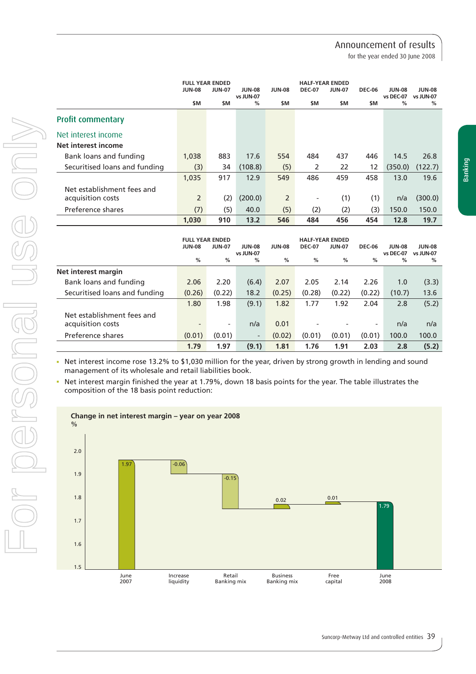for the year ended 30 June 2008

|                               |                | טויוני ובאו בו         |                                |               |               |                        |               |                            |                            |
|-------------------------------|----------------|------------------------|--------------------------------|---------------|---------------|------------------------|---------------|----------------------------|----------------------------|
|                               | <b>JUN-08</b>  | <b>JUN-07</b>          | <b>JUN-08</b><br>vs JUN-07     | <b>JUN-08</b> | <b>DEC-07</b> | <b>JUN-07</b>          | <b>DEC-06</b> | <b>JUN-08</b><br>vs DEC-07 | <b>JUN-08</b><br>vs JUN-07 |
|                               | \$M            | \$M                    | %                              | \$M           | \$M           | \$M                    | \$M           | %                          | %                          |
| <b>Profit commentary</b>      |                |                        |                                |               |               |                        |               |                            |                            |
| Net interest income           |                |                        |                                |               |               |                        |               |                            |                            |
| Net interest income           |                |                        |                                |               |               |                        |               |                            |                            |
| Bank loans and funding        | 1,038          | 883                    | 17.6                           | 554           | 484           | 437                    | 446           | 14.5                       | 26.8                       |
| Securitised loans and funding | (3)            | 34                     | (108.8)                        | (5)           | 2             | 22                     | 12            | (350.0)                    | (122.7)                    |
|                               | 1,035          | 917                    | 12.9                           | 549           | 486           | 459                    | 458           | 13.0                       | 19.6                       |
| Net establishment fees and    |                |                        |                                |               |               |                        |               |                            |                            |
| acquisition costs             | $\overline{2}$ | (2)                    | (200.0)                        | 2             |               | (1)                    | (1)           | n/a                        | (300.0)                    |
| Preference shares             | (7)            | (5)                    | 40.0                           | (5)           | (2)           | (2)                    | (3)           | 150.0                      | 150.0                      |
|                               | 1,030          | 910                    | 13.2                           | 546           | 484           | 456                    | 454           | 12.8                       | 19.7                       |
|                               |                |                        |                                |               |               |                        |               |                            |                            |
|                               |                | <b>FULL YEAR ENDED</b> |                                |               |               | <b>HALF-YEAR ENDED</b> |               |                            |                            |
|                               | <b>JUN-08</b>  | <b>JUN-07</b>          | <b>JUN-08</b><br>$\mu$ IIIN 07 | <b>JUN-08</b> | <b>DEC-07</b> | <b>JUN-07</b>          | <b>DEC-06</b> | <b>JUN-08</b>              | <b>JUN-08</b>              |

**FULL YEAR ENDED HALF-YEAR ENDED**

|                               | JUN-08 | <b>JUN-07</b>            | <b>JUN-08</b>            | <b>JUN-08</b> | <b>DEC-07</b> | <b>JUN-07</b> | <b>DEC-06</b>            | <b>JUN-08</b> | <b>JUN-08</b> |
|-------------------------------|--------|--------------------------|--------------------------|---------------|---------------|---------------|--------------------------|---------------|---------------|
|                               |        |                          | vs JUN-07                |               |               |               |                          | vs DEC-07     | vs JUN-07     |
|                               | %      | %                        | %                        | %             | %             | %             | %                        | %             | %             |
| Net interest margin           |        |                          |                          |               |               |               |                          |               |               |
| Bank loans and funding        | 2.06   | 2.20                     | (6.4)                    | 2.07          | 2.05          | 2.14          | 2.26                     | 1.0           | (3.3)         |
| Securitised loans and funding | (0.26) | (0.22)                   | 18.2                     | (0.25)        | (0.28)        | (0.22)        | (0.22)                   | (10.7)        | 13.6          |
|                               | 1.80   | 1.98                     | (9.1)                    | 1.82          | 1.77          | 1.92          | 2.04                     | 2.8           | (5.2)         |
| Net establishment fees and    |        |                          |                          |               |               |               |                          |               |               |
| acquisition costs             |        | $\overline{\phantom{0}}$ | n/a                      | 0.01          |               |               | $\overline{\phantom{0}}$ | n/a           | n/a           |
| Preference shares             | (0.01) | (0.01)                   | $\overline{\phantom{a}}$ | (0.02)        | (0.01)        | (0.01)        | (0.01)                   | 100.0         | 100.0         |
|                               | 1.79   | 1.97                     | (9.1)                    | 1.81          | 1.76          | 1.91          | 2.03                     | 2.8           | (5.2)         |

 Net interest income rose 13.2% to \$1,030 million for the year, driven by strong growth in lending and sound management of its wholesale and retail liabilities book.

• Net interest margin finished the year at 1.79%, down 18 basis points for the year. The table illustrates the composition of the 18 basis point reduction:

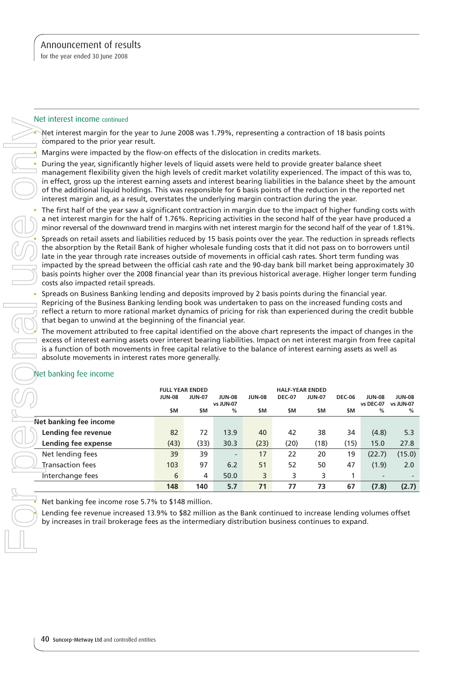for the year ended 30 June 2008

#### Net interest income continued

#### Net banking fee income

| Net interest incorne continued                                                                                                                                                                                                                                                                                                                                                                                                                                                                                                                                                                                                                                                                                                                                  |                                         |               |                |               |                                         |               |               |                          |               |
|-----------------------------------------------------------------------------------------------------------------------------------------------------------------------------------------------------------------------------------------------------------------------------------------------------------------------------------------------------------------------------------------------------------------------------------------------------------------------------------------------------------------------------------------------------------------------------------------------------------------------------------------------------------------------------------------------------------------------------------------------------------------|-----------------------------------------|---------------|----------------|---------------|-----------------------------------------|---------------|---------------|--------------------------|---------------|
| Net interest margin for the year to June 2008 was 1.79%, representing a contraction of 18 basis points<br>compared to the prior year result.                                                                                                                                                                                                                                                                                                                                                                                                                                                                                                                                                                                                                    |                                         |               |                |               |                                         |               |               |                          |               |
| Margins were impacted by the flow-on effects of the dislocation in credits markets.                                                                                                                                                                                                                                                                                                                                                                                                                                                                                                                                                                                                                                                                             |                                         |               |                |               |                                         |               |               |                          |               |
| During the year, significantly higher levels of liquid assets were held to provide greater balance sheet<br>management flexibility given the high levels of credit market volatility experienced. The impact of this was to,<br>in effect, gross up the interest earning assets and interest bearing liabilities in the balance sheet by the amount<br>of the additional liquid holdings. This was responsible for 6 basis points of the reduction in the reported net<br>interest margin and, as a result, overstates the underlying margin contraction during the year.                                                                                                                                                                                       |                                         |               |                |               |                                         |               |               |                          |               |
| The first half of the year saw a significant contraction in margin due to the impact of higher funding costs with<br>a net interest margin for the half of 1.76%. Repricing activities in the second half of the year have produced a<br>minor reversal of the downward trend in margins with net interest margin for the second half of the year of 1.81%.                                                                                                                                                                                                                                                                                                                                                                                                     |                                         |               |                |               |                                         |               |               |                          |               |
| Spreads on retail assets and liabilities reduced by 15 basis points over the year. The reduction in spreads reflects<br>the absorption by the Retail Bank of higher wholesale funding costs that it did not pass on to borrowers until<br>late in the year through rate increases outside of movements in official cash rates. Short term funding was<br>impacted by the spread between the official cash rate and the 90-day bank bill market being approximately 30<br>basis points higher over the 2008 financial year than its previous historical average. Higher longer term funding<br>costs also impacted retail spreads.                                                                                                                               |                                         |               |                |               |                                         |               |               |                          |               |
| Spreads on Business Banking lending and deposits improved by 2 basis points during the financial year.<br>Repricing of the Business Banking lending book was undertaken to pass on the increased funding costs and<br>reflect a return to more rational market dynamics of pricing for risk than experienced during the credit bubble<br>that began to unwind at the beginning of the financial year.<br>The movement attributed to free capital identified on the above chart represents the impact of changes in the<br>excess of interest earning assets over interest bearing liabilities. Impact on net interest margin from free capital<br>is a function of both movements in free capital relative to the balance of interest earning assets as well as |                                         |               |                |               |                                         |               |               |                          |               |
| absolute movements in interest rates more generally.<br>Net banking fee income                                                                                                                                                                                                                                                                                                                                                                                                                                                                                                                                                                                                                                                                                  | <b>FULL YEAR ENDED</b><br><b>JUN-08</b> | <b>JUN-07</b> | <b>JUN-08</b>  | <b>JUN-08</b> | <b>HALF-YEAR ENDED</b><br><b>DEC-07</b> | <b>JUN-07</b> | <b>DEC-06</b> | <b>JUN-08</b>            | <b>JUN-08</b> |
|                                                                                                                                                                                                                                                                                                                                                                                                                                                                                                                                                                                                                                                                                                                                                                 | \$M                                     | \$M           | vs JUN-07<br>% | \$M           | \$M                                     | \$M           | \$M           | vs DEC-07 vs JUN-07<br>% | ℅             |
| Net banking fee income                                                                                                                                                                                                                                                                                                                                                                                                                                                                                                                                                                                                                                                                                                                                          |                                         |               |                |               |                                         |               |               |                          |               |
| Lending fee revenue                                                                                                                                                                                                                                                                                                                                                                                                                                                                                                                                                                                                                                                                                                                                             | 82                                      | 72            | 13.9           | 40            | 42                                      | 38            | 34            | (4.8)                    | 5.3           |
| Lending fee expense                                                                                                                                                                                                                                                                                                                                                                                                                                                                                                                                                                                                                                                                                                                                             | (43)                                    | (33)          | 30.3           | (23)          | (20)                                    | (18)          | (15)          | 15.0                     | 27.8          |
| Net lending fees                                                                                                                                                                                                                                                                                                                                                                                                                                                                                                                                                                                                                                                                                                                                                | 39                                      | 39            |                | 17            | 22                                      | 20            | 19            | (22.7)                   | (15.0)        |
| <b>Transaction fees</b>                                                                                                                                                                                                                                                                                                                                                                                                                                                                                                                                                                                                                                                                                                                                         | 103                                     | 97            | 6.2            | 51            | 52                                      | 50            | 47            | (1.9)                    | 2.0           |
| <b>Interchange fees</b>                                                                                                                                                                                                                                                                                                                                                                                                                                                                                                                                                                                                                                                                                                                                         | 6                                       | 4             | 50.0           | 3             | 3                                       | 3             | 1             |                          |               |
|                                                                                                                                                                                                                                                                                                                                                                                                                                                                                                                                                                                                                                                                                                                                                                 | 148                                     | 140           | 5.7            | 71            | 77                                      | 73            | 67            | (7.8)                    | (2.7)         |
| Net banking fee income rose 5.7% to \$148 million.                                                                                                                                                                                                                                                                                                                                                                                                                                                                                                                                                                                                                                                                                                              |                                         |               |                |               |                                         |               |               |                          |               |
| Lending fee revenue increased 13.9% to \$82 million as the Bank continued to increase lending volumes offset<br>by increases in trail brokerage fees as the intermediary distribution business continues to expand.                                                                                                                                                                                                                                                                                                                                                                                                                                                                                                                                             |                                         |               |                |               |                                         |               |               |                          |               |
|                                                                                                                                                                                                                                                                                                                                                                                                                                                                                                                                                                                                                                                                                                                                                                 |                                         |               |                |               |                                         |               |               |                          |               |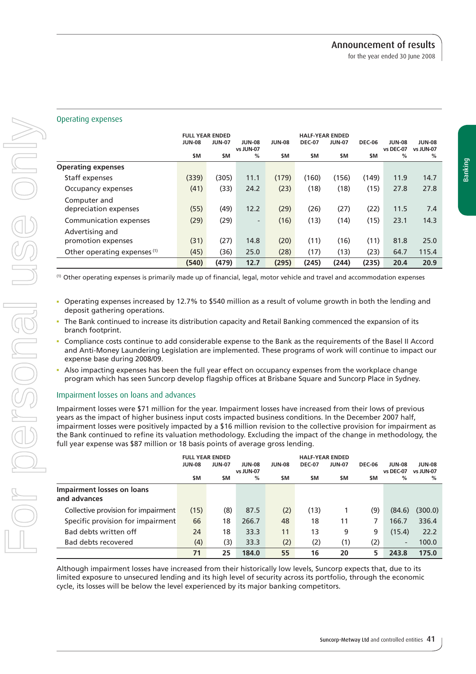Banking

#### Operating expenses

|                                         | <b>FULL YEAR ENDED</b><br><b>JUN-08</b> | <b>JUN-07</b> | <b>JUN-08</b>            | <b>JUN-08</b> | <b>HALF-YEAR ENDED</b><br><b>DEC-07</b> | <b>JUN-07</b> | <b>DEC-06</b> | <b>JUN-08</b>  | <b>JUN-08</b>  |
|-----------------------------------------|-----------------------------------------|---------------|--------------------------|---------------|-----------------------------------------|---------------|---------------|----------------|----------------|
|                                         | \$M                                     | <b>SM</b>     | vs JUN-07<br>%           | \$M           | \$M                                     | \$M           | \$M           | vs DEC-07<br>% | vs JUN-07<br>% |
| <b>Operating expenses</b>               |                                         |               |                          |               |                                         |               |               |                |                |
| Staff expenses                          | (339)                                   | (305)         | 11.1                     | (179)         | (160)                                   | (156)         | (149)         | 11.9           | 14.7           |
| Occupancy expenses                      | (41)                                    | (33)          | 24.2                     | (23)          | (18)                                    | (18)          | (15)          | 27.8           | 27.8           |
| Computer and<br>depreciation expenses   | (55)                                    | (49)          | 12.2                     | (29)          | (26)                                    | (27)          | (22)          | 11.5           | 7.4            |
| Communication expenses                  | (29)                                    | (29)          | $\overline{\phantom{a}}$ | (16)          | (13)                                    | (14)          | (15)          | 23.1           | 14.3           |
| Advertising and<br>promotion expenses   | (31)                                    | (27)          | 14.8                     | (20)          | (11)                                    | (16)          | (11)          | 81.8           | 25.0           |
| Other operating expenses <sup>(1)</sup> | (45)                                    | (36)          | 25.0                     | (28)          | (17)                                    | (13)          | (23)          | 64.7           | 115.4          |
|                                         | (540)                                   | (479)         | 12.7                     | (295)         | (245)                                   | (244)         | (235)         | 20.4           | 20.9           |

<sup>(1)</sup> Other operating expenses is primarily made up of financial, legal, motor vehicle and travel and accommodation expenses

- Operating expenses increased by 12.7% to \$540 million as a result of volume growth in both the lending and deposit gathering operations.
- The Bank continued to increase its distribution capacity and Retail Banking commenced the expansion of its branch footprint.
- Compliance costs continue to add considerable expense to the Bank as the requirements of the Basel II Accord and Anti-Money Laundering Legislation are implemented. These programs of work will continue to impact our expense base during 2008/09.
- Also impacting expenses has been the full year effect on occupancy expenses from the workplace change program which has seen Suncorp develop flagship offices at Brisbane Square and Suncorp Place in Sydney.

#### Impairment losses on loans and advances

Impairment losses were \$71 million for the year. Impairment losses have increased from their lows of previous years as the impact of higher business input costs impacted business conditions. In the December 2007 half, impairment losses were positively impacted by a \$16 million revision to the collective provision for impairment as the Bank continued to refine its valuation methodology. Excluding the impact of the change in methodology, the full year expense was \$87 million or 18 basis points of average gross lending.

|                                            | <b>FULL YEAR ENDED</b><br><b>JUN-08</b> | <b>JUN-07</b> | <b>JUN-08</b><br>vs JUN-07 | <b>JUN-08</b> | <b>HALF-YEAR ENDED</b><br><b>DEC-07</b> | <b>JUN-07</b> | <b>DEC-06</b> | <b>JUN-08</b><br>vs DEC-07 | <b>JUN-08</b><br>vs JUN-07 |
|--------------------------------------------|-----------------------------------------|---------------|----------------------------|---------------|-----------------------------------------|---------------|---------------|----------------------------|----------------------------|
|                                            | \$M                                     | <b>SM</b>     | %                          | \$M           | \$M                                     | \$M           | <b>SM</b>     | %                          | %                          |
| Impairment losses on loans<br>and advances |                                         |               |                            |               |                                         |               |               |                            |                            |
| Collective provision for impairment        | (15)                                    | (8)           | 87.5                       | (2)           | (13)                                    |               | (9)           | (84.6)                     | (300.0)                    |
| Specific provision for impairment          | 66                                      | 18            | 266.7                      | 48            | 18                                      | 11            |               | 166.7                      | 336.4                      |
| Bad debts written off                      | 24                                      | 18            | 33.3                       | 11            | 13                                      | 9             | 9             | (15.4)                     | 22.2                       |
| Bad debts recovered                        | (4)                                     | (3)           | 33.3                       | (2)           | (2)                                     | (1)           | (2)           | $\overline{\phantom{a}}$   | 100.0                      |
|                                            | 71                                      | 25            | 184.0                      | 55            | 16                                      | 20            | 5             | 243.8                      | 175.0                      |

Although impairment losses have increased from their historically low levels, Suncorp expects that, due to its limited exposure to unsecured lending and its high level of security across its portfolio, through the economic cycle, its losses will be below the level experienced by its major banking competitors.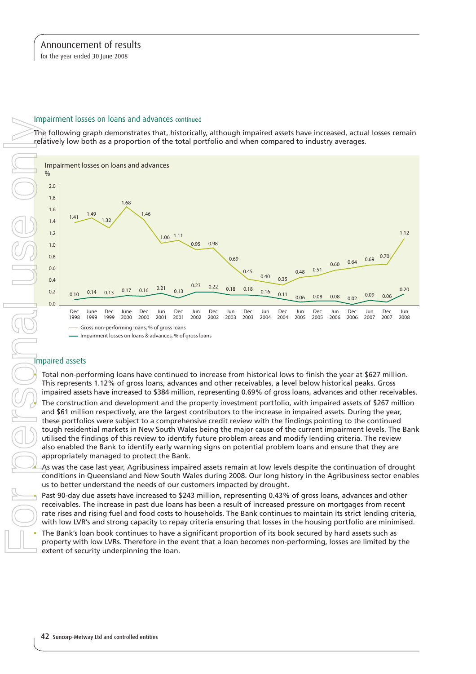for the year ended 30 June 2008

#### Impairment losses on loans and advances continued

The following graph demonstrates that, historically, although impaired assets have increased, actual losses remain relatively low both as a proportion of the total portfolio and when compared to industry averages.



#### Impaired assets

Total non-performing loans have continued to increase from historical lows to finish the year at \$627 million. This represents 1.12% of gross loans, advances and other receivables, a level below historical peaks. Gross impaired assets have increased to \$384 million, representing 0.69% of gross loans, advances and other receivables.

 The construction and development and the property investment portfolio, with impaired assets of \$267 million and \$61 million respectively, are the largest contributors to the increase in impaired assets. During the year, these portfolios were subject to a comprehensive credit review with the findings pointing to the continued tough residential markets in New South Wales being the major cause of the current impairment levels. The Bank utilised the findings of this review to identify future problem areas and modify lending criteria. The review also enabled the Bank to identify early warning signs on potential problem loans and ensure that they are appropriately managed to protect the Bank.

 As was the case last year, Agribusiness impaired assets remain at low levels despite the continuation of drought conditions in Queensland and New South Wales during 2008. Our long history in the Agribusiness sector enables us to better understand the needs of our customers impacted by drought.

 Past 90-day due assets have increased to \$243 million, representing 0.43% of gross loans, advances and other receivables. The increase in past due loans has been a result of increased pressure on mortgages from recent rate rises and rising fuel and food costs to households. The Bank continues to maintain its strict lending criteria, with low LVR's and strong capacity to repay criteria ensuring that losses in the housing portfolio are minimised.

The Bank's loan book continues to have a significant proportion of its book secured by hard assets such as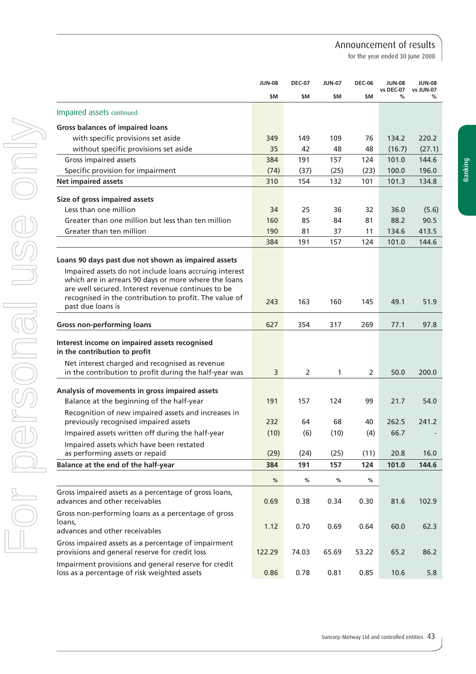for the year ended 30 June 2008

Banking

|                                                                                                                                                                                                                                | <b>JUN-08</b> | <b>DEC-07</b>  | <b>JUN-07</b> | <b>DEC-06</b> | <b>JUN-08</b>  | <b>JUN-08</b>  |
|--------------------------------------------------------------------------------------------------------------------------------------------------------------------------------------------------------------------------------|---------------|----------------|---------------|---------------|----------------|----------------|
|                                                                                                                                                                                                                                | \$M           | \$M            | \$M           | \$M           | vs DEC-07<br>℅ | vs JUN-07<br>℅ |
| Impaired assets continued                                                                                                                                                                                                      |               |                |               |               |                |                |
| <b>Gross balances of impaired loans</b>                                                                                                                                                                                        |               |                |               |               |                |                |
| with specific provisions set aside                                                                                                                                                                                             | 349           | 149            | 109           | 76            | 134.2          | 220.2          |
| without specific provisions set aside                                                                                                                                                                                          | 35            | 42             | 48            | 48            | (16.7)         | (27.1)         |
| Gross impaired assets                                                                                                                                                                                                          | 384           | 191            | 157           | 124           | 101.0          | 144.6          |
| Specific provision for impairment                                                                                                                                                                                              | (74)          | (37)           | (25)          | (23)          | 100.0          | 196.0          |
| <b>Net impaired assets</b>                                                                                                                                                                                                     | 310           | 154            | 132           | 101           | 101.3          | 134.8          |
| Size of gross impaired assets                                                                                                                                                                                                  |               |                |               |               |                |                |
| Less than one million                                                                                                                                                                                                          | 34            | 25             | 36            | 32            | 36.0           | (5.6)          |
| Greater than one million but less than ten million                                                                                                                                                                             | 160           | 85             | 84            | 81            | 88.2           | 90.5           |
| Greater than ten million                                                                                                                                                                                                       | 190           | 81             | 37            | 11            | 134.6          | 413.5          |
|                                                                                                                                                                                                                                | 384           | 191            | 157           | 124           | 101.0          | 144.6          |
| Loans 90 days past due not shown as impaired assets                                                                                                                                                                            |               |                |               |               |                |                |
| Impaired assets do not include loans accruing interest<br>which are in arrears 90 days or more where the loans<br>are well secured. Interest revenue continues to be<br>recognised in the contribution to profit. The value of | 243           | 163            | 160           | 145           | 49.1           | 51.9           |
| past due loans is                                                                                                                                                                                                              |               |                |               |               |                |                |
| <b>Gross non-performing loans</b>                                                                                                                                                                                              | 627           | 354            | 317           | 269           | 77.1           | 97.8           |
| Interest income on impaired assets recognised<br>in the contribution to profit                                                                                                                                                 |               |                |               |               |                |                |
| Net interest charged and recognised as revenue<br>in the contribution to profit during the half-year was                                                                                                                       | 3             | $\overline{2}$ | 1             | 2             | 50.0           | 200.0          |
| Analysis of movements in gross impaired assets                                                                                                                                                                                 |               |                |               |               |                |                |
| Balance at the beginning of the half-year                                                                                                                                                                                      | 191           | 157            | 124           | 99            | 21.7           | 54.0           |
| Recognition of new impaired assets and increases in                                                                                                                                                                            |               |                |               |               |                |                |
| previously recognised impaired assets                                                                                                                                                                                          | 232           | 64             | 68            | 40            | 262.5          | 241.2          |
| Impaired assets written off during the half-year                                                                                                                                                                               | (10)          | (6)            | (10)          | (4)           | 66.7           |                |
| Impaired assets which have been restated                                                                                                                                                                                       |               |                |               |               |                |                |
| as performing assets or repaid                                                                                                                                                                                                 | (29)          | (24)           | (25)          | (11)          | 20.8           | 16.0           |
| Balance at the end of the half-year                                                                                                                                                                                            | 384           | 191            | 157           | 124           | 101.0          | 144.6          |
|                                                                                                                                                                                                                                | $\%$          | %              | %             | %             |                |                |
| Gross impaired assets as a percentage of gross loans,<br>advances and other receivables                                                                                                                                        | 0.69          | 0.38           | 0.34          | 0.30          | 81.6           | 102.9          |
| Gross non-performing loans as a percentage of gross<br>loans,<br>advances and other receivables                                                                                                                                | 1.12          | 0.70           | 0.69          | 0.64          | 60.0           | 62.3           |
| Gross impaired assets as a percentage of impairment<br>provisions and general reserve for credit loss                                                                                                                          | 122.29        | 74.03          | 65.69         | 53.22         | 65.2           | 86.2           |
| Impairment provisions and general reserve for credit<br>loss as a percentage of risk weighted assets                                                                                                                           | 0.86          | 0.78           | 0.81          | 0.85          | 10.6           | 5.8            |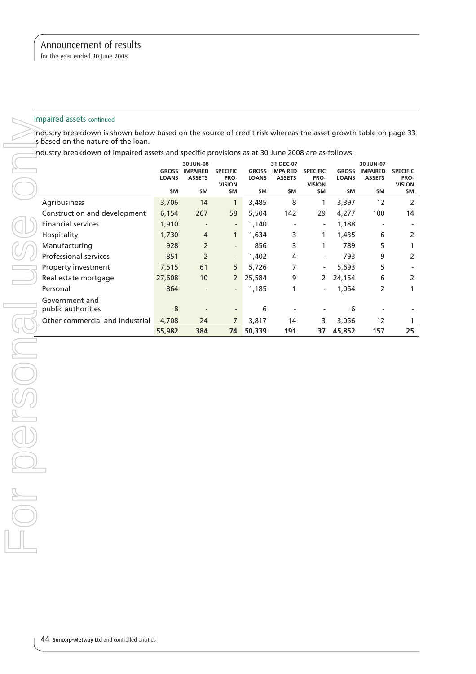for the year ended 30 June 2008

#### Impaired assets continued

Industry breakdown is shown below based on the source of credit risk whereas the asset growth table on page 33 is based on the nature of the loan.

| Industry breakdown of impaired assets and specific provisions as at 30 June 2008 are as follows: |                              |                                               |                                          |                              |                                               |                                          |                              |                                               |                                          |
|--------------------------------------------------------------------------------------------------|------------------------------|-----------------------------------------------|------------------------------------------|------------------------------|-----------------------------------------------|------------------------------------------|------------------------------|-----------------------------------------------|------------------------------------------|
|                                                                                                  | <b>GROSS</b><br><b>LOANS</b> | 30 JUN-08<br><b>IMPAIRED</b><br><b>ASSETS</b> | <b>SPECIFIC</b><br>PRO-<br><b>VISION</b> | <b>GROSS</b><br><b>LOANS</b> | 31 DEC-07<br><b>IMPAIRED</b><br><b>ASSETS</b> | <b>SPECIFIC</b><br>PRO-<br><b>VISION</b> | <b>GROSS</b><br><b>LOANS</b> | 30 JUN-07<br><b>IMPAIRED</b><br><b>ASSETS</b> | <b>SPECIFIC</b><br>PRO-<br><b>VISION</b> |
|                                                                                                  | \$M                          | \$M                                           | \$M                                      | \$M                          | \$M                                           | \$M                                      | \$M                          | \$M                                           | \$M                                      |
| Agribusiness                                                                                     | 3,706                        | 14                                            | 1                                        | 3,485                        | 8                                             |                                          | 3,397                        | 12                                            | 2                                        |
| Construction and development                                                                     | 6,154                        | 267                                           | 58                                       | 5,504                        | 142                                           | 29                                       | 4,277                        | 100                                           | 14                                       |
| <b>Financial services</b>                                                                        | 1,910                        | $\overline{\phantom{0}}$                      | $\overline{\phantom{a}}$                 | 1,140                        |                                               | $\overline{\phantom{a}}$                 | 1,188                        |                                               |                                          |
| Hospitality                                                                                      | 1,730                        | 4                                             | 1                                        | 1,634                        | 3                                             |                                          | 1,435                        | 6                                             | 2                                        |
| Manufacturing                                                                                    | 928                          | $\overline{2}$                                |                                          | 856                          | 3                                             |                                          | 789                          | 5                                             |                                          |
| <b>Professional services</b>                                                                     | 851                          | $\overline{2}$                                | $\overline{\phantom{a}}$                 | 1,402                        | 4                                             | $\overline{\phantom{a}}$                 | 793                          | 9                                             | 2                                        |
| Property investment                                                                              | 7,515                        | 61                                            | 5                                        | 5,726                        |                                               | $\overline{\phantom{a}}$                 | 5,693                        | 5                                             |                                          |
| Real estate mortgage                                                                             | 27,608                       | 10                                            | $\overline{2}$                           | 25,584                       | 9                                             | 2                                        | 24,154                       | 6                                             | 2                                        |
| Personal                                                                                         | 864                          |                                               | $\overline{\phantom{a}}$                 | 1,185                        |                                               | $\overline{\phantom{a}}$                 | 1,064                        | 2                                             |                                          |
| Government and                                                                                   |                              |                                               |                                          |                              |                                               |                                          |                              |                                               |                                          |
| public authorities                                                                               | 8                            |                                               |                                          | 6                            |                                               |                                          | 6                            |                                               |                                          |
| Other commercial and industrial                                                                  | 4,708                        | 24                                            | $\overline{7}$                           | 3,817                        | 14                                            | 3                                        | 3,056                        | 12                                            |                                          |
|                                                                                                  | 55,982                       | 384                                           | 74                                       | 50,339                       | 191                                           | 37                                       | 45,852                       | 157                                           | 25                                       |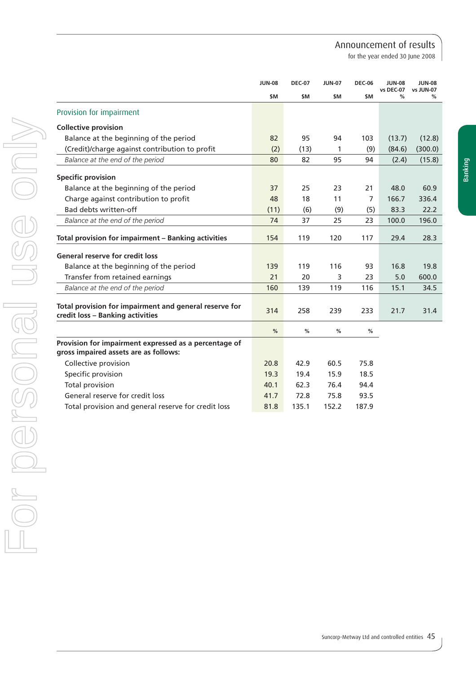for the year ended 30 June 2008

Banking

|                                                                                                | <b>JUN-08</b> | <b>DEC-07</b> | <b>JUN-07</b> | <b>DEC-06</b> | <b>JUN-08</b><br>vs DEC-07 | <b>JUN-08</b><br>vs JUN-07 |
|------------------------------------------------------------------------------------------------|---------------|---------------|---------------|---------------|----------------------------|----------------------------|
|                                                                                                | \$M           | \$M           | \$M           | \$M           | %                          | %                          |
| Provision for impairment                                                                       |               |               |               |               |                            |                            |
| <b>Collective provision</b>                                                                    |               |               |               |               |                            |                            |
| Balance at the beginning of the period                                                         | 82            | 95            | 94            | 103           | (13.7)                     | (12.8)                     |
| (Credit)/charge against contribution to profit                                                 | (2)           | (13)          | 1             | (9)           | (84.6)                     | (300.0)                    |
| Balance at the end of the period                                                               | 80            | 82            | 95            | 94            | (2.4)                      | (15.8)                     |
| <b>Specific provision</b>                                                                      |               |               |               |               |                            |                            |
| Balance at the beginning of the period                                                         | 37            | 25            | 23            | 21            | 48.0                       | 60.9                       |
| Charge against contribution to profit                                                          | 48            | 18            | 11            | 7             | 166.7                      | 336.4                      |
| Bad debts written-off                                                                          | (11)          | (6)           | (9)           | (5)           | 83.3                       | 22.2                       |
| Balance at the end of the period                                                               | 74            | 37            | 25            | 23            | 100.0                      | 196.0                      |
| Total provision for impairment - Banking activities                                            | 154           | 119           | 120           | 117           | 29.4                       | 28.3                       |
| <b>General reserve for credit loss</b>                                                         |               |               |               |               |                            |                            |
| Balance at the beginning of the period                                                         | 139           | 119           | 116           | 93            | 16.8                       | 19.8                       |
| Transfer from retained earnings                                                                | 21            | 20            | 3             | 23            | 5.0                        | 600.0                      |
| Balance at the end of the period                                                               | 160           | 139           | 119           | 116           | 15.1                       | 34.5                       |
| Total provision for impairment and general reserve for<br>credit loss - Banking activities     | 314           | 258           | 239           | 233           | 21.7                       | 31.4                       |
|                                                                                                | %             | %             | %             | %             |                            |                            |
| Provision for impairment expressed as a percentage of<br>gross impaired assets are as follows: |               |               |               |               |                            |                            |
| Collective provision                                                                           | 20.8          | 42.9          | 60.5          | 75.8          |                            |                            |
| Specific provision                                                                             | 19.3          | 19.4          | 15.9          | 18.5          |                            |                            |
| <b>Total provision</b>                                                                         | 40.1          | 62.3          | 76.4          | 94.4          |                            |                            |
| General reserve for credit loss                                                                | 41.7          | 72.8          | 75.8          | 93.5          |                            |                            |
| Total provision and general reserve for credit loss                                            | 81.8          | 135.1         | 152.2         | 187.9         |                            |                            |

Suncorp-Metway Ltd and controlled entities 45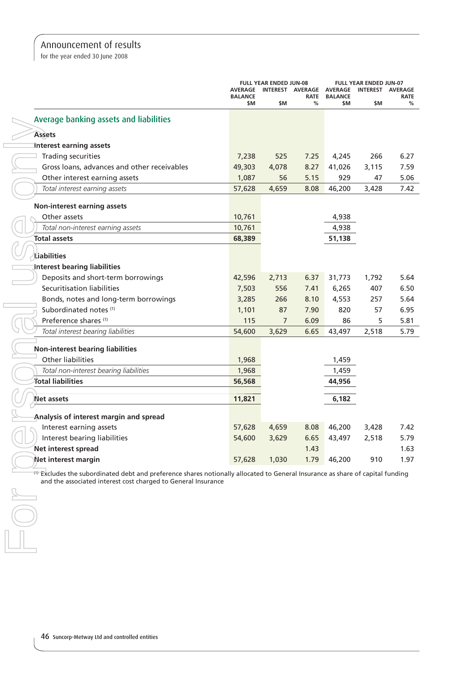for the year ended 30 June 2008

|                                                                                                                                                       |                           | <b>FULL YEAR ENDED JUN-08</b> |      |                                  | <b>FULL YEAR ENDED JUN-07</b> |                          |
|-------------------------------------------------------------------------------------------------------------------------------------------------------|---------------------------|-------------------------------|------|----------------------------------|-------------------------------|--------------------------|
|                                                                                                                                                       | AVERAGE<br><b>BALANCE</b> | INTEREST AVERAGE              | RATE | <b>AVERAGE</b><br><b>BALANCE</b> |                               | INTEREST AVERAGE<br>RATE |
|                                                                                                                                                       | \$M                       | \$M                           | %    | \$M                              | \$M                           | %                        |
| Average banking assets and liabilities                                                                                                                |                           |                               |      |                                  |                               |                          |
| <b>Assets</b>                                                                                                                                         |                           |                               |      |                                  |                               |                          |
| <b>Interest earning assets</b>                                                                                                                        |                           |                               |      |                                  |                               |                          |
| <b>Trading securities</b>                                                                                                                             | 7,238                     | 525                           | 7.25 | 4,245                            | 266                           | 6.27                     |
| Gross loans, advances and other receivables                                                                                                           | 49,303                    | 4,078                         | 8.27 | 41,026                           | 3,115                         | 7.59                     |
| Other interest earning assets                                                                                                                         | 1,087                     | 56                            | 5.15 | 929                              | 47                            | 5.06                     |
| Total interest earning assets                                                                                                                         | 57,628                    | 4,659                         | 8.08 | 46,200                           | 3,428                         | 7.42                     |
| <b>Non-interest earning assets</b>                                                                                                                    |                           |                               |      |                                  |                               |                          |
| Other assets                                                                                                                                          | 10,761                    |                               |      | 4,938                            |                               |                          |
| Total non-interest earning assets                                                                                                                     | 10,761                    |                               |      | 4,938                            |                               |                          |
| <b>Total assets</b>                                                                                                                                   | 68,389                    |                               |      | 51,138                           |                               |                          |
|                                                                                                                                                       |                           |                               |      |                                  |                               |                          |
| Liabilities<br><b>Interest bearing liabilities</b>                                                                                                    |                           |                               |      |                                  |                               |                          |
| Deposits and short-term borrowings                                                                                                                    | 42,596                    | 2,713                         | 6.37 | 31,773                           | 1,792                         | 5.64                     |
| Securitisation liabilities                                                                                                                            | 7,503                     | 556                           | 7.41 | 6,265                            | 407                           | 6.50                     |
| Bonds, notes and long-term borrowings                                                                                                                 | 3,285                     | 266                           | 8.10 | 4,553                            | 257                           | 5.64                     |
| Subordinated notes (1)                                                                                                                                | 1,101                     | 87                            | 7.90 | 820                              | 57                            | 6.95                     |
| Preference shares <sup>(1)</sup>                                                                                                                      | 115                       | 7                             | 6.09 | 86                               | 5                             | 5.81                     |
| Total interest bearing liabilities                                                                                                                    | 54,600                    | 3,629                         | 6.65 | 43,497                           | 2,518                         | 5.79                     |
| <b>Non-interest bearing liabilities</b>                                                                                                               |                           |                               |      |                                  |                               |                          |
| <b>Other liabilities</b>                                                                                                                              | 1,968                     |                               |      | 1,459                            |                               |                          |
| Total non-interest bearing liabilities                                                                                                                | 1,968                     |                               |      | 1,459                            |                               |                          |
| <b>Total liabilities</b>                                                                                                                              | 56,568                    |                               |      | 44,956                           |                               |                          |
| Net assets                                                                                                                                            | 11,821                    |                               |      | 6,182                            |                               |                          |
|                                                                                                                                                       |                           |                               |      |                                  |                               |                          |
| Analysis of interest margin and spread                                                                                                                |                           |                               |      |                                  |                               |                          |
| Interest earning assets                                                                                                                               | 57,628                    | 4,659                         | 8.08 | 46,200                           | 3,428                         | 7.42                     |
| Interest bearing liabilities                                                                                                                          | 54,600                    | 3,629                         |      | 6.65 43,497                      | 2,518                         | 5.79                     |
| Net interest spread                                                                                                                                   |                           |                               | 1.43 |                                  |                               | 1.63                     |
| Net interest margin<br>(a) Excludes the subordinated debt and preference shares notionally allocated to General Insurance as share of capital funding | 57,628                    | 1,030                         | 1.79 | 46,200                           | 910                           | 1.97                     |
| and the associated interest cost charged to General Insurance                                                                                         |                           |                               |      |                                  |                               |                          |
|                                                                                                                                                       |                           |                               |      |                                  |                               |                          |
|                                                                                                                                                       |                           |                               |      |                                  |                               |                          |
|                                                                                                                                                       |                           |                               |      |                                  |                               |                          |
|                                                                                                                                                       |                           |                               |      |                                  |                               |                          |
|                                                                                                                                                       |                           |                               |      |                                  |                               |                          |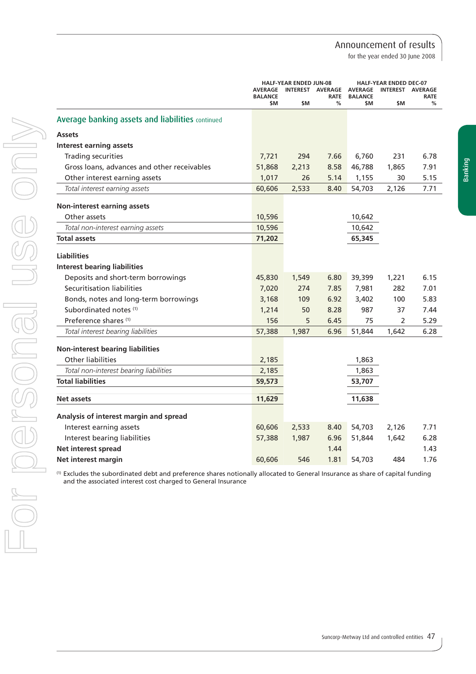for the year ended 30 June 2008

Banking

|                                                  |                                  | <b>HALF-YEAR ENDED JUN-08</b> |                                         |                | <b>HALF-YEAR ENDED DEC-07</b> |                               |
|--------------------------------------------------|----------------------------------|-------------------------------|-----------------------------------------|----------------|-------------------------------|-------------------------------|
|                                                  | <b>AVERAGE</b><br><b>BALANCE</b> |                               | INTEREST AVERAGE AVERAGE<br><b>RATE</b> | <b>BALANCE</b> | <b>INTEREST</b>               | <b>AVERAGE</b><br><b>RATE</b> |
|                                                  | \$M                              | \$M                           | %                                       | \$M            | \$M                           | %                             |
| Average banking assets and liabilities continued |                                  |                               |                                         |                |                               |                               |
| <b>Assets</b>                                    |                                  |                               |                                         |                |                               |                               |
| <b>Interest earning assets</b>                   |                                  |                               |                                         |                |                               |                               |
| <b>Trading securities</b>                        | 7,721                            | 294                           | 7.66                                    | 6,760          | 231                           | 6.78                          |
| Gross loans, advances and other receivables      | 51,868                           | 2,213                         | 8.58                                    | 46,788         | 1,865                         | 7.91                          |
| Other interest earning assets                    | 1,017                            | 26                            | 5.14                                    | 1,155          | 30                            | 5.15                          |
| Total interest earning assets                    | 60,606                           | 2,533                         | 8.40                                    | 54,703         | 2,126                         | 7.71                          |
| <b>Non-interest earning assets</b>               |                                  |                               |                                         |                |                               |                               |
| Other assets                                     | 10,596                           |                               |                                         | 10,642         |                               |                               |
| Total non-interest earning assets                | 10,596                           |                               |                                         | 10,642         |                               |                               |
| <b>Total assets</b>                              | 71,202                           |                               |                                         | 65,345         |                               |                               |
| <b>Liabilities</b>                               |                                  |                               |                                         |                |                               |                               |
| <b>Interest bearing liabilities</b>              |                                  |                               |                                         |                |                               |                               |
| Deposits and short-term borrowings               | 45,830                           | 1,549                         | 6.80                                    | 39,399         | 1,221                         | 6.15                          |
| Securitisation liabilities                       | 7,020                            | 274                           | 7.85                                    | 7,981          | 282                           | 7.01                          |
| Bonds, notes and long-term borrowings            | 3,168                            | 109                           | 6.92                                    | 3,402          | 100                           | 5.83                          |
| Subordinated notes (1)                           | 1,214                            | 50                            | 8.28                                    | 987            | 37                            | 7.44                          |
| Preference shares <sup>(1)</sup>                 | 156                              | 5                             | 6.45                                    | 75             | $\overline{2}$                | 5.29                          |
| Total interest bearing liabilities               | 57,388                           | 1,987                         | 6.96                                    | 51,844         | 1,642                         | 6.28                          |
| <b>Non-interest bearing liabilities</b>          |                                  |                               |                                         |                |                               |                               |
| <b>Other liabilities</b>                         | 2,185                            |                               |                                         | 1,863          |                               |                               |
| Total non-interest bearing liabilities           | 2,185                            |                               |                                         | 1,863          |                               |                               |
| <b>Total liabilities</b>                         | 59,573                           |                               |                                         | 53,707         |                               |                               |
| <b>Net assets</b>                                | 11,629                           |                               |                                         | 11,638         |                               |                               |
| Analysis of interest margin and spread           |                                  |                               |                                         |                |                               |                               |
| Interest earning assets                          | 60,606                           | 2,533                         | 8.40                                    | 54,703         | 2,126                         | 7.71                          |
| Interest bearing liabilities                     | 57,388                           | 1,987                         | 6.96                                    | 51,844         | 1,642                         | 6.28                          |
| Net interest spread                              |                                  |                               | 1.44                                    |                |                               | 1.43                          |
| Net interest margin                              | 60,606                           | 546                           | 1.81                                    | 54,703         | 484                           | 1.76                          |

(1) Excludes the subordinated debt and preference shares notionally allocated to General Insurance as share of capital funding and the associated interest cost charged to General Insurance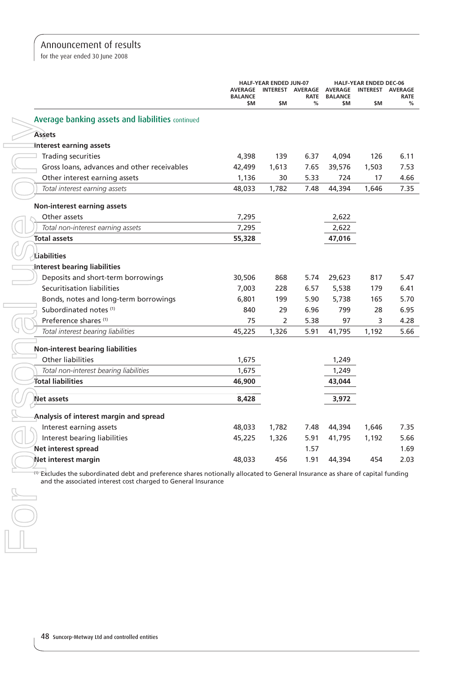for the year ended 30 June 2008

|                                                                                                                                                                                                               |                                  | HALF-YEAR ENDED JUN-07  |           |                                         | <b>HALF-YEAR ENDED DEC-06</b> |                               |
|---------------------------------------------------------------------------------------------------------------------------------------------------------------------------------------------------------------|----------------------------------|-------------------------|-----------|-----------------------------------------|-------------------------------|-------------------------------|
|                                                                                                                                                                                                               | AVERAGE<br><b>BALANCE</b><br>\$M | INTEREST AVERAGE<br>\$M | RATE<br>% | <b>AVERAGE</b><br><b>BALANCE</b><br>\$M | \$M                           | INTEREST AVERAGE<br>RATE<br>% |
| Average banking assets and liabilities continued                                                                                                                                                              |                                  |                         |           |                                         |                               |                               |
| <b>Assets</b>                                                                                                                                                                                                 |                                  |                         |           |                                         |                               |                               |
| <b>Interest earning assets</b>                                                                                                                                                                                |                                  |                         |           |                                         |                               |                               |
| <b>Trading securities</b>                                                                                                                                                                                     | 4,398                            | 139                     | 6.37      | 4,094                                   | 126                           | 6.11                          |
| Gross loans, advances and other receivables                                                                                                                                                                   | 42,499                           | 1,613                   | 7.65      | 39,576                                  | 1,503                         | 7.53                          |
| Other interest earning assets                                                                                                                                                                                 | 1,136                            | 30                      | 5.33      | 724                                     | 17                            | 4.66                          |
| Total interest earning assets                                                                                                                                                                                 | 48,033                           | 1,782                   | 7.48      | 44,394                                  | 1,646                         | 7.35                          |
| Non-interest earning assets                                                                                                                                                                                   |                                  |                         |           |                                         |                               |                               |
| Other assets                                                                                                                                                                                                  | 7,295                            |                         |           | 2,622                                   |                               |                               |
| Total non-interest earning assets                                                                                                                                                                             | 7,295                            |                         |           | 2,622                                   |                               |                               |
| <b>Total assets</b>                                                                                                                                                                                           | 55,328                           |                         |           | 47,016                                  |                               |                               |
| Liabilities                                                                                                                                                                                                   |                                  |                         |           |                                         |                               |                               |
| <b>Interest bearing liabilities</b>                                                                                                                                                                           |                                  |                         |           |                                         |                               |                               |
| Deposits and short-term borrowings                                                                                                                                                                            | 30,506                           | 868                     | 5.74      | 29,623                                  | 817                           | 5.47                          |
| Securitisation liabilities                                                                                                                                                                                    | 7,003                            | 228                     | 6.57      | 5,538                                   | 179                           | 6.41                          |
| Bonds, notes and long-term borrowings                                                                                                                                                                         | 6,801                            | 199                     | 5.90      | 5,738                                   | 165                           | 5.70                          |
| Subordinated notes (1)                                                                                                                                                                                        | 840                              | 29                      | 6.96      | 799                                     | 28                            | 6.95                          |
| Preference shares <sup>(1)</sup>                                                                                                                                                                              | 75                               | 2                       | 5.38      | 97                                      | 3                             | 4.28                          |
| Total interest bearing liabilities                                                                                                                                                                            | 45,225                           | 1,326                   | 5.91      | 41,795                                  | 1,192                         | 5.66                          |
| <b>Non-interest bearing liabilities</b>                                                                                                                                                                       |                                  |                         |           |                                         |                               |                               |
| <b>Other liabilities</b>                                                                                                                                                                                      | 1,675                            |                         |           | 1,249                                   |                               |                               |
| Total non-interest bearing liabilities                                                                                                                                                                        | 1,675                            |                         |           | 1,249                                   |                               |                               |
| fotal liabilities                                                                                                                                                                                             | 46,900                           |                         |           | 43,044                                  |                               |                               |
| <b>Net assets</b>                                                                                                                                                                                             | 8,428                            |                         |           | 3,972                                   |                               |                               |
| Analysis of interest margin and spread                                                                                                                                                                        |                                  |                         |           |                                         |                               |                               |
| Interest earning assets                                                                                                                                                                                       | 48,033                           | 1,782                   | 7.48      | 44,394                                  | 1,646                         | 7.35                          |
| Interest bearing liabilities                                                                                                                                                                                  | 45,225                           | 1,326                   |           | 5.91 41,795                             | 1,192                         | 5.66                          |
| <b>Net interest spread</b>                                                                                                                                                                                    |                                  |                         | 1.57      |                                         |                               | 1.69                          |
| Net interest margin                                                                                                                                                                                           | 48,033                           | 456                     | 1.91      | 44,394                                  | 454                           | 2.03                          |
| $\Leftrightarrow$ Excludes the subordinated debt and preference shares notionally allocated to General Insurance as share of capital funding<br>and the associated interest cost charged to General Insurance |                                  |                         |           |                                         |                               |                               |
|                                                                                                                                                                                                               |                                  |                         |           |                                         |                               |                               |
|                                                                                                                                                                                                               |                                  |                         |           |                                         |                               |                               |
|                                                                                                                                                                                                               |                                  |                         |           |                                         |                               |                               |
|                                                                                                                                                                                                               |                                  |                         |           |                                         |                               |                               |
|                                                                                                                                                                                                               |                                  |                         |           |                                         |                               |                               |
|                                                                                                                                                                                                               |                                  |                         |           |                                         |                               |                               |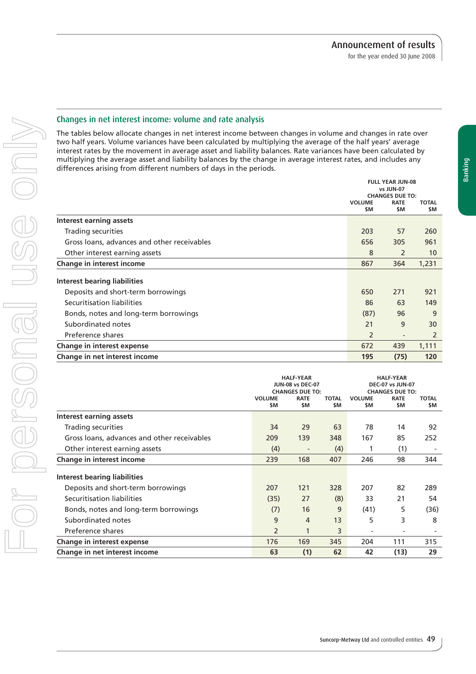Banking

### Changes in net interest income: volume and rate analysis

The tables below allocate changes in net interest income between changes in volume and changes in rate over two half years. Volume variances have been calculated by multiplying the average of the half years' average interest rates by the movement in average asset and liability balances. Rate variances have been calculated by multiplying the average asset and liability balances by the change in average interest rates, and includes any differences arising from different numbers of days in the periods.

|                                             |                      | <b>FULL YEAR JUN-08</b><br>vs JUN-07<br><b>CHANGES DUE TO:</b> |                      |  |
|---------------------------------------------|----------------------|----------------------------------------------------------------|----------------------|--|
|                                             | <b>VOLUME</b><br>\$M | <b>RATE</b><br>\$M                                             | <b>TOTAL</b><br>\$M. |  |
| <b>Interest earning assets</b>              |                      |                                                                |                      |  |
| Trading securities                          | 203                  | 57                                                             | 260                  |  |
| Gross loans, advances and other receivables | 656                  | 305                                                            | 961                  |  |
| Other interest earning assets               | 8                    | 2                                                              | 10 <sup>°</sup>      |  |
| Change in interest income                   | 867                  | 364                                                            | 1,231                |  |
| <b>Interest bearing liabilities</b>         |                      |                                                                |                      |  |
| Deposits and short-term borrowings          | 650                  | 271                                                            | 921                  |  |
| Securitisation liabilities                  | 86                   | 63                                                             | 149                  |  |
| Bonds, notes and long-term borrowings       | (87)                 | 96                                                             | 9                    |  |
| Subordinated notes                          | 21                   | 9                                                              | 30                   |  |
| Preference shares                           | 2                    | $\overline{\phantom{0}}$                                       | 2                    |  |
| Change in interest expense                  | 672                  | 439                                                            | 1,111                |  |
| Change in net interest income               | 195                  | (75)                                                           | 120                  |  |

|                                             |                | <b>HALF-YEAR</b>                                  |           | <b>HALF-YEAR</b>         |                                                   |      |
|---------------------------------------------|----------------|---------------------------------------------------|-----------|--------------------------|---------------------------------------------------|------|
|                                             |                | <b>JUN-08 vs DEC-07</b><br><b>CHANGES DUE TO:</b> |           |                          | <b>DEC-07 vs JUN-07</b><br><b>CHANGES DUE TO:</b> |      |
|                                             | <b>VOLUME</b>  | <b>RATE</b><br><b>TOTAL</b>                       |           |                          | <b>VOLUME</b><br><b>RATE</b>                      |      |
|                                             | \$M            | \$M                                               | <b>SM</b> | \$M                      | \$M                                               | \$M  |
| Interest earning assets                     |                |                                                   |           |                          |                                                   |      |
| Trading securities                          | 34             | 29                                                | 63        | 78                       | 14                                                | 92   |
| Gross loans, advances and other receivables | 209            | 139                                               | 348       | 167                      | 85                                                | 252  |
| Other interest earning assets               | (4)            |                                                   | (4)       |                          | (1)                                               |      |
| Change in interest income                   | 239            | 168                                               | 407       | 246                      | 98                                                | 344  |
| <b>Interest bearing liabilities</b>         |                |                                                   |           |                          |                                                   |      |
| Deposits and short-term borrowings          | 207            | 121                                               | 328       | 207                      | 82                                                | 289  |
| Securitisation liabilities                  | (35)           | 27                                                | (8)       | 33                       | 21                                                | 54   |
| Bonds, notes and long-term borrowings       | (7)            | 16                                                | 9         | (41)                     | 5                                                 | (36) |
| Subordinated notes                          | 9              | $\overline{4}$                                    | 13        | 5                        | 3                                                 | 8    |
| Preference shares                           | $\overline{2}$ |                                                   | 3         | $\overline{\phantom{0}}$ |                                                   |      |
| Change in interest expense                  | 176            | 169                                               | 345       | 204                      | 111                                               | 315  |
| Change in net interest income               | 63             | (1)                                               | 62        | 42                       | (13)                                              | 29   |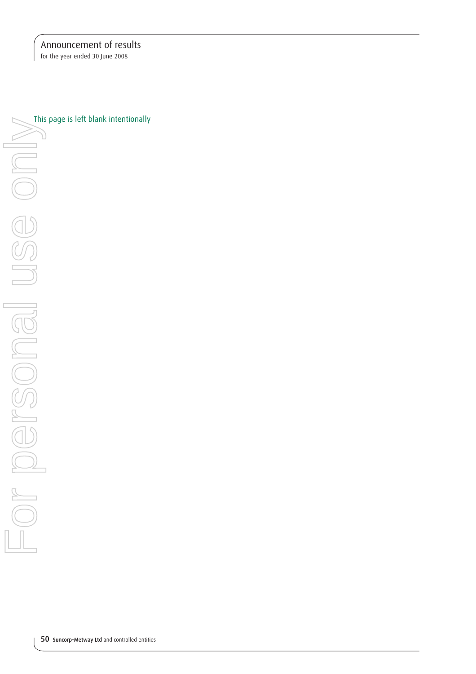for the year ended 30 June 2008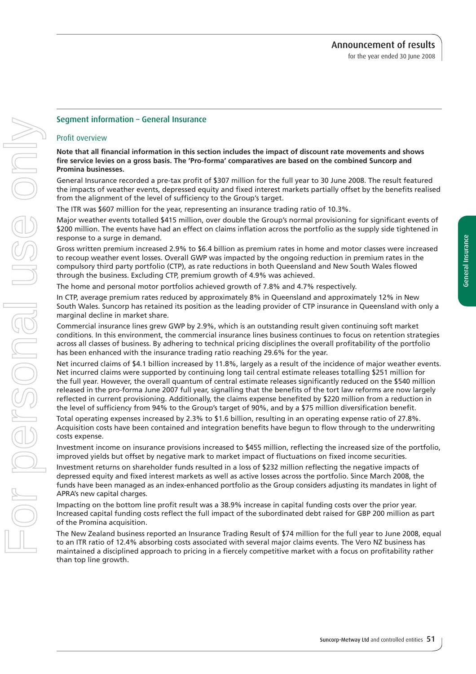General Insurance

General Insurance

## Segment information – General Insurance

#### Profit overview

#### Note that all financial information in this section includes the impact of discount rate movements and shows fire service levies on a gross basis. The 'Pro-forma' comparatives are based on the combined Suncorp and **Promina businesses.**

General Insurance recorded a pre-tax profit of \$307 million for the full year to 30 June 2008. The result featured the impacts of weather events, depressed equity and fixed interest markets partially offset by the benefits realised from the alignment of the level of sufficiency to the Group's target.

The ITR was \$607 million for the year, representing an insurance trading ratio of 10.3%.

Major weather events totalled \$415 million, over double the Group's normal provisioning for significant events of \$200 million. The events have had an effect on claims inflation across the portfolio as the supply side tightened in response to a surge in demand.

Gross written premium increased 2.9% to \$6.4 billion as premium rates in home and motor classes were increased to recoup weather event losses. Overall GWP was impacted by the ongoing reduction in premium rates in the compulsory third party portfolio (CTP), as rate reductions in both Queensland and New South Wales flowed through the business. Excluding CTP, premium growth of 4.9% was achieved.

The home and personal motor portfolios achieved growth of 7.8% and 4.7% respectively.

In CTP, average premium rates reduced by approximately 8% in Queensland and approximately 12% in New South Wales. Suncorp has retained its position as the leading provider of CTP insurance in Queensland with only a marginal decline in market share.

Commercial insurance lines grew GWP by 2.9%, which is an outstanding result given continuing soft market conditions. In this environment, the commercial insurance lines business continues to focus on retention strategies across all classes of business. By adhering to technical pricing disciplines the overall profitability of the portfolio has been enhanced with the insurance trading ratio reaching 29.6% for the year.

Net incurred claims of \$4.1 billion increased by 11.8%, largely as a result of the incidence of major weather events. Net incurred claims were supported by continuing long tail central estimate releases totalling \$251 million for the full year. However, the overall quantum of central estimate releases significantly reduced on the \$540 million released in the pro-forma June 2007 full year, signalling that the benefits of the tort law reforms are now largely reflected in current provisioning. Additionally, the claims expense benefited by \$220 million from a reduction in the level of sufficiency from 94% to the Group's target of 90%, and by a \$75 million diversification benefit.

Total operating expenses increased by 2.3% to \$1.6 billion, resulting in an operating expense ratio of 27.8%. Acquisition costs have been contained and integration benefits have begun to flow through to the underwriting costs expense.

Investment income on insurance provisions increased to \$455 million, reflecting the increased size of the portfolio, improved yields but offset by negative mark to market impact of fluctuations on fixed income securities.

Investment returns on shareholder funds resulted in a loss of \$232 million reflecting the negative impacts of depressed equity and fixed interest markets as well as active losses across the portfolio. Since March 2008, the funds have been managed as an index-enhanced portfolio as the Group considers adjusting its mandates in light of APRA's new capital charges.

Impacting on the bottom line profit result was a 38.9% increase in capital funding costs over the prior vear. Increased capital funding costs reflect the full impact of the subordinated debt raised for GBP 200 million as part of the Promina acquisition.

The New Zealand business reported an Insurance Trading Result of \$74 million for the full year to June 2008, equal to an ITR ratio of 12.4% absorbing costs associated with several major claims events. The Vero NZ business has maintained a disciplined approach to pricing in a fiercely competitive market with a focus on profitability rather than top line growth.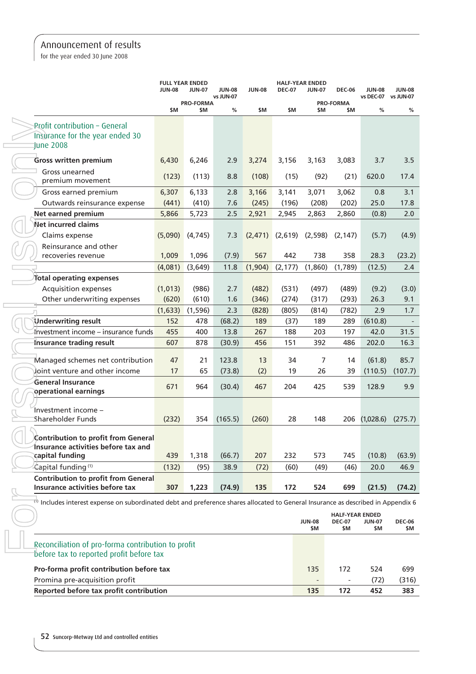for the year ended 30 June 2008

|                                                                                                                                          | <b>FULL YEAR ENDED</b><br><b>JUN-08</b> | <b>JUN-07</b>    | <b>JUN-08</b> | <b>JUN-08</b> | <b>DEC-07</b> | <b>HALF-YEAR ENDED</b><br><b>JUN-07</b> | <b>DEC-06</b>          | <b>JUN-08</b>        | <b>JUN-08</b>        |
|------------------------------------------------------------------------------------------------------------------------------------------|-----------------------------------------|------------------|---------------|---------------|---------------|-----------------------------------------|------------------------|----------------------|----------------------|
|                                                                                                                                          |                                         | <b>PRO-FORMA</b> | vs JUN-07     |               |               |                                         | <b>PRO-FORMA</b>       | vs DEC-07 vs JUN-07  |                      |
|                                                                                                                                          | \$M                                     | \$M              | %             | \$M           | \$M           | \$M                                     | \$M                    | %                    | %                    |
| Profit contribution - General                                                                                                            |                                         |                  |               |               |               |                                         |                        |                      |                      |
| Insurance for the year ended 30                                                                                                          |                                         |                  |               |               |               |                                         |                        |                      |                      |
| june 2008                                                                                                                                |                                         |                  |               |               |               |                                         |                        |                      |                      |
| <b>Gross written premium</b>                                                                                                             | 6,430                                   | 6,246            | 2.9           | 3,274         | 3,156         | 3,163                                   | 3,083                  | 3.7                  | 3.5                  |
| Gross unearned                                                                                                                           | (123)                                   | (113)            | 8.8           | (108)         | (15)          | (92)                                    | (21)                   | 620.0                | 17.4                 |
| premium movement                                                                                                                         |                                         |                  |               |               |               |                                         |                        |                      |                      |
| Gross earned premium                                                                                                                     | 6,307                                   | 6,133            | 2.8           | 3,166         | 3,141         | 3,071                                   | 3,062                  | 0.8                  | 3.1                  |
| Outwards reinsurance expense                                                                                                             | (441)                                   | (410)            | 7.6           | (245)         | (196)         | (208)                                   | (202)                  | 25.0                 | 17.8                 |
| Net earned premium                                                                                                                       | 5,866                                   | 5,723            | 2.5           | 2,921         | 2,945         | 2,863                                   | 2,860                  | (0.8)                | 2.0                  |
| Net incurred claims                                                                                                                      |                                         |                  |               |               |               |                                         |                        |                      |                      |
| Claims expense                                                                                                                           | (5,090)                                 | (4, 745)         | 7.3           | (2, 471)      |               | $(2,619)$ $(2,598)$                     | (2, 147)               | (5.7)                | (4.9)                |
| Reinsurance and other<br>recoveries revenue                                                                                              | 1,009                                   | 1,096            | (7.9)         | 567           | 442           | 738                                     | 358                    | 28.3                 | (23.2)               |
|                                                                                                                                          | (4,081)                                 | (3,649)          | 11.8          | (1,904)       | (2, 177)      | (1,860)                                 | (1,789)                | (12.5)               | 2.4                  |
| <b>Total operating expenses</b>                                                                                                          |                                         |                  |               |               |               |                                         |                        |                      |                      |
| <b>Acquisition expenses</b>                                                                                                              | (1,013)                                 | (986)            | 2.7           | (482)         | (531)         | (497)                                   | (489)                  | (9.2)                | (3.0)                |
| Other underwriting expenses                                                                                                              | (620)                                   | (610)            | 1.6           | (346)         | (274)         | (317)                                   | (293)                  | 26.3                 | 9.1                  |
|                                                                                                                                          | (1,633)                                 | (1, 596)         | 2.3           | (828)         | (805)         | (814)                                   | (782)                  | 2.9                  | 1.7                  |
| <b>Underwriting result</b>                                                                                                               | 152                                     | 478              | (68.2)        | 189           | (37)          | 189                                     | 289                    | (610.8)              |                      |
| Investment income - insurance funds                                                                                                      | 455                                     | 400              | 13.8          | 267           | 188           | 203                                     | 197                    | 42.0                 | 31.5                 |
| Insurance trading result                                                                                                                 | 607                                     | 878              | (30.9)        | 456           | 151           | 392                                     | 486                    | 202.0                | 16.3                 |
|                                                                                                                                          |                                         |                  |               |               |               |                                         |                        |                      |                      |
| Managed schemes net contribution                                                                                                         | 47                                      | 21               | 123.8         | 13            | 34            | 7                                       | 14                     | (61.8)               | 85.7                 |
| Joint venture and other income                                                                                                           | 17                                      | 65               | (73.8)        | (2)           | 19            | 26                                      | 39                     | (110.5)              | (107.7)              |
| <b>General Insurance</b><br>operational earnings                                                                                         | 671                                     | 964              | (30.4)        | 467           | 204           | 425                                     | 539                    | 128.9                | 9.9                  |
|                                                                                                                                          |                                         |                  |               |               |               |                                         |                        |                      |                      |
| Investment income -                                                                                                                      |                                         |                  |               |               |               |                                         |                        |                      |                      |
| Shareholder Funds                                                                                                                        | (232)                                   | 354              | (165.5)       | (260)         | 28            | 148                                     | 206                    | (1,028.6)            | (275.7)              |
| <b>Contribution to profit from General</b>                                                                                               |                                         |                  |               |               |               |                                         |                        |                      |                      |
| Insurance activities before tax and                                                                                                      |                                         |                  |               |               |               |                                         |                        |                      |                      |
| capital funding                                                                                                                          | 439                                     | 1,318            | (66.7)        | 207           | 232           | 573                                     | 745                    | (10.8)               | (63.9)               |
| Capital funding <sup>(1)</sup>                                                                                                           | (132)                                   | (95)             | 38.9          | (72)          | (60)          | (49)                                    | (46)                   | 20.0                 | 46.9                 |
| <b>Contribution to profit from General</b>                                                                                               |                                         |                  |               |               |               |                                         |                        |                      |                      |
| Insurance activities before tax                                                                                                          | 307                                     | 1,223            | (74.9)        | 135           | 172           | 524                                     | 699                    | (21.5)               | (74.2)               |
| $\vec{v}$ Includes interest expense on subordinated debt and preference shares allocated to General Insurance as described in Appendix 6 |                                         |                  |               |               |               |                                         |                        |                      |                      |
|                                                                                                                                          |                                         |                  |               |               |               |                                         | <b>HALF-YEAR ENDED</b> |                      |                      |
|                                                                                                                                          |                                         |                  |               |               |               | <b>JUN-08</b><br>\$M                    | <b>DEC-07</b><br>\$M   | <b>JUN-07</b><br>\$M | <b>DEC-06</b><br>\$M |
|                                                                                                                                          |                                         |                  |               |               |               |                                         |                        |                      |                      |
| Reconciliation of pro-forma contribution to profit                                                                                       |                                         |                  |               |               |               |                                         |                        |                      |                      |
| before tax to reported profit before tax                                                                                                 |                                         |                  |               |               |               |                                         |                        |                      |                      |
| Pro-forma profit contribution before tax                                                                                                 |                                         |                  |               |               |               | 135                                     | 172                    | 524                  | 699                  |
| Promina pre-acquisition profit                                                                                                           |                                         |                  |               |               |               |                                         |                        | (72)                 | (316)                |
| Reported before tax profit contribution                                                                                                  |                                         |                  |               |               |               | 135                                     | 172                    | 452                  | 383                  |

|                                                                                                |               | <b>HALF-YEAR ENDED</b>   |               |               |  |  |  |  |
|------------------------------------------------------------------------------------------------|---------------|--------------------------|---------------|---------------|--|--|--|--|
|                                                                                                | <b>JUN-08</b> | <b>DEC-07</b>            | <b>JUN-07</b> | <b>DEC-06</b> |  |  |  |  |
|                                                                                                | \$M           | <b>SM</b>                | <b>SM</b>     | \$M           |  |  |  |  |
| Reconciliation of pro-forma contribution to profit<br>before tax to reported profit before tax |               |                          |               |               |  |  |  |  |
| Pro-forma profit contribution before tax                                                       | 135           | 172                      | 524           | 699           |  |  |  |  |
| Promina pre-acquisition profit                                                                 |               | $\overline{\phantom{0}}$ | (72)          | (316)         |  |  |  |  |
| Reported before tax profit contribution                                                        | 135           | 172                      | 452           | 383           |  |  |  |  |
|                                                                                                |               |                          |               |               |  |  |  |  |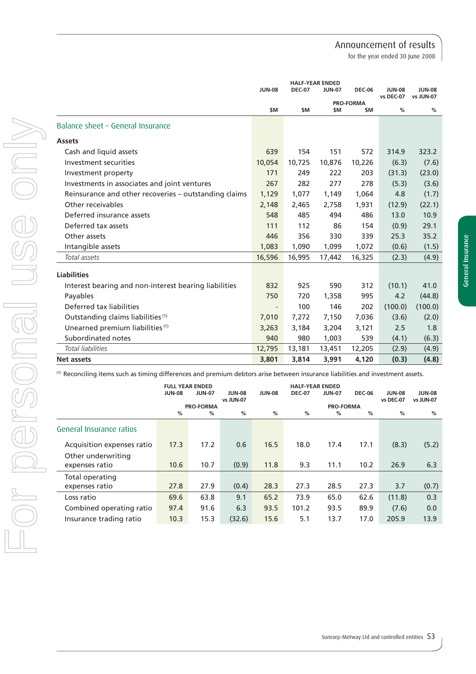for the year ended 30 June 2008

General Insurance

General Insurance

|                                                       |                          |               | <b>HALF-YEAR ENDED</b> |                  |                            |                     |
|-------------------------------------------------------|--------------------------|---------------|------------------------|------------------|----------------------------|---------------------|
|                                                       | <b>JUN-08</b>            | <b>DEC-07</b> | <b>JUN-07</b>          | <b>DEC-06</b>    | <b>JUN-08</b><br>vs DEC-07 | JUN-08<br>vs JUN-07 |
|                                                       |                          |               |                        | <b>PRO-FORMA</b> |                            |                     |
|                                                       | <b>SM</b>                | \$M           | <b>SM</b>              | \$M              | %                          | %                   |
| Balance sheet - General Insurance                     |                          |               |                        |                  |                            |                     |
| <b>Assets</b>                                         |                          |               |                        |                  |                            |                     |
| Cash and liquid assets                                | 639                      | 154           | 151                    | 572              | 314.9                      | 323.2               |
| Investment securities                                 | 10,054                   | 10,725        | 10,876                 | 10,226           | (6.3)                      | (7.6)               |
| Investment property                                   | 171                      | 249           | 222                    | 203              | (31.3)                     | (23.0)              |
| Investments in associates and joint ventures          | 267                      | 282           | 277                    | 278              | (5.3)                      | (3.6)               |
| Reinsurance and other recoveries – outstanding claims | 1,129                    | 1,077         | 1,149                  | 1,064            | 4.8                        | (1.7)               |
| Other receivables                                     | 2,148                    | 2,465         | 2,758                  | 1,931            | (12.9)                     | (22.1)              |
| Deferred insurance assets                             | 548                      | 485           | 494                    | 486              | 13.0                       | 10.9                |
| Deferred tax assets                                   | 111                      | 112           | 86                     | 154              | (0.9)                      | 29.1                |
| Other assets                                          | 446                      | 356           | 330                    | 339              | 25.3                       | 35.2                |
| Intangible assets                                     | 1,083                    | 1,090         | 1,099                  | 1,072            | (0.6)                      | (1.5)               |
| Total assets                                          | 16,596                   | 16,995        | 17,442                 | 16,325           | (2.3)                      | (4.9)               |
| <b>Liabilities</b>                                    |                          |               |                        |                  |                            |                     |
| Interest bearing and non-interest bearing liabilities | 832                      | 925           | 590                    | 312              | (10.1)                     | 41.0                |
| Payables                                              | 750                      | 720           | 1,358                  | 995              | 4.2                        | (44.8)              |
| Deferred tax liabilities                              | $\overline{\phantom{a}}$ | 100           | 146                    | 202              | (100.0)                    | (100.0)             |
| Outstanding claims liabilities <sup>(1)</sup>         | 7,010                    | 7,272         | 7,150                  | 7,036            | (3.6)                      | (2.0)               |
| Unearned premium liabilities <sup>(1)</sup>           | 3,263                    | 3,184         | 3,204                  | 3,121            | 2.5                        | 1.8                 |
| Subordinated notes                                    | 940                      | 980           | 1,003                  | 539              | (4.1)                      | (6.3)               |
| Total liabilities                                     | 12,795                   | 13,181        | 13,451                 | 12,205           | (2.9)                      | (4.9)               |
| <b>Net assets</b>                                     | 3,801                    | 3,814         | 3,991                  | 4,120            | (0.3)                      | (4.8)               |

(1) Reconciling items such as timing differences and premium debtors arise between insurance liabilities and investment assets.

|                            | <b>JUN-08</b>    | <b>FULL YEAR ENDED</b><br><b>JUN-07</b> | <b>JUN-08</b><br>vs JUN-07 | <b>JUN-08</b> | <b>HALF-YEAR ENDED</b><br><b>DEC-07</b> | <b>JUN-07</b>    | <b>DEC-06</b> | <b>JUN-08</b><br>vs DEC-07 | <b>JUN-08</b><br>vs JUN-07 |
|----------------------------|------------------|-----------------------------------------|----------------------------|---------------|-----------------------------------------|------------------|---------------|----------------------------|----------------------------|
|                            | <b>PRO-FORMA</b> |                                         |                            |               |                                         | <b>PRO-FORMA</b> |               |                            |                            |
|                            | %                | %                                       | %                          | %             | %                                       | %                | $\%$          | %                          | %                          |
| General Insurance ratios   |                  |                                         |                            |               |                                         |                  |               |                            |                            |
| Acquisition expenses ratio | 17.3             | 17.2                                    | 0.6                        | 16.5          | 18.0                                    | 17.4             | 17.1          | (8.3)                      | (5.2)                      |
| Other underwriting         |                  |                                         |                            |               |                                         |                  |               |                            |                            |
| expenses ratio             | 10.6             | 10.7                                    | (0.9)                      | 11.8          | 9.3                                     | 11.1             | 10.2          | 26.9                       | 6.3                        |
| Total operating            |                  |                                         |                            |               |                                         |                  |               |                            |                            |
| expenses ratio             | 27.8             | 27.9                                    | (0.4)                      | 28.3          | 27.3                                    | 28.5             | 27.3          | 3.7                        | (0.7)                      |
| Loss ratio                 | 69.6             | 63.8                                    | 9.1                        | 65.2          | 73.9                                    | 65.0             | 62.6          | (11.8)                     | 0.3                        |
| Combined operating ratio   | 97.4             | 91.6                                    | 6.3                        | 93.5          | 101.2                                   | 93.5             | 89.9          | (7.6)                      | 0.0                        |
| Insurance trading ratio    | 10.3             | 15.3                                    | (32.6)                     | 15.6          | 5.1                                     | 13.7             | 17.0          | 205.9                      | 13.9                       |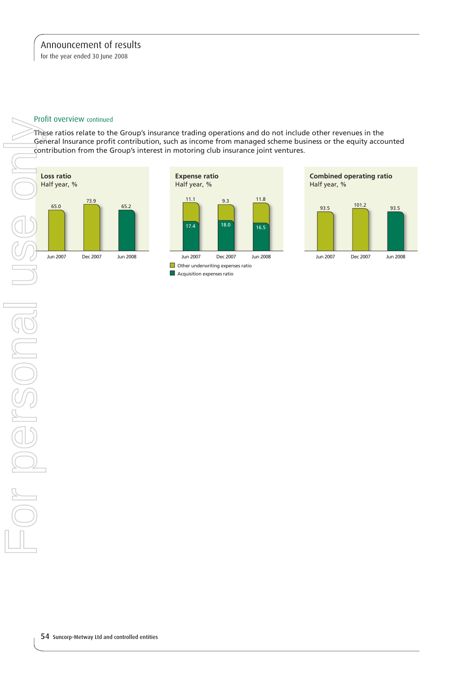for the year ended 30 June 2008

#### Profit overview continued

These ratios relate to the Group's insurance trading operations and do not include other revenues in the General Insurance profit contribution, such as income from managed scheme business or the equity accounted contribution from the Group's interest in motoring club insurance joint ventures.





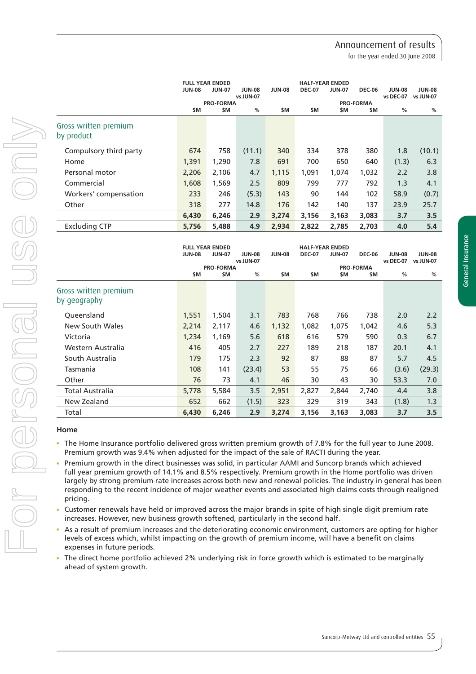for the year ended 30 June 2008

General Insurance

General Insurance

|                                     | <b>JUN-08</b> | <b>JUN-07</b>    | <b>JUN-08</b><br>vs JUN-07 | <b>JUN-08</b> | <b>DEC-07</b> | <b>JUN-07</b> | <b>DEC-06</b>    | <b>JUN-08</b><br>vs DEC-07 | <b>JUN-08</b><br>vs JUN-07 |
|-------------------------------------|---------------|------------------|----------------------------|---------------|---------------|---------------|------------------|----------------------------|----------------------------|
|                                     |               | <b>PRO-FORMA</b> |                            |               |               |               | <b>PRO-FORMA</b> |                            |                            |
|                                     | \$M           | \$M              | %                          | \$M           | \$M           | \$M           | \$M              | %                          | %                          |
| Gross written premium<br>by product |               |                  |                            |               |               |               |                  |                            |                            |
| Compulsory third party              | 674           | 758              | (11.1)                     | 340           | 334           | 378           | 380              | 1.8                        | (10.1)                     |
| Home                                | 1,391         | 1,290            | 7.8                        | 691           | 700           | 650           | 640              | (1.3)                      | 6.3                        |
| Personal motor                      | 2,206         | 2,106            | 4.7                        | 1,115         | 1,091         | 1,074         | 1,032            | 2.2                        | 3.8                        |
| Commercial                          | 1,608         | 1,569            | 2.5                        | 809           | 799           | 777           | 792              | 1.3                        | 4.1                        |
| Workers' compensation               | 233           | 246              | (5.3)                      | 143           | 90            | 144           | 102              | 58.9                       | (0.7)                      |
| Other                               | 318           | 277              | 14.8                       | 176           | 142           | 140           | 137              | 23.9                       | 25.7                       |
|                                     | 6,430         | 6,246            | 2.9                        | 3,274         | 3,156         | 3,163         | 3,083            | 3.7                        | 3.5                        |
| <b>Excluding CTP</b>                | 5,756         | 5,488            | 4.9                        | 2,934         | 2,822         | 2,785         | 2,703            | 4.0                        | 5.4                        |
|                                     |               |                  |                            |               |               |               |                  |                            |                            |

**FULL YEAR ENDED HALF-YEAR ENDED**

|                                       |               | <b>FULL YEAR ENDED</b><br><b>HALF-YEAR ENDED</b> |                            |               |               |               |               |                            |                            |
|---------------------------------------|---------------|--------------------------------------------------|----------------------------|---------------|---------------|---------------|---------------|----------------------------|----------------------------|
|                                       | <b>JUN-08</b> | <b>JUN-07</b>                                    | <b>JUN-08</b><br>vs JUN-07 | <b>JUN-08</b> | <b>DEC-07</b> | <b>JUN-07</b> | <b>DEC-06</b> | <b>JUN-08</b><br>vs DEC-07 | <b>JUN-08</b><br>vs JUN-07 |
|                                       |               | <b>PRO-FORMA</b>                                 |                            |               |               |               |               |                            |                            |
|                                       | \$M           | \$M                                              | %                          | \$M           | \$M           | \$M           | \$M           | %                          | %                          |
| Gross written premium<br>by geography |               |                                                  |                            |               |               |               |               |                            |                            |
| Queensland                            | 1,551         | 1,504                                            | 3.1                        | 783           | 768           | 766           | 738           | 2.0                        | 2.2                        |
| New South Wales                       | 2,214         | 2,117                                            | 4.6                        | 1,132         | 1,082         | 1,075         | 1,042         | 4.6                        | 5.3                        |
| Victoria                              | 1,234         | 1,169                                            | 5.6                        | 618           | 616           | 579           | 590           | 0.3                        | 6.7                        |
| Western Australia                     | 416           | 405                                              | 2.7                        | 227           | 189           | 218           | 187           | 20.1                       | 4.1                        |
| South Australia                       | 179           | 175                                              | 2.3                        | 92            | 87            | 88            | 87            | 5.7                        | 4.5                        |
| Tasmania                              | 108           | 141                                              | (23.4)                     | 53            | 55            | 75            | 66            | (3.6)                      | (29.3)                     |
| Other                                 | 76            | 73                                               | 4.1                        | 46            | 30            | 43            | 30            | 53.3                       | 7.0                        |
| Total Australia                       | 5,778         | 5,584                                            | 3.5                        | 2,951         | 2,827         | 2,844         | 2,740         | 4.4                        | 3.8                        |
| New Zealand                           | 652           | 662                                              | (1.5)                      | 323           | 329           | 319           | 343           | (1.8)                      | 1.3                        |
| Total                                 | 6,430         | 6,246                                            | 2.9                        | 3,274         | 3,156         | 3,163         | 3,083         | 3.7                        | 3.5                        |

#### **Home**

- The Home Insurance portfolio delivered gross written premium growth of 7.8% for the full year to June 2008. Premium growth was 9.4% when adjusted for the impact of the sale of RACTI during the year.
- Premium growth in the direct businesses was solid, in particular AAMI and Suncorp brands which achieved full year premium growth of 14.1% and 8.5% respectively. Premium growth in the Home portfolio was driven largely by strong premium rate increases across both new and renewal policies. The industry in general has been responding to the recent incidence of major weather events and associated high claims costs through realigned pricing.
- Customer renewals have held or improved across the major brands in spite of high single digit premium rate increases. However, new business growth softened, particularly in the second half.
- As a result of premium increases and the deteriorating economic environment, customers are opting for higher levels of excess which, whilst impacting on the growth of premium income, will have a benefit on claims expenses in future periods.
- The direct home portfolio achieved 2% underlying risk in force growth which is estimated to be marginally ahead of system growth.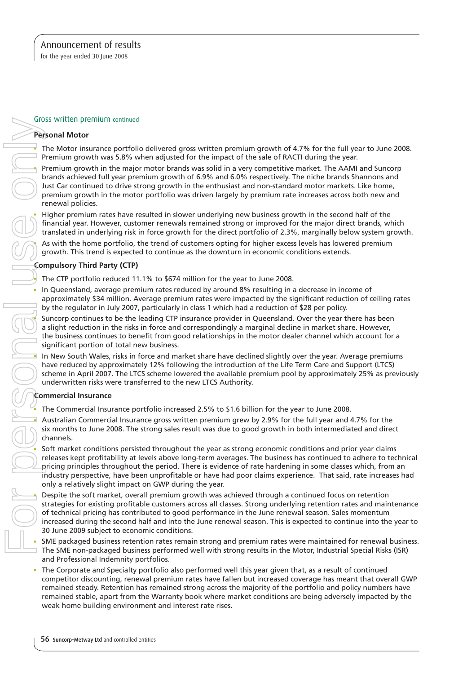#### Gross written premium continued

#### **Personal Motor**

 The Motor insurance portfolio delivered gross written premium growth of 4.7% for the full year to June 2008. Premium growth was 5.8% when adjusted for the impact of the sale of RACTI during the year.

 Premium growth in the major motor brands was solid in a very competitive market. The AAMI and Suncorp brands achieved full year premium growth of 6.9% and 6.0% respectively. The niche brands Shannons and Just Car continued to drive strong growth in the enthusiast and non-standard motor markets. Like home, premium growth in the motor portfolio was driven largely by premium rate increases across both new and renewal policies.

 Higher premium rates have resulted in slower underlying new business growth in the second half of the financial year. However, customer renewals remained strong or improved for the major direct brands, which translated in underlying risk in force growth for the direct portfolio of 2.3%, marginally below system growth.

 As with the home portfolio, the trend of customers opting for higher excess levels has lowered premium growth. This trend is expected to continue as the downturn in economic conditions extends.

## **Compulsory Third Party (CTP)**

- The CTP portfolio reduced 11.1% to \$674 million for the year to June 2008.
- In Queensland, average premium rates reduced by around 8% resulting in a decrease in income of approximately \$34 million. Average premium rates were impacted by the significant reduction of ceiling rates by the regulator in July 2007, particularly in class 1 which had a reduction of \$28 per policy.

 Suncorp continues to be the leading CTP insurance provider in Queensland. Over the year there has been a slight reduction in the risks in force and correspondingly a marginal decline in market share. However, the business continues to benefit from good relationships in the motor dealer channel which account for a significant portion of total new business.

 In New South Wales, risks in force and market share have declined slightly over the year. Average premiums have reduced by approximately 12% following the introduction of the Life Term Care and Support (LTCS) scheme in April 2007. The LTCS scheme lowered the available premium pool by approximately 25% as previously underwritten risks were transferred to the new LTCS Authority.

#### **Commercial Insurance**

The Commercial Insurance portfolio increased 2.5% to \$1.6 billion for the year to June 2008.

 Australian Commercial Insurance gross written premium grew by 2.9% for the full year and 4.7% for the six months to June 2008. The strong sales result was due to good growth in both intermediated and direct channels.

 Soft market conditions persisted throughout the year as strong economic conditions and prior year claims releases kept profitability at levels above long-term averages. The business has continued to adhere to technical pricing principles throughout the period. There is evidence of rate hardening in some classes which, from an industry perspective, have been unprofitable or have had poor claims experience. That said, rate increases had only a relatively slight impact on GWP during the year.

 Despite the soft market, overall premium growth was achieved through a continued focus on retention strategies for existing profitable customers across all classes. Strong underlying retention rates and maintenance of technical pricing has contributed to good performance in the June renewal season. Sales momentum increased during the second half and into the June renewal season. This is expected to continue into the year to 30 June 2009 subject to economic conditions.

- SME packaged business retention rates remain strong and premium rates were maintained for renewal business. The SME non-packaged business performed well with strong results in the Motor, Industrial Special Risks (ISR) and Professional Indemnity portfolios.
- The Corporate and Specialty portfolio also performed well this year given that, as a result of continued competitor discounting, renewal premium rates have fallen but increased coverage has meant that overall GWP remained steady. Retention has remained strong across the majority of the portfolio and policy numbers have remained stable, apart from the Warranty book where market conditions are being adversely impacted by the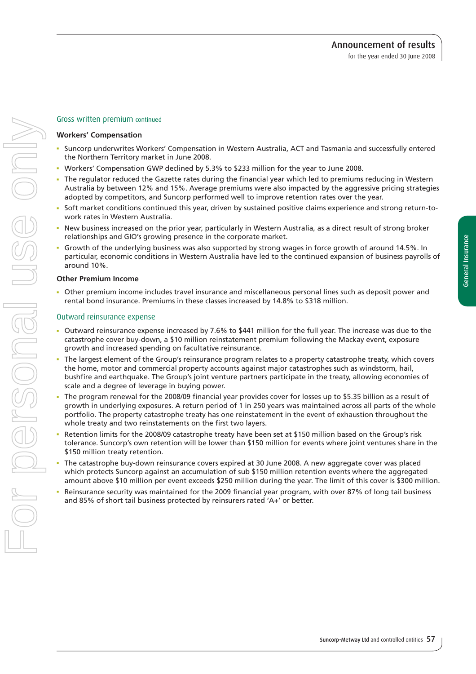#### Gross written premium continued

#### **Workers' Compensation**

- Suncorp underwrites Workers' Compensation in Western Australia, ACT and Tasmania and successfully entered the Northern Territory market in June 2008.
- Workers' Compensation GWP declined by 5.3% to \$233 million for the year to June 2008.
- The regulator reduced the Gazette rates during the financial year which led to premiums reducing in Western Australia by between 12% and 15%. Average premiums were also impacted by the aggressive pricing strategies adopted by competitors, and Suncorp performed well to improve retention rates over the year.
- Soft market conditions continued this year, driven by sustained positive claims experience and strong return-towork rates in Western Australia.
- New business increased on the prior year, particularly in Western Australia, as a direct result of strong broker relationships and GIO's growing presence in the corporate market.
- Growth of the underlying business was also supported by strong wages in force growth of around 14.5%. In particular, economic conditions in Western Australia have led to the continued expansion of business payrolls of around 10%.

#### **Other Premium Income**

For personal use only

I ISCODE

ISS ON

 Other premium income includes travel insurance and miscellaneous personal lines such as deposit power and rental bond insurance. Premiums in these classes increased by 14.8% to \$318 million.

#### Outward reinsurance expense

- Outward reinsurance expense increased by 7.6% to \$441 million for the full year. The increase was due to the catastrophe cover buy-down, a \$10 million reinstatement premium following the Mackay event, exposure growth and increased spending on facultative reinsurance.
- The largest element of the Group's reinsurance program relates to a property catastrophe treaty, which covers the home, motor and commercial property accounts against major catastrophes such as windstorm, hail, bushfire and earthquake. The Group's joint venture partners participate in the treaty, allowing economies of scale and a degree of leverage in buying power.
- The program renewal for the 2008/09 financial year provides cover for losses up to \$5.35 billion as a result of growth in underlying exposures. A return period of 1 in 250 years was maintained across all parts of the whole portfolio. The property catastrophe treaty has one reinstatement in the event of exhaustion throughout the whole treaty and two reinstatements on the first two layers.
- Retention limits for the 2008/09 catastrophe treaty have been set at \$150 million based on the Group's risk tolerance. Suncorp's own retention will be lower than \$150 million for events where joint ventures share in the \$150 million treaty retention.
- The catastrophe buy-down reinsurance covers expired at 30 June 2008. A new aggregate cover was placed which protects Suncorp against an accumulation of sub \$150 million retention events where the aggregated amount above \$10 million per event exceeds \$250 million during the year. The limit of this cover is \$300 million.
- Reinsurance security was maintained for the 2009 financial year program, with over 87% of long tail business and 85% of short tail business protected by reinsurers rated 'A+' or better.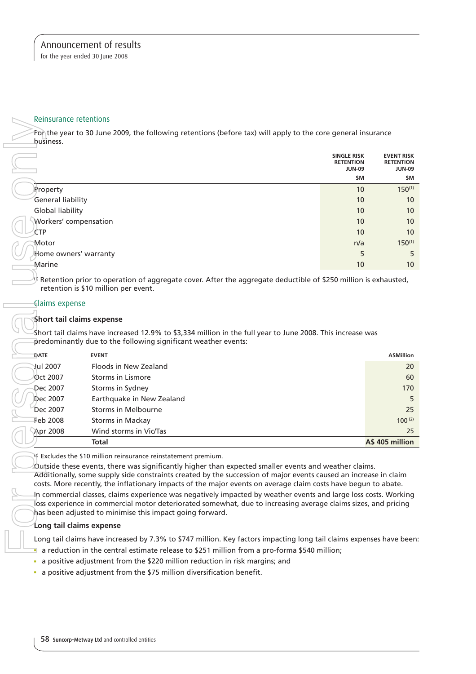for the year ended 30 June 2008

#### Reinsurance retentions

| business.                | For the year to 30 June 2009, the following retentions (before tax) will apply to the core general insurance                                                                                                                                                                                                                                                                                                                                                                                                                                                                                                                                                                                                                 |                                                         |                                                 |
|--------------------------|------------------------------------------------------------------------------------------------------------------------------------------------------------------------------------------------------------------------------------------------------------------------------------------------------------------------------------------------------------------------------------------------------------------------------------------------------------------------------------------------------------------------------------------------------------------------------------------------------------------------------------------------------------------------------------------------------------------------------|---------------------------------------------------------|-------------------------------------------------|
|                          |                                                                                                                                                                                                                                                                                                                                                                                                                                                                                                                                                                                                                                                                                                                              | <b>SINGLE RISK</b><br><b>RETENTION</b><br><b>JUN-09</b> | <b>EVENT RISK</b><br><b>RETENTION</b><br>JUN-09 |
|                          |                                                                                                                                                                                                                                                                                                                                                                                                                                                                                                                                                                                                                                                                                                                              | \$M                                                     | \$M                                             |
| Property                 |                                                                                                                                                                                                                                                                                                                                                                                                                                                                                                                                                                                                                                                                                                                              | 10                                                      | $150^{(1)}$                                     |
| General liability        |                                                                                                                                                                                                                                                                                                                                                                                                                                                                                                                                                                                                                                                                                                                              | 10                                                      | 10                                              |
| <b>Global liability</b>  |                                                                                                                                                                                                                                                                                                                                                                                                                                                                                                                                                                                                                                                                                                                              | 10                                                      | 10                                              |
| Workers' compensation    |                                                                                                                                                                                                                                                                                                                                                                                                                                                                                                                                                                                                                                                                                                                              | 10                                                      | 10                                              |
| CTP                      |                                                                                                                                                                                                                                                                                                                                                                                                                                                                                                                                                                                                                                                                                                                              | 10                                                      | 10                                              |
| Motor                    |                                                                                                                                                                                                                                                                                                                                                                                                                                                                                                                                                                                                                                                                                                                              | n/a                                                     | $150^{(1)}$                                     |
| Home owners' warranty    |                                                                                                                                                                                                                                                                                                                                                                                                                                                                                                                                                                                                                                                                                                                              | 5                                                       | 5                                               |
| Marine                   |                                                                                                                                                                                                                                                                                                                                                                                                                                                                                                                                                                                                                                                                                                                              | 10                                                      | 10                                              |
|                          | Retention prior to operation of aggregate cover. After the aggregate deductible of \$250 million is exhausted,<br>retention is \$10 million per event.                                                                                                                                                                                                                                                                                                                                                                                                                                                                                                                                                                       |                                                         |                                                 |
| Claims expense           |                                                                                                                                                                                                                                                                                                                                                                                                                                                                                                                                                                                                                                                                                                                              |                                                         |                                                 |
|                          | Short tail claims expense                                                                                                                                                                                                                                                                                                                                                                                                                                                                                                                                                                                                                                                                                                    |                                                         |                                                 |
|                          | Short tail claims have increased 12.9% to \$3,334 million in the full year to June 2008. This increase was<br>predominantly due to the following significant weather events:                                                                                                                                                                                                                                                                                                                                                                                                                                                                                                                                                 |                                                         |                                                 |
|                          |                                                                                                                                                                                                                                                                                                                                                                                                                                                                                                                                                                                                                                                                                                                              |                                                         |                                                 |
| <b>DATE</b>              | <b>EVENT</b>                                                                                                                                                                                                                                                                                                                                                                                                                                                                                                                                                                                                                                                                                                                 |                                                         | <b>A\$Million</b>                               |
| Jul 2007                 | Floods in New Zealand                                                                                                                                                                                                                                                                                                                                                                                                                                                                                                                                                                                                                                                                                                        |                                                         | 20                                              |
| Oct 2007                 | Storms in Lismore                                                                                                                                                                                                                                                                                                                                                                                                                                                                                                                                                                                                                                                                                                            |                                                         | 60                                              |
| Dec 2007                 | Storms in Sydney                                                                                                                                                                                                                                                                                                                                                                                                                                                                                                                                                                                                                                                                                                             |                                                         | 170                                             |
| Dec 2007                 | Earthquake in New Zealand                                                                                                                                                                                                                                                                                                                                                                                                                                                                                                                                                                                                                                                                                                    |                                                         | 5                                               |
| Dec 2007                 | <b>Storms in Melbourne</b>                                                                                                                                                                                                                                                                                                                                                                                                                                                                                                                                                                                                                                                                                                   |                                                         | 25                                              |
| Feb 2008                 | <b>Storms in Mackay</b>                                                                                                                                                                                                                                                                                                                                                                                                                                                                                                                                                                                                                                                                                                      |                                                         | $100^{(2)}$                                     |
| Apr 2008                 | Wind storms in Vic/Tas                                                                                                                                                                                                                                                                                                                                                                                                                                                                                                                                                                                                                                                                                                       |                                                         | 25                                              |
|                          | Total                                                                                                                                                                                                                                                                                                                                                                                                                                                                                                                                                                                                                                                                                                                        |                                                         | A\$405 million                                  |
|                          | $\binom{2}{1}$ Excludes the \$10 million reinsurance reinstatement premium.<br>Outside these events, there was significantly higher than expected smaller events and weather claims.<br>Additionally, some supply side constraints created by the succession of major events caused an increase in claim<br>costs. More recently, the inflationary impacts of the major events on average claim costs have begun to abate.<br>In commercial classes, claims experience was negatively impacted by weather events and large loss costs. Working<br>loss experience in commercial motor deteriorated somewhat, due to increasing average claims sizes, and pricing<br>has been adjusted to minimise this impact going forward. |                                                         |                                                 |
| Long tail claims expense |                                                                                                                                                                                                                                                                                                                                                                                                                                                                                                                                                                                                                                                                                                                              |                                                         |                                                 |
|                          | Long tail claims have increased by 7.3% to \$747 million. Key factors impacting long tail claims expenses have been:                                                                                                                                                                                                                                                                                                                                                                                                                                                                                                                                                                                                         |                                                         |                                                 |
|                          | a reduction in the central estimate release to \$251 million from a pro-forma \$540 million;                                                                                                                                                                                                                                                                                                                                                                                                                                                                                                                                                                                                                                 |                                                         |                                                 |
| ш                        | a positive adjustment from the \$220 million reduction in risk margins; and                                                                                                                                                                                                                                                                                                                                                                                                                                                                                                                                                                                                                                                  |                                                         |                                                 |

#### Claims expense

#### **Short tail claims expense**

| <b>DATE</b> | <b>EVENT</b>              | <b>ASMillion</b> |
|-------------|---------------------------|------------------|
| Jul 2007    | Floods in New Zealand     | 20               |
| Oct 2007    | Storms in Lismore         | 60               |
| Dec 2007    | Storms in Sydney          | 170              |
| Dec 2007    | Earthquake in New Zealand |                  |
| Dec 2007    | Storms in Melbourne       | 25               |
| Feb 2008    | <b>Storms in Mackay</b>   | $100^{(2)}$      |
| Apr 2008    | Wind storms in Vic/Tas    | 25               |
|             | <b>Total</b>              | AS 405 million   |

#### **Long tail claims expense**

- **a** a reduction in the central estimate release to \$251 million from a pro-forma \$540 million;
- a positive adjustment from the \$220 million reduction in risk margins; and
-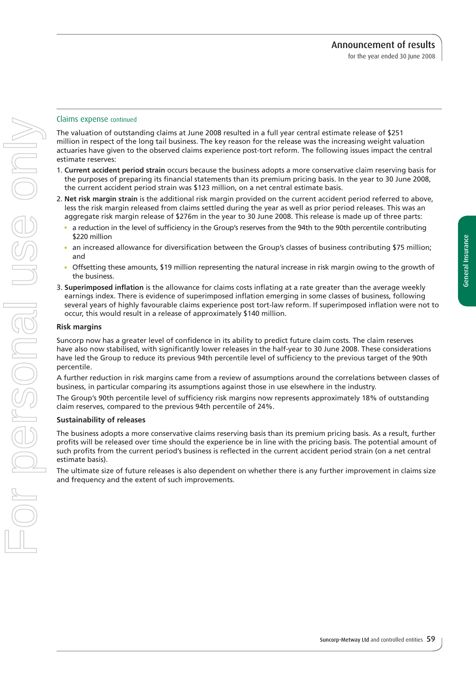#### Claims expense continued

The valuation of outstanding claims at June 2008 resulted in a full year central estimate release of \$251 million in respect of the long tail business. The key reason for the release was the increasing weight valuation actuaries have given to the observed claims experience post-tort reform. The following issues impact the central estimate reserves:

- 1. **Current accident period strain** occurs because the business adopts a more conservative claim reserving basis for the purposes of preparing its financial statements than its premium pricing basis. In the year to 30 June 2008, the current accident period strain was \$123 million, on a net central estimate basis.
- 2. **Net risk margin strain** is the additional risk margin provided on the current accident period referred to above, less the risk margin released from claims settled during the year as well as prior period releases. This was an aggregate risk margin release of \$276m in the year to 30 June 2008. This release is made up of three parts:
	- a reduction in the level of sufficiency in the Group's reserves from the 94th to the 90th percentile contributing \$220 million
	- an increased allowance for diversification between the Group's classes of business contributing \$75 million; and
	- Offsetting these amounts, \$19 million representing the natural increase in risk margin owing to the growth of the business.
- 3. **Superimposed inflation** is the allowance for claims costs inflating at a rate greater than the average weekly earnings index. There is evidence of superimposed inflation emerging in some classes of business, following several years of highly favourable claims experience post tort-law reform. If superimposed inflation were not to occur, this would result in a release of approximately \$140 million.

#### **Risk margins**

For personal use only

IBUCSONS

ISS ON

Suncorp now has a greater level of confidence in its ability to predict future claim costs. The claim reserves have also now stabilised, with significantly lower releases in the half-year to 30 June 2008. These considerations have led the Group to reduce its previous 94th percentile level of sufficiency to the previous target of the 90th percentile.

A further reduction in risk margins came from a review of assumptions around the correlations between classes of business, in particular comparing its assumptions against those in use elsewhere in the industry.

The Group's 90th percentile level of sufficiency risk margins now represents approximately 18% of outstanding claim reserves, compared to the previous 94th percentile of 24%.

#### **Sustainability of releases**

The business adopts a more conservative claims reserving basis than its premium pricing basis. As a result, further profits will be released over time should the experience be in line with the pricing basis. The potential amount of such profits from the current period's business is reflected in the current accident period strain (on a net central estimate basis).

The ultimate size of future releases is also dependent on whether there is any further improvement in claims size and frequency and the extent of such improvements.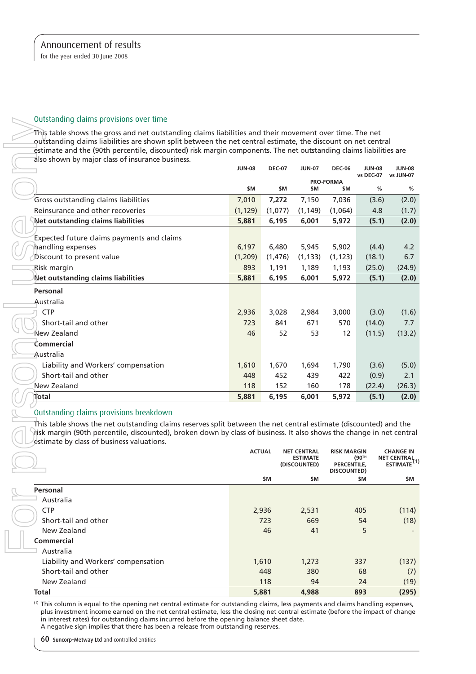for the year ended 30 June 2008

#### Outstanding claims provisions over time

|                                                                                                                                                                                                                                                                                       | <b>JUN-08</b> | <b>DEC-07</b> | <b>JUN-07</b>                                         | <b>DEC-06</b>                     | <b>JUN-08</b>   | <b>JUN-08</b>                                  |
|---------------------------------------------------------------------------------------------------------------------------------------------------------------------------------------------------------------------------------------------------------------------------------------|---------------|---------------|-------------------------------------------------------|-----------------------------------|-----------------|------------------------------------------------|
|                                                                                                                                                                                                                                                                                       |               |               |                                                       | <b>PRO-FORMA</b>                  | vs DEC-07       | vs JUN-07                                      |
|                                                                                                                                                                                                                                                                                       | \$M           | \$M           | \$M                                                   | \$M                               | $\%$            |                                                |
| Gross outstanding claims liabilities                                                                                                                                                                                                                                                  | 7,010         | 7,272         | 7,150                                                 | 7,036                             | (3.6)           | (2.0)                                          |
| Reinsurance and other recoveries                                                                                                                                                                                                                                                      | (1, 129)      | (1,077)       | (1, 149)                                              | (1,064)                           | 4.8             | (1.7)                                          |
| Net outstanding claims liabilities                                                                                                                                                                                                                                                    | 5,881         | 6,195         | 6,001                                                 | 5,972                             | (5.1)           | (2.0)                                          |
| Expected future claims payments and claims                                                                                                                                                                                                                                            |               |               |                                                       |                                   |                 |                                                |
| handling expenses                                                                                                                                                                                                                                                                     | 6,197         | 6,480         | 5,945                                                 | 5,902                             | (4.4)           |                                                |
| Discount to present value                                                                                                                                                                                                                                                             | (1,209)       | (1, 476)      | (1, 133)                                              | (1, 123)                          | (18.1)          |                                                |
| Risk margin                                                                                                                                                                                                                                                                           | 893           | 1,191         | 1,189                                                 | 1,193                             | (25.0)          | (24.9)                                         |
| Net outstanding claims liabilities                                                                                                                                                                                                                                                    | 5,881         | 6,195         | 6,001                                                 | 5,972                             | (5.1)           | (2.0)                                          |
| Personal                                                                                                                                                                                                                                                                              |               |               |                                                       |                                   |                 |                                                |
| Australia                                                                                                                                                                                                                                                                             |               |               |                                                       |                                   |                 |                                                |
| <b>CTP</b>                                                                                                                                                                                                                                                                            | 2,936         | 3,028         | 2,984                                                 | 3,000                             | (3.0)           | (1.6)                                          |
| Short-tail and other                                                                                                                                                                                                                                                                  | 723           | 841           | 671                                                   | 570                               | (14.0)          |                                                |
| New Zealand                                                                                                                                                                                                                                                                           | 46            | 52            | 53                                                    | 12                                | (11.5)          | (13.2)                                         |
| Commercial                                                                                                                                                                                                                                                                            |               |               |                                                       |                                   |                 |                                                |
|                                                                                                                                                                                                                                                                                       |               |               |                                                       |                                   |                 |                                                |
| Australia                                                                                                                                                                                                                                                                             |               |               |                                                       |                                   |                 | (5.0)                                          |
| Liability and Workers' compensation                                                                                                                                                                                                                                                   | 1,610         | 1,670         | 1,694                                                 | 1,790                             | (3.6)           |                                                |
| Short-tail and other                                                                                                                                                                                                                                                                  | 448           | 452           | 439                                                   | 422                               | (0.9)           |                                                |
| New Zealand<br>Total                                                                                                                                                                                                                                                                  | 118<br>5,881  | 152<br>6,195  | 160<br>6,001                                          | 178<br>5,972                      | (22.4)<br>(5.1) | (26.3)<br>(2.0)                                |
|                                                                                                                                                                                                                                                                                       |               |               |                                                       |                                   |                 |                                                |
| This table shows the net outstanding claims reserves split between the net central estimate (discounted) and the<br>risk margin (90th percentile, discounted), broken down by class of business. It also shows the change in net central<br>estimate by class of business valuations. |               | <b>ACTUAL</b> | <b>NET CENTRAL</b><br><b>ESTIMATE</b><br>(DISCOUNTED) | <b>RISK MARGIN</b><br>PERCENTILE, | (90TH           | <b>CHANGE IN</b><br>NET CENTRAL <sub>(1)</sub> |
|                                                                                                                                                                                                                                                                                       |               |               | ŞМ                                                    | DISCOUNTED)                       | ŞМ              |                                                |
|                                                                                                                                                                                                                                                                                       |               |               |                                                       |                                   |                 |                                                |
|                                                                                                                                                                                                                                                                                       |               | ŞΜ            |                                                       |                                   |                 |                                                |
| Personal                                                                                                                                                                                                                                                                              |               |               |                                                       |                                   |                 |                                                |
| Australia                                                                                                                                                                                                                                                                             |               |               |                                                       |                                   |                 |                                                |
| <b>CTP</b>                                                                                                                                                                                                                                                                            |               | 2,936         | 2,531                                                 |                                   | 405             |                                                |
| Short-tail and other                                                                                                                                                                                                                                                                  |               | 723           | 669                                                   |                                   | 54<br>5         |                                                |
| New Zealand                                                                                                                                                                                                                                                                           |               | 46            | 41                                                    |                                   |                 |                                                |
| <b>Commercial</b><br>Australia                                                                                                                                                                                                                                                        |               |               |                                                       |                                   |                 |                                                |
|                                                                                                                                                                                                                                                                                       |               | 1,610         |                                                       |                                   | 337             | (114)<br>(137)                                 |
| Liability and Workers' compensation<br>Short-tail and other                                                                                                                                                                                                                           |               | 448           | 1,273<br>380                                          |                                   | 68              |                                                |
| New Zealand                                                                                                                                                                                                                                                                           |               | 118           | 94                                                    |                                   | 24              |                                                |

#### Outstanding claims provisions breakdown

|                                     | <b>ACTUAL</b> | <b>NET CENTRAL</b><br><b>ESTIMATE</b><br>(DISCOUNTED) | <b>RISK MARGIN</b><br>(90 <sup>TH</sup> )<br>PERCENTILE,<br>DISCOUNTED) | <b>CHANGE IN</b><br>NET CENTRAL <sub>(1)</sub> |
|-------------------------------------|---------------|-------------------------------------------------------|-------------------------------------------------------------------------|------------------------------------------------|
|                                     | \$M           | \$M                                                   | \$M                                                                     | \$M                                            |
| Personal                            |               |                                                       |                                                                         |                                                |
| Australia                           |               |                                                       |                                                                         |                                                |
| <b>CTP</b>                          | 2,936         | 2,531                                                 | 405                                                                     | (114)                                          |
| Short-tail and other                | 723           | 669                                                   | 54                                                                      | (18)                                           |
| New Zealand                         | 46            | 41                                                    | 5                                                                       | $\overline{\phantom{0}}$                       |
| <b>Commercial</b>                   |               |                                                       |                                                                         |                                                |
| Australia<br>J.                     |               |                                                       |                                                                         |                                                |
| Liability and Workers' compensation | 1,610         | 1,273                                                 | 337                                                                     | (137)                                          |
| Short-tail and other                | 448           | 380                                                   | 68                                                                      | (7)                                            |
| New Zealand                         | 118           | 94                                                    | 24                                                                      | (19)                                           |
| <b>Total</b>                        | 5,881         | 4,988                                                 | 893                                                                     | (295)                                          |

60 Suncorp-Metway Ltd and controlled entities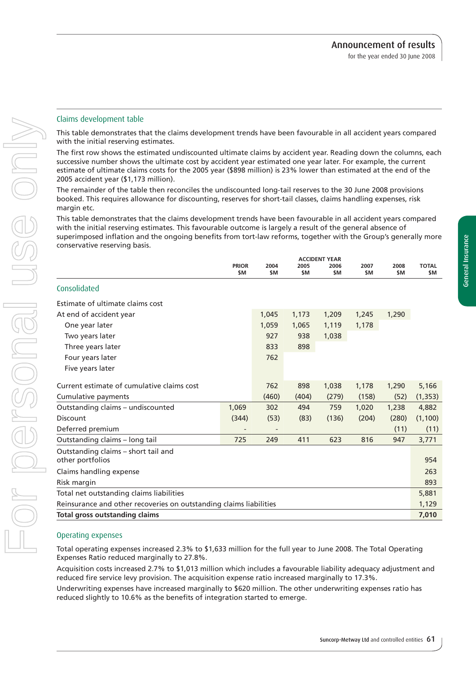General Insurance

General Insurance

#### Claims development table

This table demonstrates that the claims development trends have been favourable in all accident years compared with the initial reserving estimates.

The first row shows the estimated undiscounted ultimate claims by accident year. Reading down the columns, each successive number shows the ultimate cost by accident year estimated one year later. For example, the current estimate of ultimate claims costs for the 2005 year (\$898 million) is 23% lower than estimated at the end of the 2005 accident year (\$1,173 million).

The remainder of the table then reconciles the undiscounted long-tail reserves to the 30 June 2008 provisions booked. This requires allowance for discounting, reserves for short-tail classes, claims handling expenses, risk margin etc.

This table demonstrates that the claims development trends have been favourable in all accident years compared with the initial reserving estimates. This favourable outcome is largely a result of the general absence of superimposed inflation and the ongoing benefits from tort-law reforms, together with the Group's generally more conservative reserving basis.

|                                                                    | <b>ACCIDENT YEAR</b>      |             |             |             |                   |             |                     |
|--------------------------------------------------------------------|---------------------------|-------------|-------------|-------------|-------------------|-------------|---------------------|
|                                                                    | <b>PRIOR</b><br><b>SM</b> | 2004<br>\$M | 2005<br>\$M | 2006<br>\$M | 2007<br><b>SM</b> | 2008<br>\$M | <b>TOTAL</b><br>\$M |
| Consolidated                                                       |                           |             |             |             |                   |             |                     |
| Estimate of ultimate claims cost                                   |                           |             |             |             |                   |             |                     |
| At end of accident year                                            |                           | 1,045       | 1,173       | 1,209       | 1,245             | 1,290       |                     |
| One year later                                                     |                           | 1,059       | 1,065       | 1,119       | 1,178             |             |                     |
| Two years later                                                    |                           | 927         | 938         | 1,038       |                   |             |                     |
| Three years later                                                  |                           | 833         | 898         |             |                   |             |                     |
| Four years later                                                   |                           | 762         |             |             |                   |             |                     |
| Five years later                                                   |                           |             |             |             |                   |             |                     |
| Current estimate of cumulative claims cost                         |                           | 762         | 898         | 1,038       | 1,178             | 1,290       | 5,166               |
| Cumulative payments                                                |                           | (460)       | (404)       | (279)       | (158)             | (52)        | (1, 353)            |
| Outstanding claims - undiscounted                                  | 1,069                     | 302         | 494         | 759         | 1,020             | 1,238       | 4,882               |
| <b>Discount</b>                                                    | (344)                     | (53)        | (83)        | (136)       | (204)             | (280)       | (1, 100)            |
| Deferred premium                                                   |                           |             |             |             |                   | (11)        | (11)                |
| Outstanding claims - long tail                                     | 725                       | 249         | 411         | 623         | 816               | 947         | 3,771               |
| Outstanding claims - short tail and<br>other portfolios            |                           |             |             |             |                   |             | 954                 |
| Claims handling expense                                            |                           |             |             |             |                   |             | 263                 |
| Risk margin                                                        |                           |             |             |             |                   |             | 893                 |
| Total net outstanding claims liabilities                           |                           |             |             |             |                   |             | 5,881               |
| Reinsurance and other recoveries on outstanding claims liabilities |                           |             |             |             |                   |             | 1,129               |
| <b>Total gross outstanding claims</b>                              |                           |             |             |             |                   |             | 7,010               |
|                                                                    |                           |             |             |             |                   |             |                     |

#### Operating expenses

Total operating expenses increased 2.3% to \$1,633 million for the full year to June 2008. The Total Operating Expenses Ratio reduced marginally to 27.8%.

Acquisition costs increased 2.7% to \$1,013 million which includes a favourable liability adequacy adjustment and reduced fire service levy provision. The acquisition expense ratio increased marginally to 17.3%.

Underwriting expenses have increased marginally to \$620 million. The other underwriting expenses ratio has reduced slightly to 10.6% as the benefits of integration started to emerge.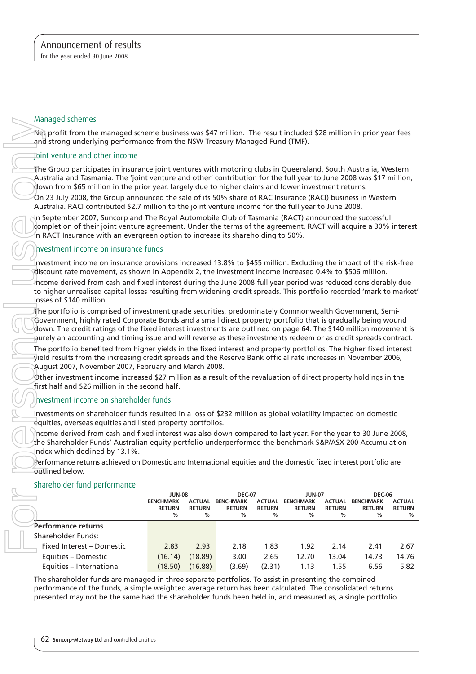for the year ended 30 June 2008

#### Managed schemes

## Joint venture and other income

## Investment income on insurance funds

## Investment income on shareholder funds

#### Shareholder fund performance

| Managed schemes<br>Net profit from the managed scheme business was \$47 million. The result included \$28 million in prior year fees<br>and strong underlying performance from the NSW Treasury Managed Fund (TMF).                                                                                                                                                                                                                                               |                                                    |                                |                                                    |                         |                                                    |                                |                                                    |                                |
|-------------------------------------------------------------------------------------------------------------------------------------------------------------------------------------------------------------------------------------------------------------------------------------------------------------------------------------------------------------------------------------------------------------------------------------------------------------------|----------------------------------------------------|--------------------------------|----------------------------------------------------|-------------------------|----------------------------------------------------|--------------------------------|----------------------------------------------------|--------------------------------|
| Joint venture and other income                                                                                                                                                                                                                                                                                                                                                                                                                                    |                                                    |                                |                                                    |                         |                                                    |                                |                                                    |                                |
| The Group participates in insurance joint ventures with motoring clubs in Queensland, South Australia, Western<br>Australia and Tasmania. The 'joint venture and other' contribution for the full year to June 2008 was \$17 million,<br>down from \$65 million in the prior year, largely due to higher claims and lower investment returns.                                                                                                                     |                                                    |                                |                                                    |                         |                                                    |                                |                                                    |                                |
| On 23 July 2008, the Group announced the sale of its 50% share of RAC Insurance (RACI) business in Western<br>Australia. RACI contributed \$2.7 million to the joint venture income for the full year to June 2008.                                                                                                                                                                                                                                               |                                                    |                                |                                                    |                         |                                                    |                                |                                                    |                                |
| In September 2007, Suncorp and The Royal Automobile Club of Tasmania (RACT) announced the successful<br>completion of their joint venture agreement. Under the terms of the agreement, RACT will acquire a 30% interest<br>In RACT Insurance with an evergreen option to increase its shareholding to 50%.                                                                                                                                                        |                                                    |                                |                                                    |                         |                                                    |                                |                                                    |                                |
| Investment income on insurance funds                                                                                                                                                                                                                                                                                                                                                                                                                              |                                                    |                                |                                                    |                         |                                                    |                                |                                                    |                                |
| Investment income on insurance provisions increased 13.8% to \$455 million. Excluding the impact of the risk-free<br>discount rate movement, as shown in Appendix 2, the investment income increased 0.4% to \$506 million.                                                                                                                                                                                                                                       |                                                    |                                |                                                    |                         |                                                    |                                |                                                    |                                |
| Income derived from cash and fixed interest during the June 2008 full year period was reduced considerably due<br>to higher unrealised capital losses resulting from widening credit spreads. This portfolio recorded 'mark to market'<br>losses of \$140 million.                                                                                                                                                                                                |                                                    |                                |                                                    |                         |                                                    |                                |                                                    |                                |
| The portfolio is comprised of investment grade securities, predominately Commonwealth Government, Semi-<br>Government, highly rated Corporate Bonds and a small direct property portfolio that is gradually being wound<br>down. The credit ratings of the fixed interest investments are outlined on page 64. The \$140 million movement is<br>purely an accounting and timing issue and will reverse as these investments redeem or as credit spreads contract. |                                                    |                                |                                                    |                         |                                                    |                                |                                                    |                                |
| The portfolio benefited from higher yields in the fixed interest and property portfolios. The higher fixed interest<br>$\overline{y}$ ield results from the increasing credit spreads and the Reserve Bank official rate increases in November 2006,<br>August 2007, November 2007, February and March 2008.                                                                                                                                                      |                                                    |                                |                                                    |                         |                                                    |                                |                                                    |                                |
| Other investment income increased \$27 million as a result of the revaluation of direct property holdings in the<br>first half and \$26 million in the second half.                                                                                                                                                                                                                                                                                               |                                                    |                                |                                                    |                         |                                                    |                                |                                                    |                                |
| Investment income on shareholder funds                                                                                                                                                                                                                                                                                                                                                                                                                            |                                                    |                                |                                                    |                         |                                                    |                                |                                                    |                                |
| Investments on shareholder funds resulted in a loss of \$232 million as global volatility impacted on domestic<br>equities, overseas equities and listed property portfolios.                                                                                                                                                                                                                                                                                     |                                                    |                                |                                                    |                         |                                                    |                                |                                                    |                                |
| ncome derived from cash and fixed interest was also down compared to last year. For the year to 30 June 2008,<br>the Shareholder Funds' Australian equity portfolio underperformed the benchmark S&P/ASX 200 Accumulation<br>Index which declined by 13.1%.                                                                                                                                                                                                       |                                                    |                                |                                                    |                         |                                                    |                                |                                                    |                                |
| Performance returns achieved on Domestic and International equities and the domestic fixed interest portfolio are<br>outlined below.                                                                                                                                                                                                                                                                                                                              |                                                    |                                |                                                    |                         |                                                    |                                |                                                    |                                |
| Shareholder fund performance                                                                                                                                                                                                                                                                                                                                                                                                                                      |                                                    |                                |                                                    |                         |                                                    |                                |                                                    |                                |
|                                                                                                                                                                                                                                                                                                                                                                                                                                                                   | <b>JUN-08</b><br><b>BENCHMARK</b><br><b>RETURN</b> | <b>ACTUAL</b><br><b>RETURN</b> | <b>DEC-07</b><br><b>BENCHMARK</b><br><b>RETURN</b> | ACTUAL<br><b>RETURN</b> | <b>JUN-07</b><br><b>BENCHMARK</b><br><b>RETURN</b> | <b>ACTUAL</b><br><b>RETURN</b> | <b>DEC-06</b><br><b>BENCHMARK</b><br><b>RETURN</b> | <b>ACTUAL</b><br><b>RETURN</b> |
| Performance returns                                                                                                                                                                                                                                                                                                                                                                                                                                               | %                                                  | %                              | %                                                  | %                       | %                                                  | %                              | %                                                  | %                              |
| <b>Shareholder Funds:</b>                                                                                                                                                                                                                                                                                                                                                                                                                                         |                                                    |                                |                                                    |                         |                                                    |                                |                                                    |                                |
| Fixed Interest - Domestic                                                                                                                                                                                                                                                                                                                                                                                                                                         | 2.83                                               | 2.93                           | 2.18                                               | 1.83                    | 1.92                                               | 2.14                           | 2.41                                               | 2.67                           |
| Equities - Domestic                                                                                                                                                                                                                                                                                                                                                                                                                                               | (16.14)                                            | (18.89)                        | 3.00                                               | 2.65                    | 12.70                                              | 13.04                          | 14.73                                              | 14.76                          |
| Equities - International                                                                                                                                                                                                                                                                                                                                                                                                                                          | (18.50)                                            | (16.88)                        | (3.69)                                             | (2.31)                  | 1.13                                               | 1.55                           | 6.56                                               | 5.82                           |
| The shareholder funds are managed in three separate portfolios. To assist in presenting the combined<br>performance of the funds, a simple weighted average return has been calculated. The consolidated returns<br>presented may not be the same had the shareholder funds been held in, and measured as, a single portfolio.                                                                                                                                    |                                                    |                                |                                                    |                         |                                                    |                                |                                                    |                                |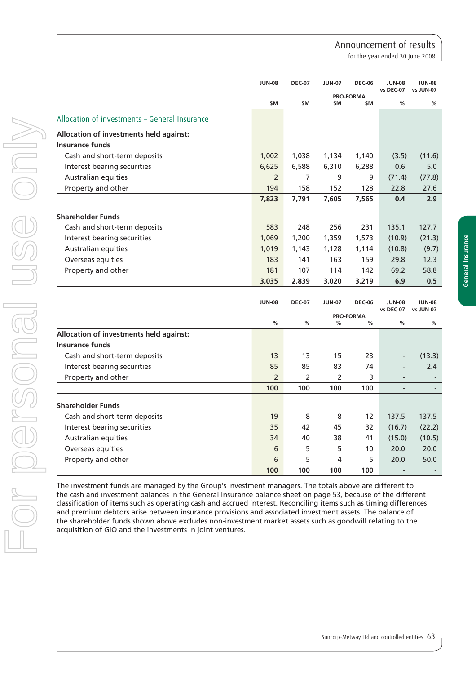for the year ended 30 June 2008

General Insurance

General Insurance

|                                               | <b>JUN-08</b>  | <b>DEC-07</b> | <b>JUN-07</b> | <b>DEC-06</b>           | <b>JUN-08</b><br>vs DEC-07 | <b>JUN-08</b><br>vs JUN-07 |
|-----------------------------------------------|----------------|---------------|---------------|-------------------------|----------------------------|----------------------------|
|                                               | \$M            | \$M           | <b>SM</b>     | <b>PRO-FORMA</b><br>\$M | $\frac{0}{0}$              | %                          |
| Allocation of investments - General Insurance |                |               |               |                         |                            |                            |
| Allocation of investments held against:       |                |               |               |                         |                            |                            |
| <b>Insurance funds</b>                        |                |               |               |                         |                            |                            |
| Cash and short-term deposits                  | 1,002          | 1,038         | 1,134         | 1,140                   | (3.5)                      | (11.6)                     |
| Interest bearing securities                   | 6,625          | 6,588         | 6,310         | 6,288                   | 0.6                        | 5.0                        |
| Australian equities                           | $\overline{2}$ | 7             | 9             | 9                       | (71.4)                     | (77.8)                     |
| Property and other                            | 194            | 158           | 152           | 128                     | 22.8                       | 27.6                       |
|                                               | 7,823          | 7,791         | 7,605         | 7,565                   | 0.4                        | 2.9                        |
|                                               |                |               |               |                         |                            |                            |
| <b>Shareholder Funds</b>                      |                |               |               |                         |                            |                            |
| Cash and short-term deposits                  | 583            | 248           | 256           | 231                     | 135.1                      | 127.7                      |
| Interest bearing securities                   | 1,069          | 1,200         | 1,359         | 1,573                   | (10.9)                     | (21.3)                     |
| Australian equities                           | 1,019          | 1,143         | 1,128         | 1,114                   | (10.8)                     | (9.7)                      |
| Overseas equities                             | 183            | 141           | 163           | 159                     | 29.8                       | 12.3                       |
| Property and other                            | 181            | 107           | 114           | 142                     | 69.2                       | 58.8                       |
|                                               | 3,035          | 2,839         | 3,020         | 3,219                   | 6.9                        | 0.5                        |
|                                               |                |               |               |                         |                            |                            |
|                                               | <b>JUN-08</b>  | <b>DEC-07</b> | <b>JUN-07</b> | <b>DEC-06</b>           | <b>JUN-08</b><br>vs DEC-07 | <b>JUN-08</b><br>vs JUN-07 |
|                                               |                |               |               | PRO-FORMA               |                            |                            |
|                                               | %              | %             | ℅             | %                       | %                          | %                          |
| Allocation of investments held against:       |                |               |               |                         |                            |                            |
| <b>Insurance funds</b>                        |                |               |               |                         |                            |                            |
| Cash and short-term deposits                  | 13             | 13            | 15            | 23                      |                            | (13.3)                     |
| Interest bearing securities                   | 85             | 85            | 83            | 74                      |                            | 2.4                        |
| Property and other                            | $\overline{2}$ | 2             | 2             | 3                       |                            |                            |
|                                               | 100            | 100           | 100           | 100                     | $\overline{a}$             |                            |
| <b>Shareholder Funds</b>                      |                |               |               |                         |                            |                            |
| Cash and short-term deposits                  | 19             | 8             | 8             | 12                      | 137.5                      | 137.5                      |
| Interest bearing securities                   | 35             | 42            | 45            | 32                      | (16.7)                     | (22.2)                     |
| Australian equities                           | 34             | 40            | 38            | 41                      | (15.0)                     | (10.5)                     |
| Overseas equities                             | 6              | 5             | 5             | 10                      | 20.0                       | 20.0                       |
| Property and other                            | 6              | 5             | 4             | 5                       | 20.0                       | 50.0                       |
|                                               | 100            | 100           | 100           | 100                     |                            |                            |

The investment funds are managed by the Group's investment managers. The totals above are different to the cash and investment balances in the General Insurance balance sheet on page 53, because of the different classifi cation of items such as operating cash and accrued interest. Reconciling items such as timing differences and premium debtors arise between insurance provisions and associated investment assets. The balance of the shareholder funds shown above excludes non-investment market assets such as goodwill relating to the acquisition of GIO and the investments in joint ventures.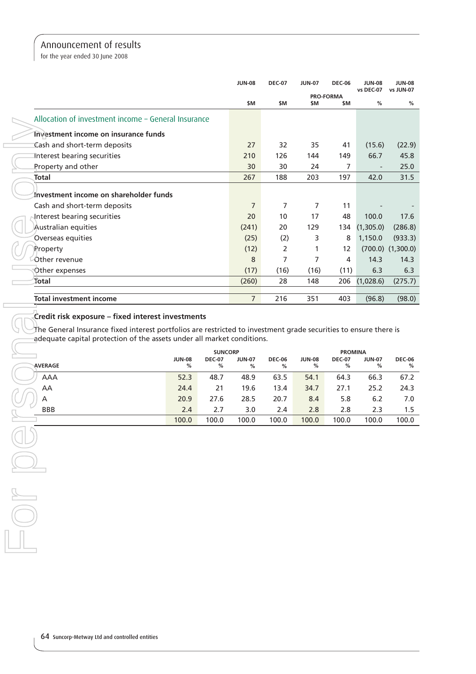for the year ended 30 June 2008

|                                                     | <b>JUN-08</b>  | <b>DEC-07</b>   | <b>JUN-07</b> | <b>DEC-06</b>    | <b>JUN-08</b><br>vs DEC-07 | <b>JUN-08</b><br>vs JUN-07 |
|-----------------------------------------------------|----------------|-----------------|---------------|------------------|----------------------------|----------------------------|
|                                                     |                |                 |               | <b>PRO-FORMA</b> |                            |                            |
|                                                     | \$M            | <b>SM</b>       | \$M           | \$M              | %                          | %                          |
| Allocation of investment income - General Insurance |                |                 |               |                  |                            |                            |
| <b>Investment income on insurance funds</b>         |                |                 |               |                  |                            |                            |
| <b>Cash and short-term deposits</b>                 | 27             | 32              | 35            | 41               | (15.6)                     | (22.9)                     |
| Interest bearing securities                         | 210            | 126             | 144           | 149              | 66.7                       | 45.8                       |
| Property and other                                  | 30             | 30              | 24            | 7                |                            | 25.0                       |
| <b>Total</b>                                        | 267            | 188             | 203           | 197              | 42.0                       | 31.5                       |
| Investment income on shareholder funds              |                |                 |               |                  |                            |                            |
|                                                     |                |                 |               |                  |                            |                            |
| Cash and short-term deposits                        | 7              | 7               | 7             | 11               |                            |                            |
| Interest bearing securities                         | 20             | 10 <sup>°</sup> | 17            | 48               | 100.0                      | 17.6                       |
| Australian equities                                 | (241)          | 20              | 129           | 134              | (1,305.0)                  | (286.8)                    |
| Overseas equities                                   | (25)           | (2)             | 3             | 8                | 1,150.0                    | (933.3)                    |
| Property                                            | (12)           | 2               | 1             | 12               |                            | $(700.0)$ $(1,300.0)$      |
| Other revenue                                       | 8              | 7               | 7             | 4                | 14.3                       | 14.3                       |
| Other expenses                                      | (17)           | (16)            | (16)          | (11)             | 6.3                        | 6.3                        |
| ∕iotal                                              | (260)          | 28              | 148           | 206              | (1,028.6)                  | (275.7)                    |
|                                                     |                |                 |               |                  |                            |                            |
| <b>Total investment income</b>                      | $\overline{7}$ | 216             | 351           | 403              | (96.8)                     | (98.0)                     |

|            |                    | <b>SUNCORP</b>     |                    | <b>PROMINA</b>     |                    |                    |                    |                    |
|------------|--------------------|--------------------|--------------------|--------------------|--------------------|--------------------|--------------------|--------------------|
| AVERAGE    | <b>JUN-08</b><br>% | <b>DEC-07</b><br>% | <b>JUN-07</b><br>% | <b>DEC-06</b><br>% | <b>JUN-08</b><br>% | <b>DEC-07</b><br>% | <b>JUN-07</b><br>% | <b>DEC-06</b><br>% |
| AAA        | 52.3               | 48.7               | 48.9               | 63.5               | 54.1               | 64.3               | 66.3               | 67.2               |
| AA         | 24.4               | 21                 | 19.6               | 13.4               | 34.7               | 27.1               | 25.2               | 24.3               |
| A          | 20.9               | 27.6               | 28.5               | 20.7               | 8.4                | 5.8                | 6.2                | 7.0                |
| <b>BBB</b> | 2.4                | 2.7                | 3.0                | 2.4                | 2.8                | 2.8                | 2.3                | 1.5                |
|            | 100.0              | 100.0              | 100.0              | 100.0              | 100.0              | 100.0              | 100.0              | 100.0              |
|            |                    |                    |                    |                    |                    |                    |                    |                    |
|            |                    |                    |                    |                    |                    |                    |                    |                    |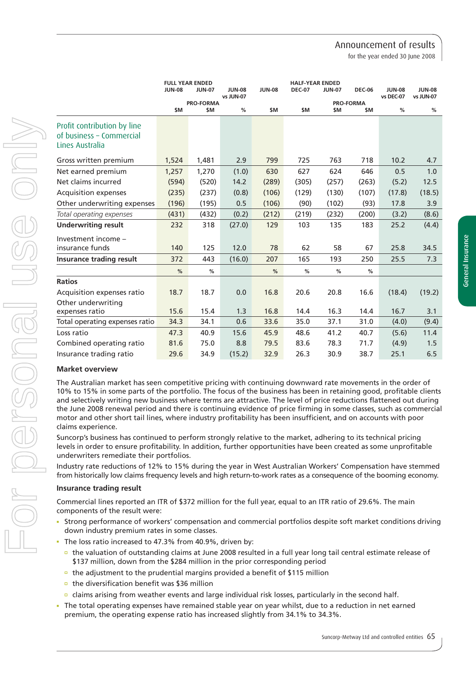for the year ended 30 June 2008

General Insurance

General Insurance

|                                                                            | <b>JUN-08</b> | <b>JUN-07</b>                 | <b>JUN-08</b><br>vs JUN-07 | <b>JUN-08</b> | <b>DEC-07</b> | <b>JUN-07</b> | <b>DEC-06</b>                 | <b>JUN-08</b><br>vs DEC-07 | <b>JUN-08</b><br>vs JUN-07 |
|----------------------------------------------------------------------------|---------------|-------------------------------|----------------------------|---------------|---------------|---------------|-------------------------------|----------------------------|----------------------------|
|                                                                            | <b>SM</b>     | <b>PRO-FORMA</b><br><b>SM</b> | %                          | \$M           | \$M           | \$M           | <b>PRO-FORMA</b><br><b>SM</b> | %                          | %                          |
| Profit contribution by line<br>of business - Commercial<br>Lines Australia |               |                               |                            |               |               |               |                               |                            |                            |
| Gross written premium                                                      | 1,524         | 1,481                         | 2.9                        | 799           | 725           | 763           | 718                           | 10.2                       | 4.7                        |
| Net earned premium                                                         | 1,257         | 1,270                         | (1.0)                      | 630           | 627           | 624           | 646                           | 0.5                        | 1.0                        |
| Net claims incurred                                                        | (594)         | (520)                         | 14.2                       | (289)         | (305)         | (257)         | (263)                         | (5.2)                      | 12.5                       |
| <b>Acquisition expenses</b>                                                | (235)         | (237)                         | (0.8)                      | (106)         | (129)         | (130)         | (107)                         | (17.8)                     | (18.5)                     |
| Other underwriting expenses                                                | (196)         | (195)                         | 0.5                        | (106)         | (90)          | (102)         | (93)                          | 17.8                       | 3.9                        |
| Total operating expenses                                                   | (431)         | (432)                         | (0.2)                      | (212)         | (219)         | (232)         | (200)                         | (3.2)                      | (8.6)                      |
| <b>Underwriting result</b>                                                 | 232           | 318                           | (27.0)                     | 129           | 103           | 135           | 183                           | 25.2                       | (4.4)                      |
| Investment income -<br>insurance funds                                     | 140           | 125                           | 12.0                       | 78            | 62            | 58            | 67                            | 25.8                       | 34.5                       |
| <b>Insurance trading result</b>                                            | 372           | 443                           | (16.0)                     | 207           | 165           | 193           | 250                           | 25.5                       | 7.3                        |
|                                                                            | %             | %                             |                            | $\frac{0}{0}$ | %             | %             | %                             |                            |                            |
| <b>Ratios</b>                                                              |               |                               |                            |               |               |               |                               |                            |                            |
| Acquisition expenses ratio                                                 | 18.7          | 18.7                          | 0.0                        | 16.8          | 20.6          | 20.8          | 16.6                          | (18.4)                     | (19.2)                     |
| Other underwriting<br>expenses ratio                                       | 15.6          | 15.4                          | 1.3                        | 16.8          | 14.4          | 16.3          | 14.4                          | 16.7                       | 3.1                        |
| Total operating expenses ratio                                             | 34.3          | 34.1                          | 0.6                        | 33.6          | 35.0          | 37.1          | 31.0                          | (4.0)                      | (9.4)                      |
| Loss ratio                                                                 | 47.3          | 40.9                          | 15.6                       | 45.9          | 48.6          | 41.2          | 40.7                          | (5.6)                      | 11.4                       |
| Combined operating ratio                                                   | 81.6          | 75.0                          | 8.8                        | 79.5          | 83.6          | 78.3          | 71.7                          | (4.9)                      | 1.5                        |
| Insurance trading ratio                                                    | 29.6          | 34.9                          | (15.2)                     | 32.9          | 26.3          | 30.9          | 38.7                          | 25.1                       | 6.5                        |

**FULL YEAR ENDED HALF-YEAR ENDED**

#### **Market overview**

The Australian market has seen competitive pricing with continuing downward rate movements in the order of 10% to 15% in some parts of the portfolio. The focus of the business has been in retaining good, profitable clients and selectively writing new business where terms are attractive. The level of price reductions flattened out during the June 2008 renewal period and there is continuing evidence of price firming in some classes, such as commercial motor and other short tail lines, where industry profitability has been insufficient, and on accounts with poor claims experience.

Suncorp's business has continued to perform strongly relative to the market, adhering to its technical pricing levels in order to ensure profitability. In addition, further opportunities have been created as some unprofitable underwriters remediate their portfolios.

Industry rate reductions of 12% to 15% during the year in West Australian Workers' Compensation have stemmed from historically low claims frequency levels and high return-to-work rates as a consequence of the booming economy.

#### **Insurance trading result**

Commercial lines reported an ITR of \$372 million for the full year, equal to an ITR ratio of 29.6%. The main components of the result were:

- Strong performance of workers' compensation and commercial portfolios despite soft market conditions driving down industry premium rates in some classes.
- The loss ratio increased to 47.3% from 40.9%, driven by:
	- the valuation of outstanding claims at June 2008 resulted in a full year long tail central estimate release of \$137 million, down from the \$284 million in the prior corresponding period
	- $\overline{p}$  the adjustment to the prudential margins provided a benefit of \$115 million
	- $\overline{p}$  the diversification benefit was \$36 million
	- claims arising from weather events and large individual risk losses, particularly in the second half.
- The total operating expenses have remained stable year on year whilst, due to a reduction in net earned premium, the operating expense ratio has increased slightly from 34.1% to 34.3%.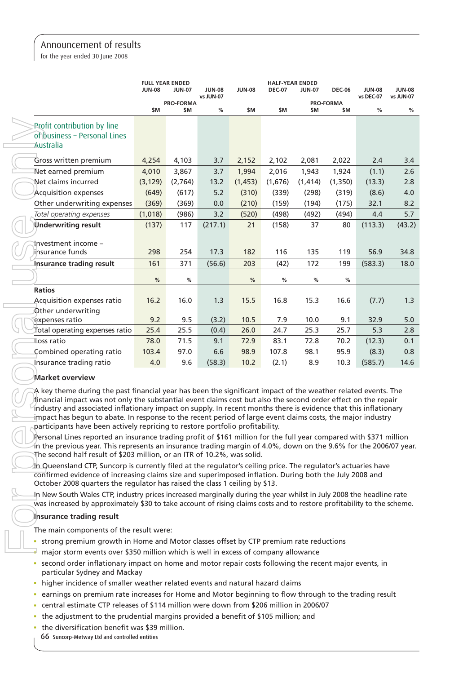for the year ended 30 June 2008

|                                                                                                                                                                                                                                 |               | <b>FULL YEAR ENDED</b>  |                            |                | <b>HALF-YEAR ENDED</b> |                |                         |                            |                            |
|---------------------------------------------------------------------------------------------------------------------------------------------------------------------------------------------------------------------------------|---------------|-------------------------|----------------------------|----------------|------------------------|----------------|-------------------------|----------------------------|----------------------------|
|                                                                                                                                                                                                                                 | <b>JUN-08</b> | <b>JUN-07</b>           | <b>JUN-08</b><br>vs JUN-07 | <b>JUN-08</b>  | <b>DEC-07</b>          | <b>JUN-07</b>  | <b>DEC-06</b>           | <b>JUN-08</b><br>vs DEC-07 | <b>JUN-08</b><br>vs JUN-07 |
|                                                                                                                                                                                                                                 | \$M           | <b>PRO-FORMA</b><br>\$M | %                          | \$M            | \$M                    | \$M            | <b>PRO-FORMA</b><br>\$M | %                          | %                          |
| Profit contribution by line                                                                                                                                                                                                     |               |                         |                            |                |                        |                |                         |                            |                            |
| of business - Personal Lines                                                                                                                                                                                                    |               |                         |                            |                |                        |                |                         |                            |                            |
| Australia                                                                                                                                                                                                                       |               |                         |                            |                |                        |                |                         |                            |                            |
|                                                                                                                                                                                                                                 | 4,254         |                         |                            |                |                        |                |                         |                            |                            |
| Gross written premium<br>Net earned premium                                                                                                                                                                                     | 4,010         | 4,103<br>3,867          | 3.7<br>3.7                 | 2,152<br>1,994 | 2,102<br>2,016         | 2,081<br>1,943 | 2,022<br>1,924          | 2.4<br>(1.1)               | 3.4<br>2.6                 |
| Net claims incurred                                                                                                                                                                                                             | (3, 129)      | (2,764)                 | 13.2                       | (1, 453)       | (1,676)                | (1, 414)       | (1,350)                 | (13.3)                     | 2.8                        |
| <b>Acquisition expenses</b>                                                                                                                                                                                                     | (649)         | (617)                   | 5.2                        | (310)          | (339)                  | (298)          | (319)                   | (8.6)                      | 4.0                        |
| Other underwriting expenses                                                                                                                                                                                                     | (369)         | (369)                   | 0.0                        | (210)          | (159)                  | (194)          | (175)                   | 32.1                       | 8.2                        |
| Total operating expenses                                                                                                                                                                                                        | (1,018)       | (986)                   | 3.2                        | (520)          | (498)                  | (492)          | (494)                   | 4.4                        | 5.7                        |
| Underwriting result                                                                                                                                                                                                             | (137)         | 117                     | (217.1)                    | 21             | (158)                  | 37             | 80                      | (113.3)                    | (43.2)                     |
|                                                                                                                                                                                                                                 |               |                         |                            |                |                        |                |                         |                            |                            |
| Investment income –                                                                                                                                                                                                             |               |                         |                            |                |                        |                |                         |                            |                            |
| insurance funds                                                                                                                                                                                                                 | 298           | 254                     | 17.3                       | 182            | 116                    | 135            | 119                     | 56.9                       | 34.8                       |
| Insurance trading result                                                                                                                                                                                                        | 161           | 371                     | (56.6)                     | 203            | (42)                   | 172            | 199                     | (583.3)                    | 18.0                       |
|                                                                                                                                                                                                                                 | $\%$          | %                       |                            | $\%$           | $\%$                   | $\%$           | %                       |                            |                            |
| <b>Ratios</b>                                                                                                                                                                                                                   |               |                         |                            |                |                        |                |                         |                            |                            |
| <b>Acquisition expenses ratio</b>                                                                                                                                                                                               | 16.2          | 16.0                    | 1.3                        | 15.5           | 16.8                   | 15.3           | 16.6                    | (7.7)                      | 1.3                        |
| Other underwriting                                                                                                                                                                                                              |               |                         |                            |                |                        |                |                         |                            |                            |
| expenses ratio                                                                                                                                                                                                                  | 9.2           | 9.5                     | (3.2)                      | 10.5           | 7.9                    | 10.0           | 9.1                     | 32.9                       | 5.0                        |
| Total operating expenses ratio                                                                                                                                                                                                  | 25.4          | 25.5                    | (0.4)                      | 26.0           | 24.7                   | 25.3           | 25.7                    | 5.3                        | 2.8                        |
| Loss ratio                                                                                                                                                                                                                      | 78.0          | 71.5                    | 9.1                        | 72.9           | 83.1                   | 72.8           | 70.2                    | (12.3)                     | 0.1                        |
| Combined operating ratio                                                                                                                                                                                                        | 103.4         | 97.0                    | 6.6                        | 98.9           | 107.8                  | 98.1           | 95.9                    | (8.3)                      | 0.8                        |
| Insurance trading ratio                                                                                                                                                                                                         | 4.0           | 9.6                     | (58.3)                     | 10.2           | (2.1)                  | 8.9            | 10.3                    | (585.7)                    | 14.6                       |
| <b>Market overview</b>                                                                                                                                                                                                          |               |                         |                            |                |                        |                |                         |                            |                            |
| A key theme during the past financial year has been the significant impact of the weather related events. The                                                                                                                   |               |                         |                            |                |                        |                |                         |                            |                            |
| financial impact was not only the substantial event claims cost but also the second order effect on the repair                                                                                                                  |               |                         |                            |                |                        |                |                         |                            |                            |
| industry and associated inflationary impact on supply. In recent months there is evidence that this inflationary<br>impact has begun to abate. In response to the recent period of large event claims costs, the major industry |               |                         |                            |                |                        |                |                         |                            |                            |
| participants have been actively repricing to restore portfolio profitability.                                                                                                                                                   |               |                         |                            |                |                        |                |                         |                            |                            |
| Personal Lines reported an insurance trading profit of \$161 million for the full year compared with \$371 million                                                                                                              |               |                         |                            |                |                        |                |                         |                            |                            |
| in the previous year. This represents an insurance trading margin of 4.0%, down on the 9.6% for the 2006/07 year.                                                                                                               |               |                         |                            |                |                        |                |                         |                            |                            |
| The second half result of \$203 million, or an ITR of 10.2%, was solid.                                                                                                                                                         |               |                         |                            |                |                        |                |                         |                            |                            |
| In Queensland CTP, Suncorp is currently filed at the regulator's ceiling price. The regulator's actuaries have<br>confirmed evidence of increasing claims size and superimposed inflation. During both the July 2008 and        |               |                         |                            |                |                        |                |                         |                            |                            |
| October 2008 quarters the regulator has raised the class 1 ceiling by \$13.                                                                                                                                                     |               |                         |                            |                |                        |                |                         |                            |                            |
| In New South Wales CTP, industry prices increased marginally during the year whilst in July 2008 the headline rate                                                                                                              |               |                         |                            |                |                        |                |                         |                            |                            |
| was increased by approximately \$30 to take account of rising claims costs and to restore profitability to the scheme.                                                                                                          |               |                         |                            |                |                        |                |                         |                            |                            |
| Insurance trading result                                                                                                                                                                                                        |               |                         |                            |                |                        |                |                         |                            |                            |
| The main components of the result were:                                                                                                                                                                                         |               |                         |                            |                |                        |                |                         |                            |                            |
| strong premium growth in Home and Motor classes offset by CTP premium rate reductions<br>×.                                                                                                                                     |               |                         |                            |                |                        |                |                         |                            |                            |
| major storm events over \$350 million which is well in excess of company allowance                                                                                                                                              |               |                         |                            |                |                        |                |                         |                            |                            |
| second order inflationary impact on home and motor repair costs following the recent major events, in<br>٠<br>particular Sydney and Mackay                                                                                      |               |                         |                            |                |                        |                |                         |                            |                            |
| higher incidence of smaller weather related events and natural hazard claims<br>٠                                                                                                                                               |               |                         |                            |                |                        |                |                         |                            |                            |
| earnings on premium rate increases for Home and Motor beginning to flow through to the trading result<br>ш                                                                                                                      |               |                         |                            |                |                        |                |                         |                            |                            |
| central estimate CTP releases of \$114 million were down from \$206 million in 2006/07<br>ш                                                                                                                                     |               |                         |                            |                |                        |                |                         |                            |                            |
| the adjustment to the prudential margins provided a benefit of \$105 million; and<br>٠                                                                                                                                          |               |                         |                            |                |                        |                |                         |                            |                            |
| • the diversification benefit was \$39 million.                                                                                                                                                                                 |               |                         |                            |                |                        |                |                         |                            |                            |

## **Market overview**

## **Insurance trading result**

- strong premium growth in Home and Motor classes offset by CTP premium rate reductions
- major storm events over \$350 million which is well in excess of company allowance
- second order inflationary impact on home and motor repair costs following the recent major events, in particular Sydney and Mackay
- higher incidence of smaller weather related events and natural hazard claims
- earnings on premium rate increases for Home and Motor beginning to flow through to the trading result
- central estimate CTP releases of \$114 million were down from \$206 million in 2006/07
- the adjustment to the prudential margins provided a benefit of \$105 million; and
- 66 Suncorp-Metway Ltd and controlled entities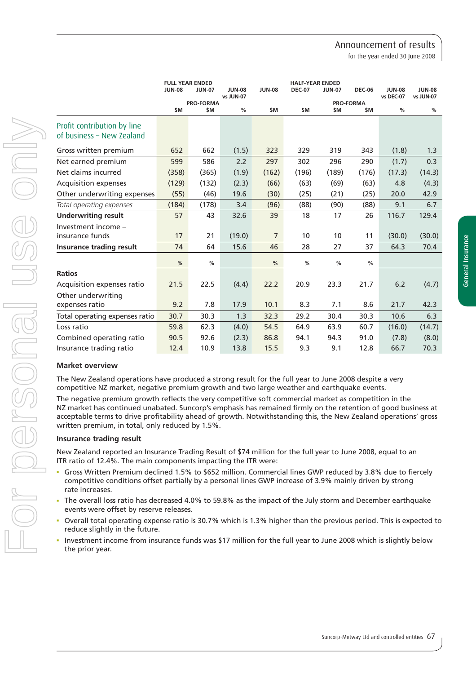for the year ended 30 June 2008

General Insurance

General Insurance

|                                | <b>JUN-08</b> | <b>JUN-07</b>    | <b>JUN-08</b><br>vs JUN-07 | <b>JUN-08</b>  | <b>DEC-07</b> | <b>JUN-07</b> | <b>DEC-06</b>    | <b>JUN-08</b><br>vs DEC-07 | <b>JUN-08</b><br>vs JUN-07 |
|--------------------------------|---------------|------------------|----------------------------|----------------|---------------|---------------|------------------|----------------------------|----------------------------|
|                                |               | <b>PRO-FORMA</b> |                            |                |               |               | <b>PRO-FORMA</b> |                            |                            |
|                                | \$M           | \$M              | %                          | \$M            | \$M           | \$M           | \$M              | %                          | %                          |
| Profit contribution by line    |               |                  |                            |                |               |               |                  |                            |                            |
| of business - New Zealand      |               |                  |                            |                |               |               |                  |                            |                            |
| Gross written premium          | 652           | 662              | (1.5)                      | 323            | 329           | 319           | 343              | (1.8)                      | 1.3                        |
| Net earned premium             | 599           | 586              | 2.2                        | 297            | 302           | 296           | 290              | (1.7)                      | 0.3                        |
| Net claims incurred            | (358)         | (365)            | (1.9)                      | (162)          | (196)         | (189)         | (176)            | (17.3)                     | (14.3)                     |
| <b>Acquisition expenses</b>    | (129)         | (132)            | (2.3)                      | (66)           | (63)          | (69)          | (63)             | 4.8                        | (4.3)                      |
| Other underwriting expenses    | (55)          | (46)             | 19.6                       | (30)           | (25)          | (21)          | (25)             | 20.0                       | 42.9                       |
| Total operating expenses       | (184)         | (178)            | 3.4                        | (96)           | (88)          | (90)          | (88)             | 9.1                        | 6.7                        |
| <b>Underwriting result</b>     | 57            | 43               | 32.6                       | 39             | 18            | 17            | 26               | 116.7                      | 129.4                      |
| Investment income -            |               |                  |                            |                |               |               |                  |                            |                            |
| insurance funds                | 17            | 21               | (19.0)                     | $\overline{7}$ | 10            | 10            | 11               | (30.0)                     | (30.0)                     |
| Insurance trading result       | 74            | 64               | 15.6                       | 46             | 28            | 27            | 37               | 64.3                       | 70.4                       |
|                                | %             | $\%$             |                            | $\%$           | $\%$          | %             | %                |                            |                            |
| <b>Ratios</b>                  |               |                  |                            |                |               |               |                  |                            |                            |
| Acquisition expenses ratio     | 21.5          | 22.5             | (4.4)                      | 22.2           | 20.9          | 23.3          | 21.7             | 6.2                        | (4.7)                      |
| Other underwriting             |               |                  |                            |                |               |               |                  |                            |                            |
| expenses ratio                 | 9.2           | 7.8              | 17.9                       | 10.1           | 8.3           | 7.1           | 8.6              | 21.7                       | 42.3                       |
| Total operating expenses ratio | 30.7          | 30.3             | 1.3                        | 32.3           | 29.2          | 30.4          | 30.3             | 10.6                       | 6.3                        |
| Loss ratio                     | 59.8          | 62.3             | (4.0)                      | 54.5           | 64.9          | 63.9          | 60.7             | (16.0)                     | (14.7)                     |
| Combined operating ratio       | 90.5          | 92.6             | (2.3)                      | 86.8           | 94.1          | 94.3          | 91.0             | (7.8)                      | (8.0)                      |
| Insurance trading ratio        | 12.4          | 10.9             | 13.8                       | 15.5           | 9.3           | 9.1           | 12.8             | 66.7                       | 70.3                       |

**FULL YEAR ENDED HALF-YEAR ENDED**

#### **Market overview**

The New Zealand operations have produced a strong result for the full year to June 2008 despite a very competitive NZ market, negative premium growth and two large weather and earthquake events.

The negative premium growth reflects the very competitive soft commercial market as competition in the NZ market has continued unabated. Suncorp's emphasis has remained firmly on the retention of good business at acceptable terms to drive profitability ahead of growth. Notwithstanding this, the New Zealand operations' gross written premium, in total, only reduced by 1.5%.

#### **Insurance trading result**

New Zealand reported an Insurance Trading Result of \$74 million for the full year to June 2008, equal to an ITR ratio of 12.4%. The main components impacting the ITR were:

- Gross Written Premium declined 1.5% to \$652 million. Commercial lines GWP reduced by 3.8% due to fiercely competitive conditions offset partially by a personal lines GWP increase of 3.9% mainly driven by strong rate increases.
- The overall loss ratio has decreased 4.0% to 59.8% as the impact of the July storm and December earthquake events were offset by reserve releases.
- Overall total operating expense ratio is 30.7% which is 1.3% higher than the previous period. This is expected to reduce slightly in the future.
- Investment income from insurance funds was \$17 million for the full year to June 2008 which is slightly below the prior year.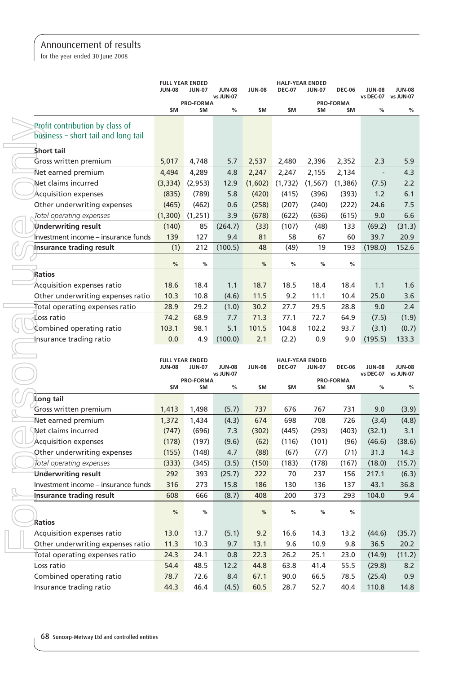for the year ended 30 June 2008

|                                                            |                | <b>FULL YEAR ENDED</b> |                            |                | <b>HALF-YEAR ENDED</b> |                   |                  |                                      |               |
|------------------------------------------------------------|----------------|------------------------|----------------------------|----------------|------------------------|-------------------|------------------|--------------------------------------|---------------|
|                                                            | <b>JUN-08</b>  | <b>JUN-07</b>          | <b>JUN-08</b><br>vs JUN-07 | <b>JUN-08</b>  | <b>DEC-07</b>          | <b>JUN-07</b>     | <b>DEC-06</b>    | <b>JUN-08</b><br>vs DEC-07 vs JUN-07 | <b>JUN-08</b> |
|                                                            |                | <b>PRO-FORMA</b>       |                            |                |                        |                   | <b>PRO-FORMA</b> |                                      |               |
|                                                            | \$M            | \$M                    | %                          | \$M            | \$M                    | \$M               | \$M              | $\%$                                 | %             |
| Profit contribution by class of                            |                |                        |                            |                |                        |                   |                  |                                      |               |
| business - short tail and long tail                        |                |                        |                            |                |                        |                   |                  |                                      |               |
| <b>Short tail</b>                                          |                |                        |                            |                |                        |                   |                  |                                      |               |
| Gross written premium                                      | 5,017          |                        | 5.7                        | 2,537          | 2,480                  | 2,396             |                  |                                      |               |
| Net earned premium                                         |                | 4,748                  |                            |                |                        |                   | 2,352            | 2.3                                  | 5.9<br>4.3    |
| Net claims incurred                                        | 4,494          | 4,289                  | 4.8                        | 2,247          | 2,247                  | 2,155             | 2,134            |                                      |               |
|                                                            | (3, 334)       | (2, 953)               | 12.9                       | (1,602)        | (1,732)                | (1, 567)<br>(396) | (1, 386)         | (7.5)                                | 2.2<br>6.1    |
| <b>Acquisition expenses</b>                                | (835)<br>(465) | (789)                  | 5.8<br>0.6                 | (420)<br>(258) | (415)                  |                   | (393)            | 1.2<br>24.6                          | 7.5           |
| Other underwriting expenses                                |                | (462)                  |                            |                | (207)                  | (240)             | (222)            |                                      | 6.6           |
| Total operating expenses                                   | (1,300)        | (1, 251)               | 3.9                        | (678)          | (622)                  | (636)             | (615)            | 9.0                                  |               |
| Underwriting result<br>Investment income – insurance funds | (140)          | 85                     | (264.7)                    | (33)           | (107)                  | (48)              | 133              | (69.2)                               | (31.3)        |
|                                                            | 139            | 127                    | 9.4                        | 81             | 58                     | 67                | 60               | 39.7                                 | 20.9          |
| Insurance trading result                                   | (1)            | 212                    | (100.5)                    | 48             | (49)                   | 19                | 193              | (198.0)                              | 152.6         |
|                                                            | $\%$           | $\%$                   |                            | $\%$           | %                      | $\%$              | $\%$             |                                      |               |
| Ratios                                                     |                |                        |                            |                |                        |                   |                  |                                      |               |
| Acquisition expenses ratio                                 | 18.6           | 18.4                   | 1.1                        | 18.7           | 18.5                   | 18.4              | 18.4             | 1.1                                  | 1.6           |
| Other underwriting expenses ratio                          | 10.3           | 10.8                   | (4.6)                      | 11.5           | 9.2                    | 11.1              | 10.4             | 25.0                                 | 3.6           |
| Total operating expenses ratio                             | 28.9           | 29.2                   | (1.0)                      | 30.2           | 27.7                   | 29.5              | 28.8             | 9.0                                  | 2.4           |
| Loss ratio                                                 | 74.2           | 68.9                   | 7.7                        | 71.3           | 77.1                   | 72.7              | 64.9             | (7.5)                                | (1.9)         |
| Combined operating ratio                                   | 103.1          | 98.1                   | 5.1                        | 101.5          | 104.8                  | 102.2             | 93.7             | (3.1)                                | (0.7)         |
|                                                            |                |                        |                            |                |                        |                   |                  |                                      |               |
| Insurance trading ratio                                    | 0.0            | 4.9                    | (100.0)                    | 2.1            | (2.2)                  | 0.9               | 9.0              | (195.5)                              | 133.3         |
|                                                            |                |                        |                            |                |                        |                   |                  |                                      |               |
|                                                            |                | <b>FULL YEAR ENDED</b> |                            |                | <b>HALF-YEAR ENDED</b> |                   |                  |                                      |               |
|                                                            | <b>JUN-08</b>  | <b>JUN-07</b>          | <b>JUN-08</b><br>vs JUN-07 | <b>JUN-08</b>  | <b>DEC-07</b>          | <b>JUN-07</b>     | <b>DEC-06</b>    | <b>JUN-08</b><br>vs DEC-07 vs JUN-07 | <b>JUN-08</b> |
|                                                            |                | <b>PRO-FORMA</b>       |                            |                |                        |                   | <b>PRO-FORMA</b> |                                      |               |
|                                                            | \$M            | \$M                    | $\%$                       | \$M            | \$M                    | \$M               | \$M              | %                                    | %             |
| Long tail                                                  |                |                        |                            |                |                        |                   |                  |                                      |               |
| Gross written premium                                      | 1,413          | 1,498                  | (5.7)                      | 737            | 676                    | 767               | 731              | 9.0                                  | (3.9)         |
| Net earned premium                                         | 1,372          | 1,434                  | (4.3)                      | 674            | 698                    | 708               | 726              | (3.4)                                | (4.8)         |
| Net claims incurred                                        | (747)          | (696)                  | 7.3                        | (302)          | (445)                  | (293)             | (403)            | (32.1)                               | 3.1           |
| Acquisition expenses                                       | (178)          | (197)                  | (9.6)                      | (62)           | (116)                  | (101)             | (96)             | (46.6)                               | (38.6)        |
| Other underwriting expenses                                | (155)          | (148)                  | 4.7                        | (88)           | (67)                   | (77)              | (71)             | 31.3                                 | 14.3          |
| Total operating expenses                                   | (333)          | (345)                  | (3.5)                      | (150)          | (183)                  | (178)             | (167)            | (18.0)                               | (15.7)        |
| <b>Underwriting result</b>                                 | 292            | 393                    | (25.7)                     | 222            | 70                     | 237               | 156              | 217.1                                | (6.3)         |
| Investment income - insurance funds                        | 316            | 273                    | 15.8                       | 186            | 130                    | 136               | 137              | 43.1                                 | 36.8          |
| Insurance trading result                                   | 608            | 666                    | (8.7)                      | 408            | 200                    | 373               | 293              | 104.0                                | 9.4           |
|                                                            | $\%$           | $\%$                   |                            | $\%$           | $\%$                   | %                 | $\%$             |                                      |               |
| Ratios                                                     |                |                        |                            |                |                        |                   |                  |                                      |               |
| Acquisition expenses ratio                                 | 13.0           | 13.7                   | (5.1)                      | 9.2            | 16.6                   | 14.3              | 13.2             | (44.6)                               | (35.7)        |
| Other underwriting expenses ratio                          | 11.3           | 10.3                   | 9.7                        | 13.1           | 9.6                    | 10.9              | 9.8              | 36.5                                 | 20.2          |
| Total operating expenses ratio                             | 24.3           | 24.1                   | 0.8                        | 22.3           | 26.2                   | 25.1              | 23.0             | (14.9)                               | (11.2)        |
| Loss ratio                                                 | 54.4           | 48.5                   | 12.2                       | 44.8           | 63.8                   | 41.4              | 55.5             | (29.8)                               | 8.2           |
| Combined operating ratio                                   | 78.7           | 72.6                   | 8.4                        | 67.1           | 90.0                   | 66.5              | 78.5             | (25.4)                               | 0.9           |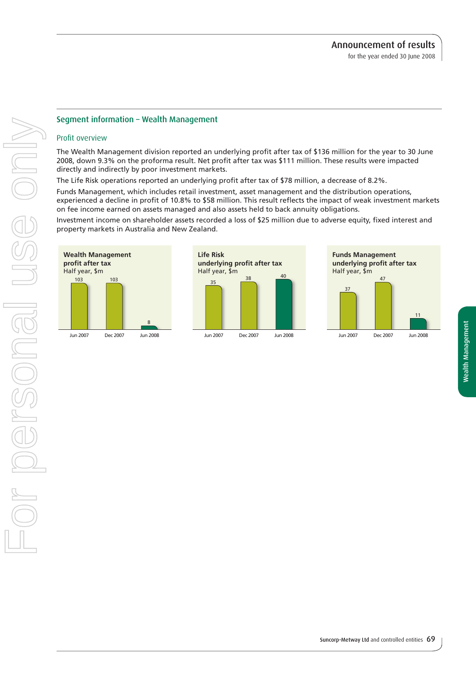Wealth Management

**Nealth Management** 

#### Profit overview

The Wealth Management division reported an underlying profit after tax of \$136 million for the year to 30 June 2008, down 9.3% on the proforma result. Net profit after tax was \$111 million. These results were impacted directly and indirectly by poor investment markets.

The Life Risk operations reported an underlying profit after tax of \$78 million, a decrease of 8.2%.

Funds Management, which includes retail investment, asset management and the distribution operations, experienced a decline in profit of 10.8% to \$58 million. This result reflects the impact of weak investment markets on fee income earned on assets managed and also assets held to back annuity obligations.

Investment income on shareholder assets recorded a loss of \$25 million due to adverse equity, fixed interest and property markets in Australia and New Zealand.

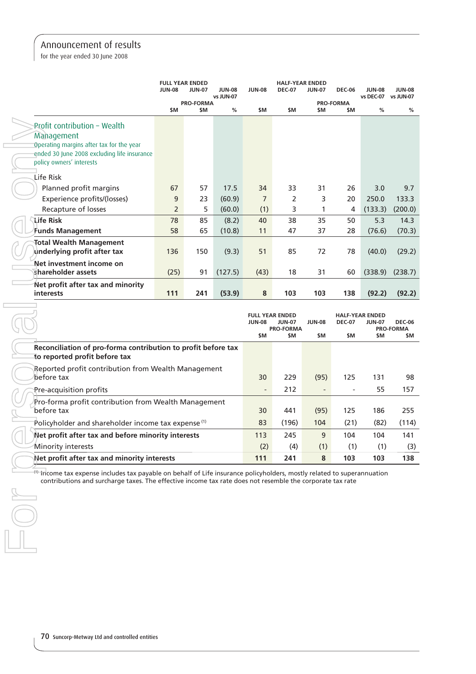for the year ended 30 June 2008

|                                                                                                                                                                                                                                                    | <b>FULL YEAR ENDED</b><br><b>JUN-08</b><br><b>JUN-07</b> |                         |                            |                      |                                                                    | <b>HALF-YEAR ENDED</b> |                         |                                                |                                          |
|----------------------------------------------------------------------------------------------------------------------------------------------------------------------------------------------------------------------------------------------------|----------------------------------------------------------|-------------------------|----------------------------|----------------------|--------------------------------------------------------------------|------------------------|-------------------------|------------------------------------------------|------------------------------------------|
|                                                                                                                                                                                                                                                    |                                                          |                         | <b>JUN-08</b><br>vs JUN-07 | <b>JUN-08</b>        | <b>DEC-07</b>                                                      | <b>JUN-07</b>          | <b>DEC-06</b>           | <b>JUN-08</b><br>vs DEC-07 vs JUN-07           | <b>JUN-08</b>                            |
|                                                                                                                                                                                                                                                    | \$M                                                      | <b>PRO-FORMA</b><br>\$M | %                          | \$M                  | \$M                                                                | \$M                    | <b>PRO-FORMA</b><br>\$M | %                                              | %                                        |
| Profit contribution - Wealth<br>Management<br>Operating margins after tax for the year<br>ended 30 June 2008 excluding life insurance<br>policy owners' interests                                                                                  |                                                          |                         |                            |                      |                                                                    |                        |                         |                                                |                                          |
| Life Risk                                                                                                                                                                                                                                          |                                                          |                         |                            |                      |                                                                    |                        |                         |                                                |                                          |
| Planned profit margins                                                                                                                                                                                                                             | 67                                                       | 57                      | 17.5                       | 34                   | 33                                                                 | 31                     | 26                      | 3.0                                            | 9.7                                      |
| Experience profits/(losses)                                                                                                                                                                                                                        | 9                                                        | 23                      | (60.9)                     | $\overline{7}$       | 2                                                                  | 3                      | 20                      | 250.0                                          | 133.3                                    |
| Recapture of losses                                                                                                                                                                                                                                | 2                                                        | 5                       | (60.0)                     | (1)                  | 3                                                                  | 1                      | 4                       | (133.3)                                        | (200.0)                                  |
| <b>Life Risk</b>                                                                                                                                                                                                                                   | 78                                                       | 85                      | (8.2)                      | 40                   | 38                                                                 | 35                     | 50                      | 5.3                                            | 14.3                                     |
| <b>Funds Management</b>                                                                                                                                                                                                                            | 58                                                       | 65                      | (10.8)                     | 11                   | 47                                                                 | 37                     | 28                      | (76.6)                                         | (70.3)                                   |
| <b>Total Wealth Management</b><br>underlying profit after tax                                                                                                                                                                                      | 136                                                      | 150                     | (9.3)                      | 51                   | 85                                                                 | 72                     | 78                      | (40.0)                                         | (29.2)                                   |
| Net investment income on                                                                                                                                                                                                                           |                                                          |                         |                            |                      |                                                                    |                        |                         |                                                |                                          |
| shareholder assets                                                                                                                                                                                                                                 | (25)                                                     | 91                      | (127.5)                    | (43)                 | 18                                                                 | 31                     | 60                      | (338.9)                                        | (238.7)                                  |
| Net profit after tax and minority<br><b>interests</b>                                                                                                                                                                                              | 111                                                      | 241                     | (53.9)                     | 8                    | 103                                                                | 103                    | 138                     | (92.2)                                         | (92.2)                                   |
|                                                                                                                                                                                                                                                    |                                                          |                         |                            | <b>JUN-08</b><br>\$M | <b>FULL YEAR ENDED</b><br><b>JUN-07</b><br><b>PRO-FORMA</b><br>\$M | <b>JUN-08</b><br>\$M   | <b>DEC-07</b><br>\$M    | <b>HALF-YEAR ENDED</b><br><b>JUN-07</b><br>\$M | <b>DEC-06</b><br><b>PRO-FORMA</b><br>\$M |
| Reconciliation of pro-forma contribution to profit before tax<br>to reported profit before tax                                                                                                                                                     |                                                          |                         |                            |                      |                                                                    |                        |                         |                                                |                                          |
| Reported profit contribution from Wealth Management<br>before tax                                                                                                                                                                                  |                                                          |                         |                            | 30                   | 229                                                                | (95)                   | 125                     | 131                                            | 98                                       |
| Pre-acquisition profits                                                                                                                                                                                                                            |                                                          |                         |                            |                      | 212                                                                |                        |                         | 55                                             | 157                                      |
| Pro-forma profit contribution from Wealth Management<br>before tax                                                                                                                                                                                 |                                                          |                         |                            | 30                   | 441                                                                | (95)                   | 125                     | 186                                            | 255                                      |
| Policyholder and shareholder income tax expense <sup>(1)</sup>                                                                                                                                                                                     |                                                          |                         |                            | 83                   | (196)                                                              | 104                    | (21)                    | (82)                                           | (114)                                    |
| Net profit after tax and before minority interests                                                                                                                                                                                                 |                                                          |                         |                            | 113                  | 245                                                                | 9                      | 104                     | 104                                            | 141                                      |
| Minority interests                                                                                                                                                                                                                                 |                                                          |                         |                            | (2)                  | (4)                                                                | (1)                    | (1)                     | (1)                                            | (3)                                      |
| Net profit after tax and minority interests                                                                                                                                                                                                        |                                                          |                         |                            | 111                  | 241                                                                | 8                      | 103                     | 103                                            | 138                                      |
| $\leftrightarrow$ Income tax expense includes tax payable on behalf of Life insurance policyholders, mostly related to superannuation<br>contributions and surcharge taxes. The effective income tax rate does not resemble the corporate tax rate |                                                          |                         |                            |                      |                                                                    |                        |                         |                                                |                                          |
|                                                                                                                                                                                                                                                    |                                                          |                         |                            |                      |                                                                    |                        |                         |                                                |                                          |

|                                                                                                | <b>JUN-08</b>            | <b>FULL YEAR ENDED</b><br><b>JUN-07</b><br><b>PRO-FORMA</b> | <b>JUN-08</b>            | <b>HALF-YEAR ENDED</b><br><b>DEC-07</b> | <b>JUN-07</b> | <b>DEC-06</b><br><b>PRO-FORMA</b> |
|------------------------------------------------------------------------------------------------|--------------------------|-------------------------------------------------------------|--------------------------|-----------------------------------------|---------------|-----------------------------------|
|                                                                                                | \$M                      | \$M                                                         | \$M.                     | \$M                                     | \$M           | \$M                               |
| Reconciliation of pro-forma contribution to profit before tax<br>to reported profit before tax |                          |                                                             |                          |                                         |               |                                   |
| Reported profit contribution from Wealth Management<br>before tax                              | 30                       | 229                                                         | (95)                     | 125                                     | 131           | 98                                |
| Pre-acquisition profits                                                                        | $\overline{\phantom{0}}$ | 212                                                         | $\overline{\phantom{a}}$ |                                         | 55            | 157                               |
| Pro-forma profit contribution from Wealth Management<br>before tax                             | 30                       | 441                                                         | (95)                     | 125                                     | 186           | 255                               |
| Policyholder and shareholder income tax expense <sup>(1)</sup>                                 | 83                       | (196)                                                       | 104                      | (21)                                    | (82)          | (114)                             |
| Net profit after tax and before minority interests                                             | 113                      | 245                                                         | 9                        | 104                                     | 104           | 141                               |
| Minority interests                                                                             | (2)                      | (4)                                                         | (1)                      | (1)                                     | (1)           | (3)                               |
| Net profit after tax and minority interests                                                    | 111                      | 241                                                         | 8                        | 103                                     | 103           | 138                               |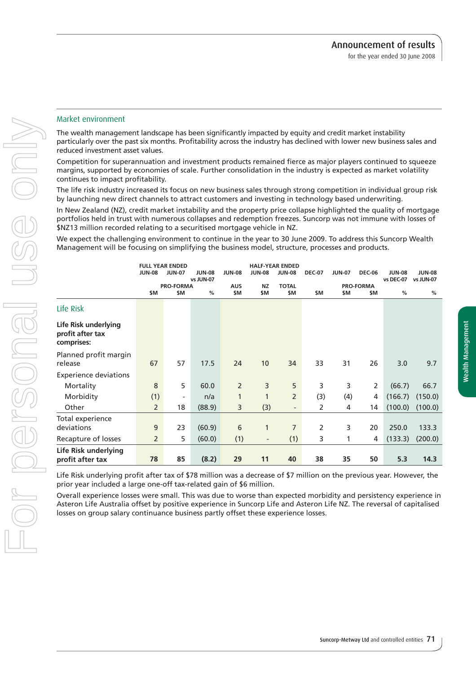for the year ended 30 June 2008

## Market environment

For personal use only

r personal

ISS ON

The wealth management landscape has been significantly impacted by equity and credit market instability particularly over the past six months. Profitability across the industry has declined with lower new business sales and reduced investment asset values.

Competition for superannuation and investment products remained fierce as major players continued to squeeze margins, supported by economies of scale. Further consolidation in the industry is expected as market volatility continues to impact profitability.

The life risk industry increased its focus on new business sales through strong competition in individual group risk by launching new direct channels to attract customers and investing in technology based underwriting.

In New Zealand (NZ), credit market instability and the property price collapse highlighted the quality of mortgage portfolios held in trust with numerous collapses and redemption freezes. Suncorp was not immune with losses of \$NZ13 million recorded relating to a securitised mortgage vehicle in NZ.

We expect the challenging environment to continue in the year to 30 June 2009. To address this Suncorp Wealth Management will be focusing on simplifying the business model, structure, processes and products.

|                                                        | <b>JUN-08</b>  | <b>FULL YEAR ENDED</b><br><b>JUN-07</b> | <b>JUN-08</b>  | <b>JUN-08</b>     | <b>JUN-08</b>            | <b>HALF-YEAR ENDED</b><br><b>JUN-08</b> | <b>DEC-07</b> | <b>JUN-07</b> | <b>DEC-06</b>           | <b>JUN-08</b>  | <b>JUN-08</b>  |
|--------------------------------------------------------|----------------|-----------------------------------------|----------------|-------------------|--------------------------|-----------------------------------------|---------------|---------------|-------------------------|----------------|----------------|
|                                                        | \$M            | <b>PRO-FORMA</b><br>\$M                 | vs JUN-07<br>% | <b>AUS</b><br>\$M | <b>NZ</b><br>\$M         | <b>TOTAL</b><br>\$M                     | \$M           | \$M           | <b>PRO-FORMA</b><br>\$M | vs DEC-07<br>% | vs JUN-07<br>% |
| Life Risk                                              |                |                                         |                |                   |                          |                                         |               |               |                         |                |                |
| Life Risk underlying<br>profit after tax<br>comprises: |                |                                         |                |                   |                          |                                         |               |               |                         |                |                |
| Planned profit margin<br>release                       | 67             | 57                                      | 17.5           | 24                | 10 <sup>1</sup>          | 34                                      | 33            | 31            | 26                      | 3.0            | 9.7            |
| <b>Experience deviations</b>                           |                |                                         |                |                   |                          |                                         |               |               |                         |                |                |
| Mortality                                              | 8              | 5                                       | 60.0           | 2                 | 3                        | 5                                       | 3             | 3             | 2                       | (66.7)         | 66.7           |
| Morbidity                                              | (1)            | $\overline{\phantom{a}}$                | n/a            | $\mathbf{1}$      | $\mathbf{1}$             | $\overline{2}$                          | (3)           | (4)           | 4                       | (166.7)        | (150.0)        |
| Other                                                  | $\overline{2}$ | 18                                      | (88.9)         | 3                 | (3)                      | $\overline{\phantom{a}}$                | 2             | 4             | 14                      | (100.0)        | (100.0)        |
| Total experience<br>deviations                         | 9              | 23                                      | (60.9)         | 6                 | 1                        | $\overline{7}$                          | 2             | 3             | 20                      | 250.0          | 133.3          |
| Recapture of losses                                    | $\overline{2}$ | 5                                       | (60.0)         | (1)               | $\overline{\phantom{a}}$ | (1)                                     | 3             | 1             | 4                       | (133.3)        | (200.0)        |
| Life Risk underlying<br>profit after tax               | 78             | 85                                      | (8.2)          | 29                | 11                       | 40                                      | 38            | 35            | 50                      | 5.3            | 14.3           |

Life Risk underlying profit after tax of \$78 million was a decrease of \$7 million on the previous year. However, the prior year included a large one-off tax-related gain of \$6 million.

Overall experience losses were small. This was due to worse than expected morbidity and persistency experience in Asteron Life Australia offset by positive experience in Suncorp Life and Asteron Life NZ. The reversal of capitalised losses on group salary continuance business partly offset these experience losses.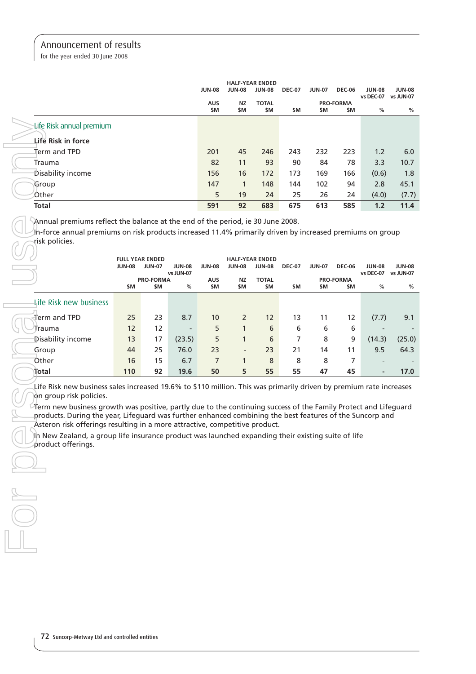for the year ended 30 June 2008

|                                                                  | <b>JUN-08</b>     | <b>JUN-08</b>    | <b>HALF-YEAR ENDED</b><br><b>JUN-08</b> | <b>DEC-07</b> | <b>JUN-07</b> | <b>DEC-06</b>           | <b>JUN-08</b><br>vs DEC-07 | <b>JUN-08</b><br>vs JUN-07 |
|------------------------------------------------------------------|-------------------|------------------|-----------------------------------------|---------------|---------------|-------------------------|----------------------------|----------------------------|
|                                                                  | <b>AUS</b><br>\$M | <b>NZ</b><br>\$M | <b>TOTAL</b><br>\$M                     | \$M           | \$M           | <b>PRO-FORMA</b><br>\$M | $\%$                       | %                          |
| Life Risk annual premium                                         |                   |                  |                                         |               |               |                         |                            |                            |
| Life Risk in force                                               |                   |                  |                                         |               |               |                         |                            |                            |
| $\operatorname{\mathsf{Term}}$ and $\operatorname{\mathsf{TPD}}$ | 201               | 45               | 246                                     | 243           | 232           | 223                     | 1.2                        | 6.0                        |
| Trauma                                                           | 82                | 11               | 93                                      | 90            | 84            | 78                      | 3.3                        | 10.7                       |
| Disability income                                                | 156               | 16               | 172                                     | 173           | 169           | 166                     | (0.6)                      | 1.8                        |
| Group                                                            | 147               | 1                | 148                                     | 144           | 102           | 94                      | 2.8                        | 45.1                       |
| Other                                                            | 5                 | 19               | 24                                      | 25            | 26            | 24                      | (4.0)                      | (7.7)                      |
| <b>Total</b>                                                     | 591               | 92               | 683                                     | 675           | 613           | 585                     | 1.2                        | 11.4                       |

Annual premiums reflect the balance at the end of the period, ie 30 June 2008.

 $\mu$ h-force annual premiums on risk products increased 11.4% primarily driven by increased premiums on group risk policies.

|                               | <b>JUN-08</b> | <b>FULL YEAR ENDED</b><br><b>JUN-07</b> | <b>JUN-08</b><br>vs JUN-07 | <b>JUN-08</b>     | <b>JUN-08</b>    | <b>HALF-YEAR ENDED</b><br><b>JUN-08</b> | <b>DEC-07</b> | <b>JUN-07</b> | <b>DEC-06</b>           | <b>JUN-08</b><br>vs DEC-07 | <b>JUN-08</b><br>vs JUN-07 |
|-------------------------------|---------------|-----------------------------------------|----------------------------|-------------------|------------------|-----------------------------------------|---------------|---------------|-------------------------|----------------------------|----------------------------|
|                               | \$M           | <b>PRO-FORMA</b><br>\$M                 | %                          | <b>AUS</b><br>\$M | <b>NZ</b><br>\$M | <b>TOTAL</b><br>\$M                     | \$M           | \$M           | <b>PRO-FORMA</b><br>\$M | %                          | %                          |
|                               |               |                                         |                            |                   |                  |                                         |               |               |                         |                            |                            |
| <b>Life Risk new business</b> |               |                                         |                            |                   |                  |                                         |               |               |                         |                            |                            |
| Term and TPD                  | 25            | 23                                      | 8.7                        | 10                | $\overline{2}$   | 12                                      | 13            | 11            | 12                      | (7.7)                      | 9.1                        |
| Trauma                        | 12            | 12                                      | $\overline{\phantom{a}}$   | 5                 |                  | 6                                       | 6             | 6             | 6                       |                            |                            |
| Disability income             | 13            | 17                                      | (23.5)                     | 5                 |                  | 6                                       | 7             | 8             | 9                       | (14.3)                     | (25.0)                     |
| Group                         | 44            | 25                                      | 76.0                       | 23                | -                | 23                                      | 21            | 14            | 11                      | 9.5                        | 64.3                       |
| Other                         | 16            | 15                                      | 6.7                        | 7                 |                  | 8                                       | 8             | 8             | 7                       |                            |                            |
| Total                         | 110           | 92                                      | 19.6                       | 50                | 5                | 55                                      | 55            | 47            | 45                      | ۰                          | 17.0                       |

Life Risk new business sales increased 19.6% to \$110 million. This was primarily driven by premium rate increases on group risk policies.

Term new business growth was positive, partly due to the continuing success of the Family Protect and Lifeguard products. During the year, Lifeguard was further enhanced combining the best features of the Suncorp and Asteron risk offerings resulting in a more attractive, competitive product.

In New Zealand, a group life insurance product was launched expanding their existing suite of life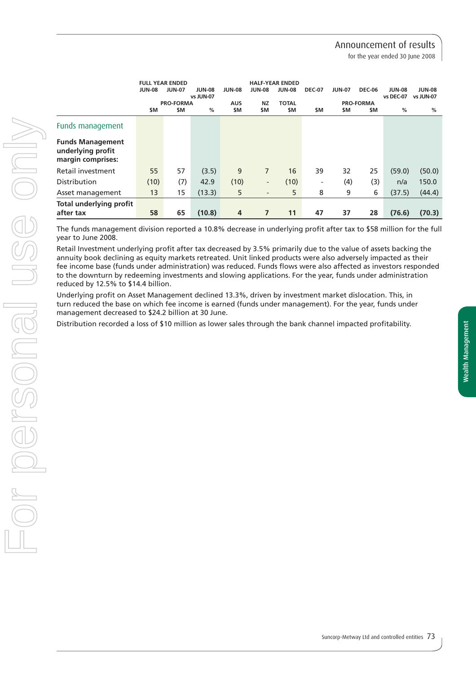for the year ended 30 June 2008

Wealth Management

**Nealth Management** 

|                                                                   | <b>JUN-08</b> | <b>FULL YEAR ENDED</b><br><b>JUN-07</b> | <b>JUN-08</b>  | <b>JUN-08</b>     | JUN-08                   | <b>HALF-YEAR ENDED</b><br><b>JUN-08</b> | <b>DEC-07</b>  | <b>JUN-07</b> | <b>DEC-06</b>           | <b>JUN-08</b><br>vs DEC-07 | <b>JUN-08</b><br>vs JUN-07 |
|-------------------------------------------------------------------|---------------|-----------------------------------------|----------------|-------------------|--------------------------|-----------------------------------------|----------------|---------------|-------------------------|----------------------------|----------------------------|
|                                                                   | \$M           | <b>PRO-FORMA</b><br>\$M                 | vs JUN-07<br>% | <b>AUS</b><br>\$M | <b>NZ</b><br>\$M         | <b>TOTAL</b><br>\$M                     | \$M            | \$M           | <b>PRO-FORMA</b><br>\$M | %                          | %                          |
| Funds management                                                  |               |                                         |                |                   |                          |                                         |                |               |                         |                            |                            |
| <b>Funds Management</b><br>underlying profit<br>margin comprises: |               |                                         |                |                   |                          |                                         |                |               |                         |                            |                            |
| Retail investment                                                 | 55            | 57                                      | (3.5)          | 9                 | 7                        | 16                                      | 39             | 32            | 25                      | (59.0)                     | (50.0)                     |
| <b>Distribution</b>                                               | (10)          | (7)                                     | 42.9           | (10)              | $\overline{\phantom{a}}$ | (10)                                    | $\overline{a}$ | (4)           | (3)                     | n/a                        | 150.0                      |
| Asset management                                                  | 13            | 15                                      | (13.3)         | 5                 | $\overline{\phantom{a}}$ | 5                                       | 8              | 9             | 6                       | (37.5)                     | (44.4)                     |
| Total underlying profit<br>after tax                              | 58            | 65                                      | (10.8)         | 4                 |                          | 11                                      | 47             | 37            | 28                      | (76.6)                     | (70.3)                     |

The funds management division reported a 10.8% decrease in underlying profit after tax to \$58 million for the full year to June 2008.

Retail Investment underlying profit after tax decreased by 3.5% primarily due to the value of assets backing the annuity book declining as equity markets retreated. Unit linked products were also adversely impacted as their fee income base (funds under administration) was reduced. Funds flows were also affected as investors responded to the downturn by redeeming investments and slowing applications. For the year, funds under administration reduced by 12.5% to \$14.4 billion.

Underlying profit on Asset Management declined 13.3%, driven by investment market dislocation. This, in turn reduced the base on which fee income is earned (funds under management). For the year, funds under management decreased to \$24.2 billion at 30 June.

Distribution recorded a loss of \$10 million as lower sales through the bank channel impacted profitability.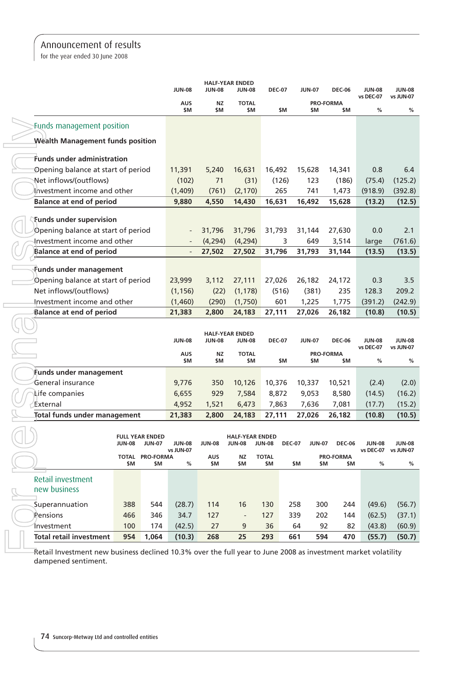for the year ended 30 June 2008

|                                                                                                               |                     |                                         |                            |                   | <b>HALF-YEAR ENDED</b>                  |                     |               |                         |                         |                            |                            |
|---------------------------------------------------------------------------------------------------------------|---------------------|-----------------------------------------|----------------------------|-------------------|-----------------------------------------|---------------------|---------------|-------------------------|-------------------------|----------------------------|----------------------------|
|                                                                                                               |                     |                                         | <b>JUN-08</b>              | <b>JUN-08</b>     | <b>JUN-08</b>                           | <b>DEC-07</b>       |               | <b>JUN-07</b>           | <b>DEC-06</b>           | <b>JUN-08</b><br>vs DEC-07 | <b>JUN-08</b><br>vs JUN-07 |
|                                                                                                               |                     |                                         | <b>AUS</b><br>\$M          | ΝZ<br>\$M         | <b>TOTAL</b><br>\$M                     |                     | \$M           | <b>PRO-FORMA</b><br>\$M | \$M                     | %                          | %                          |
| Funds management position                                                                                     |                     |                                         |                            |                   |                                         |                     |               |                         |                         |                            |                            |
| <b>Wealth Management funds position</b>                                                                       |                     |                                         |                            |                   |                                         |                     |               |                         |                         |                            |                            |
| Funds under administration                                                                                    |                     |                                         |                            |                   |                                         |                     |               |                         |                         |                            |                            |
| Opening balance at start of period                                                                            |                     |                                         | 11,391                     | 5,240             | 16,631                                  | 16,492              |               | 15,628                  | 14,341                  | 0.8                        | 6.4                        |
| Net inflows/(outflows)                                                                                        |                     |                                         | (102)                      | 71                | (31)                                    |                     | (126)         | 123                     | (186)                   | (75.4)                     | (125.2)                    |
| Investment income and other                                                                                   |                     |                                         | (1,409)                    | (761)             | (2, 170)                                |                     | 265           | 741                     | 1,473                   | (918.9)                    | (392.8)                    |
| <b>Balance at end of period</b>                                                                               |                     |                                         | 9,880                      | 4,550             | 14,430                                  | 16,631              |               | 16,492                  | 15,628                  | (13.2)                     | (12.5)                     |
| <b>Funds under supervision</b>                                                                                |                     |                                         |                            |                   |                                         |                     |               |                         |                         |                            |                            |
| Opening balance at start of period                                                                            |                     |                                         |                            | 31,796            | 31,796                                  | 31,793              |               | 31,144                  | 27,630                  | 0.0                        | 2.1                        |
| Investment income and other                                                                                   |                     |                                         |                            | (4, 294)          | (4, 294)                                |                     | 3             | 649                     | 3,514                   | large                      | (761.6)                    |
| Balance at end of period                                                                                      |                     |                                         |                            | 27,502            | 27,502                                  | 31,796              |               | 31,793                  | 31,144                  | (13.5)                     | (13.5)                     |
| Funds under management                                                                                        |                     |                                         |                            |                   |                                         |                     |               |                         |                         |                            |                            |
| Opening balance at start of period                                                                            |                     |                                         | 23,999                     | 3,112             | 27,111                                  | 27,026              |               | 26,182                  | 24,172                  | 0.3                        | 3.5                        |
| Net inflows/(outflows)                                                                                        |                     |                                         | (1, 156)                   | (22)              | (1, 178)                                |                     | (516)         | (381)                   | 235                     | 128.3                      | 209.2                      |
| Investment income and other                                                                                   |                     |                                         | (1,460)                    | (290)             | (1,750)                                 |                     | 601           | 1,225                   | 1,775                   | (391.2)                    | (242.9)                    |
| <b>Balance at end of period</b>                                                                               |                     |                                         | 21,383                     | 2,800             | 24,183                                  | 27,111              |               | 27,026                  | 26,182                  | (10.8)                     | (10.5)                     |
|                                                                                                               |                     |                                         |                            |                   |                                         |                     |               |                         |                         |                            |                            |
|                                                                                                               |                     |                                         | <b>JUN-08</b>              | <b>JUN-08</b>     | <b>HALF-YEAR ENDED</b><br><b>JUN-08</b> | <b>DEC-07</b>       |               | <b>JUN-07</b>           | <b>DEC-06</b>           | <b>JUN-08</b><br>vs DEC-07 | <b>JUN-08</b><br>vs JUN-07 |
|                                                                                                               |                     |                                         | <b>AUS</b><br>\$M          | ΝZ<br>\$M         | <b>TOTAL</b><br>\$M                     |                     | \$M           | <b>PRO-FORMA</b><br>\$M | \$M                     | %                          | %                          |
| <b>Funds under management</b>                                                                                 |                     |                                         |                            |                   |                                         |                     |               |                         |                         |                            |                            |
| General insurance                                                                                             |                     |                                         | 9,776                      | 350               | 10,126                                  | 10,376              |               | 10,337                  | 10,521                  | (2.4)                      | (2.0)                      |
| Life companies                                                                                                |                     |                                         | 6,655                      | 929               | 7,584                                   | 8,872               |               | 9,053                   | 8,580                   | (14.5)                     | (16.2)                     |
| External                                                                                                      |                     |                                         | 4,952                      | 1,521             | 6,473                                   | 7,863               |               | 7,636                   | 7,081                   | (17.7)                     | (15.2)                     |
| Total funds under management                                                                                  |                     |                                         | 21,383                     | 2,800             | 24,183                                  | 27,111              |               | 27,026                  | 26,182                  | (10.8)                     | (10.5)                     |
|                                                                                                               | <b>JUN-08</b>       | <b>FULL YEAR ENDED</b><br><b>JUN-07</b> | <b>JUN-08</b><br>vs JUN-07 | <b>JUN-08</b>     | <b>HALF-YEAR ENDED</b><br><b>JUN-08</b> | <b>JUN-08</b>       | <b>DEC-07</b> | <b>JUN-07</b>           | <b>DEC-06</b>           | <b>JUN-08</b>              | <b>JUN-08</b>              |
|                                                                                                               | <b>TOTAL</b><br>\$M | <b>PRO-FORMA</b><br>\$M                 | ℅                          | <b>AUS</b><br>\$M | ΝZ<br>\$M                               | <b>TOTAL</b><br>\$M | \$M           | \$M                     | <b>PRO-FORMA</b><br>\$M | $\%$                       | vs DEC-07 vs JUN-07<br>%   |
| Retail investment<br>new business                                                                             |                     |                                         |                            |                   |                                         |                     |               |                         |                         |                            |                            |
|                                                                                                               | 388                 | 544                                     |                            | 114               | 16                                      | 130                 |               | 300                     | 244                     |                            |                            |
| Superannuation<br>Pensions                                                                                    | 466                 | 346                                     | (28.7)<br>34.7             | 127               | $\overline{\phantom{a}}$                | 127                 | 258<br>339    | 202                     | 144                     | (49.6)<br>(62.5)           | (56.7)                     |
| <b>Investment</b>                                                                                             | 100                 | 174                                     | (42.5)                     | 27                | 9                                       | 36                  | 64            | 92                      | 82                      | (43.8)                     | (37.1)                     |
| <b>Total retail investment</b>                                                                                | 954                 | 1,064                                   | (10.3)                     | 268               | 25                                      | 293                 | 661           | 594                     | 470                     | (55.7)                     | (60.9)<br>(50.7)           |
| Retail Investment new business declined 10.3% over the full year to June 2008 as investment market volatility |                     |                                         |                            |                   |                                         |                     |               |                         |                         |                            |                            |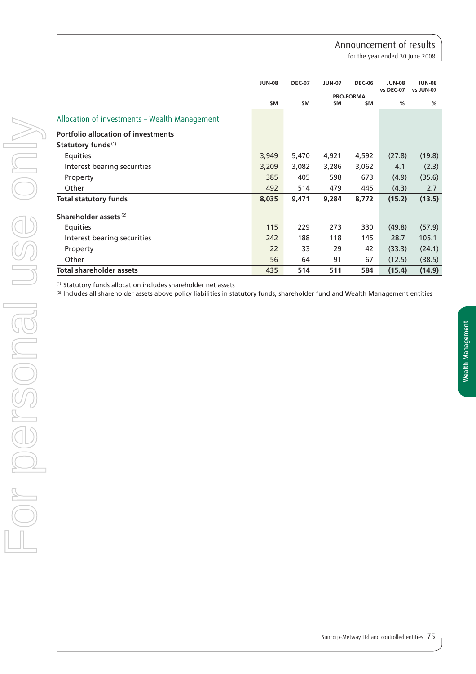for the year ended 30 June 2008

Wealth Management

**Wealth Management** 

|                                               | <b>JUN-08</b> | <b>DEC-07</b> | <b>JUN-07</b> | <b>DEC-06</b>    | <b>JUN-08</b><br>vs DEC-07 | <b>JUN-08</b><br>vs JUN-07 |
|-----------------------------------------------|---------------|---------------|---------------|------------------|----------------------------|----------------------------|
|                                               |               |               |               | <b>PRO-FORMA</b> |                            |                            |
|                                               | \$M           | \$M           | \$M           | <b>SM</b>        | %                          | %                          |
| Allocation of investments - Wealth Management |               |               |               |                  |                            |                            |
| <b>Portfolio allocation of investments</b>    |               |               |               |                  |                            |                            |
| Statutory funds <sup>(1)</sup>                |               |               |               |                  |                            |                            |
| Equities                                      | 3,949         | 5,470         | 4,921         | 4,592            | (27.8)                     | (19.8)                     |
| Interest bearing securities                   | 3,209         | 3,082         | 3,286         | 3,062            | 4.1                        | (2.3)                      |
| Property                                      | 385           | 405           | 598           | 673              | (4.9)                      | (35.6)                     |
| Other                                         | 492           | 514           | 479           | 445              | (4.3)                      | 2.7                        |
| <b>Total statutory funds</b>                  | 8,035         | 9,471         | 9,284         | 8,772            | (15.2)                     | (13.5)                     |
| Shareholder assets <sup>(2)</sup>             |               |               |               |                  |                            |                            |
| Equities                                      | 115           | 229           | 273           | 330              | (49.8)                     | (57.9)                     |
| Interest bearing securities                   | 242           | 188           | 118           | 145              | 28.7                       | 105.1                      |
| Property                                      | 22            | 33            | 29            | 42               | (33.3)                     | (24.1)                     |
| Other                                         | 56            | 64            | 91            | 67               | (12.5)                     | (38.5)                     |
| <b>Total shareholder assets</b>               | 435           | 514           | 511           | 584              | (15.4)                     | (14.9)                     |

(1) Statutory funds allocation includes shareholder net assets

(2) Includes all shareholder assets above policy liabilities in statutory funds, shareholder fund and Wealth Management entities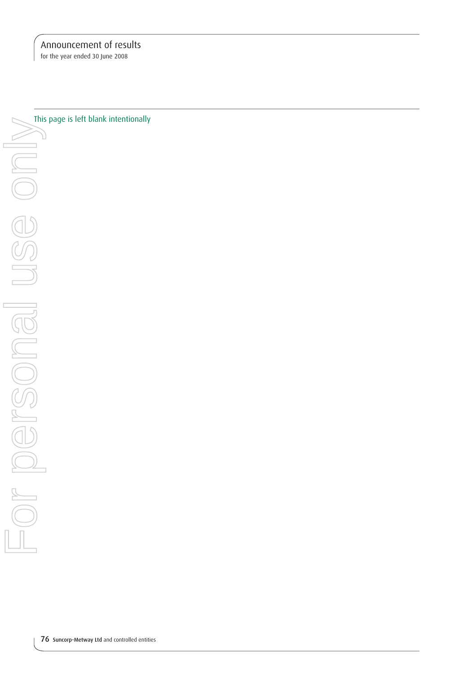for the year ended 30 June 2008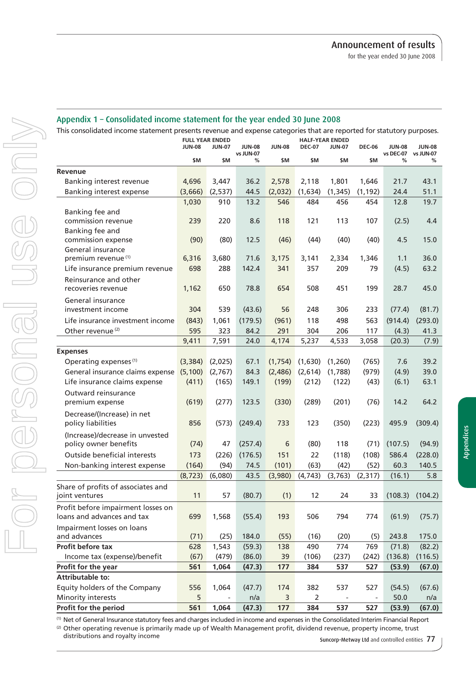#### Appendix 1 – Consolidated income statement for the year ended 30 June 2008

This consolidated income statement presents revenue and expense categories that are reported for statutory purposes.

|                                    |               | <b>FULL YEAR ENDED</b> |                            |               |               | <b>HALF-YEAR ENDED</b> |               |                            |                            |
|------------------------------------|---------------|------------------------|----------------------------|---------------|---------------|------------------------|---------------|----------------------------|----------------------------|
|                                    | <b>JUN-08</b> | <b>JUN-07</b>          | <b>JUN-08</b><br>vs JUN-07 | <b>JUN-08</b> | <b>DEC-07</b> | <b>JUN-07</b>          | <b>DEC-06</b> | <b>JUN-08</b><br>vs DEC-07 | <b>JUN-08</b><br>vs JUN-07 |
|                                    | \$M           | \$M                    | %                          | \$M           | \$M           | \$M                    | \$M           | %                          | %                          |
| Revenue                            |               |                        |                            |               |               |                        |               |                            |                            |
| Banking interest revenue           | 4,696         | 3,447                  | 36.2                       | 2,578         | 2,118         | 1,801                  | 1,646         | 21.7                       | 43.1                       |
| Banking interest expense           | (3,666)       | (2, 537)               | 44.5                       | (2,032)       | (1,634)       | (1, 345)               | (1, 192)      | 24.4                       | 51.1                       |
|                                    | 1,030         | 910                    | 13.2                       | 546           | 484           | 456                    | 454           | 12.8                       | 19.7                       |
| Banking fee and                    |               |                        |                            |               |               |                        |               |                            |                            |
| commission revenue                 | 239           | 220                    | 8.6                        | 118           | 121           | 113                    | 107           | (2.5)                      | 4.4                        |
| Banking fee and                    |               |                        |                            |               |               |                        |               |                            |                            |
| commission expense                 | (90)          | (80)                   | 12.5                       | (46)          | (44)          | (40)                   | (40)          | 4.5                        | 15.0                       |
| General insurance                  |               |                        |                            |               |               |                        |               |                            |                            |
| premium revenue <sup>(1)</sup>     | 6,316         | 3,680                  | 71.6                       | 3,175         | 3,141         | 2,334                  | 1,346         | 1.1                        | 36.0                       |
| Life insurance premium revenue     | 698           | 288                    | 142.4                      | 341           | 357           | 209                    | 79            | (4.5)                      | 63.2                       |
| Reinsurance and other              |               |                        |                            |               |               |                        |               |                            |                            |
| recoveries revenue                 | 1,162         | 650                    | 78.8                       | 654           | 508           | 451                    | 199           | 28.7                       | 45.0                       |
| General insurance                  |               |                        |                            |               |               |                        |               |                            |                            |
| investment income                  | 304           | 539                    | (43.6)                     | 56            | 248           | 306                    | 233           | (77.4)                     | (81.7)                     |
| Life insurance investment income   | (843)         | 1,061                  | (179.5)                    | (961)         | 118           | 498                    | 563           | (914.4)                    | (293.0)                    |
| Other revenue <sup>(2)</sup>       | 595           | 323                    | 84.2                       | 291           | 304           | 206                    | 117           | (4.3)                      | 41.3                       |
|                                    | 9,411         | 7,591                  | 24.0                       | 4,174         | 5,237         | 4,533                  | 3,058         | (20.3)                     | (7.9)                      |
| <b>Expenses</b>                    |               |                        |                            |               |               |                        |               |                            |                            |
| Operating expenses <sup>(1)</sup>  | (3, 384)      | (2,025)                | 67.1                       | (1,754)       | (1,630)       | (1,260)                | (765)         | 7.6                        | 39.2                       |
| General insurance claims expense   | (5, 100)      | (2,767)                | 84.3                       | (2,486)       | (2,614)       | (1,788)                | (979)         | (4.9)                      | 39.0                       |
| Life insurance claims expense      | (411)         | (165)                  | 149.1                      | (199)         | (212)         | (122)                  | (43)          | (6.1)                      | 63.1                       |
| Outward reinsurance                |               |                        |                            |               |               |                        |               |                            |                            |
| premium expense                    | (619)         | (277)                  | 123.5                      | (330)         | (289)         | (201)                  | (76)          | 14.2                       | 64.2                       |
| Decrease/(Increase) in net         |               |                        |                            |               |               |                        |               |                            |                            |
| policy liabilities                 | 856           | (573)                  | (249.4)                    | 733           | 123           | (350)                  | (223)         | 495.9                      | (309.4)                    |
| (Increase)/decrease in unvested    |               |                        |                            |               |               |                        |               |                            |                            |
| policy owner benefits              | (74)          | 47                     | (257.4)                    | 6             | (80)          | 118                    | (71)          | (107.5)                    | (94.9)                     |
| Outside beneficial interests       | 173           |                        | (176.5)                    | 151           | 22            | (118)                  | (108)         | 586.4                      | (228.0)                    |
| Non-banking interest expense       | (164)         | (226)<br>(94)          | 74.5                       | (101)         | (63)          | (42)                   | (52)          | 60.3                       | 140.5                      |
|                                    |               |                        |                            |               |               |                        |               |                            |                            |
|                                    | (8, 723)      | (6,080)                | 43.5                       | (3,980)       | (4, 743)      | (3, 763)               | (2, 317)      | (16.1)                     | 5.8                        |
| Share of profits of associates and | 11            | 57                     | (80.7)                     |               | 12            |                        |               |                            | $(108.3)$ $(104.2)$        |
| joint ventures                     |               |                        |                            | (1)           |               | 24                     | 33            |                            |                            |
| Profit before impairment losses on |               |                        |                            |               |               |                        |               |                            |                            |
| loans and advances and tax         | 699           | 1,568                  | (55.4)                     | 193           | 506           | 794                    | 774           | (61.9)                     | (75.7)                     |
| Impairment losses on loans         |               |                        |                            |               |               |                        |               |                            |                            |
| and advances                       | (71)          | (25)                   | 184.0                      | (55)          | (16)          | (20)                   | (5)           | 243.8                      | 175.0                      |
| Profit before tax                  | 628           | 1,543                  | (59.3)                     | 138           | 490           | 774                    | 769           | (71.8)                     | (82.2)                     |
| Income tax (expense)/benefit       | (67)          | (479)                  | (86.0)                     | 39            | (106)         | (237)                  | (242)         | (136.8)                    | (116.5)                    |
| Profit for the year                | 561           | 1,064                  | (47.3)                     | 177           | 384           | 537                    | 527           | (53.9)                     | (67.0)                     |
| <b>Attributable to:</b>            |               |                        |                            |               |               |                        |               |                            |                            |
| Equity holders of the Company      | 556           | 1,064                  | (47.7)                     | 174           | 382           | 537                    | 527           | (54.5)                     | (67.6)                     |
| Minority interests                 | 5             |                        | n/a                        | 3             | 2             |                        |               | 50.0                       | n/a                        |
| Profit for the period              | 561           | 1,064                  | (47.3)                     | 177           | 384           | 537                    | 527           | (53.9)                     | (67.0)                     |

(2) Other operating revenue is primarily made up of Wealth Management profit, dividend revenue, property income, trust distributions and royalty income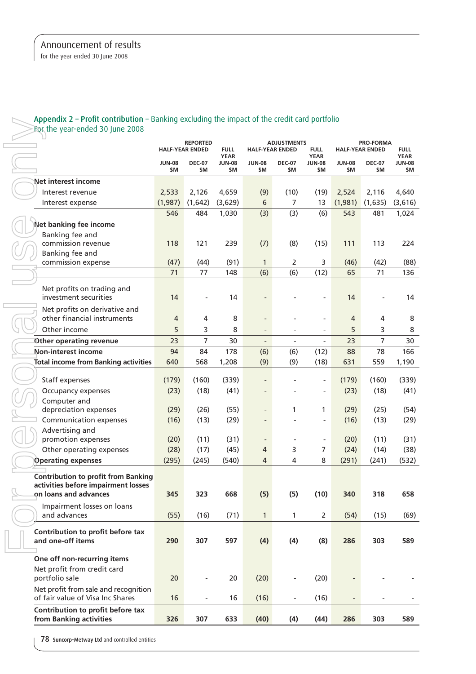#### Appendix 2 - Profit contribution - Banking excluding the impact of the credit card portfolio For the year-ended 30 June 2008

|                                                                                   |                      | <b>REPORTED</b><br><b>HALF-YEAR ENDED</b> | <b>FULL</b><br><b>YEAR</b> | <b>HALF-YEAR ENDED</b>   | <b>ADJUSTMENTS</b>           | <b>FULL</b><br><b>YEAR</b> |                          | <b>PRO-FORMA</b><br><b>HALF-YEAR ENDED</b> | <b>FULL</b><br><b>YEAR</b> |
|-----------------------------------------------------------------------------------|----------------------|-------------------------------------------|----------------------------|--------------------------|------------------------------|----------------------------|--------------------------|--------------------------------------------|----------------------------|
|                                                                                   | <b>JUN-08</b><br>\$M | <b>DEC-07</b><br>\$M                      | <b>JUN-08</b><br>\$M       | <b>JUN-08</b><br>\$M     | <b>DEC-07</b><br>\$M         | <b>JUN-08</b><br>\$M       | <b>JUN-08</b><br>\$M     | <b>DEC-07</b><br>\$M                       | <b>JUN-08</b><br>\$M       |
| Net interest income                                                               |                      |                                           |                            |                          |                              |                            |                          |                                            |                            |
| Interest revenue                                                                  | 2,533                | 2,126                                     | 4,659                      | (9)                      | (10)                         | (19)                       | 2,524                    | 2,116                                      | 4,640                      |
| Interest expense                                                                  | (1,987)              | (1,642)                                   | (3,629)                    | 6                        | 7                            | 13                         | (1,981)                  | (1,635)                                    | (3,616)                    |
|                                                                                   | 546                  | 484                                       | 1,030                      | (3)                      | (3)                          | (6)                        | 543                      | 481                                        | 1,024                      |
| Net banking fee income                                                            |                      |                                           |                            |                          |                              |                            |                          |                                            |                            |
| Banking fee and                                                                   |                      |                                           |                            |                          |                              |                            |                          |                                            |                            |
| commission revenue                                                                | 118                  | 121                                       | 239                        | (7)                      | (8)                          | (15)                       | 111                      | 113                                        | 224                        |
| Banking fee and                                                                   |                      |                                           |                            |                          |                              |                            |                          |                                            |                            |
| commission expense                                                                | (47)                 | (44)                                      | (91)                       | $\mathbf{1}$             | 2                            | 3                          | (46)                     | (42)                                       | (88)                       |
|                                                                                   | 71                   | 77                                        | 148                        | (6)                      | (6)                          | (12)                       | 65                       | 71                                         | 136                        |
| Net profits on trading and                                                        |                      |                                           |                            |                          |                              |                            |                          |                                            |                            |
| investment securities                                                             | 14                   |                                           | 14                         |                          |                              |                            | 14                       |                                            | 14                         |
| Net profits on derivative and                                                     |                      |                                           |                            |                          |                              |                            |                          |                                            |                            |
| other financial instruments                                                       | $\overline{4}$       | 4                                         | 8                          |                          |                              | $\overline{\phantom{0}}$   | $\overline{4}$           | 4                                          | 8                          |
| Other income                                                                      | 5                    | 3                                         | 8                          |                          |                              | $\overline{a}$             | 5                        | 3                                          | 8                          |
| Other operating revenue                                                           | 23                   | $\overline{7}$                            | 30                         | $\overline{\phantom{a}}$ | $\overline{\phantom{a}}$     | $\overline{a}$             | 23                       | $\overline{7}$                             | 30                         |
| <b>Non-interest income</b>                                                        | 94                   | 84                                        | 178                        | (6)                      | (6)                          | (12)                       | 88                       | 78                                         | 166                        |
|                                                                                   |                      |                                           |                            |                          |                              |                            |                          | 559                                        |                            |
| <b>Total income from Banking activities</b>                                       | 640                  | 568                                       | 1,208                      | (9)                      | (9)                          | (18)                       | 631                      |                                            | 1,190                      |
| Staff expenses                                                                    | (179)                | (160)                                     | (339)                      |                          |                              | $\overline{a}$             | (179)                    | (160)                                      | (339)                      |
| Occupancy expenses                                                                | (23)                 | (18)                                      | (41)                       |                          |                              | $\qquad \qquad -$          | (23)                     | (18)                                       | (41)                       |
| Computer and                                                                      |                      |                                           |                            |                          |                              |                            |                          |                                            |                            |
| depreciation expenses                                                             | (29)                 | (26)                                      | (55)                       |                          | 1                            | 1                          | (29)                     | (25)                                       | (54)                       |
| Communication expenses                                                            | (16)                 | (13)                                      | (29)                       |                          |                              | $\overline{a}$             | (16)                     | (13)                                       | (29)                       |
| Advertising and                                                                   |                      |                                           |                            |                          |                              |                            |                          |                                            |                            |
| promotion expenses                                                                | (20)                 | (11)                                      | (31)                       |                          |                              | $\overline{\phantom{a}}$   | (20)                     | (11)                                       | (31)                       |
| Other operating expenses                                                          | (28)                 | (17)                                      | (45)                       | 4                        | 3                            | $\overline{7}$             | (24)                     | (14)                                       | (38)                       |
| <b>Operating expenses</b>                                                         | (295)                | (245)                                     | (540)                      | 4                        | 4                            | 8                          | (291)                    | (241)                                      | (532)                      |
|                                                                                   |                      |                                           |                            |                          |                              |                            |                          |                                            |                            |
| <b>Contribution to profit from Banking</b><br>activities before impairment losses |                      |                                           |                            |                          |                              |                            |                          |                                            |                            |
| on loans and advances                                                             | 345                  | 323                                       | 668                        | (5)                      | (5)                          | (10)                       | 340                      | 318                                        | 658                        |
| Impairment losses on loans                                                        |                      |                                           |                            |                          |                              |                            |                          |                                            |                            |
| and advances                                                                      | (55)                 | (16)                                      | (71)                       | $\mathbf{1}$             | 1                            | $\overline{2}$             | (54)                     | (15)                                       | (69)                       |
|                                                                                   |                      |                                           |                            |                          |                              |                            |                          |                                            |                            |
| Contribution to profit before tax                                                 |                      |                                           |                            |                          |                              |                            |                          |                                            |                            |
| and one-off items                                                                 | 290                  | 307                                       | 597                        | (4)                      | (4)                          | (8)                        | 286                      | 303                                        | 589                        |
|                                                                                   |                      |                                           |                            |                          |                              |                            |                          |                                            |                            |
| One off non-recurring items                                                       |                      |                                           |                            |                          |                              |                            |                          |                                            |                            |
| Net profit from credit card<br>portfolio sale                                     | 20                   | $\overline{\phantom{0}}$                  | 20                         | (20)                     | $\qquad \qquad \blacksquare$ | (20)                       |                          |                                            |                            |
|                                                                                   |                      |                                           |                            |                          |                              |                            |                          |                                            |                            |
| Net profit from sale and recognition<br>of fair value of Visa Inc Shares          | 16                   | $\blacksquare$                            | 16                         | (16)                     | $\overline{\phantom{a}}$     | (16)                       | $\overline{\phantom{a}}$ |                                            |                            |
| Contribution to profit before tax                                                 |                      |                                           |                            |                          |                              |                            |                          |                                            |                            |
|                                                                                   |                      |                                           |                            |                          |                              |                            |                          |                                            |                            |

78 Suncorp-Metway Ltd and controlled entities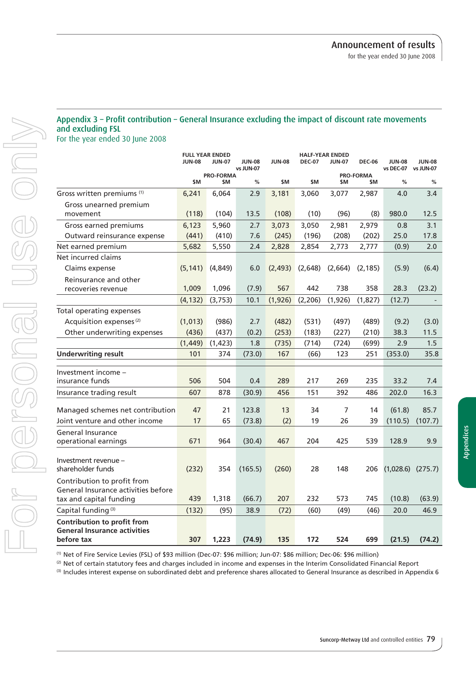## Appendix 3 - Profit contribution - General Insurance excluding the impact of discount rate movements and excluding FSL

For the year ended 30 June 2008

|                                                                    |               | <b>FULL YEAR ENDED</b> |                            |               |               | <b>HALF-YEAR ENDED</b> |                  |                       |               |
|--------------------------------------------------------------------|---------------|------------------------|----------------------------|---------------|---------------|------------------------|------------------|-----------------------|---------------|
|                                                                    | <b>JUN-08</b> | <b>JUN-07</b>          | <b>JUN-08</b><br>vs JUN-07 | <b>JUN-08</b> | <b>DEC-07</b> | <b>JUN-07</b>          | <b>DEC-06</b>    | <b>JUN-08</b>         | <b>JUN-08</b> |
|                                                                    |               | <b>PRO-FORMA</b>       |                            |               |               |                        | <b>PRO-FORMA</b> | vs DEC-07 vs JUN-07   |               |
|                                                                    | \$M           | <b>SM</b>              | %                          | \$M           | \$M           | \$M                    | \$M              | %                     | %             |
| Gross written premiums (1)                                         | 6,241         | 6,064                  | 2.9                        | 3,181         | 3,060         | 3,077                  | 2,987            | 4.0                   | 3.4           |
| Gross unearned premium                                             |               |                        |                            |               |               |                        |                  |                       |               |
| movement                                                           | (118)         | (104)                  | 13.5                       | (108)         | (10)          | (96)                   | (8)              | 980.0                 | 12.5          |
| Gross earned premiums                                              | 6,123         | 5,960                  | 2.7                        | 3,073         | 3,050         | 2,981                  | 2,979            | 0.8                   | 3.1           |
| Outward reinsurance expense                                        | (441)         | (410)                  | 7.6                        | (245)         | (196)         | (208)                  | (202)            | 25.0                  | 17.8          |
| Net earned premium                                                 | 5,682         | 5,550                  | 2.4                        | 2,828         | 2,854         | 2,773                  | 2,777            | (0.9)                 | 2.0           |
| Net incurred claims                                                |               |                        |                            |               |               |                        |                  |                       |               |
| Claims expense                                                     | (5, 141)      | (4, 849)               | 6.0                        | (2, 493)      | (2,648)       | (2,664)                | (2, 185)         | (5.9)                 | (6.4)         |
| Reinsurance and other                                              |               |                        |                            |               |               |                        |                  |                       |               |
| recoveries revenue                                                 | 1,009         | 1,096                  | (7.9)                      | 567           | 442           | 738                    | 358              | 28.3                  | (23.2)        |
|                                                                    | (4, 132)      | (3,753)                | 10.1                       | (1, 926)      | (2, 206)      | (1,926)                | (1,827)          | (12.7)                |               |
| Total operating expenses                                           |               |                        |                            |               |               |                        |                  |                       |               |
| Acquisition expenses <sup>(2)</sup>                                | (1,013)       | (986)                  | 2.7                        | (482)         | (531)         | (497)                  | (489)            | (9.2)                 | (3.0)         |
| Other underwriting expenses                                        | (436)         | (437)                  | (0.2)                      | (253)         | (183)         | (227)                  | (210)            | 38.3                  | 11.5          |
|                                                                    | (1, 449)      | (1, 423)               | 1.8                        | (735)         | (714)         | (724)                  | (699)            | 2.9                   | 1.5           |
| <b>Underwriting result</b>                                         | 101           | 374                    | (73.0)                     | 167           | (66)          | 123                    | 251              | (353.0)               | 35.8          |
|                                                                    |               |                        |                            |               |               |                        |                  |                       |               |
| Investment income -                                                |               |                        |                            |               |               |                        |                  |                       |               |
| insurance funds                                                    | 506           | 504                    | 0.4                        | 289           | 217           | 269                    | 235              | 33.2                  | 7.4           |
| Insurance trading result                                           | 607           | 878                    | (30.9)                     | 456           | 151           | 392                    | 486              | 202.0                 | 16.3          |
| Managed schemes net contribution                                   | 47            | 21                     | 123.8                      | 13            | 34            | 7                      | 14               | (61.8)                | 85.7          |
| Joint venture and other income                                     | 17            | 65                     | (73.8)                     | (2)           | 19            | 26                     | 39               | (110.5)               | (107.7)       |
| General Insurance                                                  |               |                        |                            |               |               |                        |                  |                       |               |
| operational earnings                                               | 671           | 964                    | (30.4)                     | 467           | 204           | 425                    | 539              | 128.9                 | 9.9           |
|                                                                    |               |                        |                            |               |               |                        |                  |                       |               |
| Investment revenue -                                               |               |                        |                            |               |               |                        |                  |                       |               |
| shareholder funds                                                  | (232)         | 354                    | (165.5)                    | (260)         | 28            | 148                    | 206              | $(1,028.6)$ $(275.7)$ |               |
| Contribution to profit from                                        |               |                        |                            |               |               |                        |                  |                       |               |
| General Insurance activities before<br>tax and capital funding     | 439           | 1,318                  | (66.7)                     | 207           | 232           | 573                    | 745              | (10.8)                | (63.9)        |
| Capital funding <sup>(3)</sup>                                     | (132)         | (95)                   | 38.9                       | (72)          | (60)          | (49)                   | (46)             | 20.0                  | 46.9          |
|                                                                    |               |                        |                            |               |               |                        |                  |                       |               |
| Contribution to profit from<br><b>General Insurance activities</b> |               |                        |                            |               |               |                        |                  |                       |               |
| before tax                                                         | 307           | 1.223                  | (74.9)                     | 135           | 172           | 524                    | 699              | (21.5)                | (74.2)        |

(1) Net of Fire Service Levies (FSL) of \$93 million (Dec-07: \$96 million; Jun-07: \$86 million; Dec-06: \$96 million)

(2) Net of certain statutory fees and charges included in income and expenses in the Interim Consolidated Financial Report

(3) Includes interest expense on subordinated debt and preference shares allocated to General Insurance as described in Appendix 6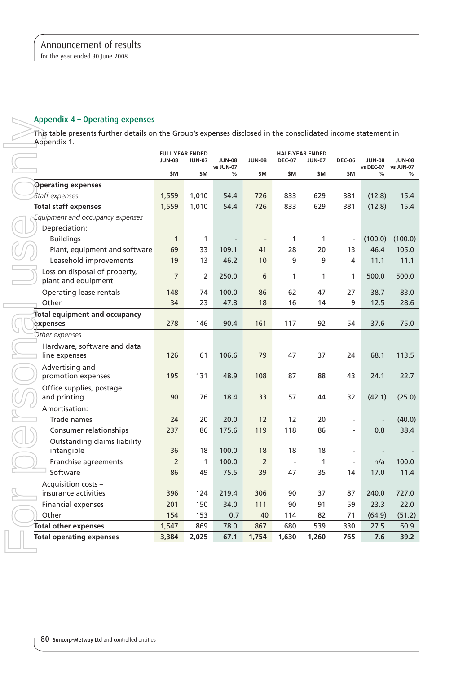#### Appendix 4 – Operating expenses

| Appendix 4 - Operating expenses<br>This table presents further details on the Group's expenses disclosed in the consolidated income statement in |                |                                         |                            |                |                                         |               |               |                            |                            |
|--------------------------------------------------------------------------------------------------------------------------------------------------|----------------|-----------------------------------------|----------------------------|----------------|-----------------------------------------|---------------|---------------|----------------------------|----------------------------|
| Appendix 1.                                                                                                                                      | <b>JUN-08</b>  | <b>FULL YEAR ENDED</b><br><b>JUN-07</b> | <b>JUN-08</b><br>vs JUN-07 | <b>JUN-08</b>  | <b>HALF-YEAR ENDED</b><br><b>DEC-07</b> | <b>JUN-07</b> | <b>DEC-06</b> | <b>JUN-08</b><br>vs DEC-07 | <b>JUN-08</b><br>vs JUN-07 |
|                                                                                                                                                  | \$M            | \$M                                     | %                          | \$M            | \$M                                     | \$M           | \$M           | %                          | ℅                          |
| <b>Operating expenses</b>                                                                                                                        |                |                                         |                            |                |                                         |               |               |                            |                            |
| <b>Staff</b> expenses                                                                                                                            | 1,559          | 1,010                                   | 54.4                       | 726            | 833                                     | 629           | 381           | (12.8)                     | 15.4                       |
| <b>Total staff expenses</b>                                                                                                                      | 1,559          | 1,010                                   | 54.4                       | 726            | 833                                     | 629           | 381           | (12.8)                     | 15.4                       |
| Equipment and occupancy expenses<br>Depreciation:                                                                                                |                |                                         |                            |                |                                         |               |               |                            |                            |
| <b>Buildings</b>                                                                                                                                 | $\mathbf{1}$   | 1                                       |                            |                | 1                                       | 1             |               | (100.0)                    | (100.0)                    |
| Plant, equipment and software                                                                                                                    | 69             | 33                                      | 109.1                      | 41             | 28                                      | 20            | 13            | 46.4                       | 105.0                      |
| Leasehold improvements                                                                                                                           | 19             | 13                                      | 46.2                       | 10             | 9                                       | 9             | 4             | 11.1                       | 11.1                       |
| Loss on disposal of property,<br>plant and equipment                                                                                             | $\overline{7}$ | 2                                       | 250.0                      | 6              | 1                                       | 1             | 1             | 500.0                      | 500.0                      |
| Operating lease rentals                                                                                                                          | 148            | 74                                      | 100.0                      | 86             | 62                                      | 47            | 27            | 38.7                       | 83.0                       |
| Other                                                                                                                                            | 34             | 23                                      | 47.8                       | 18             | 16                                      | 14            | 9             | 12.5                       | 28.6                       |
| Total equipment and occupancy<br>expenses                                                                                                        | 278            | 146                                     | 90.4                       | 161            | 117                                     | 92            | 54            | 37.6                       | 75.0                       |
| Other expenses                                                                                                                                   |                |                                         |                            |                |                                         |               |               |                            |                            |
| Hardware, software and data<br>line expenses                                                                                                     | 126            | 61                                      | 106.6                      | 79             | 47                                      | 37            | 24            | 68.1                       | 113.5                      |
| Advertising and<br>promotion expenses                                                                                                            | 195            | 131                                     | 48.9                       | 108            | 87                                      | 88            | 43            | 24.1                       | 22.7                       |
| Office supplies, postage<br>and printing                                                                                                         | 90             | 76                                      | 18.4                       | 33             | 57                                      | 44            | 32            | (42.1)                     | (25.0)                     |
| Amortisation:                                                                                                                                    |                |                                         |                            |                |                                         |               |               |                            |                            |
| Trade names                                                                                                                                      | 24             | 20                                      | 20.0                       | 12             | 12                                      | 20            |               |                            | (40.0)                     |
| Consumer relationships                                                                                                                           | 237            | 86                                      | 175.6                      | 119            | 118                                     | 86            |               | 0.8                        | 38.4                       |
| Outstanding claims liability<br>intangible                                                                                                       | 36             | 18                                      | 100.0                      | 18             | 18                                      | 18            |               |                            |                            |
| Franchise agreements                                                                                                                             | 2              | 1                                       | 100.0                      | $\overline{2}$ |                                         | 1             |               | n/a                        | 100.0                      |
| Software                                                                                                                                         | 86             | 49                                      | 75.5                       | 39             | 47                                      | 35            | 14            | 17.0                       | 11.4                       |
| Acquisition costs -<br>insurance activities                                                                                                      | 396            | 124                                     | 219.4                      | 306            | 90                                      | 37            | 87            | 240.0                      | 727.0                      |
|                                                                                                                                                  |                |                                         |                            |                |                                         |               |               |                            |                            |
| <b>Financial expenses</b>                                                                                                                        | 201            | 150                                     | 34.0                       | 111            | 90                                      | 91            | 59            | 23.3                       | 22.0                       |
| Other                                                                                                                                            | 154            | 153                                     | 0.7                        | 40             | 114                                     | 82            | 71            | (64.9)                     | (51.2)                     |
| <b>Total other expenses</b><br><b>Total operating expenses</b>                                                                                   | 1,547<br>3,384 | 869<br>2,025                            | 78.0<br>67.1               | 867<br>1,754   | 680<br>1,630                            | 539<br>1,260  | 330<br>765    | 27.5<br>7.6                | 60.9<br>39.2               |
|                                                                                                                                                  |                |                                         |                            |                |                                         |               |               |                            |                            |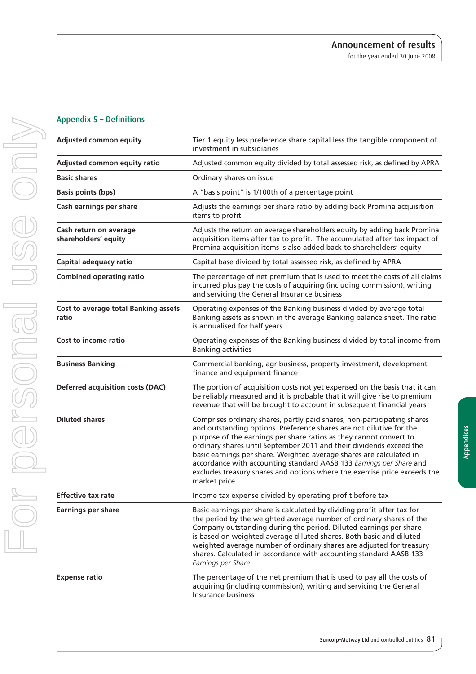#### **Adjusted common equity** Tier 1 equity less preference share capital less the tangible component of investment in subsidiaries **Adjusted common equity ratio** Adjusted common equity divided by total assessed risk, as defined by APRA **Basic shares Basic shares COLOGIST COLOGIST COLOGIST COLOGIST COLOGIST COLOGIST COLOGIST COLOGIST COLOGIST COLOGIST COLOGIST COLOGIST COLOGIST COLOGIST COLOGIST COLOGIST Basis points (bps)** A "basis point" is 1/100th of a percentage point **Cash earnings per share** earnings per share ratio by adding back Promina acquisition items to profit **Cash return on average shareholders' equity** Adjusts the return on average shareholders equity by adding back Promina acquisition items after tax to profit. The accumulated after tax impact of Promina acquisition items is also added back to shareholders' equity **Capital adequacy ratio** Capital base divided by total assessed risk, as defined by APRA **Combined operating ratio** The percentage of net premium that is used to meet the costs of all claims incurred plus pay the costs of acquiring (including commission), writing and servicing the General Insurance business **Cost to average total Banking assets ratio** Operating expenses of the Banking business divided by average total Banking assets as shown in the average Banking balance sheet. The ratio is annualised for half years **Cost to income ratio** Operating expenses of the Banking business divided by total income from Banking activities **Business Banking** Commercial banking, agribusiness, property investment, development finance and equipment finance **Deferred acquisition costs (DAC)** The portion of acquisition costs not yet expensed on the basis that it can be reliably measured and it is probable that it will give rise to premium revenue that will be brought to account in subsequent financial years **Diluted shares** Comprises ordinary shares, partly paid shares, non-participating shares and outstanding options. Preference shares are not dilutive for the purpose of the earnings per share ratios as they cannot convert to ordinary shares until September 2011 and their dividends exceed the basic earnings per share. Weighted average shares are calculated in accordance with accounting standard AASB 133 *Earnings per Share* and excludes treasury shares and options where the exercise price exceeds the market price **Effective tax rate** Income tax expense divided by operating profit before tax **Earnings per share** Basic earnings per share is calculated by dividing profit after tax for the period by the weighted average number of ordinary shares of the Company outstanding during the period. Diluted earnings per share is based on weighted average diluted shares. Both basic and diluted weighted average number of ordinary shares are adjusted for treasury shares. Calculated in accordance with accounting standard AASB 133 *Earnings per Share*

**Expense ratio** The percentage of the net premium that is used to pay all the costs of

Insurance business

acquiring (including commission), writing and servicing the General

Appendix  $5 -$  Definitions

Suncorp-Metway Ltd and controlled entities 81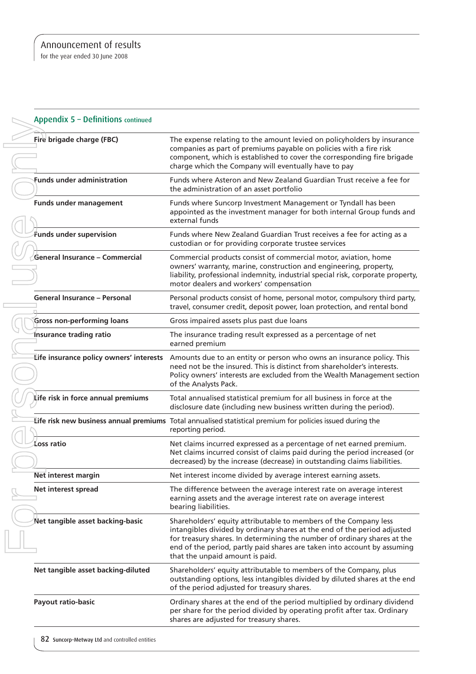| Fire brigade charge (FBC)               | The expense relating to the amount levied on policyholders by insurance<br>companies as part of premiums payable on policies with a fire risk<br>component, which is established to cover the corresponding fire brigade<br>charge which the Company will eventually have to pay                                                        |
|-----------------------------------------|-----------------------------------------------------------------------------------------------------------------------------------------------------------------------------------------------------------------------------------------------------------------------------------------------------------------------------------------|
| <b>Funds under administration</b>       | Funds where Asteron and New Zealand Guardian Trust receive a fee for<br>the administration of an asset portfolio                                                                                                                                                                                                                        |
| <b>Funds under management</b>           | Funds where Suncorp Investment Management or Tyndall has been<br>appointed as the investment manager for both internal Group funds and<br>external funds                                                                                                                                                                                |
| Funds under supervision                 | Funds where New Zealand Guardian Trust receives a fee for acting as a<br>custodian or for providing corporate trustee services                                                                                                                                                                                                          |
| General Insurance - Commercial          | Commercial products consist of commercial motor, aviation, home<br>owners' warranty, marine, construction and engineering, property,<br>liability, professional indemnity, industrial special risk, corporate property,<br>motor dealers and workers' compensation                                                                      |
| <b>General Insurance - Personal</b>     | Personal products consist of home, personal motor, compulsory third party,<br>travel, consumer credit, deposit power, loan protection, and rental bond                                                                                                                                                                                  |
| <b>Gross non-performing loans</b>       | Gross impaired assets plus past due loans                                                                                                                                                                                                                                                                                               |
| Insurance trading ratio                 | The insurance trading result expressed as a percentage of net<br>earned premium                                                                                                                                                                                                                                                         |
| Life insurance policy owners' interests | Amounts due to an entity or person who owns an insurance policy. This<br>need not be the insured. This is distinct from shareholder's interests.<br>Policy owners' interests are excluded from the Wealth Management section<br>of the Analysts Pack.                                                                                   |
| Life risk in force annual premiums      | Total annualised statistical premium for all business in force at the<br>disclosure date (including new business written during the period).                                                                                                                                                                                            |
|                                         | Life risk new business annual premiums Total annualised statistical premium for policies issued during the<br>reporting period.                                                                                                                                                                                                         |
| Loss ratio                              | Net claims incurred expressed as a percentage of net earned premium.<br>Net claims incurred consist of claims paid during the period increased (or<br>decreased) by the increase (decrease) in outstanding claims liabilities.                                                                                                          |
| Net interest margin                     | Net interest income divided by average interest earning assets.                                                                                                                                                                                                                                                                         |
| <b>Net interest spread</b>              | The difference between the average interest rate on average interest<br>earning assets and the average interest rate on average interest<br>bearing liabilities.                                                                                                                                                                        |
| Net tangible asset backing-basic        | Shareholders' equity attributable to members of the Company less<br>intangibles divided by ordinary shares at the end of the period adjusted<br>for treasury shares. In determining the number of ordinary shares at the<br>end of the period, partly paid shares are taken into account by assuming<br>that the unpaid amount is paid. |
| Net tangible asset backing-diluted      | Shareholders' equity attributable to members of the Company, plus<br>outstanding options, less intangibles divided by diluted shares at the end<br>of the period adjusted for treasury shares.                                                                                                                                          |
| <b>Payout ratio-basic</b>               | Ordinary shares at the end of the period multiplied by ordinary dividend<br>per share for the period divided by operating profit after tax. Ordinary<br>shares are adjusted for treasury shares.                                                                                                                                        |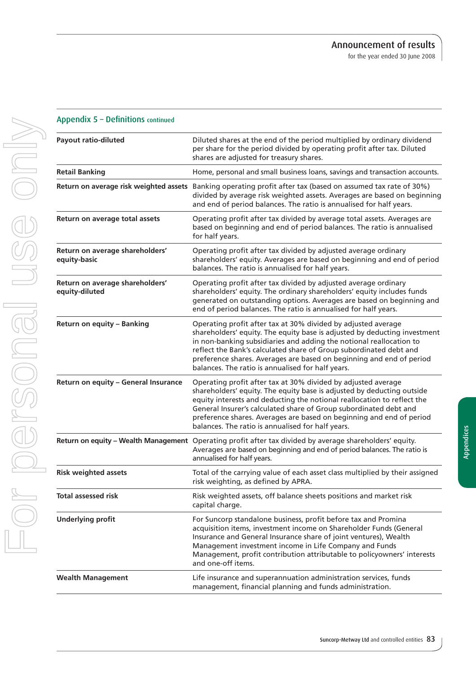| Appendix 5 - Definitions continued                |                                                                                                                                                                                                                                                                                                                                                                                                                      |
|---------------------------------------------------|----------------------------------------------------------------------------------------------------------------------------------------------------------------------------------------------------------------------------------------------------------------------------------------------------------------------------------------------------------------------------------------------------------------------|
| <b>Payout ratio-diluted</b>                       | Diluted shares at the end of the period multiplied by ordinary dividend<br>per share for the period divided by operating profit after tax. Diluted<br>shares are adjusted for treasury shares.                                                                                                                                                                                                                       |
| <b>Retail Banking</b>                             | Home, personal and small business loans, savings and transaction accounts.                                                                                                                                                                                                                                                                                                                                           |
|                                                   | Return on average risk weighted assets Banking operating profit after tax (based on assumed tax rate of 30%)<br>divided by average risk weighted assets. Averages are based on beginning<br>and end of period balances. The ratio is annualised for half years.                                                                                                                                                      |
| Return on average total assets                    | Operating profit after tax divided by average total assets. Averages are<br>based on beginning and end of period balances. The ratio is annualised<br>for half years.                                                                                                                                                                                                                                                |
| Return on average shareholders'<br>equity-basic   | Operating profit after tax divided by adjusted average ordinary<br>shareholders' equity. Averages are based on beginning and end of period<br>balances. The ratio is annualised for half years.                                                                                                                                                                                                                      |
| Return on average shareholders'<br>equity-diluted | Operating profit after tax divided by adjusted average ordinary<br>shareholders' equity. The ordinary shareholders' equity includes funds<br>generated on outstanding options. Averages are based on beginning and<br>end of period balances. The ratio is annualised for half years.                                                                                                                                |
| Return on equity - Banking                        | Operating profit after tax at 30% divided by adjusted average<br>shareholders' equity. The equity base is adjusted by deducting investment<br>in non-banking subsidiaries and adding the notional reallocation to<br>reflect the Bank's calculated share of Group subordinated debt and<br>preference shares. Averages are based on beginning and end of period<br>balances. The ratio is annualised for half years. |
| Return on equity - General Insurance              | Operating profit after tax at 30% divided by adjusted average<br>shareholders' equity. The equity base is adjusted by deducting outside<br>equity interests and deducting the notional reallocation to reflect the<br>General Insurer's calculated share of Group subordinated debt and<br>preference shares. Averages are based on beginning and end of period<br>balances. The ratio is annualised for half years. |
|                                                   | Return on equity - Wealth Management Operating profit after tax divided by average shareholders' equity.<br>Averages are based on beginning and end of period balances. The ratio is<br>annualised for half years.                                                                                                                                                                                                   |
| <b>Risk weighted assets</b>                       | Total of the carrying value of each asset class multiplied by their assigned<br>risk weighting, as defined by APRA.                                                                                                                                                                                                                                                                                                  |
| <b>Total assessed risk</b>                        | Risk weighted assets, off balance sheets positions and market risk<br>capital charge.                                                                                                                                                                                                                                                                                                                                |
| <b>Underlying profit</b>                          | For Suncorp standalone business, profit before tax and Promina<br>acquisition items, investment income on Shareholder Funds (General<br>Insurance and General Insurance share of joint ventures), Wealth<br>Management investment income in Life Company and Funds<br>Management, profit contribution attributable to policyowners' interests<br>and one-off items.                                                  |
| <b>Wealth Management</b>                          | Life insurance and superannuation administration services, funds<br>management, financial planning and funds administration.                                                                                                                                                                                                                                                                                         |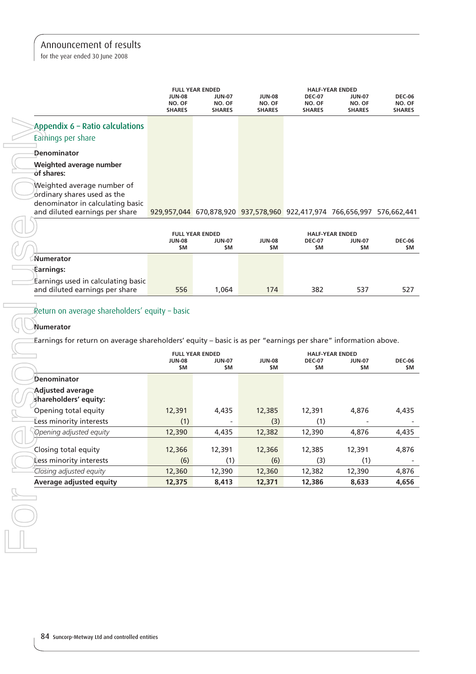for the year ended 30 June 2008

|                                                                                                               |                                                 | <b>FULL YEAR ENDED</b>                          |                                                                         | <b>HALF-YEAR ENDED</b>                   |                                                |                                          |  |  |
|---------------------------------------------------------------------------------------------------------------|-------------------------------------------------|-------------------------------------------------|-------------------------------------------------------------------------|------------------------------------------|------------------------------------------------|------------------------------------------|--|--|
|                                                                                                               | <b>JUN-08</b><br><b>NO. OF</b><br><b>SHARES</b> | <b>JUN-07</b><br><b>NO. OF</b><br><b>SHARES</b> | <b>JUN-08</b><br>NO. OF<br><b>SHARES</b>                                | <b>DEC-07</b><br>NO. OF<br><b>SHARES</b> | <b>JUN-07</b><br>NO. OF<br><b>SHARES</b>       | <b>DEC-06</b><br>NO. OF<br><b>SHARES</b> |  |  |
| Appendix 6 - Ratio calculations                                                                               |                                                 |                                                 |                                                                         |                                          |                                                |                                          |  |  |
| Earnings per share                                                                                            |                                                 |                                                 |                                                                         |                                          |                                                |                                          |  |  |
| <b>Denominator</b>                                                                                            |                                                 |                                                 |                                                                         |                                          |                                                |                                          |  |  |
| Weighted average number<br>of shares:                                                                         |                                                 |                                                 |                                                                         |                                          |                                                |                                          |  |  |
| Weighted average number of<br>ordinary shares used as the<br>denominator in calculating basic                 |                                                 |                                                 |                                                                         |                                          |                                                |                                          |  |  |
| and diluted earnings per share                                                                                |                                                 |                                                 | 929,957,044 670,878,920 937,578,960 922,417,974 766,656,997 576,662,441 |                                          |                                                |                                          |  |  |
|                                                                                                               | <b>JUN-08</b><br>\$M                            | <b>FULL YEAR ENDED</b><br><b>JUN-07</b><br>\$M  | <b>JUN-08</b><br>\$M                                                    | <b>DEC-07</b><br>\$M                     | <b>HALF-YEAR ENDED</b><br><b>JUN-07</b><br>\$M | <b>DEC-06</b><br>\$M                     |  |  |
| Numerator                                                                                                     |                                                 |                                                 |                                                                         |                                          |                                                |                                          |  |  |
| <b>Earnings:</b>                                                                                              |                                                 |                                                 |                                                                         |                                          |                                                |                                          |  |  |
| Earnings used in calculating basic<br>and diluted earnings per share                                          | 556                                             | 1,064                                           | 174                                                                     | 382                                      | 537                                            | 527                                      |  |  |
|                                                                                                               |                                                 |                                                 |                                                                         |                                          |                                                |                                          |  |  |
| Return on average shareholders' equity - basic                                                                |                                                 |                                                 |                                                                         |                                          |                                                |                                          |  |  |
| <b>Numerator</b>                                                                                              |                                                 |                                                 |                                                                         |                                          |                                                |                                          |  |  |
| Earnings for return on average shareholders' equity - basic is as per "earnings per share" information above. |                                                 |                                                 |                                                                         |                                          |                                                |                                          |  |  |
|                                                                                                               |                                                 |                                                 |                                                                         |                                          |                                                |                                          |  |  |
|                                                                                                               | <b>JUN-08</b><br>\$M                            | <b>FULL YEAR ENDED</b><br><b>JUN-07</b><br>\$M  | <b>JUN-08</b><br>\$M                                                    | <b>DEC-07</b><br>\$M                     | <b>HALF-YEAR ENDED</b><br><b>JUN-07</b><br>\$M | <b>DEC-06</b><br>\$M                     |  |  |
| Denominator                                                                                                   |                                                 |                                                 |                                                                         |                                          |                                                |                                          |  |  |
| <b>Adjusted average</b><br>shareholders' equity:                                                              |                                                 |                                                 |                                                                         |                                          |                                                |                                          |  |  |
| Opening total equity                                                                                          | 12,391                                          | 4,435                                           | 12,385                                                                  | 12,391                                   | 4,876                                          | 4,435                                    |  |  |
| $t$ ess minority interests                                                                                    | (1)                                             |                                                 | (3)                                                                     | (1)                                      |                                                |                                          |  |  |
| Opening adjusted equity                                                                                       | 12,390                                          | 4,435                                           | 12,382                                                                  | 12,390                                   | 4,876                                          | 4,435                                    |  |  |
| Closing total equity                                                                                          | 12,366                                          | 12,391                                          | 12,366                                                                  | 12,385                                   | 12,391                                         | 4,876                                    |  |  |
| Less minority interests                                                                                       | (6)                                             | (1)                                             | (6)                                                                     | (3)                                      | (1)                                            |                                          |  |  |
| Closing adjusted equity                                                                                       | 12,360                                          | 12,390                                          | 12,360                                                                  | 12,382                                   | 12,390                                         | 4,876                                    |  |  |
| Average adjusted equity                                                                                       | 12,375                                          | 8,413                                           | 12,371                                                                  | 12,386                                   | 8,633                                          | 4,656                                    |  |  |
|                                                                                                               |                                                 |                                                 |                                                                         |                                          |                                                |                                          |  |  |
|                                                                                                               |                                                 |                                                 |                                                                         |                                          |                                                |                                          |  |  |
|                                                                                                               |                                                 |                                                 |                                                                         |                                          |                                                |                                          |  |  |

### Return on average shareholders' equity – basic

## **Numerator**

|                                                  | <b>FULL YEAR ENDED</b> |                          |                      | <b>HALF-YEAR ENDED</b> |                          |                      |  |
|--------------------------------------------------|------------------------|--------------------------|----------------------|------------------------|--------------------------|----------------------|--|
|                                                  | <b>JUN-08</b><br>\$M   | <b>JUN-07</b><br>\$M     | <b>JUN-08</b><br>\$M | <b>DEC-07</b><br>\$M   | <b>JUN-07</b><br>\$M     | <b>DEC-06</b><br>\$M |  |
| Denominator                                      |                        |                          |                      |                        |                          |                      |  |
| <b>Adjusted average</b><br>shareholders' equity: |                        |                          |                      |                        |                          |                      |  |
| Opening total equity                             | 12,391                 | 4,435                    | 12,385               | 12,391                 | 4,876                    | 4,435                |  |
| Less minority interests                          | (1)                    | $\overline{\phantom{a}}$ | (3)                  | (1)                    | $\overline{\phantom{a}}$ |                      |  |
| Opening adjusted equity                          | 12,390                 | 4,435                    | 12,382               | 12,390                 | 4,876                    | 4,435                |  |
| Closing total equity                             | 12,366                 | 12,391                   | 12,366               | 12,385                 | 12,391                   | 4,876                |  |
| Less minority interests                          | (6)                    | (1)                      | (6)                  | (3)                    | (1)                      |                      |  |
| Closing adjusted equity                          | 12,360                 | 12,390                   | 12,360               | 12,382                 | 12,390                   | 4,876                |  |
| Average adjusted equity                          | 12,375                 | 8,413                    | 12,371               | 12,386                 | 8,633                    | 4,656                |  |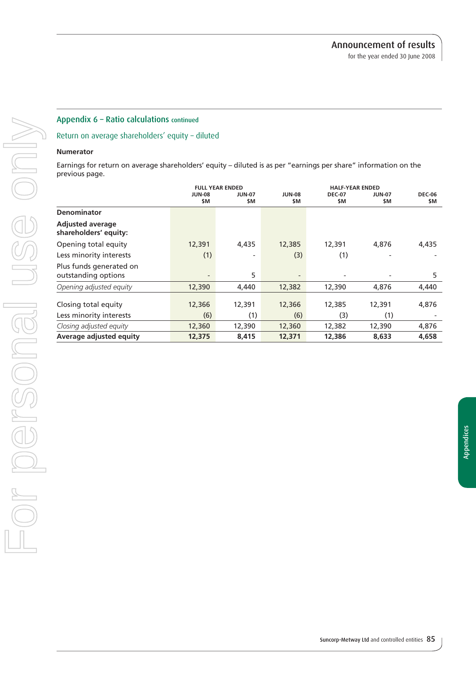#### Appendix 6 – Ratio calculations continued

#### Return on average shareholders' equity – diluted

#### **Numerator**

Earnings for return on average shareholders' equity – diluted is as per "earnings per share" information on the previous page.

|                                                  | <b>FULL YEAR ENDED</b> |                      |                      | <b>HALF-YEAR ENDED</b> |                      |                      |
|--------------------------------------------------|------------------------|----------------------|----------------------|------------------------|----------------------|----------------------|
|                                                  | <b>JUN-08</b><br>\$M   | <b>JUN-07</b><br>\$M | <b>JUN-08</b><br>\$M | <b>DEC-07</b><br>\$M   | <b>JUN-07</b><br>\$M | <b>DEC-06</b><br>\$M |
| <b>Denominator</b>                               |                        |                      |                      |                        |                      |                      |
| <b>Adjusted average</b><br>shareholders' equity: |                        |                      |                      |                        |                      |                      |
| Opening total equity                             | 12,391                 | 4,435                | 12,385               | 12,391                 | 4,876                | 4,435                |
| Less minority interests                          | (1)                    | $\overline{a}$       | (3)                  | (1)                    |                      |                      |
| Plus funds generated on<br>outstanding options   |                        | 5                    | $\overline{a}$       |                        |                      | 5                    |
| Opening adjusted equity                          | 12,390                 | 4.440                | 12,382               | 12,390                 | 4,876                | 4,440                |
| Closing total equity<br>Less minority interests  | 12,366<br>(6)          | 12,391<br>(1)        | 12,366<br>(6)        | 12,385<br>(3)          | 12,391<br>(1)        | 4,876                |
|                                                  |                        |                      |                      |                        |                      |                      |
| Closing adjusted equity                          | 12,360                 | 12,390               | 12,360               | 12,382                 | 12,390               | 4,876                |
| Average adjusted equity                          | 12,375                 | 8,415                | 12,371               | 12,386                 | 8,633                | 4,658                |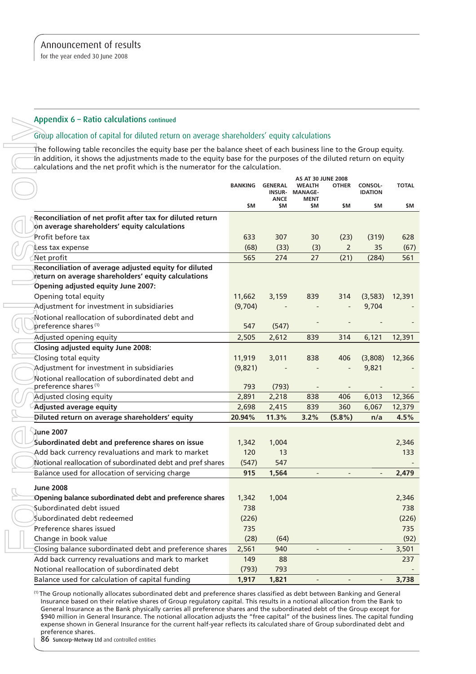#### Appendix 6 – Ratio calculations continued

#### Group allocation of capital for diluted return on average shareholders' equity calculations

| Appendix 6 - Ratio Calculations continued                                                                                                                                                                                                                                                                                                                                                                                                                                                                                                                                                                                                                                                |                |                                                |                                                                             |                |                                  |              |
|------------------------------------------------------------------------------------------------------------------------------------------------------------------------------------------------------------------------------------------------------------------------------------------------------------------------------------------------------------------------------------------------------------------------------------------------------------------------------------------------------------------------------------------------------------------------------------------------------------------------------------------------------------------------------------------|----------------|------------------------------------------------|-----------------------------------------------------------------------------|----------------|----------------------------------|--------------|
| Group allocation of capital for diluted return on average shareholders' equity calculations                                                                                                                                                                                                                                                                                                                                                                                                                                                                                                                                                                                              |                |                                                |                                                                             |                |                                  |              |
| The following table reconciles the equity base per the balance sheet of each business line to the Group equity.<br>th addition, it shows the adjustments made to the equity base for the purposes of the diluted return on equity<br>calculations and the net profit which is the numerator for the calculation.                                                                                                                                                                                                                                                                                                                                                                         |                |                                                |                                                                             |                |                                  |              |
|                                                                                                                                                                                                                                                                                                                                                                                                                                                                                                                                                                                                                                                                                          | <b>BANKING</b> | <b>GENERAL</b><br><b>INSUR-</b><br><b>ANCE</b> | <b>AS AT 30 JUNE 2008</b><br><b>WEALTH</b><br><b>MANAGE-</b><br><b>MENT</b> | <b>OTHER</b>   | <b>CONSOL-</b><br><b>IDATION</b> | <b>TOTAL</b> |
|                                                                                                                                                                                                                                                                                                                                                                                                                                                                                                                                                                                                                                                                                          | \$M            | \$M                                            | \$M                                                                         | \$M            | \$M                              | \$M          |
| Reconciliation of net profit after tax for diluted return<br>on average shareholders' equity calculations                                                                                                                                                                                                                                                                                                                                                                                                                                                                                                                                                                                |                |                                                |                                                                             |                |                                  |              |
| Profit before tax                                                                                                                                                                                                                                                                                                                                                                                                                                                                                                                                                                                                                                                                        | 633            | 307                                            | 30                                                                          | (23)           | (319)                            | 628          |
| Less tax expense                                                                                                                                                                                                                                                                                                                                                                                                                                                                                                                                                                                                                                                                         | (68)           | (33)                                           | (3)                                                                         | $\overline{2}$ | 35                               | (67)         |
| Net profit                                                                                                                                                                                                                                                                                                                                                                                                                                                                                                                                                                                                                                                                               | 565            | 274                                            | 27                                                                          | (21)           | (284)                            | 561          |
| Reconciliation of average adjusted equity for diluted<br>return on average shareholders' equity calculations<br>Opening adjusted equity June 2007:                                                                                                                                                                                                                                                                                                                                                                                                                                                                                                                                       |                |                                                |                                                                             |                |                                  |              |
| Opening total equity                                                                                                                                                                                                                                                                                                                                                                                                                                                                                                                                                                                                                                                                     | 11,662         | 3,159                                          | 839                                                                         | 314            | (3, 583)                         | 12,391       |
| Adjustment for investment in subsidiaries                                                                                                                                                                                                                                                                                                                                                                                                                                                                                                                                                                                                                                                | (9,704)        |                                                |                                                                             |                | 9,704                            |              |
|                                                                                                                                                                                                                                                                                                                                                                                                                                                                                                                                                                                                                                                                                          |                |                                                |                                                                             |                |                                  |              |
| Notional reallocation of subordinated debt and<br>preference shares <sup>(1)</sup>                                                                                                                                                                                                                                                                                                                                                                                                                                                                                                                                                                                                       | 547            | (547)                                          |                                                                             |                |                                  |              |
| Adjusted opening equity                                                                                                                                                                                                                                                                                                                                                                                                                                                                                                                                                                                                                                                                  | 2,505          | 2,612                                          | 839                                                                         | 314            | 6,121                            | 12,391       |
| Closing adjusted equity June 2008:                                                                                                                                                                                                                                                                                                                                                                                                                                                                                                                                                                                                                                                       |                |                                                |                                                                             |                |                                  |              |
| Closing total equity                                                                                                                                                                                                                                                                                                                                                                                                                                                                                                                                                                                                                                                                     | 11,919         | 3,011                                          | 838                                                                         | 406            | (3,808)                          | 12,366       |
| Adjustment for investment in subsidiaries                                                                                                                                                                                                                                                                                                                                                                                                                                                                                                                                                                                                                                                | (9,821)        |                                                |                                                                             |                | 9,821                            |              |
| Notional reallocation of subordinated debt and                                                                                                                                                                                                                                                                                                                                                                                                                                                                                                                                                                                                                                           |                |                                                |                                                                             |                |                                  |              |
| preference shares <sup>(1)</sup>                                                                                                                                                                                                                                                                                                                                                                                                                                                                                                                                                                                                                                                         | 793            | (793)                                          | $\overline{\phantom{a}}$                                                    |                |                                  |              |
| Adjusted closing equity                                                                                                                                                                                                                                                                                                                                                                                                                                                                                                                                                                                                                                                                  | 2,891          | 2,218                                          | 838                                                                         | 406            | 6,013                            | 12,366       |
| Adjusted average equity                                                                                                                                                                                                                                                                                                                                                                                                                                                                                                                                                                                                                                                                  | 2,698          | 2,415                                          | 839                                                                         | 360            | 6,067                            | 12,379       |
| Diluted return on average shareholders' equity                                                                                                                                                                                                                                                                                                                                                                                                                                                                                                                                                                                                                                           | 20.94%         | 11.3%                                          | 3.2%                                                                        | $(5.8\%)$      | n/a                              | 4.5%         |
| <b>June 2007</b>                                                                                                                                                                                                                                                                                                                                                                                                                                                                                                                                                                                                                                                                         |                |                                                |                                                                             |                |                                  |              |
| Subordinated debt and preference shares on issue                                                                                                                                                                                                                                                                                                                                                                                                                                                                                                                                                                                                                                         |                |                                                |                                                                             |                |                                  |              |
|                                                                                                                                                                                                                                                                                                                                                                                                                                                                                                                                                                                                                                                                                          | 1,342<br>120   | 1,004<br>13                                    |                                                                             |                |                                  | 2,346<br>133 |
| Add back currency revaluations and mark to market<br>Notional reallocation of subordinated debt and pref shares                                                                                                                                                                                                                                                                                                                                                                                                                                                                                                                                                                          | (547)          |                                                |                                                                             |                |                                  |              |
| Balance used for allocation of servicing charge                                                                                                                                                                                                                                                                                                                                                                                                                                                                                                                                                                                                                                          | 915            | 547<br>1,564                                   |                                                                             |                |                                  | 2,479        |
|                                                                                                                                                                                                                                                                                                                                                                                                                                                                                                                                                                                                                                                                                          |                |                                                |                                                                             |                |                                  |              |
| <b>June 2008</b>                                                                                                                                                                                                                                                                                                                                                                                                                                                                                                                                                                                                                                                                         |                |                                                |                                                                             |                |                                  |              |
| <b>Opening balance subordinated debt and preference shares</b>                                                                                                                                                                                                                                                                                                                                                                                                                                                                                                                                                                                                                           | 1,342          | 1,004                                          |                                                                             |                |                                  | 2,346        |
| Subordinated debt issued                                                                                                                                                                                                                                                                                                                                                                                                                                                                                                                                                                                                                                                                 | 738            |                                                |                                                                             |                |                                  | 738          |
| Subordinated debt redeemed                                                                                                                                                                                                                                                                                                                                                                                                                                                                                                                                                                                                                                                               | (226)          |                                                |                                                                             |                |                                  | (226)        |
| Preference shares issued                                                                                                                                                                                                                                                                                                                                                                                                                                                                                                                                                                                                                                                                 | 735            |                                                |                                                                             |                |                                  | 735          |
| Change in book value                                                                                                                                                                                                                                                                                                                                                                                                                                                                                                                                                                                                                                                                     | (28)           | (64)                                           |                                                                             |                |                                  | (92)         |
| Closing balance subordinated debt and preference shares                                                                                                                                                                                                                                                                                                                                                                                                                                                                                                                                                                                                                                  | 2,561          | 940                                            |                                                                             |                |                                  | 3,501        |
| Add back currency revaluations and mark to market                                                                                                                                                                                                                                                                                                                                                                                                                                                                                                                                                                                                                                        | 149            | 88                                             |                                                                             |                |                                  | 237          |
| Notional reallocation of subordinated debt                                                                                                                                                                                                                                                                                                                                                                                                                                                                                                                                                                                                                                               | (793)          | 793                                            |                                                                             |                |                                  |              |
| Balance used for calculation of capital funding                                                                                                                                                                                                                                                                                                                                                                                                                                                                                                                                                                                                                                          | 1,917          | 1,821                                          |                                                                             |                |                                  | 3,738        |
| <sup>(1)</sup> The Group notionally allocates subordinated debt and preference shares classified as debt between Banking and General<br>Insurance based on their relative shares of Group regulatory capital. This results in a notional allocation from the Bank to<br>General Insurance as the Bank physically carries all preference shares and the subordinated debt of the Group except for<br>\$940 million in General Insurance. The notional allocation adjusts the "free capital" of the business lines. The capital funding<br>expense shown in General Insurance for the current half-year reflects its calculated share of Group subordinated debt and<br>preference shares. |                |                                                |                                                                             |                |                                  |              |

86 Suncorp-Metway Ltd and controlled entities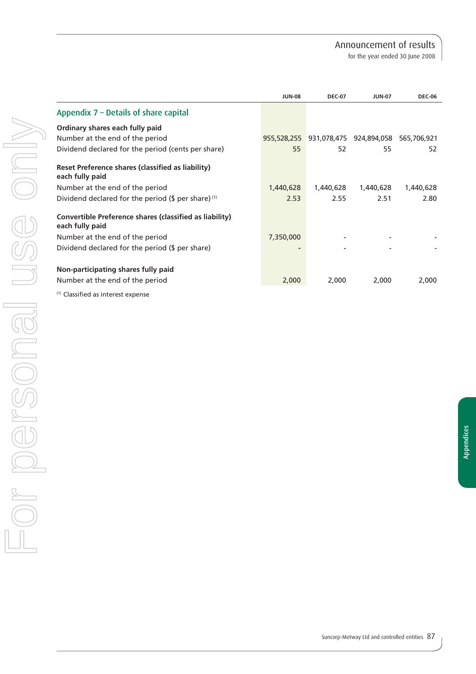for the year ended 30 June 2008

|                                                                            | <b>JUN-08</b> | <b>DEC-07</b> | <b>JUN-07</b>                       | <b>DEC-06</b> |
|----------------------------------------------------------------------------|---------------|---------------|-------------------------------------|---------------|
| Appendix 7 - Details of share capital                                      |               |               |                                     |               |
| Ordinary shares each fully paid                                            |               |               |                                     |               |
| Number at the end of the period                                            | 955,528,255   |               | 931,078,475 924,894,058 565,706,921 |               |
| Dividend declared for the period (cents per share)                         | 55            | 52            | 55                                  | 52            |
| Reset Preference shares (classified as liability)<br>each fully paid       |               |               |                                     |               |
| Number at the end of the period                                            | 1,440,628     | 1,440,628     | 1,440,628                           | 1,440,628     |
| Dividend declared for the period $(\frac{1}{2})$ per share) <sup>(1)</sup> | 2.53          | 2.55          | 2.51                                | 2.80          |
| Convertible Preference shares (classified as liability)<br>each fully paid |               |               |                                     |               |
| Number at the end of the period                                            | 7,350,000     |               |                                     |               |
| Dividend declared for the period (\$ per share)                            |               |               |                                     |               |
| Non-participating shares fully paid                                        |               |               |                                     |               |
| Number at the end of the period                                            | 2,000         | 2,000         | 2,000                               | 2,000         |
| <sup>(1)</sup> Classified as interest expense                              |               |               |                                     |               |